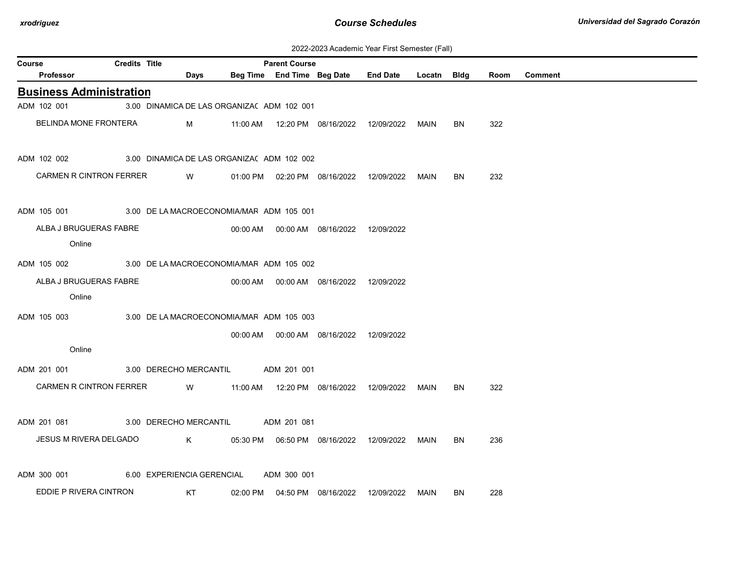| 2022-2023 Academic Year First Semester (Fall) |  |  |  |  |
|-----------------------------------------------|--|--|--|--|
|-----------------------------------------------|--|--|--|--|

| <b>Credits Title</b><br>Course |                                  |  |                            |          | <b>Parent Course</b>                       |                                            |                 |        |           |      |                |
|--------------------------------|----------------------------------|--|----------------------------|----------|--------------------------------------------|--------------------------------------------|-----------------|--------|-----------|------|----------------|
|                                | Professor                        |  | <b>Days</b>                |          |                                            | Beg Time End Time Beg Date                 | <b>End Date</b> | Locatn | Bldg      | Room | <b>Comment</b> |
|                                | <b>Business Administration</b>   |  |                            |          |                                            |                                            |                 |        |           |      |                |
|                                | ADM 102 001                      |  |                            |          | 3.00 DINAMICA DE LAS ORGANIZA( ADM 102 001 |                                            |                 |        |           |      |                |
|                                | BELINDA MONE FRONTERA            |  | M                          |          |                                            |                                            | 12/09/2022      | MAIN   | BN        | 322  |                |
|                                | ADM 102 002                      |  |                            |          | 3.00 DINAMICA DE LAS ORGANIZA( ADM 102 002 |                                            |                 |        |           |      |                |
|                                | <b>CARMEN R CINTRON FERRER</b>   |  | W                          |          |                                            | 01:00 PM  02:20 PM  08/16/2022             | 12/09/2022      | MAIN   | BN        | 232  |                |
|                                | ADM 105 001                      |  |                            |          | 3.00 DE LA MACROECONOMIA/MAF ADM 105 001   |                                            |                 |        |           |      |                |
|                                | ALBA J BRUGUERAS FABRE<br>Online |  |                            | 00:00 AM |                                            | 00:00 AM 08/16/2022                        | 12/09/2022      |        |           |      |                |
|                                | ADM 105 002                      |  |                            |          | 3.00 DE LA MACROECONOMIA/MAF ADM 105 002   |                                            |                 |        |           |      |                |
|                                | ALBA J BRUGUERAS FABRE           |  |                            |          |                                            | 00:00 AM  00:00 AM  08/16/2022  12/09/2022 |                 |        |           |      |                |
|                                | Online                           |  |                            |          |                                            |                                            |                 |        |           |      |                |
|                                | ADM 105 003                      |  |                            |          | 3.00 DE LA MACROECONOMIA/MAF ADM 105 003   |                                            |                 |        |           |      |                |
|                                |                                  |  |                            | 00:00 AM |                                            | 00:00 AM  08/16/2022                       | 12/09/2022      |        |           |      |                |
|                                | Online                           |  |                            |          |                                            |                                            |                 |        |           |      |                |
|                                | ADM 201 001                      |  | 3.00 DERECHO MERCANTIL     |          | ADM 201 001                                |                                            |                 |        |           |      |                |
|                                | CARMEN R CINTRON FERRER          |  | W                          |          |                                            | 11:00 AM  12:20 PM  08/16/2022  12/09/2022 |                 | MAIN   | BN        | 322  |                |
|                                | ADM 201 081                      |  | 3.00 DERECHO MERCANTIL     |          | ADM 201 081                                |                                            |                 |        |           |      |                |
|                                | JESUS M RIVERA DELGADO           |  | K                          |          |                                            | 05:30 PM   06:50 PM   08/16/2022           | 12/09/2022      | MAIN   | <b>BN</b> | 236  |                |
|                                | ADM 300 001                      |  | 6.00 EXPERIENCIA GERENCIAL |          | ADM 300 001                                |                                            |                 |        |           |      |                |
|                                | EDDIE P RIVERA CINTRON           |  | KT                         | 02:00 PM |                                            | 04:50 PM 08/16/2022                        | 12/09/2022      | MAIN   | BN        | 228  |                |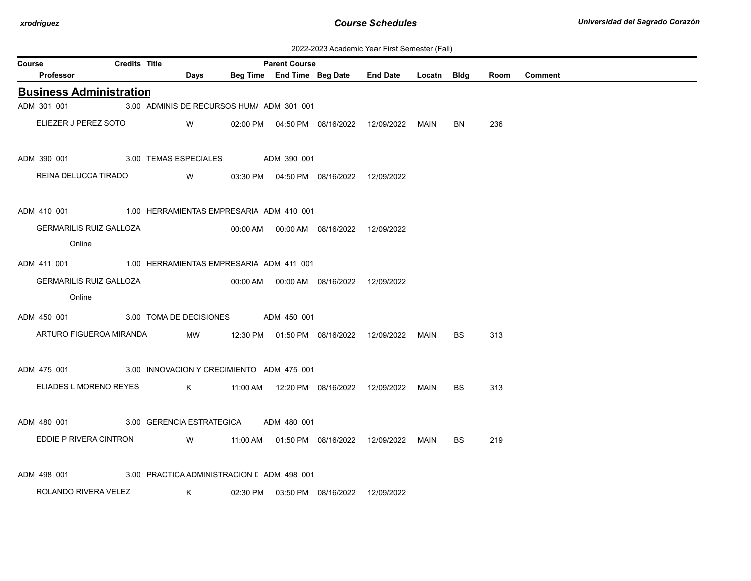| 2022-2023 Academic Year First Semester (Fall) |  |  |  |  |
|-----------------------------------------------|--|--|--|--|
|-----------------------------------------------|--|--|--|--|

| <b>Credits Title</b><br><b>Parent Course</b><br><b>Course</b>         |  |                                                |                                                 |  |                                            |                                                  |  |     |      |                |
|-----------------------------------------------------------------------|--|------------------------------------------------|-------------------------------------------------|--|--------------------------------------------|--------------------------------------------------|--|-----|------|----------------|
| Professor                                                             |  | <b>Days</b>                                    |                                                 |  |                                            | Beg Time End Time Beg Date End Date Locatn Bldg  |  |     | Room | <b>Comment</b> |
| <b>Business Administration</b>                                        |  |                                                |                                                 |  |                                            |                                                  |  |     |      |                |
| ADM 301 001                                                           |  | 3.00 ADMINIS DE RECURSOS HUM/ ADM 301 001      |                                                 |  |                                            |                                                  |  |     |      |                |
| ELIEZER J PEREZ SOTO W                                                |  |                                                |                                                 |  |                                            | 02:00 PM  04:50 PM  08/16/2022  12/09/2022  MAIN |  | BN  | 236  |                |
| ADM 390 001 3.00 TEMAS ESPECIALES ADM 390 001                         |  |                                                |                                                 |  |                                            |                                                  |  |     |      |                |
| REINA DELUCCA TIRADO                                                  |  | W   03:30 PM  04:50 PM  08/16/2022  12/09/2022 |                                                 |  |                                            |                                                  |  |     |      |                |
| ADM 410 001 1.00 HERRAMIENTAS EMPRESARIA ADM 410 001                  |  |                                                |                                                 |  |                                            |                                                  |  |     |      |                |
| <b>GERMARILIS RUIZ GALLOZA</b><br>Online                              |  |                                                |                                                 |  |                                            |                                                  |  |     |      |                |
| ADM 411 001 1.00 HERRAMIENTAS EMPRESARIA ADM 411 001                  |  |                                                |                                                 |  |                                            |                                                  |  |     |      |                |
| <b>GERMARILIS RUIZ GALLOZA</b>                                        |  |                                                |                                                 |  | 00:00 AM  00:00 AM  08/16/2022  12/09/2022 |                                                  |  |     |      |                |
| Online                                                                |  |                                                |                                                 |  |                                            |                                                  |  |     |      |                |
| ADM 450 001 3.00 TOMA DE DECISIONES ADM 450 001                       |  |                                                |                                                 |  |                                            |                                                  |  |     |      |                |
| ARTURO FIGUEROA MIRANDA                                               |  |                                                | MW 12:30 PM 01:50 PM 08/16/2022 12/09/2022 MAIN |  |                                            |                                                  |  | BS. | 313  |                |
| ADM 475 001 3.00 INNOVACION Y CRECIMIENTO ADM 475 001                 |  |                                                |                                                 |  |                                            |                                                  |  |     |      |                |
| ELIADES L MORENO REYES K 41:00 AM 12:20 PM 08/16/2022 12/09/2022 MAIN |  |                                                |                                                 |  |                                            |                                                  |  | BS  | 313  |                |
| ADM 480 001 3.00 GERENCIA ESTRATEGICA ADM 480 001                     |  |                                                |                                                 |  |                                            |                                                  |  |     |      |                |
| EDDIE P RIVERA CINTRON W 11:00 AM 01:50 PM 08/16/2022 12/09/2022 MAIN |  |                                                |                                                 |  |                                            |                                                  |  | BS  | 219  |                |
| ADM 498 001 3.00 PRACTICA ADMINISTRACION LADM 498 001                 |  |                                                |                                                 |  |                                            |                                                  |  |     |      |                |
| ROLANDO RIVERA VELEZ                                                  |  | K                                              |                                                 |  | 02:30 PM  03:50 PM  08/16/2022  12/09/2022 |                                                  |  |     |      |                |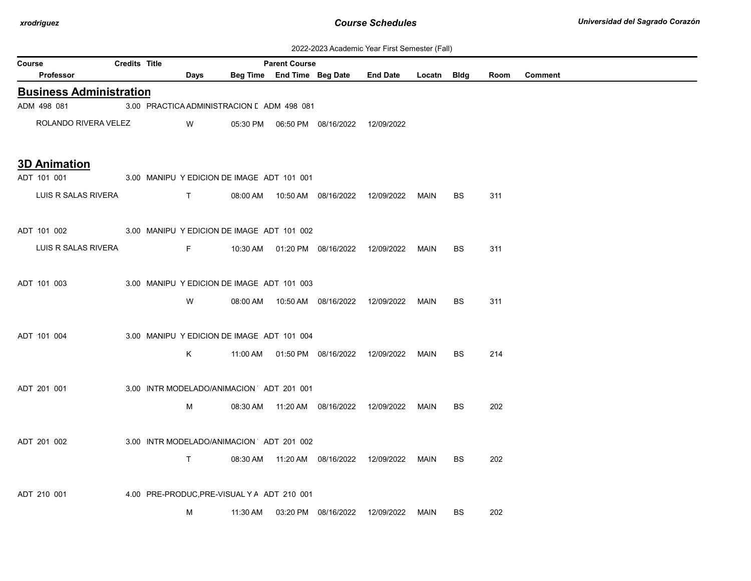| 2022-2023 Academic Year First Semester (Fall) |  |  |  |  |
|-----------------------------------------------|--|--|--|--|
|-----------------------------------------------|--|--|--|--|

|                                                        | ZUZZ-ZUZ3 ACAdemic Year First Semester (Fail) |  |              |                                             |                            |                                            |                                                  |             |           |      |                |
|--------------------------------------------------------|-----------------------------------------------|--|--------------|---------------------------------------------|----------------------------|--------------------------------------------|--------------------------------------------------|-------------|-----------|------|----------------|
| <b>Course</b>                                          | <b>Credits Title</b>                          |  |              |                                             | <b>Parent Course</b>       |                                            |                                                  |             |           |      |                |
| Professor                                              |                                               |  | Days         |                                             | Beg Time End Time Beg Date |                                            | <b>End Date</b>                                  | Locatn Bldg |           | Room | <b>Comment</b> |
| <b>Business Administration</b>                         |                                               |  |              |                                             |                            |                                            |                                                  |             |           |      |                |
| ADM 498 081                                            |                                               |  |              | 3.00 PRACTICA ADMINISTRACION [ ADM 498 081  |                            |                                            |                                                  |             |           |      |                |
| ROLANDO RIVERA VELEZ                                   |                                               |  | W            |                                             |                            |                                            |                                                  |             |           |      |                |
|                                                        |                                               |  |              |                                             |                            |                                            |                                                  |             |           |      |                |
| <b>3D Animation</b>                                    |                                               |  |              |                                             |                            |                                            |                                                  |             |           |      |                |
| ADT 101 001                                            |                                               |  |              | 3.00 MANIPU Y EDICION DE IMAGE ADT 101 001  |                            |                                            |                                                  |             |           |      |                |
| LUIS R SALAS RIVERA                                    |                                               |  | T            |                                             |                            | 08:00 AM  10:50 AM  08/16/2022  12/09/2022 |                                                  | MAIN        | <b>BS</b> | 311  |                |
|                                                        |                                               |  |              |                                             |                            |                                            |                                                  |             |           |      |                |
| ADT 101 002 3.00 MANIPU Y EDICION DE IMAGE ADT 101 002 |                                               |  |              |                                             |                            |                                            |                                                  |             |           |      |                |
| LUIS R SALAS RIVERA                                    |                                               |  | F            |                                             |                            | 10:30 AM  01:20 PM  08/16/2022  12/09/2022 |                                                  | MAIN        | <b>BS</b> | 311  |                |
|                                                        |                                               |  |              |                                             |                            |                                            |                                                  |             |           |      |                |
| ADT 101 003                                            |                                               |  |              | 3.00 MANIPU Y EDICION DE IMAGE ADT 101 003  |                            |                                            |                                                  |             |           |      |                |
|                                                        |                                               |  | W            | 08:00 AM                                    |                            | 10:50 AM  08/16/2022                       | 12/09/2022                                       | MAIN        | BS        | 311  |                |
|                                                        |                                               |  |              |                                             |                            |                                            |                                                  |             |           |      |                |
| ADT 101 004                                            |                                               |  |              | 3.00 MANIPU Y EDICION DE IMAGE ADT 101 004  |                            |                                            |                                                  |             |           |      |                |
|                                                        |                                               |  | K            |                                             |                            |                                            | 11:00 AM  01:50 PM  08/16/2022  12/09/2022  MAIN |             | BS        | 214  |                |
|                                                        |                                               |  |              |                                             |                            |                                            |                                                  |             |           |      |                |
| ADT 201 001                                            |                                               |  |              | 3.00 INTR MODELADO/ANIMACION ADT 201 001    |                            |                                            |                                                  |             |           |      |                |
|                                                        |                                               |  |              |                                             |                            |                                            |                                                  |             |           |      |                |
|                                                        |                                               |  | М            |                                             |                            |                                            | 08:30 AM  11:20 AM  08/16/2022  12/09/2022  MAIN |             | BS.       | 202  |                |
|                                                        |                                               |  |              |                                             |                            |                                            |                                                  |             |           |      |                |
| ADT 201 002                                            |                                               |  |              | 3.00 INTR MODELADO/ANIMACION ADT 201 002    |                            |                                            |                                                  |             |           |      |                |
|                                                        |                                               |  | $\mathsf{T}$ |                                             |                            |                                            | 08:30 AM  11:20 AM  08/16/2022  12/09/2022  MAIN |             | BS.       | 202  |                |
|                                                        |                                               |  |              |                                             |                            |                                            |                                                  |             |           |      |                |
| ADT 210 001                                            |                                               |  |              | 4.00 PRE-PRODUC, PRE-VISUAL Y A ADT 210 001 |                            |                                            |                                                  |             |           |      |                |
|                                                        |                                               |  | м            |                                             |                            | 11:30 AM  03:20 PM  08/16/2022  12/09/2022 |                                                  | MAIN        | BS        | 202  |                |
|                                                        |                                               |  |              |                                             |                            |                                            |                                                  |             |           |      |                |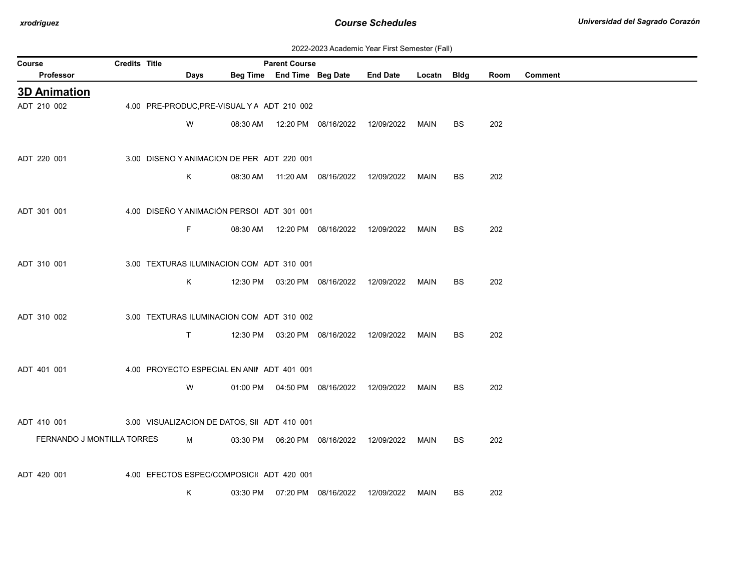| 2022-2023 Academic Year First Semester (Fall) |  |  |  |  |
|-----------------------------------------------|--|--|--|--|
|-----------------------------------------------|--|--|--|--|

| Course                     | <b>Credits Title</b> |             |                                             | <b>Parent Course</b>       |                                  |                 |             |           |      |         |
|----------------------------|----------------------|-------------|---------------------------------------------|----------------------------|----------------------------------|-----------------|-------------|-----------|------|---------|
| Professor                  |                      | <b>Days</b> |                                             | Beg Time End Time Beg Date |                                  | <b>End Date</b> | Locatn Bldg |           | Room | Comment |
| <b>3D Animation</b>        |                      |             |                                             |                            |                                  |                 |             |           |      |         |
| ADT 210 002                |                      |             | 4.00 PRE-PRODUC, PRE-VISUAL Y A ADT 210 002 |                            |                                  |                 |             |           |      |         |
|                            |                      | W           |                                             |                            | 08:30 AM  12:20 PM  08/16/2022   | 12/09/2022      | MAIN        | BS        | 202  |         |
|                            |                      |             |                                             |                            |                                  |                 |             |           |      |         |
| ADT 220 001                |                      |             | 3.00 DISENO Y ANIMACION DE PER ADT 220 001  |                            |                                  |                 |             |           |      |         |
|                            |                      | K           | 08:30 AM                                    |                            | 11:20 AM  08/16/2022             | 12/09/2022      | MAIN        | <b>BS</b> | 202  |         |
|                            |                      |             |                                             |                            |                                  |                 |             |           |      |         |
| ADT 301 001                |                      |             | 4.00 DISEÑO Y ANIMACIÓN PERSOI ADT 301 001  |                            |                                  |                 |             |           |      |         |
|                            |                      | F.          |                                             |                            | 08:30 AM  12:20 PM  08/16/2022   | 12/09/2022      | MAIN        | BS        | 202  |         |
|                            |                      |             |                                             |                            |                                  |                 |             |           |      |         |
| ADT 310 001                |                      |             | 3.00 TEXTURAS ILUMINACION CON ADT 310 001   |                            |                                  |                 |             |           |      |         |
|                            |                      | K           |                                             |                            | 12:30 PM  03:20 PM  08/16/2022   | 12/09/2022      | MAIN        | BS        | 202  |         |
|                            |                      |             |                                             |                            |                                  |                 |             |           |      |         |
| ADT 310 002                |                      |             | 3.00 TEXTURAS ILUMINACION CON ADT 310 002   |                            |                                  |                 |             |           |      |         |
|                            |                      | T.          |                                             |                            | 12:30 PM  03:20 PM  08/16/2022   | 12/09/2022      | MAIN        | BS        | 202  |         |
|                            |                      |             |                                             |                            |                                  |                 |             |           |      |         |
| ADT 401 001                |                      |             | 4.00 PROYECTO ESPECIAL EN ANII ADT 401 001  |                            |                                  |                 |             |           |      |         |
|                            |                      | W           |                                             |                            | 01:00 PM   04:50 PM   08/16/2022 | 12/09/2022      | MAIN        | BS        | 202  |         |
|                            |                      |             |                                             |                            |                                  |                 |             |           |      |         |
| ADT 410 001                |                      |             | 3.00 VISUALIZACION DE DATOS, SI ADT 410 001 |                            |                                  |                 |             |           |      |         |
| FERNANDO J MONTILLA TORRES |                      | M           |                                             |                            |                                  | 12/09/2022      | MAIN        | BS        | 202  |         |
|                            |                      |             |                                             |                            |                                  |                 |             |           |      |         |
| ADT 420 001                |                      |             | 4.00 EFECTOS ESPEC/COMPOSICI ADT 420 001    |                            |                                  |                 |             |           |      |         |
|                            |                      | K           |                                             |                            | 03:30 PM   07:20 PM   08/16/2022 | 12/09/2022      | MAIN        | BS        | 202  |         |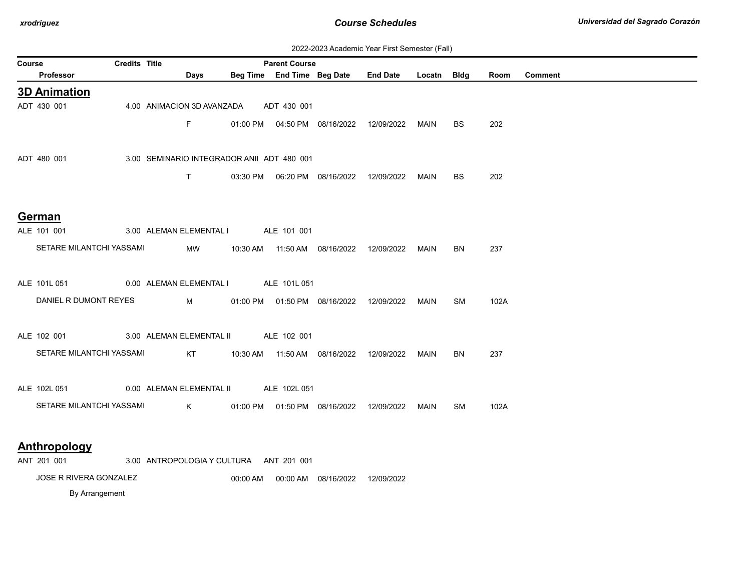| 2022-2023 Academic Year First Semester (Fall) |  |  |  |  |
|-----------------------------------------------|--|--|--|--|
|-----------------------------------------------|--|--|--|--|

| Course | <b>Credits Title</b><br><b>Parent Course</b> |  |  |                                                                                                                                                                                                                                                                                                  |                                            |             |                                            |                                            |             |           |      |                |
|--------|----------------------------------------------|--|--|--------------------------------------------------------------------------------------------------------------------------------------------------------------------------------------------------------------------------------------------------------------------------------------------------|--------------------------------------------|-------------|--------------------------------------------|--------------------------------------------|-------------|-----------|------|----------------|
|        | <b>Professor</b>                             |  |  | Days                                                                                                                                                                                                                                                                                             |                                            |             | Beg Time End Time Beg Date                 | <b>End Date</b>                            | Locatn Bldg |           | Room | <b>Comment</b> |
|        | <b>3D Animation</b>                          |  |  |                                                                                                                                                                                                                                                                                                  |                                            |             |                                            |                                            |             |           |      |                |
|        | ADT 430 001                                  |  |  | 4.00 ANIMACION 3D AVANZADA                                                                                                                                                                                                                                                                       |                                            | ADT 430 001 |                                            |                                            |             |           |      |                |
|        |                                              |  |  | Fig. 10                                                                                                                                                                                                                                                                                          |                                            |             | 01:00 PM  04:50 PM  08/16/2022             | 12/09/2022                                 | MAIN        | <b>BS</b> | 202  |                |
|        |                                              |  |  |                                                                                                                                                                                                                                                                                                  |                                            |             |                                            |                                            |             |           |      |                |
|        | ADT 480 001                                  |  |  |                                                                                                                                                                                                                                                                                                  | 3.00 SEMINARIO INTEGRADOR ANII ADT 480 001 |             |                                            |                                            |             |           |      |                |
|        |                                              |  |  |                                                                                                                                                                                                                                                                                                  |                                            |             |                                            |                                            |             |           |      |                |
|        |                                              |  |  | T                                                                                                                                                                                                                                                                                                |                                            |             |                                            |                                            | MAIN        | <b>BS</b> | 202  |                |
|        |                                              |  |  |                                                                                                                                                                                                                                                                                                  |                                            |             |                                            |                                            |             |           |      |                |
|        | German                                       |  |  |                                                                                                                                                                                                                                                                                                  |                                            |             |                                            |                                            |             |           |      |                |
|        | ALE 101 001                                  |  |  |                                                                                                                                                                                                                                                                                                  | 3.00 ALEMAN ELEMENTAL I ALE 101 001        |             |                                            |                                            |             |           |      |                |
|        | SETARE MILANTCHI YASSAMI                     |  |  | MW                                                                                                                                                                                                                                                                                               |                                            |             | 10:30 AM  11:50 AM  08/16/2022  12/09/2022 |                                            | MAIN        | BN        | 237  |                |
|        |                                              |  |  |                                                                                                                                                                                                                                                                                                  |                                            |             |                                            |                                            |             |           |      |                |
|        | ALE 101L 051                                 |  |  |                                                                                                                                                                                                                                                                                                  | 0.00 ALEMAN ELEMENTAL I ALE 101L 051       |             |                                            |                                            |             |           |      |                |
|        |                                              |  |  |                                                                                                                                                                                                                                                                                                  |                                            |             |                                            |                                            |             |           |      |                |
|        | DANIEL R DUMONT REYES                        |  |  | $M \sim 10^{-10}$                                                                                                                                                                                                                                                                                |                                            |             |                                            | 01:00 PM  01:50 PM  08/16/2022  12/09/2022 | MAIN        | SM        | 102A |                |
|        |                                              |  |  |                                                                                                                                                                                                                                                                                                  |                                            |             |                                            |                                            |             |           |      |                |
|        | ALE 102 001                                  |  |  |                                                                                                                                                                                                                                                                                                  | 3.00 ALEMAN ELEMENTAL II ALE 102 001       |             |                                            |                                            |             |           |      |                |
|        | SETARE MILANTCHI YASSAMI                     |  |  | KT                                                                                                                                                                                                                                                                                               |                                            |             | 10:30 AM  11:50 AM  08/16/2022  12/09/2022 |                                            | MAIN        | <b>BN</b> | 237  |                |
|        |                                              |  |  |                                                                                                                                                                                                                                                                                                  |                                            |             |                                            |                                            |             |           |      |                |
|        | ALE 102L 051                                 |  |  |                                                                                                                                                                                                                                                                                                  | 0.00 ALEMAN ELEMENTAL II ALE 102L 051      |             |                                            |                                            |             |           |      |                |
|        | SETARE MILANTCHI YASSAMI                     |  |  | $\mathsf{K}$ and $\mathsf{K}$ and $\mathsf{K}$ and $\mathsf{K}$ and $\mathsf{K}$ and $\mathsf{K}$ and $\mathsf{K}$ and $\mathsf{K}$ and $\mathsf{K}$ and $\mathsf{K}$ and $\mathsf{K}$ and $\mathsf{K}$ and $\mathsf{K}$ and $\mathsf{K}$ and $\mathsf{K}$ and $\mathsf{K}$ and $\mathsf{K}$ and |                                            |             | 01:00 PM  01:50 PM  08/16/2022  12/09/2022 |                                            | MAIN        | SM        | 102A |                |
|        |                                              |  |  |                                                                                                                                                                                                                                                                                                  |                                            |             |                                            |                                            |             |           |      |                |
|        |                                              |  |  |                                                                                                                                                                                                                                                                                                  |                                            |             |                                            |                                            |             |           |      |                |
|        | <b>Anthropology</b>                          |  |  |                                                                                                                                                                                                                                                                                                  |                                            |             |                                            |                                            |             |           |      |                |
|        | ANT 201 001                                  |  |  |                                                                                                                                                                                                                                                                                                  | 3.00 ANTROPOLOGIA Y CULTURA ANT 201 001    |             |                                            |                                            |             |           |      |                |
|        | <b>JOSE R RIVERA GONZALEZ</b>                |  |  |                                                                                                                                                                                                                                                                                                  | 00:00 AM                                   |             | 00:00 AM  08/16/2022                       | 12/09/2022                                 |             |           |      |                |

By Arrangement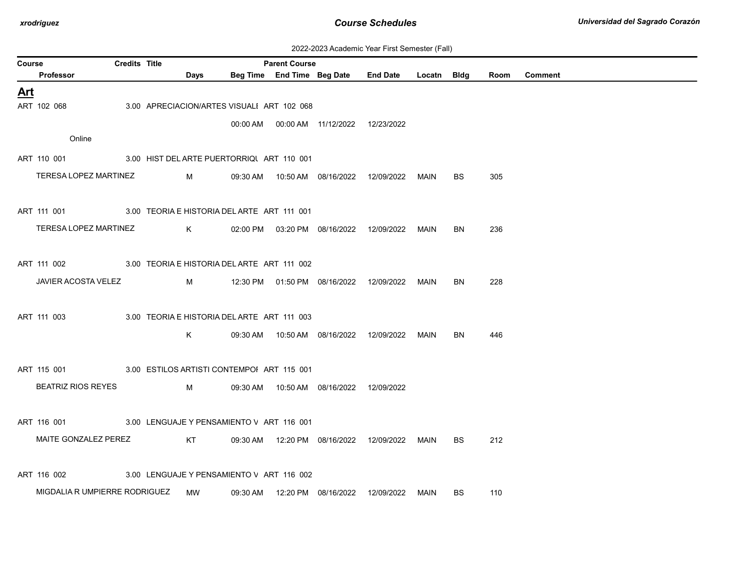| 2022-2023 Academic Year First Semester (Fall) |  |  |  |  |
|-----------------------------------------------|--|--|--|--|
|-----------------------------------------------|--|--|--|--|

|            | <b>Credits Title</b><br><b>Parent Course</b><br>Course  |  |  |           |                                             |  |                                            |                                                 |      |           |      |                |
|------------|---------------------------------------------------------|--|--|-----------|---------------------------------------------|--|--------------------------------------------|-------------------------------------------------|------|-----------|------|----------------|
|            | Professor                                               |  |  | Days      |                                             |  |                                            | Beg Time End Time Beg Date End Date Locatn Bldg |      |           | Room | <b>Comment</b> |
| <u>Art</u> |                                                         |  |  |           |                                             |  |                                            |                                                 |      |           |      |                |
|            | ART 102 068                                             |  |  |           | 3.00 APRECIACION/ARTES VISUALI ART 102 068  |  |                                            |                                                 |      |           |      |                |
|            |                                                         |  |  |           |                                             |  | 00:00 AM  00:00 AM  11/12/2022  12/23/2022 |                                                 |      |           |      |                |
|            | Online                                                  |  |  |           |                                             |  |                                            |                                                 |      |           |      |                |
|            |                                                         |  |  |           |                                             |  |                                            |                                                 |      |           |      |                |
|            | ART 110 001                                             |  |  |           | 3.00 HIST DEL ARTE PUERTORRIQUART 110 001   |  |                                            |                                                 |      |           |      |                |
|            | TERESA LOPEZ MARTINEZ                                   |  |  | M         |                                             |  | 09:30 AM  10:50 AM  08/16/2022  12/09/2022 |                                                 | MAIN | <b>BS</b> | 305  |                |
|            |                                                         |  |  |           |                                             |  |                                            |                                                 |      |           |      |                |
|            | ART 111 001 3.00 TEORIA E HISTORIA DEL ARTE ART 111 001 |  |  |           |                                             |  |                                            |                                                 |      |           |      |                |
|            | TERESA LOPEZ MARTINEZ                                   |  |  |           |                                             |  |                                            | K 02:00 PM 03:20 PM 08/16/2022 12/09/2022 MAIN  |      | BN.       | 236  |                |
|            |                                                         |  |  |           |                                             |  |                                            |                                                 |      |           |      |                |
|            |                                                         |  |  |           |                                             |  |                                            |                                                 |      |           |      |                |
|            | ART 111 002 3.00 TEORIA E HISTORIA DEL ARTE ART 111 002 |  |  |           |                                             |  |                                            |                                                 |      |           |      |                |
|            | JAVIER ACOSTA VELEZ                                     |  |  |           |                                             |  |                                            |                                                 |      | BN        | 228  |                |
|            |                                                         |  |  |           |                                             |  |                                            |                                                 |      |           |      |                |
|            | ART 111 003                                             |  |  |           | 3.00 TEORIA E HISTORIA DEL ARTE ART 111 003 |  |                                            |                                                 |      |           |      |                |
|            |                                                         |  |  | K.        |                                             |  | 09:30 AM  10:50 AM  08/16/2022  12/09/2022 |                                                 | MAIN | <b>BN</b> | 446  |                |
|            |                                                         |  |  |           |                                             |  |                                            |                                                 |      |           |      |                |
|            |                                                         |  |  |           |                                             |  |                                            |                                                 |      |           |      |                |
|            | ART 115 001                                             |  |  |           | 3.00 ESTILOS ARTISTI CONTEMPOI ART 115 001  |  |                                            |                                                 |      |           |      |                |
|            | <b>BEATRIZ RIOS REYES</b>                               |  |  | M         |                                             |  | 09:30 AM  10:50 AM  08/16/2022  12/09/2022 |                                                 |      |           |      |                |
|            |                                                         |  |  |           |                                             |  |                                            |                                                 |      |           |      |                |
|            | ART 116 001                                             |  |  |           | 3.00 LENGUAJE Y PENSAMIENTO V ART 116 001   |  |                                            |                                                 |      |           |      |                |
|            | MAITE GONZALEZ PEREZ                                    |  |  |           |                                             |  |                                            | KT 09:30 AM 12:20 PM 08/16/2022 12/09/2022 MAIN |      | BS.       | 212  |                |
|            |                                                         |  |  |           |                                             |  |                                            |                                                 |      |           |      |                |
|            |                                                         |  |  |           |                                             |  |                                            |                                                 |      |           |      |                |
|            | ART 116 002                                             |  |  |           | 3.00 LENGUAJE Y PENSAMIENTO V ART 116 002   |  |                                            |                                                 |      |           |      |                |
|            | MIGDALIA R UMPIERRE RODRIGUEZ                           |  |  | <b>MW</b> |                                             |  | 09:30 AM  12:20 PM  08/16/2022  12/09/2022 |                                                 | MAIN | <b>BS</b> | 110  |                |
|            |                                                         |  |  |           |                                             |  |                                            |                                                 |      |           |      |                |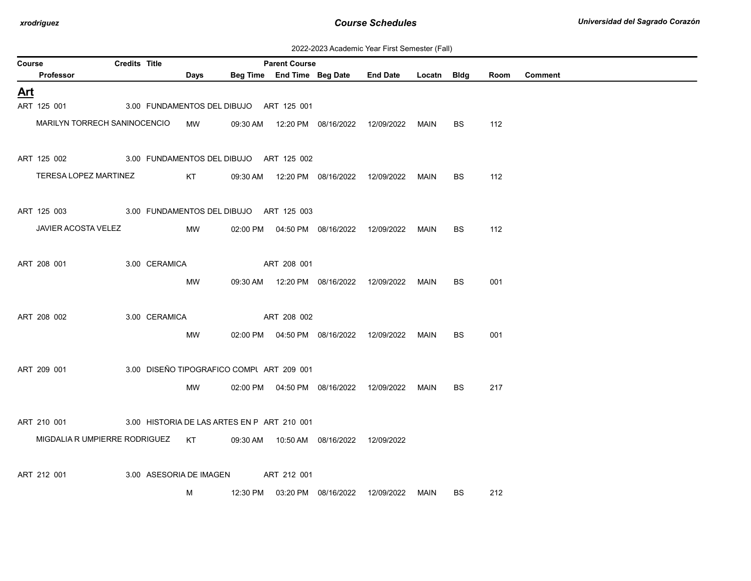| 2022-2023 Academic Year First Semester (Fall) |  |  |  |  |
|-----------------------------------------------|--|--|--|--|
|-----------------------------------------------|--|--|--|--|

| Course     |                                                                          | <b>Credits Title</b> |               |                                             |             | <b>Parent Course</b> |                                                  |      |           |      |                |
|------------|--------------------------------------------------------------------------|----------------------|---------------|---------------------------------------------|-------------|----------------------|--------------------------------------------------|------|-----------|------|----------------|
|            | Professor                                                                |                      |               | Days                                        |             |                      | Beg Time End Time Beg Date End Date Locatn Bldg  |      |           | Room | <b>Comment</b> |
| <u>Art</u> |                                                                          |                      |               |                                             |             |                      |                                                  |      |           |      |                |
|            | ART 125 001                                                              |                      |               | 3.00 FUNDAMENTOS DEL DIBUJO ART 125 001     |             |                      |                                                  |      |           |      |                |
|            | MARILYN TORRECH SANINOCENCIO MW                                          |                      |               |                                             |             |                      | 09:30 AM  12:20 PM  08/16/2022  12/09/2022  MAIN |      | BS        | 112  |                |
|            | ART 125 002 3.00 FUNDAMENTOS DEL DIBUJO ART 125 002                      |                      |               |                                             |             |                      |                                                  |      |           |      |                |
|            | TERESA LOPEZ MARTINEZ                                                    |                      |               | KT <sub>N</sub>                             |             |                      | 09:30 AM  12:20 PM  08/16/2022  12/09/2022  MAIN |      | BS.       | 112  |                |
|            | ART 125 003 3.00 FUNDAMENTOS DEL DIBUJO ART 125 003                      |                      |               |                                             |             |                      |                                                  |      |           |      |                |
|            | JAVIER ACOSTA VELEZ                                                      |                      |               | MW                                          |             |                      | 02:00 PM  04:50 PM  08/16/2022  12/09/2022  MAIN |      | BS.       | 112  |                |
|            | ART 208 001                                                              |                      | 3.00 CERAMICA |                                             |             | ART 208 001          |                                                  |      |           |      |                |
|            |                                                                          |                      |               | MW                                          |             |                      | 09:30 AM  12:20 PM  08/16/2022  12/09/2022       | MAIN | BS        | 001  |                |
|            | ART 208 002                                                              |                      | 3.00 CERAMICA |                                             | ART 208 002 |                      |                                                  |      |           |      |                |
|            |                                                                          |                      |               | MW                                          |             |                      | 02:00 PM  04:50 PM  08/16/2022  12/09/2022  MAIN |      | BS        | 001  |                |
|            | ART 209 001                                                              |                      |               | 3.00 DISEÑO TIPOGRAFICO COMPL ART 209 001   |             |                      |                                                  |      |           |      |                |
|            |                                                                          |                      |               | MW                                          |             |                      | 02:00 PM  04:50 PM  08/16/2022  12/09/2022  MAIN |      | <b>BS</b> | 217  |                |
|            | ART 210 001                                                              |                      |               | 3.00 HISTORIA DE LAS ARTES EN P ART 210 001 |             |                      |                                                  |      |           |      |                |
|            | MIGDALIA R UMPIERRE RODRIGUEZ KT 09:30 AM 10:50 AM 08/16/2022 12/09/2022 |                      |               |                                             |             |                      |                                                  |      |           |      |                |
|            | ART 212 001                                                              |                      |               | 3.00 ASESORIA DE IMAGEN                     |             | ART 212 001          |                                                  |      |           |      |                |
|            |                                                                          |                      |               | м                                           |             |                      | 12:30 PM  03:20 PM  08/16/2022  12/09/2022  MAIN |      | <b>BS</b> | 212  |                |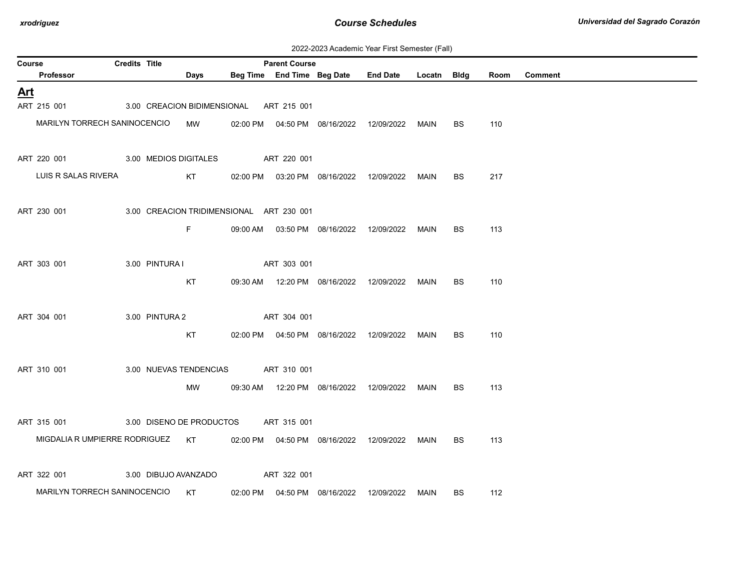| 2022-2023 Academic Year First Semester (Fall) |  |  |  |  |
|-----------------------------------------------|--|--|--|--|
|-----------------------------------------------|--|--|--|--|

| Course     |                                              | Credits Title |                |            |                                          | <b>Parent Course</b> |                                            |                                                  |      |           |      |         |
|------------|----------------------------------------------|---------------|----------------|------------|------------------------------------------|----------------------|--------------------------------------------|--------------------------------------------------|------|-----------|------|---------|
|            | Professor                                    |               |                | Days       |                                          |                      |                                            | Beg Time End Time Beg Date End Date Locatn Bldg  |      |           | Room | Comment |
| <u>Art</u> |                                              |               |                |            |                                          |                      |                                            |                                                  |      |           |      |         |
|            | ART 215 001                                  |               |                |            | 3.00 CREACION BIDIMENSIONAL ART 215 001  |                      |                                            |                                                  |      |           |      |         |
|            | MARILYN TORRECH SANINOCENCIO                 |               |                | <b>MW</b>  |                                          |                      |                                            | 02:00 PM  04:50 PM  08/16/2022  12/09/2022  MAIN |      | BS        | 110  |         |
|            | ART 220 001 3.00 MEDIOS DIGITALES            |               |                |            |                                          | ART 220 001          |                                            |                                                  |      |           |      |         |
|            | LUIS R SALAS RIVERA                          |               |                | KT         |                                          |                      |                                            | 02:00 PM  03:20 PM  08/16/2022  12/09/2022       | MAIN | BS        | 217  |         |
|            | ART 230 001                                  |               |                |            | 3.00 CREACION TRIDIMENSIONAL ART 230 001 |                      |                                            |                                                  |      |           |      |         |
|            |                                              |               |                | F.         |                                          |                      |                                            | 09:00 AM  03:50 PM  08/16/2022  12/09/2022  MAIN |      | BS.       | 113  |         |
|            | ART 303 001                                  |               | 3.00 PINTURA I |            |                                          | ART 303 001          |                                            |                                                  |      |           |      |         |
|            |                                              |               |                | KT         |                                          |                      |                                            | 09:30 AM  12:20 PM  08/16/2022  12/09/2022  MAIN |      | BS.       | 110  |         |
|            | ART 304 001                                  |               | 3.00 PINTURA 2 |            |                                          | ART 304 001          |                                            |                                                  |      |           |      |         |
|            |                                              |               |                | KT         |                                          |                      |                                            |                                                  | MAIN | <b>BS</b> | 110  |         |
|            | ART 310 001                                  |               |                |            | 3.00 NUEVAS TENDENCIAS ART 310 001       |                      |                                            |                                                  |      |           |      |         |
|            |                                              |               |                | MW         |                                          |                      |                                            | 09:30 AM  12:20 PM  08/16/2022  12/09/2022  MAIN |      | <b>BS</b> | 113  |         |
|            | ART 315 001                                  |               |                |            | 3.00 DISENO DE PRODUCTOS ART 315 001     |                      |                                            |                                                  |      |           |      |         |
|            | MIGDALIA RUMPIERRE RODRIGUEZ KT              |               |                |            |                                          |                      |                                            | 02:00 PM  04:50 PM  08/16/2022  12/09/2022  MAIN |      | BS        | 113  |         |
|            | ART 322 001 3.00 DIBUJO AVANZADO ART 322 001 |               |                |            |                                          |                      |                                            |                                                  |      |           |      |         |
|            | MARILYN TORRECH SANINOCENCIO                 |               |                | KT 1999 ST |                                          |                      | 02:00 PM  04:50 PM  08/16/2022  12/09/2022 |                                                  | MAIN | BS        | 112  |         |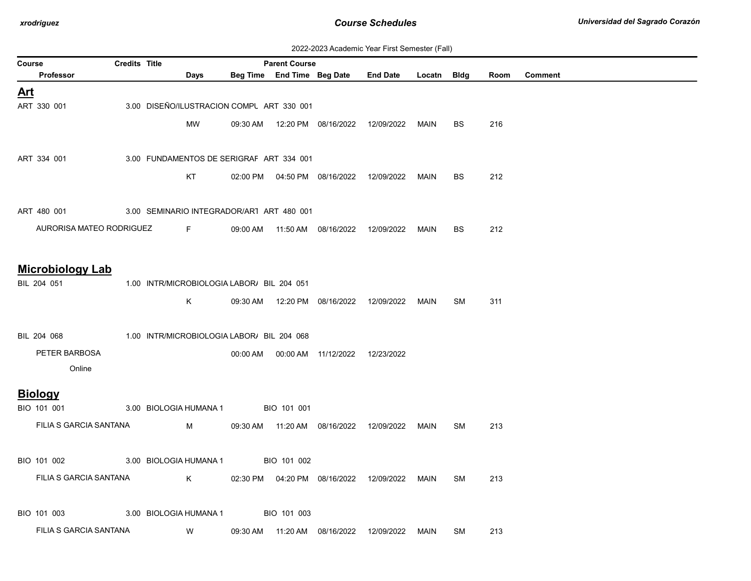| 2022-2023 Academic Year First Semester (Fall) |  |  |  |  |
|-----------------------------------------------|--|--|--|--|
|-----------------------------------------------|--|--|--|--|

| Course     |                          | <b>Credits Title</b><br><b>Parent Course</b> |  |                                            |          |                                           |                                            |                                                  |             |           |      |                |
|------------|--------------------------|----------------------------------------------|--|--------------------------------------------|----------|-------------------------------------------|--------------------------------------------|--------------------------------------------------|-------------|-----------|------|----------------|
|            | Professor                |                                              |  | Days                                       |          |                                           | Beg Time End Time Beg Date                 | <b>End Date</b>                                  | Locatn Bldg |           | Room | <b>Comment</b> |
| <u>Art</u> |                          |                                              |  |                                            |          |                                           |                                            |                                                  |             |           |      |                |
|            | ART 330 001              |                                              |  |                                            |          | 3.00 DISEÑO/ILUSTRACION COMPL ART 330 001 |                                            |                                                  |             |           |      |                |
|            |                          |                                              |  | <b>MW</b>                                  |          |                                           | 09:30 AM  12:20 PM  08/16/2022             | 12/09/2022                                       | MAIN        | <b>BS</b> | 216  |                |
|            |                          |                                              |  |                                            |          |                                           |                                            |                                                  |             |           |      |                |
|            | ART 334 001              |                                              |  |                                            |          | 3.00 FUNDAMENTOS DE SERIGRAF ART 334 001  |                                            |                                                  |             |           |      |                |
|            |                          |                                              |  |                                            |          |                                           |                                            |                                                  |             |           |      |                |
|            |                          |                                              |  | KT                                         |          |                                           | 02:00 PM   04:50 PM   08/16/2022           | 12/09/2022                                       | MAIN        | BS.       | 212  |                |
|            |                          |                                              |  |                                            |          |                                           |                                            |                                                  |             |           |      |                |
|            | ART 480 001              |                                              |  |                                            |          | 3.00 SEMINARIO INTEGRADOR/AR1 ART 480 001 |                                            |                                                  |             |           |      |                |
|            | AURORISA MATEO RODRIGUEZ |                                              |  | $F = 1$                                    | 09:00 AM |                                           | 11:50 AM  08/16/2022                       | 12/09/2022                                       | MAIN        | <b>BS</b> | 212  |                |
|            |                          |                                              |  |                                            |          |                                           |                                            |                                                  |             |           |      |                |
|            | <b>Microbiology Lab</b>  |                                              |  |                                            |          |                                           |                                            |                                                  |             |           |      |                |
|            | BIL 204 051              |                                              |  | 1.00 INTR/MICROBIOLOGIA LABOR/ BIL 204 051 |          |                                           |                                            |                                                  |             |           |      |                |
|            |                          |                                              |  | K.                                         |          |                                           |                                            | 09:30 AM  12:20 PM  08/16/2022  12/09/2022       | MAIN        | SM        | 311  |                |
|            |                          |                                              |  |                                            |          |                                           |                                            |                                                  |             |           |      |                |
|            | BIL 204 068              |                                              |  | 1.00 INTR/MICROBIOLOGIA LABOR/ BIL 204 068 |          |                                           |                                            |                                                  |             |           |      |                |
|            | PETER BARBOSA            |                                              |  |                                            |          |                                           | 00:00 AM  00:00 AM  11/12/2022  12/23/2022 |                                                  |             |           |      |                |
|            | Online                   |                                              |  |                                            |          |                                           |                                            |                                                  |             |           |      |                |
|            |                          |                                              |  |                                            |          |                                           |                                            |                                                  |             |           |      |                |
|            | <b>Biology</b>           |                                              |  |                                            |          |                                           |                                            |                                                  |             |           |      |                |
|            | BIO 101 001              |                                              |  | 3.00 BIOLOGIA HUMANA 1                     |          | BIO 101 001                               |                                            |                                                  |             |           |      |                |
|            | FILIA S GARCIA SANTANA   |                                              |  | M                                          |          |                                           |                                            | 09:30 AM  11:20 AM  08/16/2022  12/09/2022  MAIN |             | SM        | 213  |                |
|            |                          |                                              |  |                                            |          |                                           |                                            |                                                  |             |           |      |                |
|            | BIO 101 002              |                                              |  | 3.00 BIOLOGIA HUMANA 1                     |          | BIO 101 002                               |                                            |                                                  |             |           |      |                |
|            | FILIA S GARCIA SANTANA   |                                              |  | K                                          |          |                                           | 02:30 PM  04:20 PM  08/16/2022  12/09/2022 |                                                  | MAIN        | <b>SM</b> | 213  |                |
|            |                          |                                              |  |                                            |          |                                           |                                            |                                                  |             |           |      |                |
|            | BIO 101 003              |                                              |  | 3.00 BIOLOGIA HUMANA 1                     |          | BIO 101 003                               |                                            |                                                  |             |           |      |                |
|            | FILIA S GARCIA SANTANA   |                                              |  | W                                          |          | 09:30 AM  11:20 AM  08/16/2022            |                                            | 12/09/2022                                       | MAIN        | SM        | 213  |                |
|            |                          |                                              |  |                                            |          |                                           |                                            |                                                  |             |           |      |                |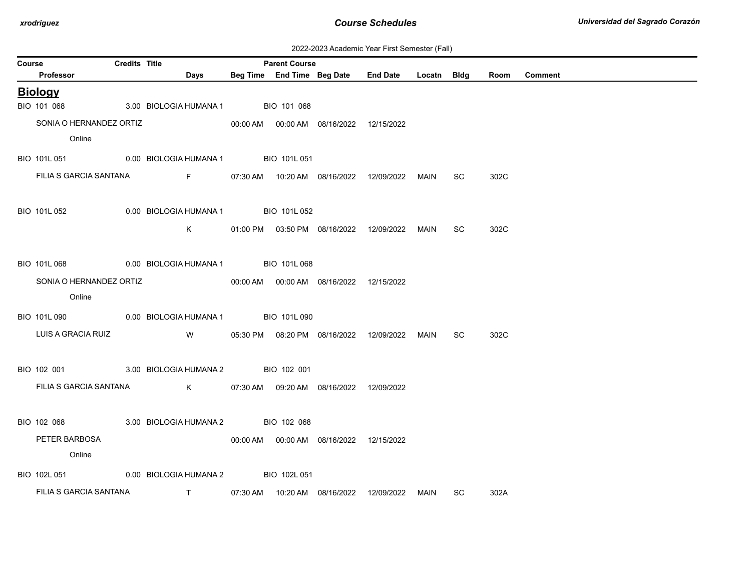| 2022-2023 Academic Year First Semester (Fall) |  |  |  |  |
|-----------------------------------------------|--|--|--|--|
|-----------------------------------------------|--|--|--|--|

| Course |                         | <b>Credits Title</b> |                                                                 | <b>Parent Course</b> |                                            |                                                 |      |           |      |         |
|--------|-------------------------|----------------------|-----------------------------------------------------------------|----------------------|--------------------------------------------|-------------------------------------------------|------|-----------|------|---------|
|        | Professor               |                      | Days                                                            |                      |                                            | Beg Time End Time Beg Date End Date Locatn Bldg |      |           | Room | Comment |
|        | <b>Biology</b>          |                      |                                                                 |                      |                                            |                                                 |      |           |      |         |
|        | BIO 101 068             |                      | 3.00 BIOLOGIA HUMANA 1                                          | BIO 101 068          |                                            |                                                 |      |           |      |         |
|        | SONIA O HERNANDEZ ORTIZ |                      |                                                                 |                      | 00:00 AM  00:00 AM  08/16/2022  12/15/2022 |                                                 |      |           |      |         |
|        | Online                  |                      |                                                                 |                      |                                            |                                                 |      |           |      |         |
|        |                         |                      | BIO 101L 051 0.00 BIOLOGIA HUMANA 1 BIO 101L 051                |                      |                                            |                                                 |      |           |      |         |
|        | FILIA S GARCIA SANTANA  |                      | Fig. 1997                                                       |                      |                                            |                                                 | MAIN | <b>SC</b> | 302C |         |
|        |                         |                      |                                                                 |                      |                                            |                                                 |      |           |      |         |
|        | BIO 101L 052            |                      | 0.00 BIOLOGIA HUMANA 1 BIO 101L 052                             |                      |                                            |                                                 |      |           |      |         |
|        |                         |                      | K.                                                              |                      | 01:00 PM  03:50 PM  08/16/2022  12/09/2022 |                                                 | MAIN | SC        | 302C |         |
|        |                         |                      |                                                                 |                      |                                            |                                                 |      |           |      |         |
|        | BIO 101L 068            |                      | 0.00 BIOLOGIA HUMANA 1                                          | BIO 101L068          |                                            |                                                 |      |           |      |         |
|        | SONIA O HERNANDEZ ORTIZ |                      |                                                                 |                      | 00:00 AM  00:00 AM  08/16/2022  12/15/2022 |                                                 |      |           |      |         |
|        | Online                  |                      |                                                                 |                      |                                            |                                                 |      |           |      |         |
|        | BIO 101L 090            |                      | 0.00 BIOLOGIA HUMANA 1 BIO 101L 090                             |                      |                                            |                                                 |      |           |      |         |
|        | LUIS A GRACIA RUIZ      |                      | <b>W</b>                                                        |                      |                                            | 05:30 PM  08:20 PM  08/16/2022  12/09/2022      | MAIN | SC.       | 302C |         |
|        |                         |                      |                                                                 |                      |                                            |                                                 |      |           |      |         |
|        | BIO 102 001             |                      | 3.00 BIOLOGIA HUMANA 2 BIO 102 001                              |                      |                                            |                                                 |      |           |      |         |
|        | FILIA S GARCIA SANTANA  |                      | $\mathsf K$                                                     |                      | 07:30 AM  09:20 AM  08/16/2022  12/09/2022 |                                                 |      |           |      |         |
|        |                         |                      |                                                                 |                      |                                            |                                                 |      |           |      |         |
|        | BIO 102 068             |                      | 3.00 BIOLOGIA HUMANA 2 BIO 102 068                              |                      |                                            |                                                 |      |           |      |         |
|        | PETER BARBOSA           |                      |                                                                 |                      | 00:00 AM  00:00 AM  08/16/2022  12/15/2022 |                                                 |      |           |      |         |
|        | Online                  |                      |                                                                 |                      |                                            |                                                 |      |           |      |         |
|        |                         |                      |                                                                 |                      |                                            |                                                 |      |           |      |         |
|        | BIO 102L 051            |                      | 0.00 BIOLOGIA HUMANA 2                                          | BIO 102L 051         |                                            |                                                 |      |           |      |         |
|        | FILIA S GARCIA SANTANA  |                      | $\mathbf{T}$ and $\mathbf{T}$ and $\mathbf{T}$ and $\mathbf{T}$ |                      | 07:30 AM  10:20 AM  08/16/2022  12/09/2022 |                                                 | MAIN | SC.       | 302A |         |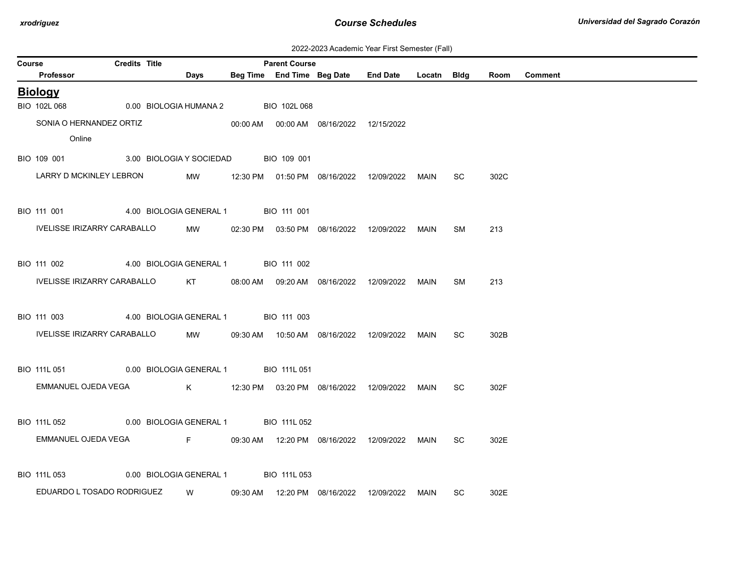| 2022-2023 Academic Year First Semester (Fall) |  |  |  |
|-----------------------------------------------|--|--|--|
|-----------------------------------------------|--|--|--|

|        |                                                   |                      |                                      |                      |                                            | ZUZZ-ZUZ3 ACAGEMIC TEAL FIISL SEMESLEI (FAII)      |      |           |      |                |
|--------|---------------------------------------------------|----------------------|--------------------------------------|----------------------|--------------------------------------------|----------------------------------------------------|------|-----------|------|----------------|
| Course |                                                   | <b>Credits Title</b> |                                      | <b>Parent Course</b> |                                            |                                                    |      |           |      |                |
|        | <b>Professor</b>                                  |                      | Days                                 |                      |                                            | Beg Time End Time Beg Date End Date Locatn Bldg    |      |           | Room | <b>Comment</b> |
|        | <b>Biology</b>                                    |                      |                                      |                      |                                            |                                                    |      |           |      |                |
|        | BIO 102L 068                                      |                      | 0.00 BIOLOGIA HUMANA 2               | BIO 102L 068         |                                            |                                                    |      |           |      |                |
|        | SONIA O HERNANDEZ ORTIZ                           |                      |                                      |                      | 00:00 AM  00:00 AM  08/16/2022  12/15/2022 |                                                    |      |           |      |                |
|        | Online                                            |                      |                                      |                      |                                            |                                                    |      |           |      |                |
|        | BIO 109 001 3.00 BIOLOGIA Y SOCIEDAD BIO 109 001  |                      |                                      |                      |                                            |                                                    |      |           |      |                |
|        |                                                   |                      |                                      |                      |                                            |                                                    |      |           |      |                |
|        | LARRY D MCKINLEY LEBRON                           |                      | MW                                   |                      |                                            |                                                    |      | SC.       | 302C |                |
|        |                                                   |                      |                                      |                      |                                            |                                                    |      |           |      |                |
|        | BIO 111 001 4.00 BIOLOGIA GENERAL 1 BIO 111 001   |                      |                                      |                      |                                            |                                                    |      |           |      |                |
|        | IVELISSE IRIZARRY CARABALLO                       |                      |                                      |                      |                                            | MW 02:30 PM 03:50 PM 08/16/2022 12/09/2022 MAIN    |      | <b>SM</b> | 213  |                |
|        |                                                   |                      |                                      |                      |                                            |                                                    |      |           |      |                |
|        | BIO 111 002                                       |                      | 4.00 BIOLOGIA GENERAL 1 BIO 111 002  |                      |                                            |                                                    |      |           |      |                |
|        | IVELISSE IRIZARRY CARABALLO KT                    |                      |                                      |                      |                                            | 08:00 AM  09:20 AM  08/16/2022  12/09/2022  MAIN   |      | SM        | 213  |                |
|        |                                                   |                      |                                      |                      |                                            |                                                    |      |           |      |                |
|        |                                                   |                      |                                      |                      |                                            |                                                    |      |           |      |                |
|        | BIO 111 003                                       |                      | 4.00 BIOLOGIA GENERAL 1 BIO 111 003  |                      |                                            |                                                    |      |           |      |                |
|        | IVELISSE IRIZARRY CARABALLO                       |                      | MW                                   |                      |                                            |                                                    |      | SC.       | 302B |                |
|        |                                                   |                      |                                      |                      |                                            |                                                    |      |           |      |                |
|        | BIO 111L 051 0.00 BIOLOGIA GENERAL 1 BIO 111L 051 |                      |                                      |                      |                                            |                                                    |      |           |      |                |
|        | EMMANUEL OJEDA VEGA                               |                      |                                      |                      |                                            |                                                    |      | SC        | 302F |                |
|        |                                                   |                      |                                      |                      |                                            |                                                    |      |           |      |                |
|        | BIO 111L 052                                      |                      | 0.00 BIOLOGIA GENERAL 1 BIO 111L 052 |                      |                                            |                                                    |      |           |      |                |
|        | EMMANUEL OJEDA VEGA                               |                      |                                      |                      |                                            | F 09:30 AM  12:20 PM  08/16/2022  12/09/2022  MAIN |      |           |      |                |
|        |                                                   |                      |                                      |                      |                                            |                                                    |      | SC.       | 302E |                |
|        |                                                   |                      |                                      |                      |                                            |                                                    |      |           |      |                |
|        | BIO 111L 053                                      |                      | 0.00 BIOLOGIA GENERAL 1 BIO 111L 053 |                      |                                            |                                                    |      |           |      |                |
|        | EDUARDO L TOSADO RODRIGUEZ                        |                      |                                      |                      | W 09:30 AM 12:20 PM 08/16/2022 12/09/2022  |                                                    | MAIN | SC.       | 302E |                |
|        |                                                   |                      |                                      |                      |                                            |                                                    |      |           |      |                |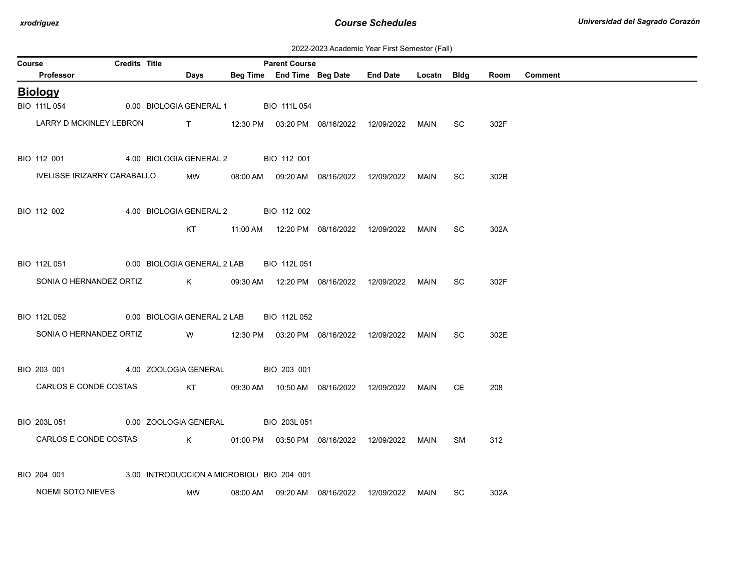2022-2023 Academic Year First Semester (Fall)

| Course | <b>Credits Title</b><br><b>Parent Course</b> |  |                                           |                                                 |                                                 |  |  |      |           |      |                |
|--------|----------------------------------------------|--|-------------------------------------------|-------------------------------------------------|-------------------------------------------------|--|--|------|-----------|------|----------------|
|        | Professor                                    |  | Days                                      |                                                 | Beg Time End Time Beg Date End Date Locatn Bldg |  |  |      |           | Room | <b>Comment</b> |
|        | <b>Biology</b>                               |  |                                           |                                                 |                                                 |  |  |      |           |      |                |
|        | BIO 111L 054                                 |  | 0.00 BIOLOGIA GENERAL 1                   |                                                 | BIO 111L 054                                    |  |  |      |           |      |                |
|        | LARRY D MCKINLEY LEBRON                      |  |                                           | T 12:30 PM 03:20 PM 08/16/2022 12/09/2022       |                                                 |  |  | MAIN | SC.       | 302F |                |
|        | BIO 112 001                                  |  | 4.00 BIOLOGIA GENERAL 2                   |                                                 | BIO 112 001                                     |  |  |      |           |      |                |
|        | IVELISSE IRIZARRY CARABALLO                  |  | MW                                        |                                                 | 08:00 AM  09:20 AM  08/16/2022  12/09/2022      |  |  | MAIN | <b>SC</b> | 302B |                |
|        | BIO 112 002                                  |  | 4.00 BIOLOGIA GENERAL 2 BIO 112 002       |                                                 |                                                 |  |  |      |           |      |                |
|        |                                              |  | KT                                        |                                                 | 11:00 AM  12:20 PM  08/16/2022  12/09/2022      |  |  | MAIN | SC.       | 302A |                |
|        | BIO 112L 051                                 |  | 0.00 BIOLOGIA GENERAL 2 LAB               |                                                 | BIO 112L 051                                    |  |  |      |           |      |                |
|        | SONIA O HERNANDEZ ORTIZ                      |  | $\mathsf K$                               |                                                 | 09:30 AM  12:20 PM  08/16/2022  12/09/2022      |  |  | MAIN | SC.       | 302F |                |
|        | BIO 112L 052                                 |  | 0.00 BIOLOGIA GENERAL 2 LAB               |                                                 | BIO 112L 052                                    |  |  |      |           |      |                |
|        | SONIA O HERNANDEZ ORTIZ                      |  |                                           | W 12:30 PM 03:20 PM 08/16/2022 12/09/2022       |                                                 |  |  | MAIN | <b>SC</b> | 302E |                |
|        | BIO 203 001                                  |  | 4.00 ZOOLOGIA GENERAL BIO 203 001         |                                                 |                                                 |  |  |      |           |      |                |
|        | CARLOS E CONDE COSTAS                        |  |                                           | KT 09:30 AM 10:50 AM 08/16/2022 12/09/2022 MAIN |                                                 |  |  |      | CE        | 208  |                |
|        | BIO 203L 051                                 |  | 0.00 ZOOLOGIA GENERAL                     |                                                 | BIO 203L 051                                    |  |  |      |           |      |                |
|        | CARLOS E CONDE COSTAS                        |  |                                           |                                                 |                                                 |  |  | MAIN | <b>SM</b> | 312  |                |
|        | BIO 204 001                                  |  | 3.00 INTRODUCCION A MICROBIOL BIO 204 001 |                                                 |                                                 |  |  |      |           |      |                |
|        | NOEMI SOTO NIEVES                            |  | MW                                        |                                                 | 08:00 AM  09:20 AM  08/16/2022  12/09/2022      |  |  | MAIN | SC        | 302A |                |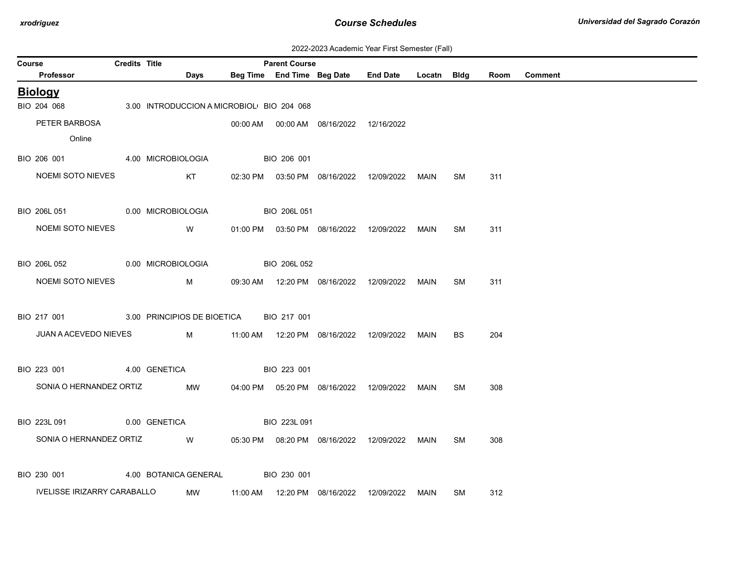| 2022-2023 Academic Year First Semester (Fall) |  |  |  |  |
|-----------------------------------------------|--|--|--|--|
|-----------------------------------------------|--|--|--|--|

| Course |                                         | <b>Credits Title</b> |                                           |              | <b>Parent Course</b> |                                            |                                                  |             |           |      |                |
|--------|-----------------------------------------|----------------------|-------------------------------------------|--------------|----------------------|--------------------------------------------|--------------------------------------------------|-------------|-----------|------|----------------|
|        | Professor                               |                      | <b>Days</b>                               |              |                      |                                            | Beg Time End Time Beg Date End Date              | Locatn Bldg |           | Room | <b>Comment</b> |
|        | <b>Biology</b>                          |                      |                                           |              |                      |                                            |                                                  |             |           |      |                |
|        | BIO 204 068                             |                      | 3.00 INTRODUCCION A MICROBIOL BIO 204 068 |              |                      |                                            |                                                  |             |           |      |                |
|        | PETER BARBOSA                           |                      |                                           |              |                      | 00:00 AM  00:00 AM  08/16/2022  12/16/2022 |                                                  |             |           |      |                |
|        | Online                                  |                      |                                           |              |                      |                                            |                                                  |             |           |      |                |
|        | BIO 206 001 4.00 MICROBIOLOGIA          |                      |                                           |              | BIO 206 001          |                                            |                                                  |             |           |      |                |
|        | NOEMI SOTO NIEVES                       |                      | KT                                        |              |                      |                                            | 02:30 PM  03:50 PM  08/16/2022  12/09/2022  MAIN |             | SM        | 311  |                |
|        |                                         |                      |                                           |              |                      |                                            |                                                  |             |           |      |                |
|        | BIO 206L 051 0.00 MICROBIOLOGIA         |                      |                                           | BIO 206L 051 |                      |                                            |                                                  |             |           |      |                |
|        | NOEMI SOTO NIEVES                       |                      | <b>W</b>                                  |              |                      |                                            | 01:00 PM  03:50 PM  08/16/2022  12/09/2022  MAIN |             | SM        | 311  |                |
|        |                                         |                      |                                           |              |                      |                                            |                                                  |             |           |      |                |
|        | BIO 206L 052                            |                      | 0.00 MICROBIOLOGIA                        |              | BIO 206L 052         |                                            |                                                  |             |           |      |                |
|        | NOEMI SOTO NIEVES                       |                      | M                                         |              |                      |                                            | 09:30 AM  12:20 PM  08/16/2022  12/09/2022       | MAIN        | SM        | 311  |                |
|        |                                         |                      |                                           |              |                      |                                            |                                                  |             |           |      |                |
|        | BIO 217 001 3.00 PRINCIPIOS DE BIOETICA |                      |                                           |              | BIO 217 001          |                                            |                                                  |             |           |      |                |
|        | JUAN A ACEVEDO NIEVES                   |                      | <b>N</b>                                  |              |                      |                                            |                                                  | MAIN        | BS        | 204  |                |
|        |                                         |                      |                                           |              |                      |                                            |                                                  |             |           |      |                |
|        | BIO 223 001                             |                      | 4.00 GENETICA                             |              | BIO 223 001          |                                            |                                                  |             |           |      |                |
|        | SONIA O HERNANDEZ ORTIZ                 |                      |                                           |              |                      |                                            |                                                  |             |           |      |                |
|        |                                         |                      | MW                                        |              |                      |                                            | 04:00 PM  05:20 PM  08/16/2022  12/09/2022       | MAIN        | SM        | 308  |                |
|        |                                         |                      |                                           |              |                      |                                            |                                                  |             |           |      |                |
|        | BIO 223L 091                            |                      | 0.00 GENETICA                             | BIO 223L 091 |                      |                                            |                                                  |             |           |      |                |
|        | SONIA O HERNANDEZ ORTIZ                 |                      | W                                         |              |                      |                                            | 05:30 PM  08:20 PM  08/16/2022  12/09/2022  MAIN |             | <b>SM</b> | 308  |                |
|        |                                         |                      |                                           |              |                      |                                            |                                                  |             |           |      |                |
|        | BIO 230 001                             |                      | 4.00 BOTANICA GENERAL                     |              | BIO 230 001          |                                            |                                                  |             |           |      |                |
|        | <b>IVELISSE IRIZARRY CARABALLO</b>      |                      | <b>MW</b>                                 |              |                      |                                            | 11:00 AM  12:20 PM  08/16/2022  12/09/2022       | MAIN        | SM        | 312  |                |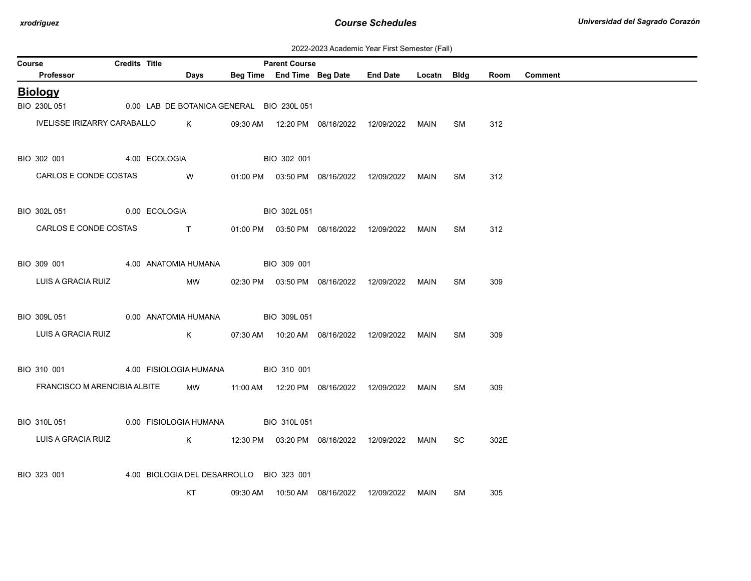| 2022-2023 Academic Year First Semester (Fall) |  |  |  |
|-----------------------------------------------|--|--|--|
|-----------------------------------------------|--|--|--|

| Course |                                                | Credits Title |               |                                                                                                                                                                                                                                |          | <b>Parent Course</b>                      |                                            |                                                  |      |           |      |                |
|--------|------------------------------------------------|---------------|---------------|--------------------------------------------------------------------------------------------------------------------------------------------------------------------------------------------------------------------------------|----------|-------------------------------------------|--------------------------------------------|--------------------------------------------------|------|-----------|------|----------------|
|        | Professor                                      |               |               | Days                                                                                                                                                                                                                           |          |                                           |                                            | Beg Time End Time Beg Date End Date Locatn Bldg  |      |           | Room | <b>Comment</b> |
|        | <b>Biology</b>                                 |               |               |                                                                                                                                                                                                                                |          |                                           |                                            |                                                  |      |           |      |                |
|        | BIO 230L 051                                   |               |               |                                                                                                                                                                                                                                |          | 0.00 LAB DE BOTANICA GENERAL BIO 230L 051 |                                            |                                                  |      |           |      |                |
|        | IVELISSE IRIZARRY CARABALLO                    |               |               | K                                                                                                                                                                                                                              |          |                                           |                                            | 09:30 AM  12:20 PM  08/16/2022  12/09/2022  MAIN |      | SM        | 312  |                |
|        | BIO 302 001                                    |               | 4.00 ECOLOGIA |                                                                                                                                                                                                                                |          | BIO 302 001                               |                                            |                                                  |      |           |      |                |
|        | CARLOS E CONDE COSTAS                          |               |               | W                                                                                                                                                                                                                              |          |                                           | 01:00 PM  03:50 PM  08/16/2022  12/09/2022 |                                                  | MAIN | <b>SM</b> | 312  |                |
|        | BIO 302L 051 0.00 ECOLOGIA                     |               |               |                                                                                                                                                                                                                                |          | BIO 302L 051                              |                                            |                                                  |      |           |      |                |
|        | CARLOS E CONDE COSTAS                          |               |               | and the contract of the contract of the contract of the contract of the contract of the contract of the contract of the contract of the contract of the contract of the contract of the contract of the contract of the contra |          |                                           |                                            | 01:00 PM  03:50 PM  08/16/2022  12/09/2022  MAIN |      | SM        | 312  |                |
|        | BIO 309 001                                    |               |               | 4.00 ANATOMIA HUMANA                                                                                                                                                                                                           |          | BIO 309 001                               |                                            |                                                  |      |           |      |                |
|        | LUIS A GRACIA RUIZ                             |               |               | MW                                                                                                                                                                                                                             |          |                                           |                                            | 02:30 PM  03:50 PM  08/16/2022  12/09/2022  MAIN |      | SM        | 309  |                |
|        | BIO 309L 051 0.00 ANATOMIA HUMANA BIO 309L 051 |               |               |                                                                                                                                                                                                                                |          |                                           |                                            |                                                  |      |           |      |                |
|        | LUIS A GRACIA RUIZ                             |               |               | K                                                                                                                                                                                                                              |          |                                           |                                            |                                                  | MAIN | <b>SM</b> | 309  |                |
|        | BIO 310 001                                    |               |               | 4.00 FISIOLOGIA HUMANA BIO 310 001                                                                                                                                                                                             |          |                                           |                                            |                                                  |      |           |      |                |
|        | FRANCISCO M ARENCIBIA ALBITE                   |               |               | MW                                                                                                                                                                                                                             |          |                                           |                                            | 11:00 AM  12:20 PM  08/16/2022  12/09/2022  MAIN |      | SM.       | 309  |                |
|        | BIO 310L 051                                   |               |               |                                                                                                                                                                                                                                |          | 0.00 FISIOLOGIA HUMANA BIO 310L 051       |                                            |                                                  |      |           |      |                |
|        | LUIS A GRACIA RUIZ                             |               |               |                                                                                                                                                                                                                                |          |                                           |                                            | K 12:30 PM 03:20 PM 08/16/2022 12/09/2022 MAIN   |      | SC.       | 302E |                |
|        | BIO 323 001                                    |               |               | 4.00 BIOLOGIA DEL DESARROLLO BIO 323 001                                                                                                                                                                                       |          |                                           |                                            |                                                  |      |           |      |                |
|        |                                                |               |               | KT                                                                                                                                                                                                                             | 09:30 AM |                                           |                                            |                                                  | MAIN | SM        | 305  |                |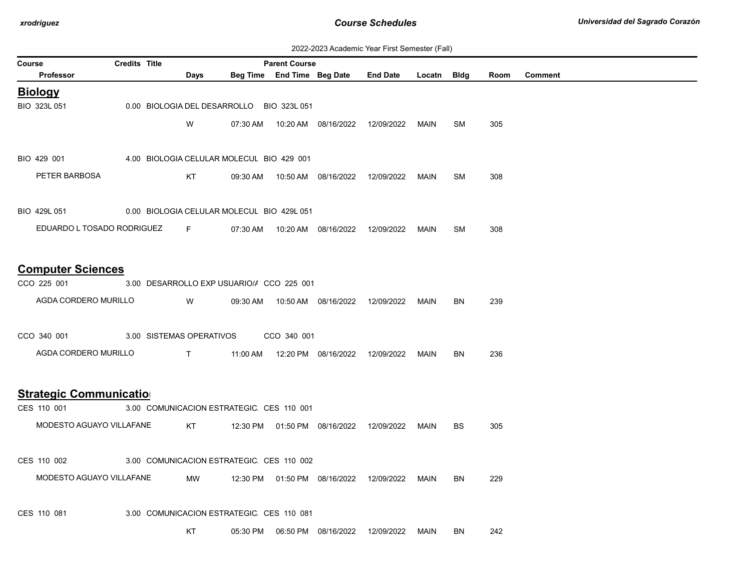| 2022-2023 Academic Year First Semester (Fall) |  |  |  |  |
|-----------------------------------------------|--|--|--|--|
|-----------------------------------------------|--|--|--|--|

| <b>Course</b>                                                            | <b>Credits Title</b> |                            |                                           | <b>Parent Course</b> |                                            |                                                 |      |           |      |                |
|--------------------------------------------------------------------------|----------------------|----------------------------|-------------------------------------------|----------------------|--------------------------------------------|-------------------------------------------------|------|-----------|------|----------------|
| Professor                                                                |                      | Days                       |                                           |                      |                                            | Beg Time End Time Beg Date End Date Locatn Bldg |      |           | Room | <b>Comment</b> |
| <b>Biology</b>                                                           |                      |                            |                                           |                      |                                            |                                                 |      |           |      |                |
| BIO 323L 051                                                             |                      |                            | 0.00 BIOLOGIA DEL DESARROLLO BIO 323L 051 |                      |                                            |                                                 |      |           |      |                |
|                                                                          |                      | W                          | 07:30 AM                                  |                      |                                            | 10:20 AM 08/16/2022 12/09/2022                  | MAIN | <b>SM</b> | 305  |                |
|                                                                          |                      |                            |                                           |                      |                                            |                                                 |      |           |      |                |
| BIO 429 001 4.00 BIOLOGIA CELULAR MOLECUL BIO 429 001                    |                      |                            |                                           |                      |                                            |                                                 |      |           |      |                |
|                                                                          |                      |                            |                                           |                      |                                            |                                                 |      |           |      |                |
| PETER BARBOSA                                                            |                      | KT                         |                                           |                      |                                            | 09:30 AM  10:50 AM  08/16/2022  12/09/2022      | MAIN | SM        | 308  |                |
| BIO 429L 051 0.00 BIOLOGIA CELULAR MOLECUL BIO 429L 051                  |                      |                            |                                           |                      |                                            |                                                 |      |           |      |                |
|                                                                          |                      |                            |                                           |                      |                                            |                                                 |      |           |      |                |
| EDUARDO L TOSADO RODRIGUEZ                                               |                      | <b>Contract Experience</b> |                                           |                      | 07:30 AM  10:20 AM  08/16/2022  12/09/2022 |                                                 | MAIN | <b>SM</b> | 308  |                |
|                                                                          |                      |                            |                                           |                      |                                            |                                                 |      |           |      |                |
| <b>Computer Sciences</b>                                                 |                      |                            |                                           |                      |                                            |                                                 |      |           |      |                |
| CCO 225 001                                                              |                      |                            | 3.00 DESARROLLO EXP USUARIO// CCO 225 001 |                      |                                            |                                                 |      |           |      |                |
| AGDA CORDERO MURILLO                                                     |                      | <b>W</b>                   | 09:30 AM                                  |                      | 10:50 AM  08/16/2022  12/09/2022           |                                                 | MAIN | BN        | 239  |                |
|                                                                          |                      |                            |                                           |                      |                                            |                                                 |      |           |      |                |
| CCO 340 001 3.00 SISTEMAS OPERATIVOS CCO 340 001                         |                      |                            |                                           |                      |                                            |                                                 |      |           |      |                |
| AGDA CORDERO MURILLO                                                     |                      |                            |                                           |                      |                                            |                                                 | MAIN | BN        | 236  |                |
|                                                                          |                      |                            |                                           |                      |                                            |                                                 |      |           |      |                |
|                                                                          |                      |                            |                                           |                      |                                            |                                                 |      |           |      |                |
| <b>Strategic Communication</b>                                           |                      |                            |                                           |                      |                                            |                                                 |      |           |      |                |
| CES 110 001                                                              |                      |                            | 3.00 COMUNICACION ESTRATEGIC CES 110 001  |                      |                                            |                                                 |      |           |      |                |
| MODESTO AGUAYO VILLAFANE KT 12:30 PM 01:50 PM 08/16/2022 12/09/2022 MAIN |                      |                            |                                           |                      |                                            |                                                 |      | BS.       | 305  |                |
|                                                                          |                      |                            |                                           |                      |                                            |                                                 |      |           |      |                |
| CES 110 002                                                              |                      |                            | 3.00 COMUNICACION ESTRATEGIC CES 110 002  |                      |                                            |                                                 |      |           |      |                |
| MODESTO AGUAYO VILLAFANE                                                 |                      | <b>MW</b>                  |                                           |                      |                                            | 12:30 PM  01:50 PM  08/16/2022  12/09/2022      | MAIN | BN.       | 229  |                |
|                                                                          |                      |                            |                                           |                      |                                            |                                                 |      |           |      |                |
| CES 110 081                                                              |                      |                            | 3.00 COMUNICACION ESTRATEGIC CES 110 081  |                      |                                            |                                                 |      |           |      |                |
|                                                                          |                      | KT                         | 05:30 PM                                  |                      | 06:50 PM 08/16/2022                        | 12/09/2022                                      | MAIN | BN        | 242  |                |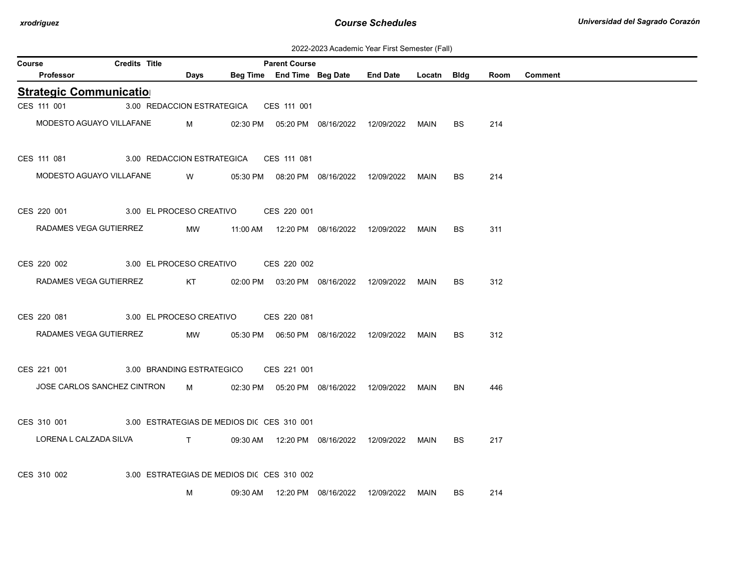| 2022-2023 Academic Year First Semester (Fall) |  |  |  |  |
|-----------------------------------------------|--|--|--|--|
|-----------------------------------------------|--|--|--|--|

| <b>Course</b> |                                                                            | <b>Credits Title</b>                       |   | <b>Parent Course</b> |                                                         |           |      |         |
|---------------|----------------------------------------------------------------------------|--------------------------------------------|---|----------------------|---------------------------------------------------------|-----------|------|---------|
|               | Professor                                                                  | <b>Days</b>                                |   |                      | Beg Time End Time Beg Date End Date Locatn Bldg         |           | Room | Comment |
|               | <b>Strategic Communication</b>                                             |                                            |   |                      |                                                         |           |      |         |
|               | CES 111 001                                                                | 3.00 REDACCION ESTRATEGICA CES 111 001     |   |                      |                                                         |           |      |         |
|               | MODESTO AGUAYO VILLAFANE M 02:30 PM 05:20 PM 08/16/2022 12/09/2022 MAIN    |                                            |   |                      |                                                         | BS.       | 214  |         |
|               | CES 111 081 3.00 REDACCION ESTRATEGICA CES 111 081                         |                                            |   |                      |                                                         |           |      |         |
|               | MODESTO AGUAYO VILLAFANE                                                   |                                            |   |                      | W   05:30 PM   08:20 PM   08/16/2022  12/09/2022  MAIN  | <b>BS</b> | 214  |         |
|               | CES 220 001 3.00 EL PROCESO CREATIVO CES 220 001                           |                                            |   |                      |                                                         |           |      |         |
|               | RADAMES VEGA GUTIERREZ                                                     |                                            |   |                      | MW 11:00 AM 12:20 PM 08/16/2022 12/09/2022 MAIN         | <b>BS</b> | 311  |         |
|               | CES 220 002 3.00 EL PROCESO CREATIVO CES 220 002                           |                                            |   |                      |                                                         |           |      |         |
|               | RADAMES VEGA GUTIERREZ KT                                                  |                                            |   |                      | 02:00 PM  03:20 PM  08/16/2022  12/09/2022  MAIN        | <b>BS</b> | 312  |         |
|               | CES 220 081 3.00 EL PROCESO CREATIVO CES 220 081                           |                                            |   |                      |                                                         |           |      |         |
|               | RADAMES VEGA GUTIERREZ                                                     |                                            |   |                      | MW   05:30 PM   06:50 PM   08/16/2022  12/09/2022  MAIN | <b>BS</b> | 312  |         |
|               | CES 221 001 3.00 BRANDING ESTRATEGICO CES 221 001                          |                                            |   |                      |                                                         |           |      |         |
|               | JOSE CARLOS SANCHEZ CINTRON M 02:30 PM 05:20 PM 08/16/2022 12/09/2022 MAIN |                                            |   |                      |                                                         | BN.       | 446  |         |
|               | CES 310 001 3.00 ESTRATEGIAS DE MEDIOS DIC CES 310 001                     |                                            |   |                      |                                                         |           |      |         |
|               |                                                                            |                                            |   |                      |                                                         | <b>BS</b> | 217  |         |
|               | CES 310 002                                                                | 3.00 ESTRATEGIAS DE MEDIOS DI( CES 310 002 |   |                      |                                                         |           |      |         |
|               |                                                                            |                                            | М |                      | 09:30 AM  12:20 PM  08/16/2022  12/09/2022  MAIN        | BS.       | 214  |         |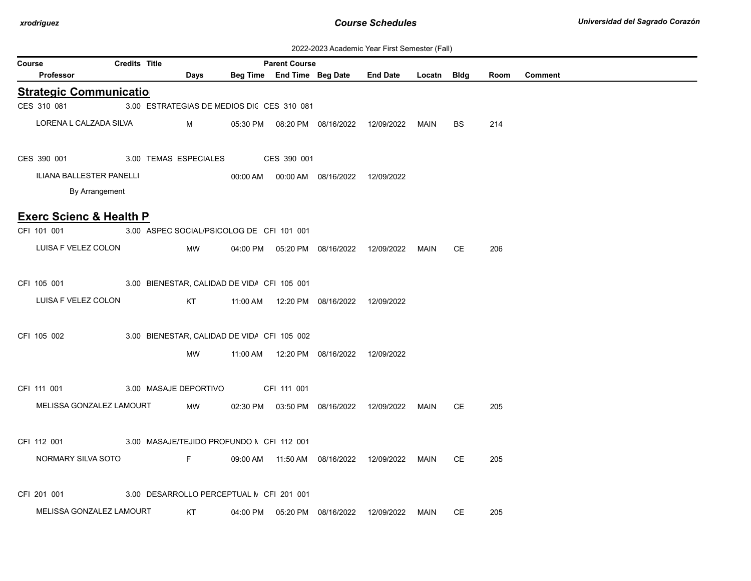| 2022-2023 Academic Year First Semester (Fall) |  |  |  |  |
|-----------------------------------------------|--|--|--|--|
|-----------------------------------------------|--|--|--|--|

|        |                                    |                      |                                             |                      |                                            | <u> ZUZZ-ZUZU AUGUCHIIU TUGI TIIBI OCHICBICI (T.GII)</u> |             |           |      |         |
|--------|------------------------------------|----------------------|---------------------------------------------|----------------------|--------------------------------------------|----------------------------------------------------------|-------------|-----------|------|---------|
| Course |                                    | <b>Credits Title</b> |                                             | <b>Parent Course</b> |                                            |                                                          |             |           |      |         |
|        | Professor                          |                      | Days                                        |                      | Beg Time End Time Beg Date End Date        |                                                          | Locatn Bldg |           | Room | Comment |
|        | <b>Strategic Communication</b>     |                      |                                             |                      |                                            |                                                          |             |           |      |         |
|        | CES 310 081                        |                      | 3.00 ESTRATEGIAS DE MEDIOS DIC CES 310 081  |                      |                                            |                                                          |             |           |      |         |
|        | LORENA L CALZADA SILVA             |                      | M                                           |                      | 05:30 PM  08:20 PM  08/16/2022  12/09/2022 |                                                          | MAIN        | BS        | 214  |         |
|        | CES 390 001                        |                      | 3.00 TEMAS ESPECIALES                       | CES 390 001          |                                            |                                                          |             |           |      |         |
|        | ILIANA BALLESTER PANELLI           |                      |                                             |                      | 00:00 AM  00:00 AM  08/16/2022  12/09/2022 |                                                          |             |           |      |         |
|        | By Arrangement                     |                      |                                             |                      |                                            |                                                          |             |           |      |         |
|        |                                    |                      |                                             |                      |                                            |                                                          |             |           |      |         |
|        | <b>Exerc Scienc &amp; Health P</b> |                      |                                             |                      |                                            |                                                          |             |           |      |         |
|        | CFI 101 001                        |                      | 3.00 ASPEC SOCIAL/PSICOLOG DE CFI 101 001   |                      |                                            |                                                          |             |           |      |         |
|        | LUISA F VELEZ COLON                |                      | MW                                          |                      | 04:00 PM  05:20 PM  08/16/2022  12/09/2022 |                                                          | MAIN        | <b>CE</b> | 206  |         |
|        |                                    |                      |                                             |                      |                                            |                                                          |             |           |      |         |
|        | CFI 105 001                        |                      | 3.00 BIENESTAR, CALIDAD DE VIDA CFI 105 001 |                      |                                            |                                                          |             |           |      |         |
|        | LUISA F VELEZ COLON                |                      | KT                                          |                      | 11:00 AM  12:20 PM  08/16/2022  12/09/2022 |                                                          |             |           |      |         |
|        |                                    |                      |                                             |                      |                                            |                                                          |             |           |      |         |
|        | CFI 105 002                        |                      | 3.00 BIENESTAR, CALIDAD DE VIDA CFI 105 002 |                      |                                            |                                                          |             |           |      |         |
|        |                                    |                      | MW                                          |                      | 11:00 AM  12:20 PM  08/16/2022  12/09/2022 |                                                          |             |           |      |         |
|        |                                    |                      |                                             |                      |                                            |                                                          |             |           |      |         |
|        |                                    |                      |                                             |                      |                                            |                                                          |             |           |      |         |
|        | CFI 111 001                        |                      | 3.00 MASAJE DEPORTIVO                       | CFI 111 001          |                                            |                                                          |             |           |      |         |
|        | MELISSA GONZALEZ LAMOURT           |                      | MW                                          |                      |                                            | 02:30 PM  03:50 PM  08/16/2022  12/09/2022  MAIN         |             | CE.       | 205  |         |
|        |                                    |                      |                                             |                      |                                            |                                                          |             |           |      |         |
|        | CFI 112 001                        |                      | 3.00 MASAJE/TEJIDO PROFUNDO N CFI 112 001   |                      |                                            |                                                          |             |           |      |         |
|        | NORMARY SILVA SOTO                 |                      | F.                                          |                      | 09:00 AM  11:50 AM  08/16/2022  12/09/2022 |                                                          | MAIN        | CE        | 205  |         |
|        |                                    |                      |                                             |                      |                                            |                                                          |             |           |      |         |
|        | CFI 201 001                        |                      | 3.00 DESARROLLO PERCEPTUAL N CFI 201 001    |                      |                                            |                                                          |             |           |      |         |
|        | MELISSA GONZALEZ LAMOURT           |                      | KT                                          |                      | 04:00 PM  05:20 PM  08/16/2022             |                                                          | MAIN        | <b>CE</b> | 205  |         |
|        |                                    |                      |                                             |                      |                                            | 12/09/2022                                               |             |           |      |         |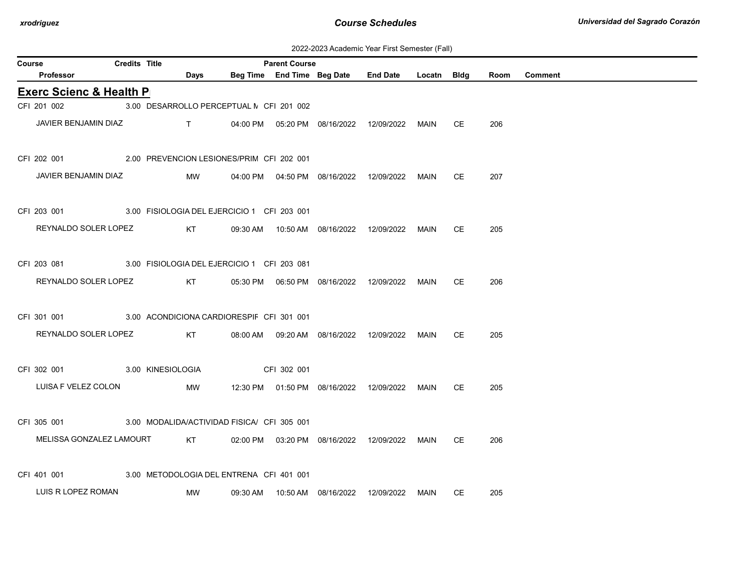| 2022-2023 Academic Year First Semester (Fall) |
|-----------------------------------------------|
|-----------------------------------------------|

| Course |                                    | <b>Credits Title</b> |                                                                                                                                                                                                                                                                                                                               |                                             | <b>Parent Course</b> |                                            |                                            |             |           |      |                |
|--------|------------------------------------|----------------------|-------------------------------------------------------------------------------------------------------------------------------------------------------------------------------------------------------------------------------------------------------------------------------------------------------------------------------|---------------------------------------------|----------------------|--------------------------------------------|--------------------------------------------|-------------|-----------|------|----------------|
|        | Professor                          |                      | Days                                                                                                                                                                                                                                                                                                                          |                                             |                      | Beg Time End Time Beg Date                 | <b>End Date</b>                            | Locatn Bldg |           | Room | <b>Comment</b> |
|        | <b>Exerc Scienc &amp; Health P</b> |                      |                                                                                                                                                                                                                                                                                                                               |                                             |                      |                                            |                                            |             |           |      |                |
|        | CFI 201 002                        |                      |                                                                                                                                                                                                                                                                                                                               | 3.00 DESARROLLO PERCEPTUAL N CFI 201 002    |                      |                                            |                                            |             |           |      |                |
|        | JAVIER BENJAMIN DIAZ               |                      | $\mathbf{T}$ and $\mathbf{T}$ and $\mathbf{T}$ and $\mathbf{T}$ and $\mathbf{T}$ and $\mathbf{T}$ and $\mathbf{T}$ and $\mathbf{T}$ and $\mathbf{T}$ and $\mathbf{T}$ and $\mathbf{T}$ and $\mathbf{T}$ and $\mathbf{T}$ and $\mathbf{T}$ and $\mathbf{T}$ and $\mathbf{T}$ and $\mathbf{T}$ and $\mathbf{T}$ and $\mathbf{T$ |                                             |                      | 04:00 PM  05:20 PM  08/16/2022  12/09/2022 |                                            | MAIN        | СE        | 206  |                |
|        | CFI 202 001                        |                      |                                                                                                                                                                                                                                                                                                                               | 2.00 PREVENCION LESIONES/PRIM CFI 202 001   |                      |                                            |                                            |             |           |      |                |
|        | JAVIER BENJAMIN DIAZ               |                      | MW                                                                                                                                                                                                                                                                                                                            |                                             |                      | 04:00 PM  04:50 PM  08/16/2022  12/09/2022 |                                            | MAIN        | <b>CE</b> | 207  |                |
|        | CFI 203 001                        |                      |                                                                                                                                                                                                                                                                                                                               | 3.00 FISIOLOGIA DEL EJERCICIO 1 CFI 203 001 |                      |                                            |                                            |             |           |      |                |
|        | REYNALDO SOLER LOPEZ               |                      | KT                                                                                                                                                                                                                                                                                                                            |                                             |                      | 09:30 AM  10:50 AM  08/16/2022  12/09/2022 |                                            | <b>MAIN</b> | СE        | 205  |                |
|        | CFI 203 081                        |                      |                                                                                                                                                                                                                                                                                                                               | 3.00 FISIOLOGIA DEL EJERCICIO 1 CFI 203 081 |                      |                                            |                                            |             |           |      |                |
|        | REYNALDO SOLER LOPEZ               |                      | KT                                                                                                                                                                                                                                                                                                                            |                                             |                      |                                            |                                            | <b>MAIN</b> | CE        | 206  |                |
|        | CFI 301 001                        |                      |                                                                                                                                                                                                                                                                                                                               | 3.00 ACONDICIONA CARDIORESPIF CFI 301 001   |                      |                                            |                                            |             |           |      |                |
|        | REYNALDO SOLER LOPEZ               |                      | KT                                                                                                                                                                                                                                                                                                                            | 08:00 AM                                    |                      | 09:20 AM  08/16/2022                       | 12/09/2022                                 | MAIN        | СE        | 205  |                |
|        | CFI 302 001<br>3.00 KINESIOLOGIA   |                      |                                                                                                                                                                                                                                                                                                                               |                                             | CFI 302 001          |                                            |                                            |             |           |      |                |
|        | LUISA F VELEZ COLON                |                      | MW                                                                                                                                                                                                                                                                                                                            |                                             |                      |                                            | 12:30 PM  01:50 PM  08/16/2022  12/09/2022 | MAIN        | СE        | 205  |                |
|        | CFI 305 001                        |                      |                                                                                                                                                                                                                                                                                                                               | 3.00 MODALIDA/ACTIVIDAD FISICA/ CFI 305 001 |                      |                                            |                                            |             |           |      |                |
|        | MELISSA GONZALEZ LAMOURT           |                      | KT                                                                                                                                                                                                                                                                                                                            |                                             |                      | 02:00 PM  03:20 PM  08/16/2022  12/09/2022 |                                            | MAIN        | <b>CE</b> | 206  |                |
|        | CFI 401 001                        |                      |                                                                                                                                                                                                                                                                                                                               | 3.00 METODOLOGIA DEL ENTRENA CFI 401 001    |                      |                                            |                                            |             |           |      |                |
|        | LUIS R LOPEZ ROMAN                 |                      | MW                                                                                                                                                                                                                                                                                                                            | 09:30 AM                                    |                      | 10:50 AM  08/16/2022  12/09/2022           |                                            | MAIN        | СE        | 205  |                |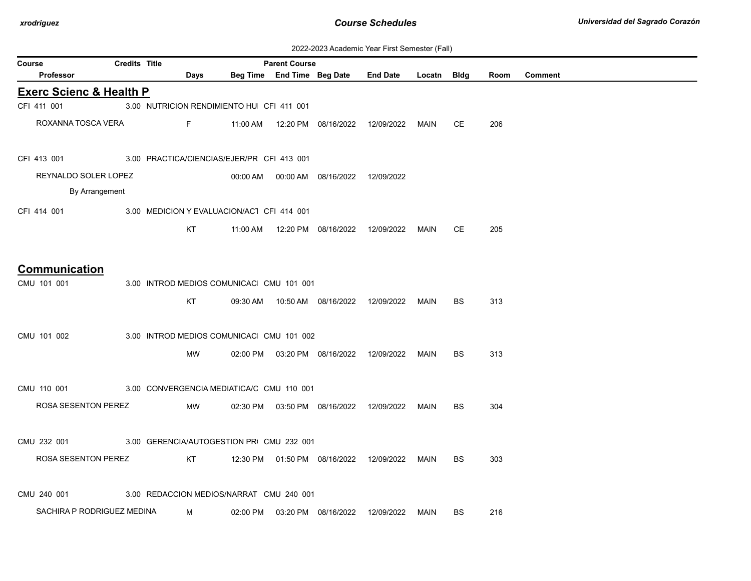| 2022-2023 Academic Year First Semester (Fall) |  |  |  |  |
|-----------------------------------------------|--|--|--|--|
|-----------------------------------------------|--|--|--|--|

|                                    |                      |           |                                            |                      |                                            | $\frac{1}{2}$ . Case in is considered to $\frac{1}{2}$ |             |           |      |         |
|------------------------------------|----------------------|-----------|--------------------------------------------|----------------------|--------------------------------------------|--------------------------------------------------------|-------------|-----------|------|---------|
| Course<br><b>Professor</b>         | <b>Credits Title</b> | Days      |                                            | <b>Parent Course</b> | Beg Time End Time Beg Date                 | <b>End Date</b>                                        | Locatn Bldg |           | Room | Comment |
| <b>Exerc Scienc &amp; Health P</b> |                      |           |                                            |                      |                                            |                                                        |             |           |      |         |
| CFI 411 001                        |                      |           | 3.00 NUTRICION RENDIMIENTO HU CFI 411 001  |                      |                                            |                                                        |             |           |      |         |
| ROXANNA TOSCA VERA                 |                      | Fig. 1997 |                                            |                      |                                            | 11:00 AM  12:20 PM  08/16/2022  12/09/2022  MAIN       |             | СE        | 206  |         |
| CFI 413 001                        |                      |           | 3.00 PRACTICA/CIENCIAS/EJER/PR CFI 413 001 |                      |                                            |                                                        |             |           |      |         |
| REYNALDO SOLER LOPEZ               |                      |           |                                            |                      | 00:00 AM  00:00 AM  08/16/2022  12/09/2022 |                                                        |             |           |      |         |
| By Arrangement                     |                      |           |                                            |                      |                                            |                                                        |             |           |      |         |
| CFI 414 001                        |                      |           | 3.00 MEDICION Y EVALUACION/AC1 CFI 414 001 |                      |                                            |                                                        |             |           |      |         |
|                                    |                      | KT        |                                            |                      | 11:00 AM  12:20 PM  08/16/2022             | 12/09/2022                                             | MAIN        | СE        | 205  |         |
| Communication                      |                      |           |                                            |                      |                                            |                                                        |             |           |      |         |
| CMU 101 001                        |                      |           | 3.00 INTROD MEDIOS COMUNICAC CMU 101 001   |                      |                                            |                                                        |             |           |      |         |
|                                    |                      | KT        |                                            |                      |                                            | 09:30 AM  10:50 AM  08/16/2022  12/09/2022             | MAIN        | <b>BS</b> | 313  |         |
| CMU 101 002                        |                      |           | 3.00 INTROD MEDIOS COMUNICAC CMU 101 002   |                      |                                            |                                                        |             |           |      |         |
|                                    |                      | MW        |                                            |                      | 02:00 PM  03:20 PM  08/16/2022  12/09/2022 |                                                        | MAIN        | <b>BS</b> | 313  |         |
| CMU 110 001                        |                      |           | 3.00 CONVERGENCIA MEDIATICA/C CMU 110 001  |                      |                                            |                                                        |             |           |      |         |
| ROSA SESENTON PEREZ                |                      | MW        |                                            |                      |                                            | 02:30 PM  03:50 PM  08/16/2022  12/09/2022             | MAIN        | <b>BS</b> | 304  |         |
| CMU 232 001                        |                      |           | 3.00 GERENCIA/AUTOGESTION PRI CMU 232 001  |                      |                                            |                                                        |             |           |      |         |
| ROSA SESENTON PEREZ                |                      | KT        |                                            |                      |                                            | 12:30 PM  01:50 PM  08/16/2022  12/09/2022  MAIN       |             | BS.       | 303  |         |
| CMU 240 001                        |                      |           | 3.00 REDACCION MEDIOS/NARRAT CMU 240 001   |                      |                                            |                                                        |             |           |      |         |
| SACHIRA P RODRIGUEZ MEDINA         |                      | M         |                                            |                      | 02:00 PM  03:20 PM  08/16/2022             | 12/09/2022                                             | MAIN        | BS        | 216  |         |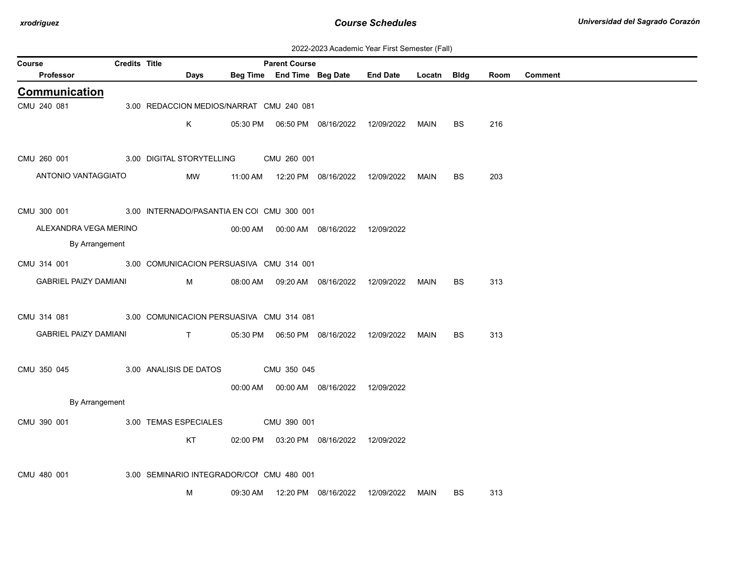| 2022-2023 Academic Year First Semester (Fall) |  |  |  |  |
|-----------------------------------------------|--|--|--|--|
|-----------------------------------------------|--|--|--|--|

| Course |                              | Credits Title |                                            |          | <b>Parent Course</b>       |                                            |                 |             |           |      |         |
|--------|------------------------------|---------------|--------------------------------------------|----------|----------------------------|--------------------------------------------|-----------------|-------------|-----------|------|---------|
|        | Professor                    |               | Days                                       |          | Beg Time End Time Beg Date |                                            | <b>End Date</b> | Locatn Bldg |           | Room | Comment |
|        | Communication                |               |                                            |          |                            |                                            |                 |             |           |      |         |
|        | CMU 240 081                  |               | 3.00 REDACCION MEDIOS/NARRAT CMU 240 081   |          |                            |                                            |                 |             |           |      |         |
|        |                              |               | K                                          |          |                            |                                            |                 | MAIN        | BS        | 216  |         |
|        |                              |               |                                            |          |                            |                                            |                 |             |           |      |         |
|        | CMU 260 001                  |               | 3.00 DIGITAL STORYTELLING                  |          | CMU 260 001                |                                            |                 |             |           |      |         |
|        | ANTONIO VANTAGGIATO          |               | MW                                         |          |                            | 11:00 AM  12:20 PM  08/16/2022  12/09/2022 |                 | MAIN        | <b>BS</b> | 203  |         |
|        |                              |               |                                            |          |                            |                                            |                 |             |           |      |         |
|        | CMU 300 001                  |               | 3.00 INTERNADO/PASANTIA EN COI CMU 300 001 |          |                            |                                            |                 |             |           |      |         |
|        | ALEXANDRA VEGA MERINO        |               |                                            |          |                            | 00:00 AM  00:00 AM  08/16/2022  12/09/2022 |                 |             |           |      |         |
|        | By Arrangement               |               |                                            |          |                            |                                            |                 |             |           |      |         |
|        | CMU 314 001                  |               | 3.00 COMUNICACION PERSUASIVA CMU 314 001   |          |                            |                                            |                 |             |           |      |         |
|        | <b>GABRIEL PAIZY DAMIANI</b> |               | M                                          |          |                            | 08:00 AM  09:20 AM  08/16/2022  12/09/2022 |                 | MAIN        | <b>BS</b> | 313  |         |
|        |                              |               |                                            |          |                            |                                            |                 |             |           |      |         |
|        | CMU 314 081                  |               | 3.00 COMUNICACION PERSUASIVA CMU 314 081   |          |                            |                                            |                 |             |           |      |         |
|        | <b>GABRIEL PAIZY DAMIANI</b> |               | $\mathsf{T}$                               | 05:30 PM |                            | 06:50 PM 08/16/2022 12/09/2022             |                 | MAIN        | BS        | 313  |         |
|        |                              |               |                                            |          |                            |                                            |                 |             |           |      |         |
|        | CMU 350 045                  |               | 3.00 ANALISIS DE DATOS                     |          | CMU 350 045                |                                            |                 |             |           |      |         |
|        |                              |               |                                            |          |                            | 00:00 AM  00:00 AM  08/16/2022  12/09/2022 |                 |             |           |      |         |
|        | By Arrangement               |               |                                            |          |                            |                                            |                 |             |           |      |         |
|        | CMU 390 001                  |               | 3.00 TEMAS ESPECIALES                      |          | CMU 390 001                |                                            |                 |             |           |      |         |
|        |                              |               | KT                                         |          |                            | 02:00 PM  03:20 PM  08/16/2022  12/09/2022 |                 |             |           |      |         |
|        |                              |               |                                            |          |                            |                                            |                 |             |           |      |         |
|        | CMU 480 001                  |               | 3.00 SEMINARIO INTEGRADOR/COI CMU 480 001  |          |                            |                                            |                 |             |           |      |         |
|        |                              |               | м                                          |          |                            | 09:30 AM  12:20 PM  08/16/2022  12/09/2022 |                 | MAIN        | BS        | 313  |         |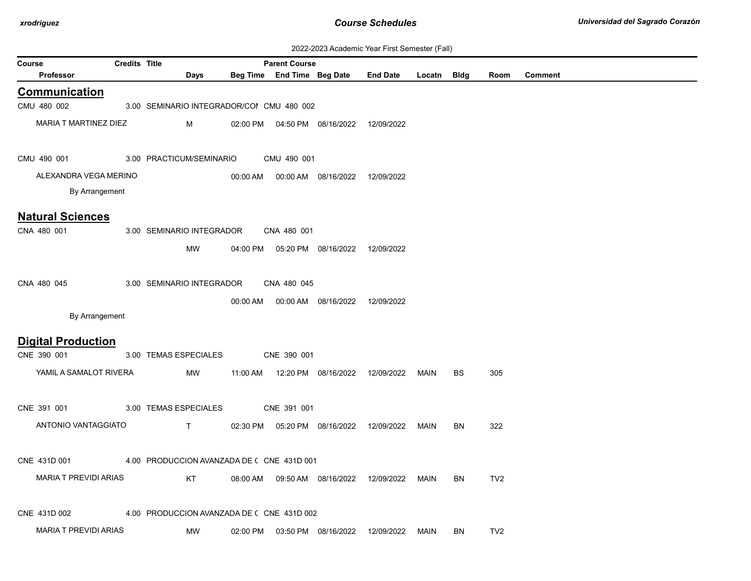| 2022-2023 Academic Year First Semester (Fall) |  |  |  |  |
|-----------------------------------------------|--|--|--|--|
|-----------------------------------------------|--|--|--|--|

| Course                                 | <b>Credits Title</b> |                                            |          | <b>Parent Course</b>       |                                            | $\sigma$ , toddomno Todi Tinot Connoctor (Tan) |             |           |                 |         |
|----------------------------------------|----------------------|--------------------------------------------|----------|----------------------------|--------------------------------------------|------------------------------------------------|-------------|-----------|-----------------|---------|
| <b>Professor</b>                       |                      | Days                                       |          | Beg Time End Time Beg Date |                                            | <b>End Date</b>                                | Locatn Bldg |           | Room            | Comment |
| <b>Communication</b>                   |                      |                                            |          |                            |                                            |                                                |             |           |                 |         |
| CMU 480 002                            |                      | 3.00 SEMINARIO INTEGRADOR/COI CMU 480 002  |          |                            |                                            |                                                |             |           |                 |         |
| MARIA T MARTINEZ DIEZ                  |                      | м                                          | 02:00 PM |                            | 04:50 PM 08/16/2022                        | 12/09/2022                                     |             |           |                 |         |
| CMU 490 001                            |                      | 3.00 PRACTICUM/SEMINARIO                   |          | CMU 490 001                |                                            |                                                |             |           |                 |         |
| ALEXANDRA VEGA MERINO                  |                      |                                            | 00:00 AM |                            | 00:00 AM 08/16/2022                        | 12/09/2022                                     |             |           |                 |         |
| By Arrangement                         |                      |                                            |          |                            |                                            |                                                |             |           |                 |         |
|                                        |                      |                                            |          |                            |                                            |                                                |             |           |                 |         |
| <b>Natural Sciences</b><br>CNA 480 001 |                      | 3.00 SEMINARIO INTEGRADOR                  |          | CNA 480 001                |                                            |                                                |             |           |                 |         |
|                                        |                      |                                            |          |                            |                                            |                                                |             |           |                 |         |
|                                        |                      | MW                                         |          |                            | 04:00 PM  05:20 PM  08/16/2022  12/09/2022 |                                                |             |           |                 |         |
|                                        |                      |                                            |          |                            |                                            |                                                |             |           |                 |         |
| CNA 480 045                            |                      | 3.00 SEMINARIO INTEGRADOR                  |          | CNA 480 045                |                                            |                                                |             |           |                 |         |
|                                        |                      |                                            | 00:00 AM |                            | 00:00 AM 08/16/2022                        | 12/09/2022                                     |             |           |                 |         |
| By Arrangement                         |                      |                                            |          |                            |                                            |                                                |             |           |                 |         |
| <b>Digital Production</b>              |                      |                                            |          |                            |                                            |                                                |             |           |                 |         |
| CNE 390 001                            |                      | 3.00 TEMAS ESPECIALES                      |          | CNE 390 001                |                                            |                                                |             |           |                 |         |
| YAMIL A SAMALOT RIVERA                 |                      | MW                                         | 11:00 AM |                            | 12:20 PM 08/16/2022                        | 12/09/2022                                     | MAIN        | <b>BS</b> | 305             |         |
|                                        |                      |                                            |          |                            |                                            |                                                |             |           |                 |         |
| CNE 391 001                            |                      | 3.00 TEMAS ESPECIALES                      |          | CNE 391 001                |                                            |                                                |             |           |                 |         |
| ANTONIO VANTAGGIATO                    |                      | $\mathsf{T}$                               |          |                            | 02:30 PM  05:20 PM  08/16/2022             | 12/09/2022                                     | MAIN        | <b>BN</b> | 322             |         |
|                                        |                      |                                            |          |                            |                                            |                                                |             |           |                 |         |
| CNE 431D 001                           |                      | 4.00 PRODUCCION AVANZADA DE ( CNE 431D 001 |          |                            |                                            |                                                |             |           |                 |         |
|                                        |                      |                                            |          |                            |                                            |                                                |             |           |                 |         |
| <b>MARIA T PREVIDI ARIAS</b>           |                      | KT                                         | 08:00 AM |                            | 09:50 AM  08/16/2022                       | 12/09/2022                                     | <b>MAIN</b> | <b>BN</b> | TV <sub>2</sub> |         |
|                                        |                      |                                            |          |                            |                                            |                                                |             |           |                 |         |
| CNE 431D 002                           |                      | 4.00 PRODUCCION AVANZADA DE ( CNE 431D 002 |          |                            |                                            |                                                |             |           |                 |         |
| <b>MARIA T PREVIDI ARIAS</b>           |                      | MW                                         | 02:00 PM |                            | 03:50 PM 08/16/2022                        | 12/09/2022                                     | MAIN        | <b>BN</b> | TV <sub>2</sub> |         |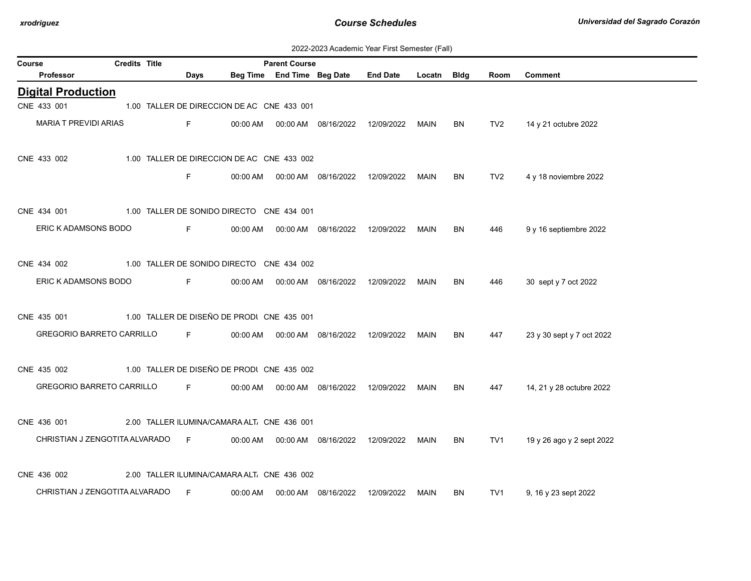| 2022-2023 Academic Year First Semester (Fall) |  |  |  |  |
|-----------------------------------------------|--|--|--|--|
|-----------------------------------------------|--|--|--|--|

| Course                           | <b>Credits Title</b> |                |                                             | <b>Parent Course</b>       |                                  |                 |             |           |                 |                           |
|----------------------------------|----------------------|----------------|---------------------------------------------|----------------------------|----------------------------------|-----------------|-------------|-----------|-----------------|---------------------------|
| Professor                        |                      | Days           |                                             | Beg Time End Time Beg Date |                                  | <b>End Date</b> | Locatn Bldg |           | Room            | <b>Comment</b>            |
| <b>Digital Production</b>        |                      |                |                                             |                            |                                  |                 |             |           |                 |                           |
| CNE 433 001                      |                      |                | 1.00 TALLER DE DIRECCION DE AC CNE 433 001  |                            |                                  |                 |             |           |                 |                           |
| <b>MARIA T PREVIDI ARIAS</b>     |                      | F.             | 00:00 AM                                    |                            | 00:00 AM  08/16/2022  12/09/2022 |                 | MAIN        | <b>BN</b> | TV <sub>2</sub> | 14 y 21 octubre 2022      |
| CNE 433 002                      |                      |                | 1.00 TALLER DE DIRECCION DE AC CNE 433 002  |                            |                                  |                 |             |           |                 |                           |
|                                  |                      | F.             | 00:00 AM                                    |                            | 00:00 AM  08/16/2022             | 12/09/2022      | MAIN        | BN        | TV <sub>2</sub> | 4 y 18 noviembre 2022     |
| CNE 434 001                      |                      |                | 1.00 TALLER DE SONIDO DIRECTO CNE 434 001   |                            |                                  |                 |             |           |                 |                           |
| ERIC K ADAMSONS BODO             |                      | F.             | 00:00 AM                                    |                            | 00:00 AM  08/16/2022  12/09/2022 |                 | MAIN        | <b>BN</b> | 446             | 9 y 16 septiembre 2022    |
| CNE 434 002                      |                      |                | 1.00 TALLER DE SONIDO DIRECTO CNE 434 002   |                            |                                  |                 |             |           |                 |                           |
| ERIC K ADAMSONS BODO             |                      | F.             | 00:00 AM                                    |                            | 00:00 AM  08/16/2022  12/09/2022 |                 | MAIN        | BN        | 446             | 30 sept y 7 oct 2022      |
| CNE 435 001                      |                      |                | 1.00 TALLER DE DISEÑO DE PRODI CNE 435 001  |                            |                                  |                 |             |           |                 |                           |
| GREGORIO BARRETO CARRILLO        |                      | F <sub>a</sub> | 00:00 AM                                    |                            | 00:00 AM  08/16/2022             | 12/09/2022      | MAIN        | <b>BN</b> | 447             | 23 y 30 sept y 7 oct 2022 |
| CNE 435 002                      |                      |                | 1.00 TALLER DE DISEÑO DE PRODI CNE 435 002  |                            |                                  |                 |             |           |                 |                           |
| GREGORIO BARRETO CARRILLO        |                      | <b>Figure</b>  | 00:00 AM                                    |                            |                                  |                 | MAIN        | BN.       | 447             | 14, 21 y 28 octubre 2022  |
| CNE 436 001                      |                      |                | 2.00 TALLER ILUMINA/CAMARA ALT. CNE 436 001 |                            |                                  |                 |             |           |                 |                           |
| CHRISTIAN J ZENGOTITA ALVARADO F |                      |                | 00:00 AM                                    |                            | 00:00 AM  08/16/2022             | 12/09/2022      | <b>MAIN</b> | <b>BN</b> | TV <sub>1</sub> | 19 y 26 ago y 2 sept 2022 |
| CNE 436 002                      |                      |                | 2.00 TALLER ILUMINA/CAMARA ALT. CNE 436 002 |                            |                                  |                 |             |           |                 |                           |
| CHRISTIAN J ZENGOTITA ALVARADO   |                      | F              | 00:00 AM                                    | 00:00 AM                   | 08/16/2022                       | 12/09/2022      | MAIN        | BN        | TV1             | 9, 16 y 23 sept 2022      |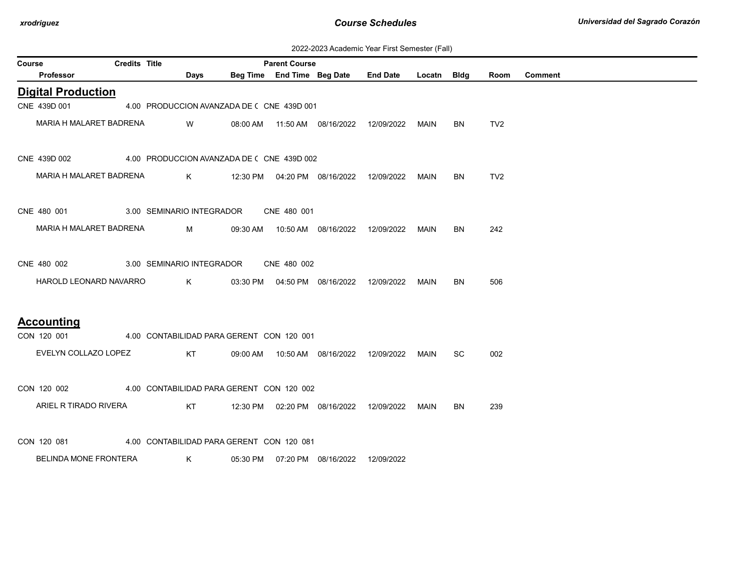| 2022-2023 Academic Year First Semester (Fall) |  |  |  |  |
|-----------------------------------------------|--|--|--|--|
|-----------------------------------------------|--|--|--|--|

| Course |                              | <b>Credits Title</b> |                                            | <b>Parent Course</b> |                                            |                 |             |           |                 |                |
|--------|------------------------------|----------------------|--------------------------------------------|----------------------|--------------------------------------------|-----------------|-------------|-----------|-----------------|----------------|
|        | Professor                    |                      | <b>Days</b>                                |                      | Beg Time End Time Beg Date                 | <b>End Date</b> | Locatn Bldg |           | Room            | <b>Comment</b> |
|        | <b>Digital Production</b>    |                      |                                            |                      |                                            |                 |             |           |                 |                |
|        | CNE 439D 001                 |                      | 4.00 PRODUCCION AVANZADA DE ( CNE 439D 001 |                      |                                            |                 |             |           |                 |                |
|        | MARIA H MALARET BADRENA      |                      | W                                          |                      | 08:00 AM  11:50 AM  08/16/2022             | 12/09/2022      | MAIN        | <b>BN</b> | TV <sub>2</sub> |                |
|        | CNE 439D 002                 |                      | 4.00 PRODUCCION AVANZADA DE (CNE 439D 002  |                      |                                            |                 |             |           |                 |                |
|        | MARIA H MALARET BADRENA      |                      | $K$ and $K$                                |                      | 12:30 PM  04:20 PM  08/16/2022  12/09/2022 |                 | MAIN        | BN        | TV <sub>2</sub> |                |
|        | CNE 480 001                  |                      | 3.00 SEMINARIO INTEGRADOR                  | CNE 480 001          |                                            |                 |             |           |                 |                |
|        | MARIA H MALARET BADRENA      |                      | $M \sim 1$                                 |                      |                                            |                 | MAIN        | BN.       | 242             |                |
|        | CNE 480 002                  |                      | 3.00 SEMINARIO INTEGRADOR                  | CNE 480 002          |                                            |                 |             |           |                 |                |
|        | HAROLD LEONARD NAVARRO       |                      | $K$ and $K$                                |                      | 03:30 PM  04:50 PM  08/16/2022  12/09/2022 |                 | MAIN        | <b>BN</b> | 506             |                |
|        | <b>Accounting</b>            |                      |                                            |                      |                                            |                 |             |           |                 |                |
|        | CON 120 001                  |                      | 4.00 CONTABILIDAD PARA GERENT CON 120 001  |                      |                                            |                 |             |           |                 |                |
|        | EVELYN COLLAZO LOPEZ         |                      | KT                                         |                      | 09:00 AM  10:50 AM  08/16/2022  12/09/2022 |                 | <b>MAIN</b> | <b>SC</b> | 002             |                |
|        | CON 120 002                  |                      | 4.00 CONTABILIDAD PARA GERENT CON 120 002  |                      |                                            |                 |             |           |                 |                |
|        | ARIEL R TIRADO RIVERA        |                      | KT                                         |                      | 12:30 PM  02:20 PM  08/16/2022  12/09/2022 |                 | MAIN        | BN        | 239             |                |
|        | CON 120 081                  |                      | 4.00 CONTABILIDAD PARA GERENT CON 120 081  |                      |                                            |                 |             |           |                 |                |
|        | <b>BELINDA MONE FRONTERA</b> |                      | K                                          |                      | 05:30 PM  07:20 PM  08/16/2022             | 12/09/2022      |             |           |                 |                |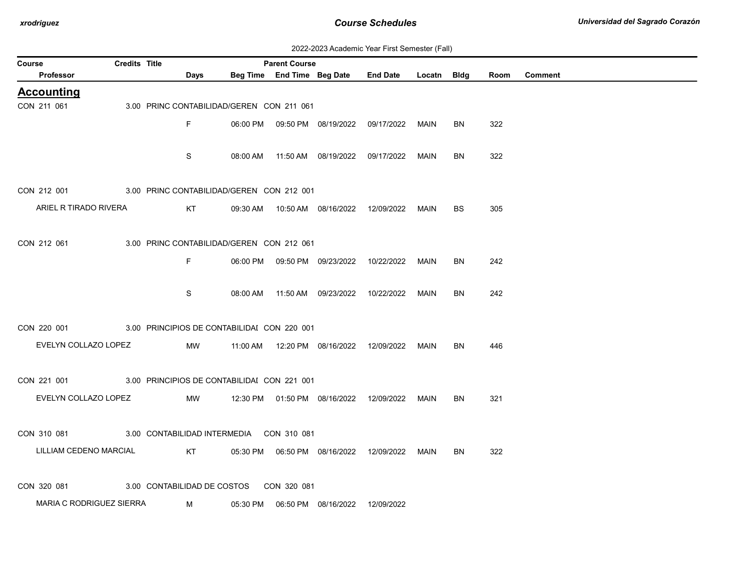| 2022-2023 Academic Year First Semester (Fall) |  |  |  |  |
|-----------------------------------------------|--|--|--|--|
|-----------------------------------------------|--|--|--|--|

| <b>Course</b> |                                                         | <b>Credits Title</b> |                   |                                           | <b>Parent Course</b> |                                            |                                                  |      |           |      |                |
|---------------|---------------------------------------------------------|----------------------|-------------------|-------------------------------------------|----------------------|--------------------------------------------|--------------------------------------------------|------|-----------|------|----------------|
|               | Professor                                               |                      | Days              |                                           |                      |                                            | Beg Time End Time Beg Date End Date Locatn Bldg  |      |           | Room | <b>Comment</b> |
|               | <b>Accounting</b>                                       |                      |                   |                                           |                      |                                            |                                                  |      |           |      |                |
| CON 211 061   |                                                         |                      |                   | 3.00 PRINC CONTABILIDAD/GEREN CON 211 061 |                      |                                            |                                                  |      |           |      |                |
|               |                                                         |                      | F.                |                                           |                      |                                            | 06:00 PM  09:50 PM  08/19/2022  09/17/2022  MAIN |      | <b>BN</b> | 322  |                |
|               |                                                         |                      |                   |                                           |                      |                                            |                                                  |      |           |      |                |
|               |                                                         |                      | S                 |                                           |                      |                                            |                                                  | MAIN | <b>BN</b> | 322  |                |
|               |                                                         |                      |                   |                                           |                      |                                            |                                                  |      |           |      |                |
|               | CON 212 001 3.00 PRINC CONTABILIDAD/GEREN CON 212 001   |                      |                   |                                           |                      |                                            |                                                  |      |           |      |                |
|               | ARIEL R TIRADO RIVERA                                   |                      | KT                |                                           |                      |                                            | 09:30 AM  10:50 AM  08/16/2022  12/09/2022  MAIN |      | <b>BS</b> | 305  |                |
|               |                                                         |                      |                   |                                           |                      |                                            |                                                  |      |           |      |                |
| CON 212 061   |                                                         |                      |                   | 3.00 PRINC CONTABILIDAD/GEREN CON 212 061 |                      |                                            |                                                  |      |           |      |                |
|               |                                                         |                      | F.                |                                           |                      |                                            | 06:00 PM  09:50 PM  09/23/2022  10/22/2022  MAIN |      | BN        | 242  |                |
|               |                                                         |                      |                   |                                           |                      |                                            |                                                  |      |           |      |                |
|               |                                                         |                      | S                 |                                           |                      |                                            | 08:00 AM  11:50 AM  09/23/2022  10/22/2022  MAIN |      | <b>BN</b> | 242  |                |
|               |                                                         |                      |                   |                                           |                      |                                            |                                                  |      |           |      |                |
|               | CON 220 001 3.00 PRINCIPIOS DE CONTABILIDAI CON 220 001 |                      |                   |                                           |                      |                                            |                                                  |      |           |      |                |
|               | EVELYN COLLAZO LOPEZ                                    |                      | MW                |                                           |                      |                                            |                                                  |      | <b>BN</b> | 446  |                |
|               |                                                         |                      |                   |                                           |                      |                                            |                                                  |      |           |      |                |
|               |                                                         |                      |                   |                                           |                      |                                            |                                                  |      |           |      |                |
|               | CON 221 001 3.00 PRINCIPIOS DE CONTABILIDAI CON 221 001 |                      |                   |                                           |                      |                                            |                                                  |      |           |      |                |
|               | EVELYN COLLAZO LOPEZ                                    |                      | MW                |                                           |                      |                                            | 12:30 PM  01:50 PM  08/16/2022  12/09/2022       | MAIN | BN        | 321  |                |
|               |                                                         |                      |                   |                                           |                      |                                            |                                                  |      |           |      |                |
|               | CON 310 081 3.00 CONTABILIDAD INTERMEDIA CON 310 081    |                      |                   |                                           |                      |                                            |                                                  |      |           |      |                |
|               | LILLIAM CEDENO MARCIAL                                  |                      | <b>Example 18</b> |                                           |                      |                                            |                                                  | MAIN | BN        | 322  |                |
|               |                                                         |                      |                   |                                           |                      |                                            |                                                  |      |           |      |                |
| CON 320 081   |                                                         |                      |                   | 3.00 CONTABILIDAD DE COSTOS CON 320 081   |                      |                                            |                                                  |      |           |      |                |
|               | MARIA C RODRIGUEZ SIERRA M                              |                      |                   |                                           |                      | 05:30 PM  06:50 PM  08/16/2022  12/09/2022 |                                                  |      |           |      |                |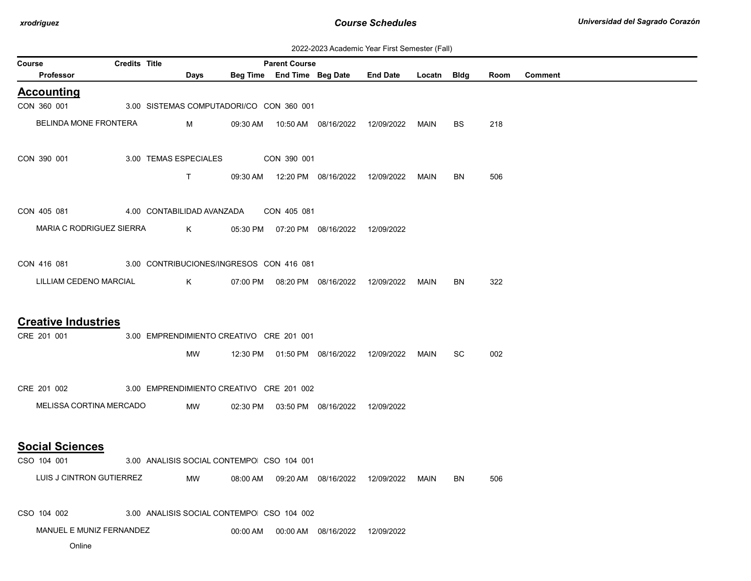| 2022-2023 Academic Year First Semester (Fall) |  |  |  |  |
|-----------------------------------------------|--|--|--|--|
|-----------------------------------------------|--|--|--|--|

|                            | Days                                     |                                                     |                                                                    |                                                                                                                                                                                                                                     |                                                                                                                                                                  |                                                                                                              |      |                |
|----------------------------|------------------------------------------|-----------------------------------------------------|--------------------------------------------------------------------|-------------------------------------------------------------------------------------------------------------------------------------------------------------------------------------------------------------------------------------|------------------------------------------------------------------------------------------------------------------------------------------------------------------|--------------------------------------------------------------------------------------------------------------|------|----------------|
|                            |                                          |                                                     |                                                                    | Beg Time End Time Beg Date End Date Locatn Bldg                                                                                                                                                                                     |                                                                                                                                                                  |                                                                                                              | Room | <b>Comment</b> |
|                            |                                          |                                                     |                                                                    |                                                                                                                                                                                                                                     |                                                                                                                                                                  |                                                                                                              |      |                |
|                            | 3.00 SISTEMAS COMPUTADORI/CO CON 360 001 |                                                     |                                                                    |                                                                                                                                                                                                                                     |                                                                                                                                                                  |                                                                                                              |      |                |
| BELINDA MONE FRONTERA      | M                                        | 09:30 AM                                            |                                                                    |                                                                                                                                                                                                                                     |                                                                                                                                                                  | BS.                                                                                                          | 218  |                |
|                            |                                          |                                                     |                                                                    |                                                                                                                                                                                                                                     |                                                                                                                                                                  |                                                                                                              |      |                |
|                            | $\mathsf{T}$                             | 09:30 AM                                            |                                                                    |                                                                                                                                                                                                                                     | MAIN                                                                                                                                                             | BN                                                                                                           | 506  |                |
|                            |                                          |                                                     |                                                                    |                                                                                                                                                                                                                                     |                                                                                                                                                                  |                                                                                                              |      |                |
|                            |                                          |                                                     |                                                                    |                                                                                                                                                                                                                                     |                                                                                                                                                                  |                                                                                                              |      |                |
|                            |                                          |                                                     |                                                                    |                                                                                                                                                                                                                                     |                                                                                                                                                                  |                                                                                                              |      |                |
| LILLIAM CEDENO MARCIAL     | K                                        |                                                     |                                                                    |                                                                                                                                                                                                                                     |                                                                                                                                                                  | BN                                                                                                           | 322  |                |
|                            |                                          |                                                     |                                                                    |                                                                                                                                                                                                                                     |                                                                                                                                                                  |                                                                                                              |      |                |
|                            |                                          |                                                     |                                                                    |                                                                                                                                                                                                                                     |                                                                                                                                                                  |                                                                                                              |      |                |
|                            | MW                                       |                                                     |                                                                    |                                                                                                                                                                                                                                     |                                                                                                                                                                  | SC.                                                                                                          | 002  |                |
|                            |                                          |                                                     |                                                                    |                                                                                                                                                                                                                                     |                                                                                                                                                                  |                                                                                                              |      |                |
|                            | MW                                       |                                                     |                                                                    |                                                                                                                                                                                                                                     |                                                                                                                                                                  |                                                                                                              |      |                |
|                            |                                          |                                                     |                                                                    |                                                                                                                                                                                                                                     |                                                                                                                                                                  |                                                                                                              |      |                |
|                            |                                          |                                                     |                                                                    |                                                                                                                                                                                                                                     |                                                                                                                                                                  |                                                                                                              |      |                |
| LUIS J CINTRON GUTIERREZ   | MW                                       | 08:00 AM                                            |                                                                    |                                                                                                                                                                                                                                     | MAIN                                                                                                                                                             | BN                                                                                                           | 506  |                |
|                            |                                          |                                                     |                                                                    |                                                                                                                                                                                                                                     |                                                                                                                                                                  |                                                                                                              |      |                |
| <b>Creative Industries</b> |                                          | MARIA C RODRIGUEZ SIERRA<br>MELISSA CORTINA MERCADO | 3.00 TEMAS ESPECIALES<br>4.00 CONTABILIDAD AVANZADA<br>$K$ and $K$ | CON 390 001<br>CON 405 081<br>CON 416 081 3.00 CONTRIBUCIONES/INGRESOS CON 416 081<br>3.00 EMPRENDIMIENTO CREATIVO CRE 201 001<br>CRE 201 002 3.00 EMPRENDIMIENTO CREATIVO CRE 201 002<br>3.00 ANALISIS SOCIAL CONTEMPO CSO 104 001 | 12:20 PM  08/16/2022  12/09/2022<br>05:30 PM  07:20 PM  08/16/2022  12/09/2022<br>02:30 PM  03:50 PM  08/16/2022  12/09/2022<br>09:20 AM  08/16/2022  12/09/2022 | MAIN<br>07:00 PM  08:20 PM  08/16/2022  12/09/2022  MAIN<br>12:30 PM  01:50 PM  08/16/2022  12/09/2022  MAIN |      |                |

CSO 104 002 3.00 ANALISIS SOCIAL CONTEMPO CSO 104 002

MANUEL E MUNIZ FERNANDEZ 00:00 AM 00:00 AM 08/16/2022 12/09/2022

Online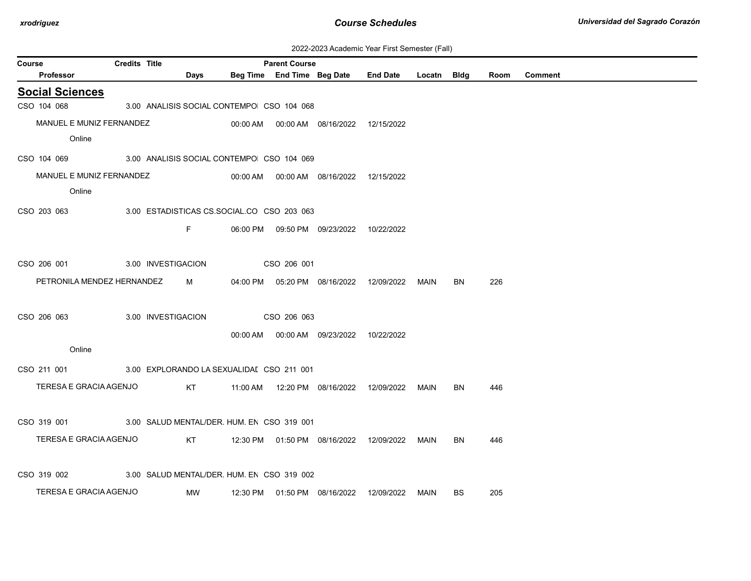| 2022-2023 Academic Year First Semester (Fall) |  |  |  |  |
|-----------------------------------------------|--|--|--|--|
|-----------------------------------------------|--|--|--|--|

| Course                     | <b>Credits Title</b> |                                            | <b>Parent Course</b> |                                            |            |             |           |      |                |
|----------------------------|----------------------|--------------------------------------------|----------------------|--------------------------------------------|------------|-------------|-----------|------|----------------|
| Professor                  |                      | Days                                       |                      | Beg Time End Time Beg Date End Date        |            | Locatn Bldg |           | Room | <b>Comment</b> |
| <b>Social Sciences</b>     |                      |                                            |                      |                                            |            |             |           |      |                |
| CSO 104 068                |                      | 3.00 ANALISIS SOCIAL CONTEMPO CSO 104 068  |                      |                                            |            |             |           |      |                |
| MANUEL E MUNIZ FERNANDEZ   |                      |                                            |                      | 00:00 AM  00:00 AM  08/16/2022  12/15/2022 |            |             |           |      |                |
| Online                     |                      |                                            |                      |                                            |            |             |           |      |                |
| CSO 104 069                |                      | 3.00 ANALISIS SOCIAL CONTEMPO CSO 104 069  |                      |                                            |            |             |           |      |                |
| MANUEL E MUNIZ FERNANDEZ   |                      |                                            |                      | 00:00 AM  00:00 AM  08/16/2022  12/15/2022 |            |             |           |      |                |
| Online                     |                      |                                            |                      |                                            |            |             |           |      |                |
| CSO 203 063                |                      | 3.00 ESTADISTICAS CS.SOCIAL.CO CSO 203 063 |                      |                                            |            |             |           |      |                |
|                            |                      | F                                          |                      | 06:00 PM  09:50 PM  09/23/2022  10/22/2022 |            |             |           |      |                |
|                            |                      |                                            |                      |                                            |            |             |           |      |                |
| CSO 206 001                |                      | 3.00 INVESTIGACION                         | CSO 206 001          |                                            |            |             |           |      |                |
| PETRONILA MENDEZ HERNANDEZ |                      | M                                          |                      | 04:00 PM  05:20 PM  08/16/2022             | 12/09/2022 | MAIN        | BN        | 226  |                |
|                            |                      |                                            |                      |                                            |            |             |           |      |                |
| CSO 206 063                |                      | 3.00 INVESTIGACION                         | CSO 206 063          |                                            |            |             |           |      |                |
|                            |                      |                                            |                      | 00:00 AM  00:00 AM  09/23/2022  10/22/2022 |            |             |           |      |                |
| Online                     |                      |                                            |                      |                                            |            |             |           |      |                |
| CSO 211 001                |                      | 3.00 EXPLORANDO LA SEXUALIDAI CSO 211 001  |                      |                                            |            |             |           |      |                |
| TERESA E GRACIA AGENJO     |                      | KT                                         |                      |                                            |            | <b>MAIN</b> | <b>BN</b> | 446  |                |
|                            |                      |                                            |                      |                                            |            |             |           |      |                |
| CSO 319 001                |                      | 3.00 SALUD MENTAL/DER. HUM. EN CSO 319 001 |                      |                                            |            |             |           |      |                |
| TERESA E GRACIA AGENJO     |                      | KT                                         |                      |                                            |            | MAIN        | <b>BN</b> | 446  |                |
|                            |                      |                                            |                      |                                            |            |             |           |      |                |
| CSO 319 002                |                      | 3.00 SALUD MENTAL/DER. HUM. EN CSO 319 002 |                      |                                            |            |             |           |      |                |
| TERESA E GRACIA AGENJO     |                      | <b>NW</b>                                  |                      | 12:30 PM  01:50 PM  08/16/2022  12/09/2022 |            | MAIN        | <b>BS</b> | 205  |                |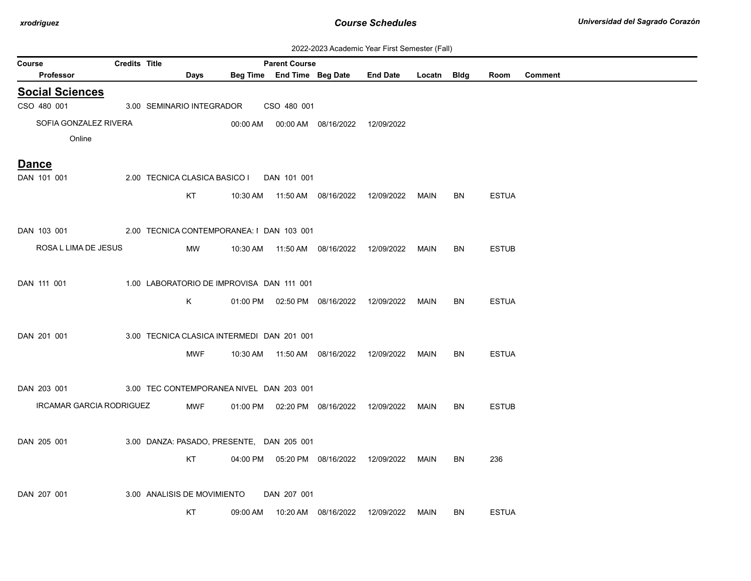| 2022-2023 Academic Year First Semester (Fall) |  |  |  |  |
|-----------------------------------------------|--|--|--|--|
|-----------------------------------------------|--|--|--|--|

|                                       |                      |                               |                                            |                                                    |                                            | ZUZZ-ZUZJ ACQUETIIC TEGI FIISI JEIHESIEI (Faii) |             |           |              |                |
|---------------------------------------|----------------------|-------------------------------|--------------------------------------------|----------------------------------------------------|--------------------------------------------|-------------------------------------------------|-------------|-----------|--------------|----------------|
| Course<br><b>Professor</b>            | <b>Credits Title</b> | Days                          |                                            | <b>Parent Course</b><br>Beg Time End Time Beg Date |                                            | <b>End Date</b>                                 | Locatn Bldg |           | Room         | <b>Comment</b> |
|                                       |                      |                               |                                            |                                                    |                                            |                                                 |             |           |              |                |
| <b>Social Sciences</b><br>CSO 480 001 |                      | 3.00 SEMINARIO INTEGRADOR     |                                            | CSO 480 001                                        |                                            |                                                 |             |           |              |                |
| SOFIA GONZALEZ RIVERA                 |                      |                               |                                            |                                                    | 00:00 AM  00:00 AM  08/16/2022  12/09/2022 |                                                 |             |           |              |                |
| Online                                |                      |                               |                                            |                                                    |                                            |                                                 |             |           |              |                |
|                                       |                      |                               |                                            |                                                    |                                            |                                                 |             |           |              |                |
| <b>Dance</b>                          |                      |                               |                                            |                                                    |                                            |                                                 |             |           |              |                |
| DAN 101 001                           |                      | 2.00 TECNICA CLASICA BASICO I |                                            | DAN 101 001                                        |                                            |                                                 |             |           |              |                |
|                                       |                      | KT                            |                                            |                                                    | 10:30 AM  11:50 AM  08/16/2022  12/09/2022 |                                                 | MAIN        | BN        | <b>ESTUA</b> |                |
|                                       |                      |                               |                                            |                                                    |                                            |                                                 |             |           |              |                |
| DAN 103 001                           |                      |                               | 2.00 TECNICA CONTEMPORANEA: I DAN 103 001  |                                                    |                                            |                                                 |             |           |              |                |
| ROSA L LIMA DE JESUS                  |                      | MW                            |                                            |                                                    | 10:30 AM  11:50 AM  08/16/2022  12/09/2022 |                                                 | MAIN        | BN        | <b>ESTUB</b> |                |
|                                       |                      |                               |                                            |                                                    |                                            |                                                 |             |           |              |                |
|                                       |                      |                               |                                            |                                                    |                                            |                                                 |             |           |              |                |
| DAN 111 001                           |                      |                               | 1.00 LABORATORIO DE IMPROVISA DAN 111 001  |                                                    |                                            |                                                 |             |           |              |                |
|                                       |                      | K                             |                                            |                                                    |                                            | 01:00 PM  02:50 PM  08/16/2022  12/09/2022      | MAIN        | BN        | <b>ESTUA</b> |                |
|                                       |                      |                               |                                            |                                                    |                                            |                                                 |             |           |              |                |
| DAN 201 001                           |                      |                               | 3.00 TECNICA CLASICA INTERMEDI DAN 201 001 |                                                    |                                            |                                                 |             |           |              |                |
|                                       |                      | <b>MWF</b>                    |                                            |                                                    | 10:30 AM  11:50 AM  08/16/2022  12/09/2022 |                                                 | MAIN        | <b>BN</b> | <b>ESTUA</b> |                |
|                                       |                      |                               |                                            |                                                    |                                            |                                                 |             |           |              |                |
| DAN 203 001                           |                      |                               | 3.00 TEC CONTEMPORANEA NIVEL DAN 203 001   |                                                    |                                            |                                                 |             |           |              |                |
| IRCAMAR GARCIA RODRIGUEZ              |                      | <b>MWF</b>                    |                                            |                                                    | 01:00 PM  02:20 PM  08/16/2022  12/09/2022 |                                                 | MAIN        | <b>BN</b> | <b>ESTUB</b> |                |
|                                       |                      |                               |                                            |                                                    |                                            |                                                 |             |           |              |                |
|                                       |                      |                               |                                            |                                                    |                                            |                                                 |             |           |              |                |
| DAN 205 001                           |                      |                               | 3.00 DANZA: PASADO, PRESENTE, DAN 205 001  |                                                    |                                            |                                                 |             |           |              |                |
|                                       |                      | KT                            |                                            |                                                    | 04:00 PM  05:20 PM  08/16/2022  12/09/2022 |                                                 | MAIN        | <b>BN</b> | 236          |                |
|                                       |                      |                               |                                            |                                                    |                                            |                                                 |             |           |              |                |
| DAN 207 001                           |                      | 3.00 ANALISIS DE MOVIMIENTO   |                                            | DAN 207 001                                        |                                            |                                                 |             |           |              |                |
|                                       |                      | <b>KT</b>                     | 09:00 AM                                   |                                                    | 10:20 AM  08/16/2022                       | 12/09/2022                                      | MAIN        | <b>BN</b> | <b>ESTUA</b> |                |
|                                       |                      |                               |                                            |                                                    |                                            |                                                 |             |           |              |                |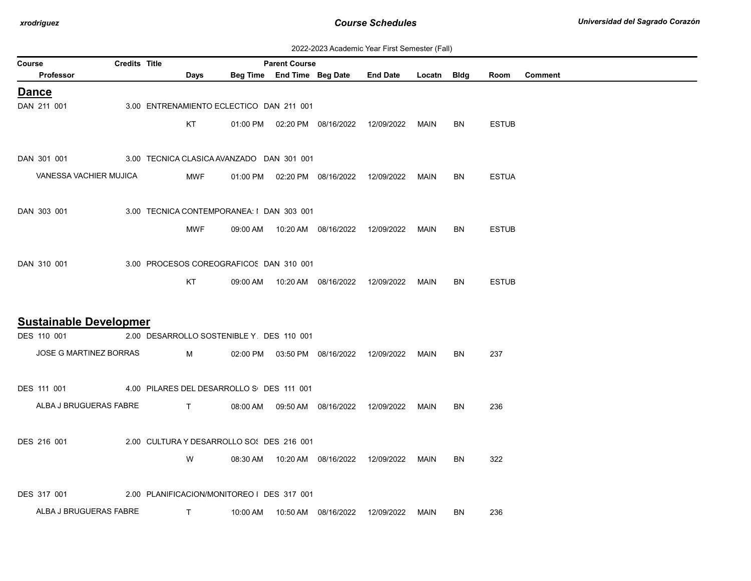| 2022-2023 Academic Year First Semester (Fall) |  |  |  |  |
|-----------------------------------------------|--|--|--|--|
|-----------------------------------------------|--|--|--|--|

| Course |                                                       | <b>Credits Title</b> |                                            |                               |          | <b>Parent Course</b> |                                            |                                            |             |           |              |         |
|--------|-------------------------------------------------------|----------------------|--------------------------------------------|-------------------------------|----------|----------------------|--------------------------------------------|--------------------------------------------|-------------|-----------|--------------|---------|
|        | Professor                                             |                      |                                            | Days                          |          |                      | Beg Time End Time Beg Date                 | <b>End Date</b>                            | Locatn Bldg |           | Room         | Comment |
|        | <b>Dance</b>                                          |                      |                                            |                               |          |                      |                                            |                                            |             |           |              |         |
|        | DAN 211 001                                           |                      | 3.00 ENTRENAMIENTO ECLECTICO DAN 211 001   |                               |          |                      |                                            |                                            |             |           |              |         |
|        |                                                       |                      |                                            | <b>KT</b>                     |          |                      | 01:00 PM  02:20 PM  08/16/2022  12/09/2022 |                                            | MAIN        | BN.       | <b>ESTUB</b> |         |
|        |                                                       |                      |                                            |                               |          |                      |                                            |                                            |             |           |              |         |
|        | DAN 301 001                                           |                      | 3.00 TECNICA CLASICA AVANZADO DAN 301 001  |                               |          |                      |                                            |                                            |             |           |              |         |
|        | VANESSA VACHIER MUJICA                                |                      |                                            | MWF                           |          |                      |                                            | 01:00 PM  02:20 PM  08/16/2022  12/09/2022 | MAIN        | BN        | <b>ESTUA</b> |         |
|        |                                                       |                      |                                            |                               |          |                      |                                            |                                            |             |           |              |         |
|        | DAN 303 001                                           |                      | 3.00 TECNICA CONTEMPORANEA: I DAN 303 001  |                               |          |                      |                                            |                                            |             |           |              |         |
|        |                                                       |                      |                                            | MWF                           | 09:00 AM |                      |                                            | 10:20 AM  08/16/2022  12/09/2022           | MAIN        | <b>BN</b> | <b>ESTUB</b> |         |
|        |                                                       |                      |                                            |                               |          |                      |                                            |                                            |             |           |              |         |
|        | DAN 310 001                                           |                      | 3.00 PROCESOS COREOGRAFICOS DAN 310 001    |                               |          |                      |                                            |                                            |             |           |              |         |
|        |                                                       |                      |                                            |                               |          |                      |                                            |                                            |             |           |              |         |
|        |                                                       |                      |                                            | KT                            |          |                      | 09:00 AM  10:20 AM  08/16/2022  12/09/2022 |                                            | MAIN        | BN        | <b>ESTUB</b> |         |
|        |                                                       |                      |                                            |                               |          |                      |                                            |                                            |             |           |              |         |
|        | <b>Sustainable Developmer</b>                         |                      |                                            |                               |          |                      |                                            |                                            |             |           |              |         |
|        | DES 110 001                                           |                      | 2.00 DESARROLLO SOSTENIBLE Y DES 110 001   |                               |          |                      |                                            |                                            |             |           |              |         |
|        | JOSE G MARTINEZ BORRAS                                |                      |                                            | M                             |          |                      |                                            | 02:00 PM  03:50 PM  08/16/2022  12/09/2022 | MAIN        | BN        | 237          |         |
|        |                                                       |                      |                                            |                               |          |                      |                                            |                                            |             |           |              |         |
|        | DES 111 001 4.00 PILARES DEL DESARROLLO S DES 111 001 |                      |                                            |                               |          |                      |                                            |                                            |             |           |              |         |
|        | ALBA J BRUGUERAS FABRE                                |                      |                                            | $\mathbf{T}$ and $\mathbf{T}$ | 08:00 AM |                      |                                            | 12/09/2022                                 | MAIN        | <b>BN</b> | 236          |         |
|        |                                                       |                      |                                            |                               |          |                      |                                            |                                            |             |           |              |         |
|        | DES 216 001                                           |                      | 2.00 CULTURA Y DESARROLLO SO : DES 216 001 |                               |          |                      |                                            |                                            |             |           |              |         |
|        |                                                       |                      |                                            | W                             |          |                      | 08:30 AM  10:20 AM  08/16/2022  12/09/2022 |                                            | MAIN        | BN.       | 322          |         |
|        |                                                       |                      |                                            |                               |          |                      |                                            |                                            |             |           |              |         |
|        | DES 317 001                                           |                      | 2.00 PLANIFICACION/MONITOREO I DES 317 001 |                               |          |                      |                                            |                                            |             |           |              |         |
|        | ALBA J BRUGUERAS FABRE                                |                      |                                            | $\mathsf{T}$                  |          |                      |                                            |                                            |             |           |              |         |
|        |                                                       |                      |                                            |                               | 10:00 AM |                      |                                            | 10:50 AM  08/16/2022  12/09/2022  MAIN     |             | BN        | 236          |         |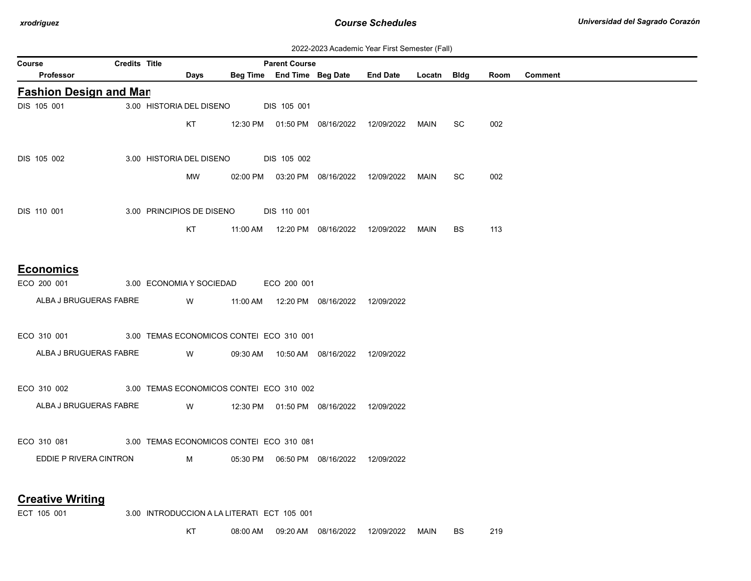| 2022-2023 Academic Year First Semester (Fall) |  |  |  |  |
|-----------------------------------------------|--|--|--|--|
|-----------------------------------------------|--|--|--|--|

| Course |                                                                  | Credits Title |                          |                                           | <b>Parent Course</b> |                                            |                                                  |      |           |      |                |
|--------|------------------------------------------------------------------|---------------|--------------------------|-------------------------------------------|----------------------|--------------------------------------------|--------------------------------------------------|------|-----------|------|----------------|
|        | Professor                                                        |               | Days                     |                                           |                      |                                            | Beg Time End Time Beg Date End Date Locatn Bldg  |      |           | Room | <b>Comment</b> |
|        | <b>Fashion Design and Man</b>                                    |               |                          |                                           |                      |                                            |                                                  |      |           |      |                |
|        | DIS 105 001                                                      |               | 3.00 HISTORIA DEL DISENO |                                           | DIS 105 001          |                                            |                                                  |      |           |      |                |
|        |                                                                  |               | KT.                      |                                           |                      |                                            | 12:30 PM  01:50 PM  08/16/2022  12/09/2022  MAIN |      | SC.       | 002  |                |
|        |                                                                  |               |                          |                                           |                      |                                            |                                                  |      |           |      |                |
|        | DIS 105 002                                                      |               |                          | 3.00 HISTORIA DEL DISENO DIS 105 002      |                      |                                            |                                                  |      |           |      |                |
|        |                                                                  |               | MW                       |                                           |                      | 02:00 PM  03:20 PM  08/16/2022             | 12/09/2022                                       | MAIN | <b>SC</b> | 002  |                |
|        |                                                                  |               |                          |                                           |                      |                                            |                                                  |      |           |      |                |
|        | DIS 110 001                                                      |               |                          | 3.00 PRINCIPIOS DE DISENO DIS 110 001     |                      |                                            |                                                  |      |           |      |                |
|        |                                                                  |               | KT.                      |                                           |                      |                                            |                                                  | MAIN | <b>BS</b> | 113  |                |
|        |                                                                  |               |                          |                                           |                      |                                            |                                                  |      |           |      |                |
|        |                                                                  |               |                          |                                           |                      |                                            |                                                  |      |           |      |                |
|        | <b>Economics</b>                                                 |               |                          |                                           |                      |                                            |                                                  |      |           |      |                |
|        |                                                                  |               |                          |                                           |                      |                                            |                                                  |      |           |      |                |
|        | ALBA J BRUGUERAS FABRE                                           |               |                          | W 11:00 AM 12:20 PM 08/16/2022 12/09/2022 |                      |                                            |                                                  |      |           |      |                |
|        |                                                                  |               |                          |                                           |                      |                                            |                                                  |      |           |      |                |
|        | ECO 310 001 3.00 TEMAS ECONOMICOS CONTEI ECO 310 001             |               |                          |                                           |                      |                                            |                                                  |      |           |      |                |
|        | ALBA J BRUGUERAS FABRE                                           |               | <b>W</b>                 |                                           |                      | 09:30 AM  10:50 AM  08/16/2022  12/09/2022 |                                                  |      |           |      |                |
|        |                                                                  |               |                          |                                           |                      |                                            |                                                  |      |           |      |                |
|        | ECO 310 002                                                      |               |                          | 3.00 TEMAS ECONOMICOS CONTEI ECO 310 002  |                      |                                            |                                                  |      |           |      |                |
|        | ALBA J BRUGUERAS FABRE W 12:30 PM 01:50 PM 08/16/2022 12/09/2022 |               |                          |                                           |                      |                                            |                                                  |      |           |      |                |
|        |                                                                  |               |                          |                                           |                      |                                            |                                                  |      |           |      |                |
|        | ECO 310 081 3.00 TEMAS ECONOMICOS CONTEI ECO 310 081             |               |                          |                                           |                      |                                            |                                                  |      |           |      |                |
|        | EDDIE P RIVERA CINTRON                                           |               | M                        |                                           |                      | 05:30 PM  06:50 PM  08/16/2022  12/09/2022 |                                                  |      |           |      |                |
|        |                                                                  |               |                          |                                           |                      |                                            |                                                  |      |           |      |                |
|        |                                                                  |               |                          |                                           |                      |                                            |                                                  |      |           |      |                |
|        | <b>Creative Writing</b>                                          |               |                          |                                           |                      |                                            |                                                  |      |           |      |                |

ECT 105 001 3.00 INTRODUCCION A LA LITERATI ECT 105 001

KT 08:00 AM 09:20 AM 08/16/2022 12/09/2022 MAIN BS 219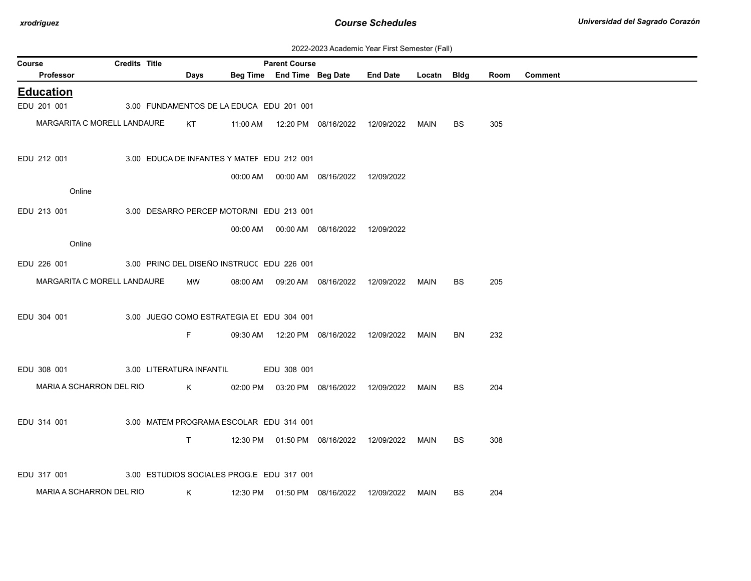| 2022-2023 Academic Year First Semester (Fall) |  |  |  |  |
|-----------------------------------------------|--|--|--|--|
|-----------------------------------------------|--|--|--|--|

| Course                      | <b>Credits Title</b> |                          |      |                                            | <b>Parent Course</b>       |                                            |                 |             |           |      |                |
|-----------------------------|----------------------|--------------------------|------|--------------------------------------------|----------------------------|--------------------------------------------|-----------------|-------------|-----------|------|----------------|
| <b>Professor</b>            |                      |                          | Days |                                            | Beg Time End Time Beg Date |                                            | <b>End Date</b> | Locatn Bidg |           | Room | <b>Comment</b> |
| <b>Education</b>            |                      |                          |      |                                            |                            |                                            |                 |             |           |      |                |
| EDU 201 001                 |                      |                          |      | 3.00 FUNDAMENTOS DE LA EDUCA EDU 201 001   |                            |                                            |                 |             |           |      |                |
| MARGARITA C MORELL LANDAURE |                      |                          | KT   |                                            |                            | 11:00 AM  12:20 PM  08/16/2022  12/09/2022 |                 | <b>MAIN</b> | BS        | 305  |                |
| EDU 212 001                 |                      |                          |      | 3.00 EDUCA DE INFANTES Y MATEF EDU 212 001 |                            |                                            |                 |             |           |      |                |
|                             |                      |                          |      |                                            |                            | 00:00 AM   00:00 AM   08/16/2022           | 12/09/2022      |             |           |      |                |
| Online                      |                      |                          |      |                                            |                            |                                            |                 |             |           |      |                |
| EDU 213 001                 |                      |                          |      | 3.00 DESARRO PERCEP MOTOR/NI EDU 213 001   |                            |                                            |                 |             |           |      |                |
|                             |                      |                          |      | 00:00 AM                                   |                            | 00:00 AM  08/16/2022                       | 12/09/2022      |             |           |      |                |
| Online                      |                      |                          |      |                                            |                            |                                            |                 |             |           |      |                |
| EDU 226 001                 |                      |                          |      | 3.00 PRINC DEL DISEÑO INSTRUC( EDU 226 001 |                            |                                            |                 |             |           |      |                |
| MARGARITA C MORELL LANDAURE |                      |                          | MW   |                                            |                            | 08:00 AM  09:20 AM  08/16/2022  12/09/2022 |                 | MAIN        | BS        | 205  |                |
|                             |                      |                          |      |                                            |                            |                                            |                 |             |           |      |                |
| EDU 304 001                 |                      |                          |      | 3.00 JUEGO COMO ESTRATEGIA EI EDU 304 001  |                            |                                            |                 |             |           |      |                |
|                             |                      | F.                       |      |                                            |                            |                                            |                 |             |           |      |                |
|                             |                      |                          |      |                                            |                            | 09:30 AM  12:20 PM  08/16/2022             | 12/09/2022      | MAIN        | BN        | 232  |                |
|                             |                      |                          |      |                                            |                            |                                            |                 |             |           |      |                |
| EDU 308 001                 |                      | 3.00 LITERATURA INFANTIL |      |                                            | EDU 308 001                |                                            |                 |             |           |      |                |
| MARIA A SCHARRON DEL RIO    |                      |                          | K    |                                            |                            | 02:00 PM  03:20 PM  08/16/2022  12/09/2022 |                 | MAIN        | <b>BS</b> | 204  |                |
|                             |                      |                          |      |                                            |                            |                                            |                 |             |           |      |                |
| EDU 314 001                 |                      |                          |      | 3.00 MATEM PROGRAMA ESCOLAR EDU 314 001    |                            |                                            |                 |             |           |      |                |
|                             |                      | T.                       |      |                                            |                            | 12:30 PM  01:50 PM  08/16/2022             | 12/09/2022      | MAIN        | <b>BS</b> | 308  |                |
|                             |                      |                          |      |                                            |                            |                                            |                 |             |           |      |                |
| EDU 317 001                 |                      |                          |      | 3.00 ESTUDIOS SOCIALES PROG.E EDU 317 001  |                            |                                            |                 |             |           |      |                |
| MARIA A SCHARRON DEL RIO    |                      | K                        |      |                                            |                            | 12:30 PM  01:50 PM  08/16/2022             | 12/09/2022      | MAIN        | BS.       | 204  |                |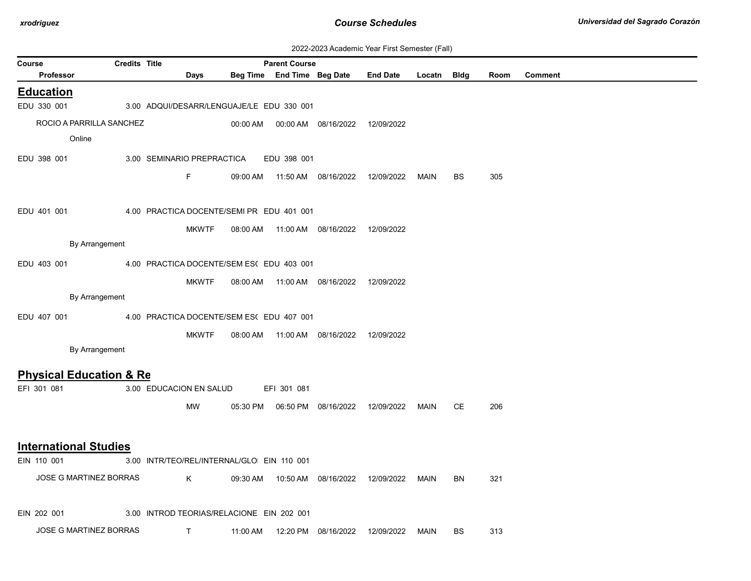| 2022-2023 Academic Year First Semester (Fall) |  |  |  |  |
|-----------------------------------------------|--|--|--|--|
|-----------------------------------------------|--|--|--|--|

|        | ZUZZ-ZUZU ACQUEINIC TEGI TIISI OENIESIGI (T. GII)<br><b>Credits Title</b> |  |                                            |              |          |                                                    |                                  |                 |             |           |      |                |
|--------|---------------------------------------------------------------------------|--|--------------------------------------------|--------------|----------|----------------------------------------------------|----------------------------------|-----------------|-------------|-----------|------|----------------|
| Course | Professor                                                                 |  | Days                                       |              |          | <b>Parent Course</b><br>Beg Time End Time Beg Date |                                  | <b>End Date</b> | Locatn Bldg |           | Room | <b>Comment</b> |
|        | <b>Education</b>                                                          |  |                                            |              |          |                                                    |                                  |                 |             |           |      |                |
|        | EDU 330 001                                                               |  | 3.00 ADQUI/DESARR/LENGUAJE/LE EDU 330 001  |              |          |                                                    |                                  |                 |             |           |      |                |
|        | ROCIO A PARRILLA SANCHEZ                                                  |  |                                            |              | 00:00 AM |                                                    | 00:00 AM  08/16/2022             | 12/09/2022      |             |           |      |                |
|        | Online                                                                    |  |                                            |              |          |                                                    |                                  |                 |             |           |      |                |
|        | EDU 398 001                                                               |  | 3.00 SEMINARIO PREPRACTICA                 |              |          | EDU 398 001                                        |                                  |                 |             |           |      |                |
|        |                                                                           |  | F.                                         |              | 09:00 AM |                                                    | 11:50 AM  08/16/2022             | 12/09/2022      | MAIN        | <b>BS</b> | 305  |                |
|        |                                                                           |  |                                            |              |          |                                                    |                                  |                 |             |           |      |                |
|        | EDU 401 001                                                               |  | 4.00 PRACTICA DOCENTE/SEMI PR EDU 401 001  |              |          |                                                    |                                  |                 |             |           |      |                |
|        |                                                                           |  |                                            | <b>MKWTF</b> | 08:00 AM |                                                    |                                  |                 |             |           |      |                |
|        | By Arrangement                                                            |  |                                            |              |          |                                                    |                                  |                 |             |           |      |                |
|        | EDU 403 001                                                               |  | 4.00 PRACTICA DOCENTE/SEM ES( EDU 403 001  |              |          |                                                    |                                  |                 |             |           |      |                |
|        |                                                                           |  |                                            | <b>MKWTF</b> | 08:00 AM |                                                    | 11:00 AM  08/16/2022  12/09/2022 |                 |             |           |      |                |
|        | By Arrangement                                                            |  |                                            |              |          |                                                    |                                  |                 |             |           |      |                |
|        | EDU 407 001                                                               |  | 4.00 PRACTICA DOCENTE/SEM ES( EDU 407 001  |              |          |                                                    |                                  |                 |             |           |      |                |
|        |                                                                           |  |                                            | <b>MKWTF</b> | 08:00 AM |                                                    | 11:00 AM  08/16/2022  12/09/2022 |                 |             |           |      |                |
|        | By Arrangement                                                            |  |                                            |              |          |                                                    |                                  |                 |             |           |      |                |
|        | <b>Physical Education &amp; Re</b>                                        |  |                                            |              |          |                                                    |                                  |                 |             |           |      |                |
|        | EFI 301 081                                                               |  | 3.00 EDUCACION EN SALUD                    |              |          | EFI 301 081                                        |                                  |                 |             |           |      |                |
|        |                                                                           |  | <b>MW</b>                                  |              | 05:30 PM |                                                    | 06:50 PM 08/16/2022              | 12/09/2022      | MAIN        | CE        | 206  |                |
|        |                                                                           |  |                                            |              |          |                                                    |                                  |                 |             |           |      |                |
|        | <b>International Studies</b>                                              |  |                                            |              |          |                                                    |                                  |                 |             |           |      |                |
|        | EIN 110 001                                                               |  | 3.00 INTR/TEO/REL/INTERNAL/GLO EIN 110 001 |              |          |                                                    |                                  |                 |             |           |      |                |
|        | JOSE G MARTINEZ BORRAS                                                    |  | K                                          |              | 09:30 AM |                                                    | 10:50 AM  08/16/2022  12/09/2022 |                 | MAIN        | <b>BN</b> | 321  |                |
|        |                                                                           |  |                                            |              |          |                                                    |                                  |                 |             |           |      |                |
|        | EIN 202 001                                                               |  | 3.00 INTROD TEORIAS/RELACIONE EIN 202 001  |              |          |                                                    |                                  |                 |             |           |      |                |
|        | JOSE G MARTINEZ BORRAS                                                    |  | $\mathsf{T}$                               |              | 11:00 AM |                                                    | 12:20 PM 08/16/2022              | 12/09/2022      | MAIN        | <b>BS</b> | 313  |                |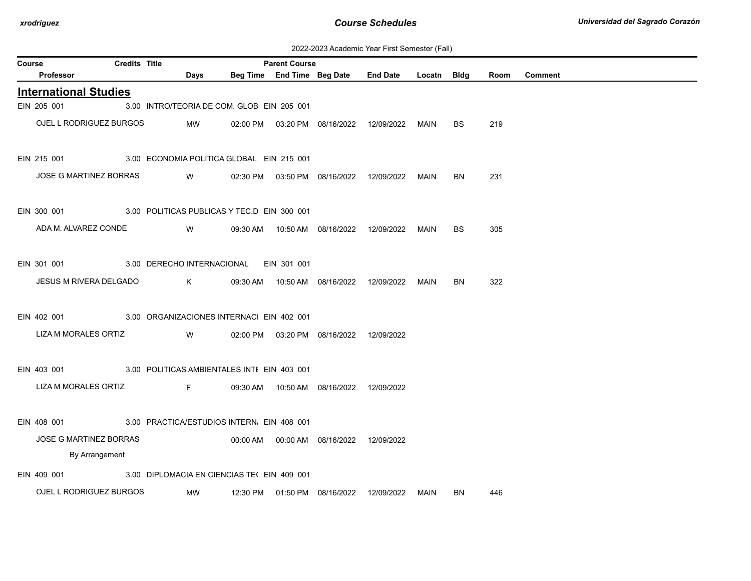| 2022-2023 Academic Year First Semester (Fall) |
|-----------------------------------------------|
|                                               |

| Course |                               | <b>Credits Title</b> |                                             |          | <b>Parent Course</b> |                                            |                 |             |           |      |                |
|--------|-------------------------------|----------------------|---------------------------------------------|----------|----------------------|--------------------------------------------|-----------------|-------------|-----------|------|----------------|
|        | Professor                     |                      | Days                                        |          |                      | Beg Time End Time Beg Date                 | <b>End Date</b> | Locatn Bldg |           | Room | <b>Comment</b> |
|        | <b>International Studies</b>  |                      |                                             |          |                      |                                            |                 |             |           |      |                |
|        | EIN 205 001                   |                      | 3.00 INTRO/TEORIA DE COM. GLOB EIN 205 001  |          |                      |                                            |                 |             |           |      |                |
|        | OJEL L RODRIGUEZ BURGOS       |                      | MW                                          |          |                      | 02:00 PM  03:20 PM  08/16/2022  12/09/2022 |                 | <b>MAIN</b> | <b>BS</b> | 219  |                |
|        | EIN 215 001                   |                      | 3.00 ECONOMIA POLITICA GLOBAL EIN 215 001   |          |                      |                                            |                 |             |           |      |                |
|        | JOSE G MARTINEZ BORRAS        |                      | W                                           |          |                      | 02:30 PM  03:50 PM  08/16/2022  12/09/2022 |                 | MAIN        | BN        | 231  |                |
|        | EIN 300 001                   |                      | 3.00 POLITICAS PUBLICAS Y TEC.D EIN 300 001 |          |                      |                                            |                 |             |           |      |                |
|        | ADA M. ALVAREZ CONDE          |                      | W                                           | 09:30 AM |                      | 10:50 AM  08/16/2022                       | 12/09/2022      | <b>MAIN</b> | BS        | 305  |                |
|        | EIN 301 001                   |                      | 3.00 DERECHO INTERNACIONAL                  |          | EIN 301 001          |                                            |                 |             |           |      |                |
|        | JESUS M RIVERA DELGADO        |                      | K                                           |          |                      | 09:30 AM  10:50 AM  08/16/2022             | 12/09/2022      | <b>MAIN</b> | <b>BN</b> | 322  |                |
|        | EIN 402 001                   |                      | 3.00 ORGANIZACIONES INTERNAC EIN 402 001    |          |                      |                                            |                 |             |           |      |                |
|        | LIZA M MORALES ORTIZ          |                      | W                                           |          |                      | 02:00 PM  03:20 PM  08/16/2022             | 12/09/2022      |             |           |      |                |
|        | EIN 403 001                   |                      | 3.00 POLITICAS AMBIENTALES INTI EIN 403 001 |          |                      |                                            |                 |             |           |      |                |
|        | LIZA M MORALES ORTIZ          |                      | F                                           | 09:30 AM |                      | 10:50 AM  08/16/2022  12/09/2022           |                 |             |           |      |                |
|        | EIN 408 001                   |                      | 3.00 PRACTICA/ESTUDIOS INTERN. EIN 408 001  |          |                      |                                            |                 |             |           |      |                |
|        | <b>JOSE G MARTINEZ BORRAS</b> |                      |                                             |          |                      | 00:00 AM  00:00 AM  08/16/2022  12/09/2022 |                 |             |           |      |                |
|        | By Arrangement                |                      |                                             |          |                      |                                            |                 |             |           |      |                |
|        | EIN 409 001                   |                      | 3.00 DIPLOMACIA EN CIENCIAS TEL EIN 409 001 |          |                      |                                            |                 |             |           |      |                |
|        | OJEL L RODRIGUEZ BURGOS       |                      | MW                                          |          |                      | 12:30 PM  01:50 PM  08/16/2022             | 12/09/2022      | MAIN        | BN        | 446  |                |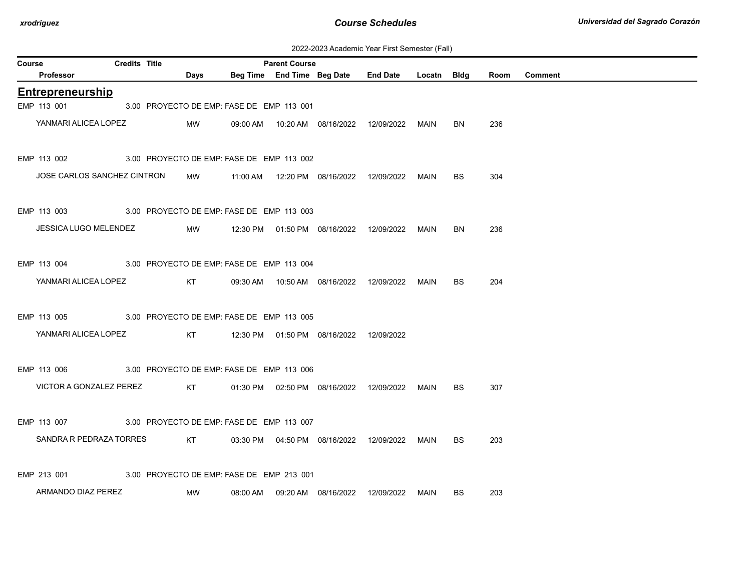| 2022-2023 Academic Year First Semester (Fall) |  |  |  |  |
|-----------------------------------------------|--|--|--|--|
|-----------------------------------------------|--|--|--|--|

| Course |                             | <b>Credits Title</b> |             |                                           | <b>Parent Course</b> |                                            |                                                  |             |           |      |                |
|--------|-----------------------------|----------------------|-------------|-------------------------------------------|----------------------|--------------------------------------------|--------------------------------------------------|-------------|-----------|------|----------------|
|        | Professor                   |                      | <b>Days</b> |                                           |                      | Beg Time End Time Beg Date                 | <b>End Date</b>                                  | Locatn Bldg |           | Room | <b>Comment</b> |
|        | <b>Entrepreneurship</b>     |                      |             |                                           |                      |                                            |                                                  |             |           |      |                |
|        | EMP 113 001                 |                      |             | 3.00 PROYECTO DE EMP: FASE DE EMP 113 001 |                      |                                            |                                                  |             |           |      |                |
|        | YANMARI ALICEA LOPEZ        |                      | MW          |                                           |                      | 09:00 AM  10:20 AM  08/16/2022  12/09/2022 |                                                  | MAIN        | BN.       | 236  |                |
|        | EMP 113 002                 |                      |             | 3.00 PROYECTO DE EMP: FASE DE EMP 113 002 |                      |                                            |                                                  |             |           |      |                |
|        | JOSE CARLOS SANCHEZ CINTRON |                      | MW          |                                           |                      | 11:00 AM  12:20 PM  08/16/2022  12/09/2022 |                                                  | MAIN        | <b>BS</b> | 304  |                |
|        | EMP 113 003                 |                      |             | 3.00 PROYECTO DE EMP: FASE DE EMP 113 003 |                      |                                            |                                                  |             |           |      |                |
|        | JESSICA LUGO MELENDEZ       |                      | MW          |                                           |                      | 12:30 PM  01:50 PM  08/16/2022  12/09/2022 |                                                  | MAIN        | <b>BN</b> | 236  |                |
|        | EMP 113 004                 |                      |             | 3.00 PROYECTO DE EMP: FASE DE EMP 113 004 |                      |                                            |                                                  |             |           |      |                |
|        | YANMARI ALICEA LOPEZ        |                      | KT          |                                           |                      | 09:30 AM  10:50 AM  08/16/2022  12/09/2022 |                                                  | <b>MAIN</b> | BS.       | 204  |                |
|        | EMP 113 005                 |                      |             | 3.00 PROYECTO DE EMP: FASE DE EMP 113 005 |                      |                                            |                                                  |             |           |      |                |
|        | YANMARI ALICEA LOPEZ        |                      | KT          |                                           |                      | 12:30 PM  01:50 PM  08/16/2022  12/09/2022 |                                                  |             |           |      |                |
|        | EMP 113 006                 |                      |             | 3.00 PROYECTO DE EMP: FASE DE EMP 113 006 |                      |                                            |                                                  |             |           |      |                |
|        | VICTOR A GONZALEZ PEREZ     |                      | KT          |                                           |                      | 01:30 PM  02:50 PM  08/16/2022  12/09/2022 |                                                  | MAIN        | BS.       | 307  |                |
|        | EMP 113 007                 |                      |             | 3.00 PROYECTO DE EMP: FASE DE EMP 113 007 |                      |                                            |                                                  |             |           |      |                |
|        | SANDRA R PEDRAZA TORRES     |                      | KT          |                                           |                      | 03:30 PM  04:50 PM  08/16/2022  12/09/2022 |                                                  | MAIN        | <b>BS</b> | 203  |                |
|        | EMP 213 001                 |                      |             | 3.00 PROYECTO DE EMP: FASE DE EMP 213 001 |                      |                                            |                                                  |             |           |      |                |
|        | ARMANDO DIAZ PEREZ          |                      | MW          |                                           |                      |                                            | 08:00 AM  09:20 AM  08/16/2022  12/09/2022  MAIN |             | BS.       | 203  |                |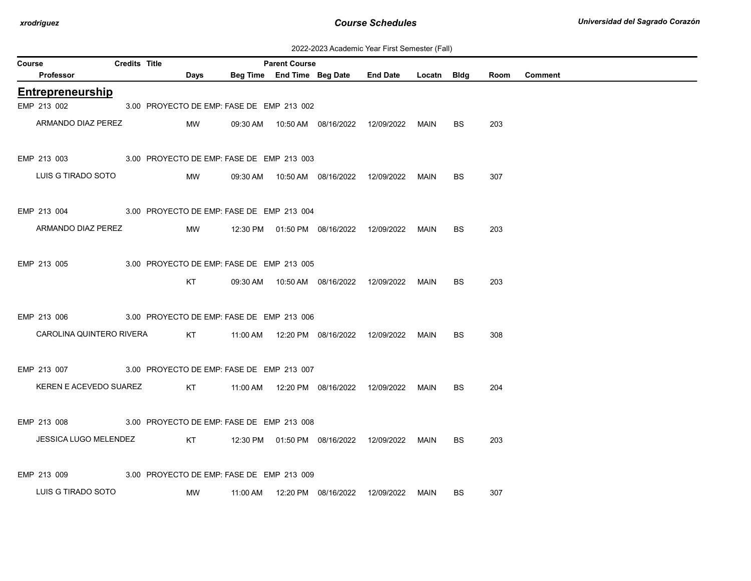| 2022-2023 Academic Year First Semester (Fall) |  |  |  |  |
|-----------------------------------------------|--|--|--|--|
|-----------------------------------------------|--|--|--|--|

| Course |                          | <b>Credits Title</b> |      |                                           | <b>Parent Course</b> |                                            |                 |        |           |      |                |
|--------|--------------------------|----------------------|------|-------------------------------------------|----------------------|--------------------------------------------|-----------------|--------|-----------|------|----------------|
|        | Professor                |                      | Days |                                           |                      | Beg Time End Time Beg Date                 | <b>End Date</b> | Locatn | Bldg      | Room | <b>Comment</b> |
|        | <b>Entrepreneurship</b>  |                      |      |                                           |                      |                                            |                 |        |           |      |                |
|        | EMP 213 002              |                      |      | 3.00 PROYECTO DE EMP: FASE DE EMP 213 002 |                      |                                            |                 |        |           |      |                |
|        | ARMANDO DIAZ PEREZ       |                      | MW   |                                           |                      | 09:30 AM  10:50 AM  08/16/2022  12/09/2022 |                 | MAIN   | BS.       | 203  |                |
|        | EMP 213 003              |                      |      | 3.00 PROYECTO DE EMP: FASE DE EMP 213 003 |                      |                                            |                 |        |           |      |                |
|        | LUIS G TIRADO SOTO       |                      | MW   | 09:30 AM                                  |                      | 10:50 AM  08/16/2022                       | 12/09/2022      | MAIN   | BS        | 307  |                |
|        | EMP 213 004              |                      |      | 3.00 PROYECTO DE EMP: FASE DE EMP 213 004 |                      |                                            |                 |        |           |      |                |
|        | ARMANDO DIAZ PEREZ       |                      | MW   |                                           |                      | 12:30 PM  01:50 PM  08/16/2022  12/09/2022 |                 | MAIN   | BS.       | 203  |                |
|        | EMP 213 005              |                      |      | 3.00 PROYECTO DE EMP: FASE DE EMP 213 005 |                      |                                            |                 |        |           |      |                |
|        |                          |                      | KT   |                                           |                      | 09:30 AM  10:50 AM  08/16/2022  12/09/2022 |                 | MAIN   | <b>BS</b> | 203  |                |
|        | EMP 213 006              |                      |      | 3.00 PROYECTO DE EMP: FASE DE EMP 213 006 |                      |                                            |                 |        |           |      |                |
|        | CAROLINA QUINTERO RIVERA |                      | KT   |                                           |                      |                                            |                 | MAIN   | <b>BS</b> | 308  |                |
|        | EMP 213 007              |                      |      | 3.00 PROYECTO DE EMP: FASE DE EMP 213 007 |                      |                                            |                 |        |           |      |                |
|        | KEREN E ACEVEDO SUAREZ   |                      | KT   |                                           |                      | 11:00 AM  12:20 PM  08/16/2022  12/09/2022 |                 | MAIN   | BS.       | 204  |                |
|        | EMP 213 008              |                      |      | 3.00 PROYECTO DE EMP: FASE DE EMP 213 008 |                      |                                            |                 |        |           |      |                |
|        | JESSICA LUGO MELENDEZ    |                      | KT   |                                           |                      | 12:30 PM  01:50 PM  08/16/2022  12/09/2022 |                 | MAIN   | BS.       | 203  |                |
|        | EMP 213 009              |                      |      | 3.00 PROYECTO DE EMP: FASE DE EMP 213 009 |                      |                                            |                 |        |           |      |                |
|        |                          |                      |      |                                           |                      |                                            |                 |        |           |      |                |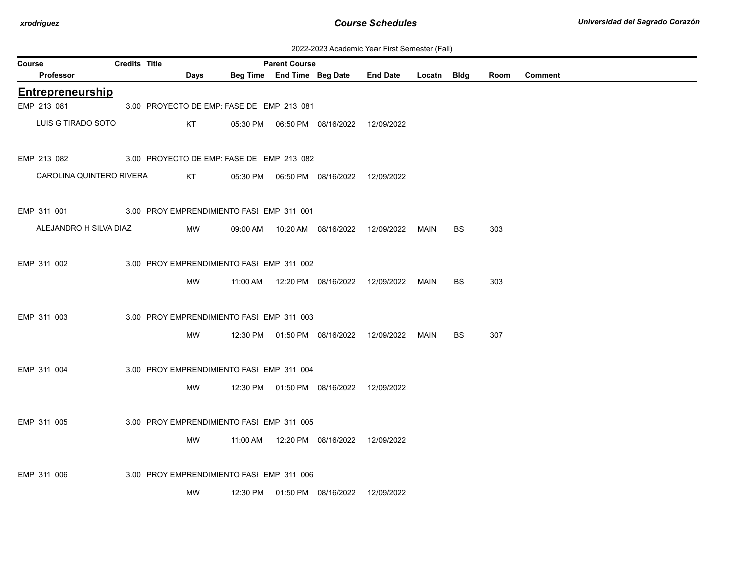| 2022-2023 Academic Year First Semester (Fall) |  |  |  |  |
|-----------------------------------------------|--|--|--|--|
|-----------------------------------------------|--|--|--|--|

| <b>Credits Title</b><br><b>Parent Course</b><br>Course |  |  |                                           |  |  |                                            |                                                 |      |           |      |         |
|--------------------------------------------------------|--|--|-------------------------------------------|--|--|--------------------------------------------|-------------------------------------------------|------|-----------|------|---------|
| Professor                                              |  |  | Days                                      |  |  |                                            | Beg Time End Time Beg Date End Date Locatn Bldg |      |           | Room | Comment |
| <b>Entrepreneurship</b>                                |  |  |                                           |  |  |                                            |                                                 |      |           |      |         |
| EMP 213 081                                            |  |  | 3.00 PROYECTO DE EMP: FASE DE EMP 213 081 |  |  |                                            |                                                 |      |           |      |         |
| LUIS G TIRADO SOTO                                     |  |  | KT                                        |  |  | 05:30 PM  06:50 PM  08/16/2022  12/09/2022 |                                                 |      |           |      |         |
| EMP 213 082                                            |  |  | 3.00 PROYECTO DE EMP: FASE DE EMP 213 082 |  |  |                                            |                                                 |      |           |      |         |
| CAROLINA QUINTERO RIVERA                               |  |  | KT                                        |  |  | 05:30 PM  06:50 PM  08/16/2022  12/09/2022 |                                                 |      |           |      |         |
| EMP 311 001 3.00 PROY EMPRENDIMIENTO FASI EMP 311 001  |  |  |                                           |  |  |                                            |                                                 |      |           |      |         |
| ALEJANDRO H SILVA DIAZ                                 |  |  | MW                                        |  |  |                                            |                                                 |      | <b>BS</b> | 303  |         |
| EMP 311 002                                            |  |  | 3.00 PROY EMPRENDIMIENTO FASI EMP 311 002 |  |  |                                            |                                                 |      |           |      |         |
|                                                        |  |  | MW                                        |  |  |                                            |                                                 |      | <b>BS</b> | 303  |         |
| EMP 311 003                                            |  |  | 3.00 PROY EMPRENDIMIENTO FASI EMP 311 003 |  |  |                                            |                                                 |      |           |      |         |
|                                                        |  |  | MW                                        |  |  | 12:30 PM  01:50 PM  08/16/2022  12/09/2022 |                                                 | MAIN | <b>BS</b> | 307  |         |
| EMP 311 004                                            |  |  | 3.00 PROY EMPRENDIMIENTO FASI EMP 311 004 |  |  |                                            |                                                 |      |           |      |         |
|                                                        |  |  | MW                                        |  |  | 12:30 PM  01:50 PM  08/16/2022  12/09/2022 |                                                 |      |           |      |         |
| EMP 311 005                                            |  |  | 3.00 PROY EMPRENDIMIENTO FASI EMP 311 005 |  |  |                                            |                                                 |      |           |      |         |
|                                                        |  |  | MW                                        |  |  | 11:00 AM  12:20 PM  08/16/2022  12/09/2022 |                                                 |      |           |      |         |
| EMP 311 006                                            |  |  | 3.00 PROY EMPRENDIMIENTO FASI EMP 311 006 |  |  |                                            |                                                 |      |           |      |         |
|                                                        |  |  | MW                                        |  |  | 12:30 PM  01:50 PM  08/16/2022  12/09/2022 |                                                 |      |           |      |         |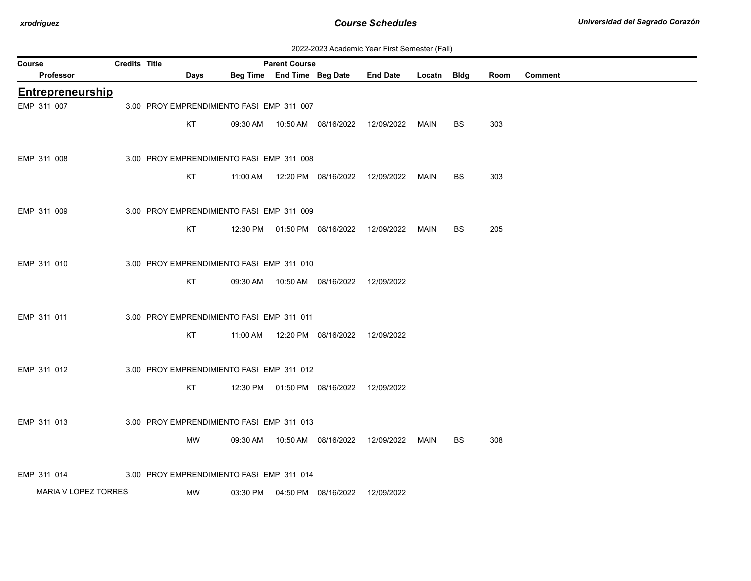| 2022-2023 Academic Year First Semester (Fall) |  |  |  |  |
|-----------------------------------------------|--|--|--|--|
|-----------------------------------------------|--|--|--|--|

| Credits Title<br><b>Parent Course</b><br>Course |                         |  |  |                                           |          |  |                                            |                                                  |      |           |      |                |
|-------------------------------------------------|-------------------------|--|--|-------------------------------------------|----------|--|--------------------------------------------|--------------------------------------------------|------|-----------|------|----------------|
|                                                 | Professor               |  |  | Days                                      |          |  | Beg Time End Time Beg Date                 | End Date Locatn Bldg                             |      |           | Room | <b>Comment</b> |
|                                                 | <b>Entrepreneurship</b> |  |  |                                           |          |  |                                            |                                                  |      |           |      |                |
| EMP 311 007                                     |                         |  |  | 3.00 PROY EMPRENDIMIENTO FASI EMP 311 007 |          |  |                                            |                                                  |      |           |      |                |
|                                                 |                         |  |  | KT                                        | 09:30 AM |  | 10:50 AM  08/16/2022  12/09/2022           |                                                  | MAIN | <b>BS</b> | 303  |                |
|                                                 |                         |  |  |                                           |          |  |                                            |                                                  |      |           |      |                |
| EMP 311 008                                     |                         |  |  | 3.00 PROY EMPRENDIMIENTO FASI EMP 311 008 |          |  |                                            |                                                  |      |           |      |                |
|                                                 |                         |  |  | KT                                        | 11:00 AM |  | 12:20 PM 08/16/2022                        | 12/09/2022                                       | MAIN | BS        | 303  |                |
|                                                 |                         |  |  |                                           |          |  |                                            |                                                  |      |           |      |                |
| EMP 311 009                                     |                         |  |  | 3.00 PROY EMPRENDIMIENTO FASI EMP 311 009 |          |  |                                            |                                                  |      |           |      |                |
|                                                 |                         |  |  | KT                                        |          |  | 12:30 PM  01:50 PM  08/16/2022  12/09/2022 |                                                  | MAIN | BS.       | 205  |                |
|                                                 |                         |  |  |                                           |          |  |                                            |                                                  |      |           |      |                |
| EMP 311 010                                     |                         |  |  | 3.00 PROY EMPRENDIMIENTO FASI EMP 311 010 |          |  |                                            |                                                  |      |           |      |                |
|                                                 |                         |  |  | KT                                        |          |  | 09:30 AM  10:50 AM  08/16/2022  12/09/2022 |                                                  |      |           |      |                |
|                                                 |                         |  |  |                                           |          |  |                                            |                                                  |      |           |      |                |
| EMP 311 011                                     |                         |  |  | 3.00 PROY EMPRENDIMIENTO FASI EMP 311 011 |          |  |                                            |                                                  |      |           |      |                |
|                                                 |                         |  |  |                                           |          |  |                                            |                                                  |      |           |      |                |
|                                                 |                         |  |  | KT                                        |          |  | 11:00 AM  12:20 PM  08/16/2022  12/09/2022 |                                                  |      |           |      |                |
|                                                 |                         |  |  |                                           |          |  |                                            |                                                  |      |           |      |                |
| EMP 311 012                                     |                         |  |  | 3.00 PROY EMPRENDIMIENTO FASI EMP 311 012 |          |  |                                            |                                                  |      |           |      |                |
|                                                 |                         |  |  | KT                                        |          |  | 12:30 PM  01:50 PM  08/16/2022  12/09/2022 |                                                  |      |           |      |                |
|                                                 |                         |  |  |                                           |          |  |                                            |                                                  |      |           |      |                |
| EMP 311 013                                     |                         |  |  | 3.00 PROY EMPRENDIMIENTO FASI EMP 311 013 |          |  |                                            |                                                  |      |           |      |                |
|                                                 |                         |  |  | MW                                        |          |  |                                            | 09:30 AM  10:50 AM  08/16/2022  12/09/2022  MAIN |      | BS.       | 308  |                |
|                                                 |                         |  |  |                                           |          |  |                                            |                                                  |      |           |      |                |
| EMP 311 014                                     |                         |  |  | 3.00 PROY EMPRENDIMIENTO FASI EMP 311 014 |          |  |                                            |                                                  |      |           |      |                |
|                                                 | MARIA V LOPEZ TORRES    |  |  | MW                                        |          |  | 03:30 PM  04:50 PM  08/16/2022             | 12/09/2022                                       |      |           |      |                |
|                                                 |                         |  |  |                                           |          |  |                                            |                                                  |      |           |      |                |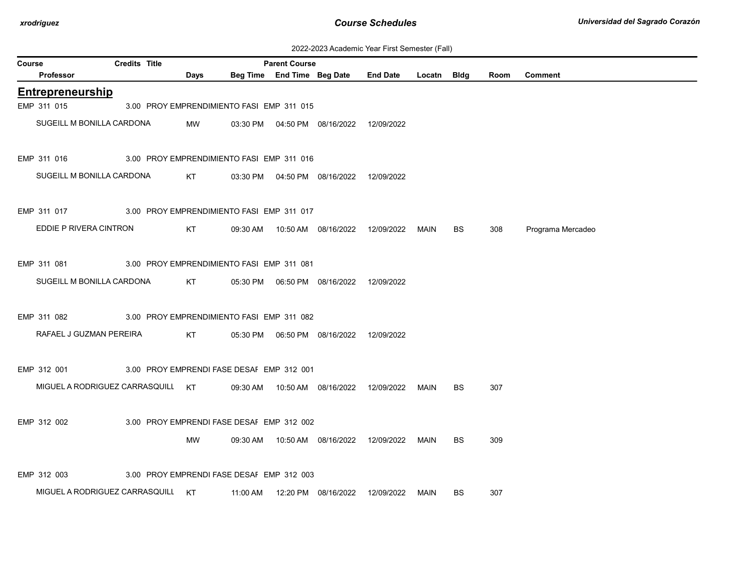| 2022-2023 Academic Year First Semester (Fall) |  |  |  |  |
|-----------------------------------------------|--|--|--|--|
|-----------------------------------------------|--|--|--|--|

|        | ZUZZ-ZUZ3 ACAGEMIC TEAL FILSE SEMESTER (FAII)         |                                           |           |  |                            |                                            |                                                  |             |           |      |                   |  |
|--------|-------------------------------------------------------|-------------------------------------------|-----------|--|----------------------------|--------------------------------------------|--------------------------------------------------|-------------|-----------|------|-------------------|--|
| Course |                                                       | <b>Credits Title</b>                      |           |  | <b>Parent Course</b>       |                                            |                                                  |             |           |      |                   |  |
|        | Professor                                             |                                           | Days      |  | Beg Time End Time Beg Date |                                            | <b>End Date</b>                                  | Locatn Bldg |           | Room | <b>Comment</b>    |  |
|        | <b>Entrepreneurship</b>                               |                                           |           |  |                            |                                            |                                                  |             |           |      |                   |  |
|        | EMP 311 015                                           | 3.00 PROY EMPRENDIMIENTO FASI EMP 311 015 |           |  |                            |                                            |                                                  |             |           |      |                   |  |
|        | SUGEILL M BONILLA CARDONA                             |                                           | MW        |  |                            | 03:30 PM  04:50 PM  08/16/2022  12/09/2022 |                                                  |             |           |      |                   |  |
|        | EMP 311 016                                           | 3.00 PROY EMPRENDIMIENTO FASI EMP 311 016 |           |  |                            |                                            |                                                  |             |           |      |                   |  |
|        | SUGEILL M BONILLA CARDONA                             |                                           | KT.       |  |                            | 03:30 PM  04:50 PM  08/16/2022  12/09/2022 |                                                  |             |           |      |                   |  |
|        | EMP 311 017                                           | 3.00 PROY EMPRENDIMIENTO FASI EMP 311 017 |           |  |                            |                                            |                                                  |             |           |      |                   |  |
|        | EDDIE P RIVERA CINTRON                                |                                           | <b>KT</b> |  |                            | 09:30 AM  10:50 AM  08/16/2022  12/09/2022 |                                                  | MAIN        | <b>BS</b> | 308  | Programa Mercadeo |  |
|        | EMP 311 081 3.00 PROY EMPRENDIMIENTO FASI EMP 311 081 |                                           |           |  |                            |                                            |                                                  |             |           |      |                   |  |
|        | SUGEILL M BONILLA CARDONA                             |                                           | KT        |  |                            | 05:30 PM  06:50 PM  08/16/2022  12/09/2022 |                                                  |             |           |      |                   |  |
|        | EMP 311 082                                           | 3.00 PROY EMPRENDIMIENTO FASI EMP 311 082 |           |  |                            |                                            |                                                  |             |           |      |                   |  |
|        | RAFAEL J GUZMAN PEREIRA                               |                                           | KT        |  |                            | 05:30 PM  06:50 PM  08/16/2022  12/09/2022 |                                                  |             |           |      |                   |  |
|        | EMP 312 001                                           | 3.00 PROY EMPRENDI FASE DESAF EMP 312 001 |           |  |                            |                                            |                                                  |             |           |      |                   |  |
|        | MIGUEL A RODRIGUEZ CARRASQUILL KT                     |                                           |           |  |                            | 09:30 AM  10:50 AM  08/16/2022  12/09/2022 |                                                  | MAIN        | <b>BS</b> | 307  |                   |  |
|        | EMP 312 002                                           | 3.00 PROY EMPRENDI FASE DESAF EMP 312 002 |           |  |                            |                                            |                                                  |             |           |      |                   |  |
|        |                                                       |                                           | MW        |  |                            |                                            | 09:30 AM  10:50 AM  08/16/2022  12/09/2022  MAIN |             | <b>BS</b> | 309  |                   |  |
|        | EMP 312 003                                           | 3.00 PROY EMPRENDI FASE DESAF EMP 312 003 |           |  |                            |                                            |                                                  |             |           |      |                   |  |
|        | MIGUEL A RODRIGUEZ CARRASQUILL KT                     |                                           |           |  |                            | 11:00 AM  12:20 PM  08/16/2022  12/09/2022 |                                                  | MAIN        | <b>BS</b> | 307  |                   |  |
|        |                                                       |                                           |           |  |                            |                                            |                                                  |             |           |      |                   |  |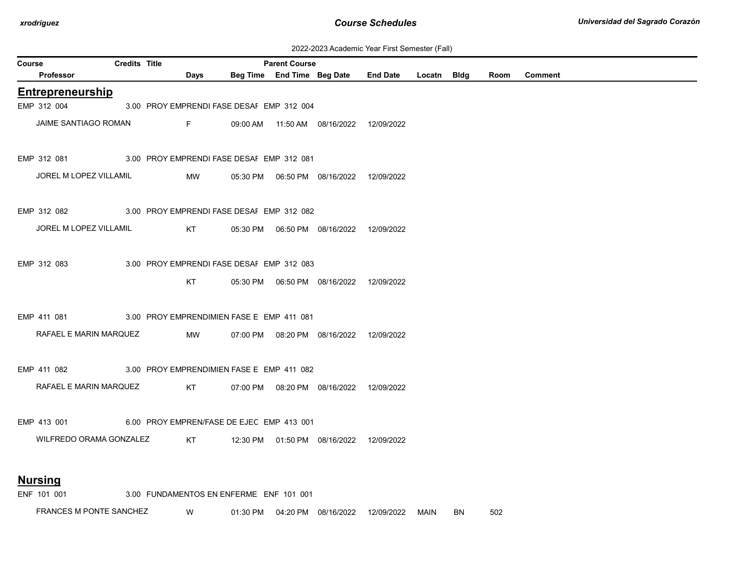| 2022-2023 Academic Year First Semester (Fall) |  |  |  |  |
|-----------------------------------------------|--|--|--|--|
|-----------------------------------------------|--|--|--|--|

|        | ZUZZ-ZUZ3 ACAGEMIC TEAL FILSE SEMESTER (FAII)         |                      |  |                                                                                                                 |                                           |                      |                                            |  |             |  |      |                |
|--------|-------------------------------------------------------|----------------------|--|-----------------------------------------------------------------------------------------------------------------|-------------------------------------------|----------------------|--------------------------------------------|--|-------------|--|------|----------------|
| Course |                                                       | <b>Credits Title</b> |  |                                                                                                                 |                                           | <b>Parent Course</b> |                                            |  |             |  |      |                |
|        | <b>Professor</b>                                      |                      |  | <b>Days</b>                                                                                                     |                                           |                      | Beg Time End Time Beg Date End Date        |  | Locatn Bldg |  | Room | <b>Comment</b> |
|        | <b>Entrepreneurship</b>                               |                      |  |                                                                                                                 |                                           |                      |                                            |  |             |  |      |                |
|        | EMP 312 004                                           |                      |  |                                                                                                                 | 3.00 PROY EMPRENDI FASE DESAI EMP 312 004 |                      |                                            |  |             |  |      |                |
|        | JAIME SANTIAGO ROMAN                                  |                      |  | Fig. 1997                                                                                                       |                                           |                      | 09:00 AM  11:50 AM  08/16/2022  12/09/2022 |  |             |  |      |                |
|        | EMP 312 081 3.00 PROY EMPRENDI FASE DESAF EMP 312 081 |                      |  |                                                                                                                 |                                           |                      |                                            |  |             |  |      |                |
|        | JOREL M LOPEZ VILLAMIL                                |                      |  | MW                                                                                                              |                                           |                      |                                            |  |             |  |      |                |
|        | EMP 312 082 3.00 PROY EMPRENDI FASE DESAF EMP 312 082 |                      |  |                                                                                                                 |                                           |                      |                                            |  |             |  |      |                |
|        | JOREL M LOPEZ VILLAMIL                                |                      |  | KT                                                                                                              |                                           |                      |                                            |  |             |  |      |                |
|        | EMP 312 083                                           |                      |  |                                                                                                                 | 3.00 PROY EMPRENDI FASE DESAF EMP 312 083 |                      |                                            |  |             |  |      |                |
|        |                                                       |                      |  | KT                                                                                                              |                                           |                      | 05:30 PM  06:50 PM  08/16/2022  12/09/2022 |  |             |  |      |                |
|        | EMP 411 081                                           |                      |  |                                                                                                                 | 3.00 PROY EMPRENDIMIEN FASE E EMP 411 081 |                      |                                            |  |             |  |      |                |
|        | RAFAEL E MARIN MARQUEZ                                |                      |  | MW                                                                                                              |                                           |                      | 07:00 PM  08:20 PM  08/16/2022  12/09/2022 |  |             |  |      |                |
|        | EMP 411 082                                           |                      |  |                                                                                                                 | 3.00 PROY EMPRENDIMIEN FASE E EMP 411 082 |                      |                                            |  |             |  |      |                |
|        | RAFAEL E MARIN MARQUEZ                                |                      |  | KT                                                                                                              |                                           |                      | 07:00 PM  08:20 PM  08/16/2022  12/09/2022 |  |             |  |      |                |
|        | EMP 413 001 6.00 PROY EMPREN/FASE DE EJEC EMP 413 001 |                      |  |                                                                                                                 |                                           |                      |                                            |  |             |  |      |                |
|        | WILFREDO ORAMA GONZALEZ                               |                      |  | KT the set of the set of the set of the set of the set of the set of the set of the set of the set of the set o |                                           |                      | 12:30 PM  01:50 PM  08/16/2022  12/09/2022 |  |             |  |      |                |
|        | <b>Nursing</b>                                        |                      |  |                                                                                                                 |                                           |                      |                                            |  |             |  |      |                |
|        | ENF 101 001                                           |                      |  |                                                                                                                 | 3.00 FUNDAMENTOS EN ENFERME ENF 101 001   |                      |                                            |  |             |  |      |                |

FRANCES M PONTE SANCHEZ W 01:30 PM 04:20 PM 08/16/2022 12/09/2022 MAIN BN 502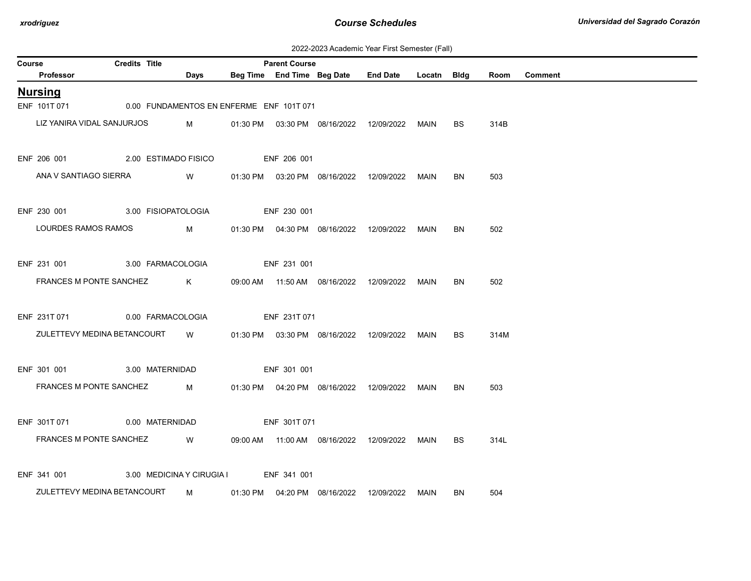| 2022-2023 Academic Year First Semester (Fall) |  |  |  |  |
|-----------------------------------------------|--|--|--|--|
|-----------------------------------------------|--|--|--|--|

| Course |                                  | <b>Credits Title</b> |                                                                                                                                                                                                                                     |              | <b>Parent Course</b> |                                                  |      |           |      |                |
|--------|----------------------------------|----------------------|-------------------------------------------------------------------------------------------------------------------------------------------------------------------------------------------------------------------------------------|--------------|----------------------|--------------------------------------------------|------|-----------|------|----------------|
|        | Professor                        |                      | Days                                                                                                                                                                                                                                |              |                      | Beg Time End Time Beg Date End Date Locatn Bldg  |      |           | Room | <b>Comment</b> |
|        | <u>Nursing</u>                   |                      |                                                                                                                                                                                                                                     |              |                      |                                                  |      |           |      |                |
|        | ENF 101T 071                     |                      | 0.00 FUNDAMENTOS EN ENFERME ENF 101T 071                                                                                                                                                                                            |              |                      |                                                  |      |           |      |                |
|        | LIZ YANIRA VIDAL SANJURJOS       |                      | $M_{\rm H}$                                                                                                                                                                                                                         |              |                      | 01:30 PM  03:30 PM  08/16/2022  12/09/2022  MAIN |      | BS.       | 314B |                |
|        | ENF 206 001 2.00 ESTIMADO FISICO |                      |                                                                                                                                                                                                                                     | ENF 206 001  |                      |                                                  |      |           |      |                |
|        | ANA V SANTIAGO SIERRA            |                      | <b>W</b> and the set of the set of the set of the set of the set of the set of the set of the set of the set of the set of the set of the set of the set of the set of the set of the set of the set of the set of the set of the s |              |                      | 01:30 PM  03:20 PM  08/16/2022  12/09/2022       | MAIN | BN        | 503  |                |
|        | ENF 230 001 3.00 FISIOPATOLOGIA  |                      |                                                                                                                                                                                                                                     | ENF 230 001  |                      |                                                  |      |           |      |                |
|        | LOURDES RAMOS RAMOS              |                      | $M_{\rm H}$ and $M_{\rm H}$ and $M_{\rm H}$ and $M_{\rm H}$                                                                                                                                                                         |              |                      | 01:30 PM  04:30 PM  08/16/2022  12/09/2022       | MAIN | BN        | 502  |                |
|        | ENF 231 001 3.00 FARMACOLOGIA    |                      |                                                                                                                                                                                                                                     | ENF 231 001  |                      |                                                  |      |           |      |                |
|        | FRANCES M PONTE SANCHEZ          |                      | $\mathsf K$                                                                                                                                                                                                                         |              |                      | 09:00 AM  11:50 AM  08/16/2022  12/09/2022       | MAIN | BN        | 502  |                |
|        | ENF 231T 071 0.00 FARMACOLOGIA   |                      |                                                                                                                                                                                                                                     | ENF 231T 071 |                      |                                                  |      |           |      |                |
|        | ZULETTEVY MEDINA BETANCOURT W    |                      |                                                                                                                                                                                                                                     |              |                      | 01:30 PM  03:30 PM  08/16/2022  12/09/2022       | MAIN | <b>BS</b> | 314M |                |
|        | ENF 301 001 3.00 MATERNIDAD      |                      |                                                                                                                                                                                                                                     |              | ENF 301 001          |                                                  |      |           |      |                |
|        | FRANCES M PONTE SANCHEZ M        |                      |                                                                                                                                                                                                                                     |              |                      | 01:30 PM  04:20 PM  08/16/2022  12/09/2022  MAIN |      | BN.       | 503  |                |
|        | ENF 301T 071 0.00 MATERNIDAD     |                      |                                                                                                                                                                                                                                     |              | ENF 301T 071         |                                                  |      |           |      |                |
|        | FRANCES M PONTE SANCHEZ          |                      | W                                                                                                                                                                                                                                   |              |                      | 09:00 AM  11:00 AM  08/16/2022  12/09/2022       | MAIN | <b>BS</b> | 314L |                |
|        | ENF 341 001                      |                      | 3.00 MEDICINA Y CIRUGIA I ENF 341 001                                                                                                                                                                                               |              |                      |                                                  |      |           |      |                |
|        | ZULETTEVY MEDINA BETANCOURT      |                      | M   01:30 PM   04:20 PM   08/16/2022  12/09/2022  MAIN                                                                                                                                                                              |              |                      |                                                  |      | BN.       | 504  |                |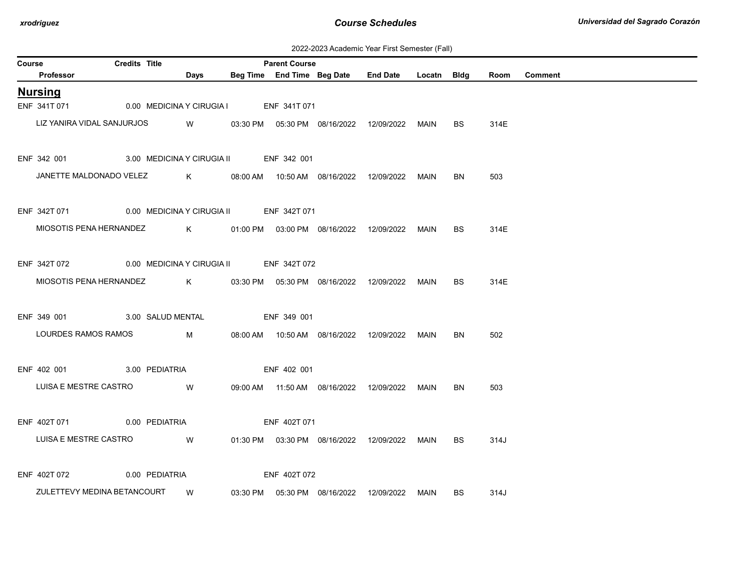| 2022-2023 Academic Year First Semester (Fall) |  |  |  |  |
|-----------------------------------------------|--|--|--|--|
|-----------------------------------------------|--|--|--|--|

| Room Comment |
|--------------|
|              |
|              |
|              |
|              |
|              |
|              |
|              |
|              |
|              |
|              |
|              |
|              |
|              |
|              |
|              |
|              |
|              |
|              |
|              |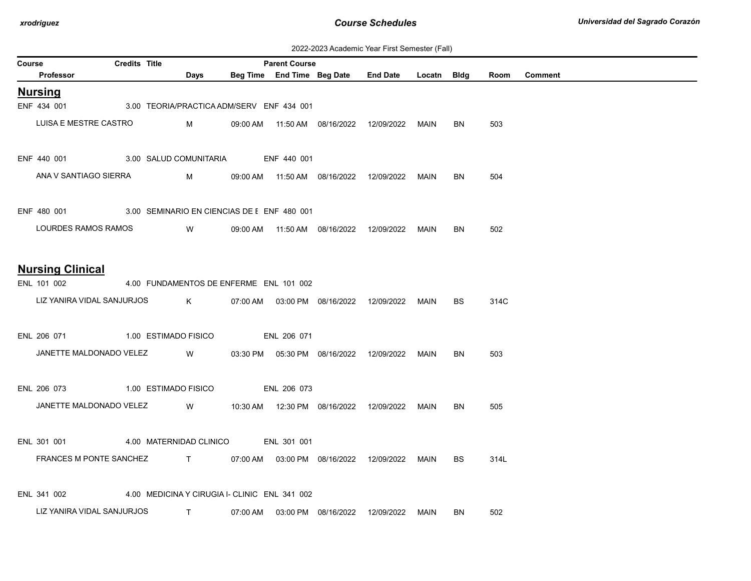| 2022-2023 Academic Year First Semester (Fall) |  |  |  |  |
|-----------------------------------------------|--|--|--|--|
|-----------------------------------------------|--|--|--|--|

| Course |                                                | Credits Title |                                                                                                                                                                                                                                      | <b>Parent Course</b> |                                |                                                   |             |           |      |                |
|--------|------------------------------------------------|---------------|--------------------------------------------------------------------------------------------------------------------------------------------------------------------------------------------------------------------------------------|----------------------|--------------------------------|---------------------------------------------------|-------------|-----------|------|----------------|
|        | Professor                                      |               | Days                                                                                                                                                                                                                                 |                      | Beg Time End Time Beg Date     | <b>End Date</b>                                   | Locatn Bldg |           | Room | <b>Comment</b> |
|        | <b>Nursing</b>                                 |               |                                                                                                                                                                                                                                      |                      |                                |                                                   |             |           |      |                |
|        | ENF 434 001                                    |               | 3.00 TEORIA/PRACTICA ADM/SERV ENF 434 001                                                                                                                                                                                            |                      |                                |                                                   |             |           |      |                |
|        | LUISA E MESTRE CASTRO                          |               | $M_{\rm H}$ and $M_{\rm H}$ and $M_{\rm H}$ and $M_{\rm H}$                                                                                                                                                                          |                      |                                | 09:00 AM  11:50 AM  08/16/2022  12/09/2022        | MAIN        | BN        | 503  |                |
|        |                                                |               |                                                                                                                                                                                                                                      |                      |                                |                                                   |             |           |      |                |
|        | ENF 440 001 3.00 SALUD COMUNITARIA ENF 440 001 |               |                                                                                                                                                                                                                                      |                      |                                |                                                   |             |           |      |                |
|        | ANA V SANTIAGO SIERRA                          |               | M                                                                                                                                                                                                                                    |                      |                                | 09:00 AM  11:50 AM  08/16/2022  12/09/2022        | MAIN        | BN        | 504  |                |
|        |                                                |               |                                                                                                                                                                                                                                      |                      |                                |                                                   |             |           |      |                |
|        | ENF 480 001                                    |               | 3.00 SEMINARIO EN CIENCIAS DE E ENF 480 001                                                                                                                                                                                          |                      |                                |                                                   |             |           |      |                |
|        | LOURDES RAMOS RAMOS                            |               | <b>Solution</b> Service Service Service Service Service Service Service Service Service Service Service Service Service                                                                                                              |                      |                                | 09:00 AM  11:50 AM  08/16/2022  12/09/2022        | MAIN        | BN        | 502  |                |
|        |                                                |               |                                                                                                                                                                                                                                      |                      |                                |                                                   |             |           |      |                |
|        | <b>Nursing Clinical</b>                        |               |                                                                                                                                                                                                                                      |                      |                                |                                                   |             |           |      |                |
|        | ENL 101 002                                    |               | 4.00 FUNDAMENTOS DE ENFERME ENL 101 002                                                                                                                                                                                              |                      |                                |                                                   |             |           |      |                |
|        | LIZ YANIRA VIDAL SANJURJOS                     |               | $\mathsf K$ . The set of $\mathsf K$                                                                                                                                                                                                 |                      |                                | 07:00 AM   03:00 PM  08/16/2022  12/09/2022  MAIN |             | BS.       | 314C |                |
|        |                                                |               |                                                                                                                                                                                                                                      |                      |                                |                                                   |             |           |      |                |
|        | ENL 206 071                                    |               | 1.00 ESTIMADO FISICO                                                                                                                                                                                                                 | ENL 206 071          |                                |                                                   |             |           |      |                |
|        | JANETTE MALDONADO VELEZ                        |               | <b>Since 19</b>                                                                                                                                                                                                                      |                      |                                | 03:30 PM  05:30 PM  08/16/2022  12/09/2022        | MAIN        | <b>BN</b> | 503  |                |
|        |                                                |               |                                                                                                                                                                                                                                      |                      |                                |                                                   |             |           |      |                |
|        | ENL 206 073 1.00 ESTIMADO FISICO               |               |                                                                                                                                                                                                                                      | ENL 206 073          |                                |                                                   |             |           |      |                |
|        | JANETTE MALDONADO VELEZ                        |               | <b>Since 19 and 19 and 19 and 19 and 19 and 19 and 19 and 19 and 19 and 19 and 19 and 19 and 19 and 19 and 19 and 19 and 19 and 19 and 19 and 19 and 19 and 19 and 19 and 19 and 19 and 19 and 19 and 19 and 19 and 19 and 19 an</b> |                      |                                |                                                   | MAIN        | BN        | 505  |                |
|        |                                                |               |                                                                                                                                                                                                                                      |                      |                                |                                                   |             |           |      |                |
|        | ENL 301 001                                    |               | 4.00 MATERNIDAD CLINICO ENL 301 001                                                                                                                                                                                                  |                      |                                |                                                   |             |           |      |                |
|        | FRANCES M PONTE SANCHEZ                        |               | T 07:00 AM 03:00 PM 08/16/2022 12/09/2022                                                                                                                                                                                            |                      |                                |                                                   | MAIN        | BS        | 314L |                |
|        |                                                |               |                                                                                                                                                                                                                                      |                      |                                |                                                   |             |           |      |                |
|        | ENL 341 002                                    |               | 4.00 MEDICINA Y CIRUGIA I- CLINIC ENL 341 002                                                                                                                                                                                        |                      |                                |                                                   |             |           |      |                |
|        | LIZ YANIRA VIDAL SANJURJOS                     |               | $\mathbf{T}$                                                                                                                                                                                                                         |                      | 07:00 AM  03:00 PM  08/16/2022 | 12/09/2022                                        | MAIN        | BN.       | 502  |                |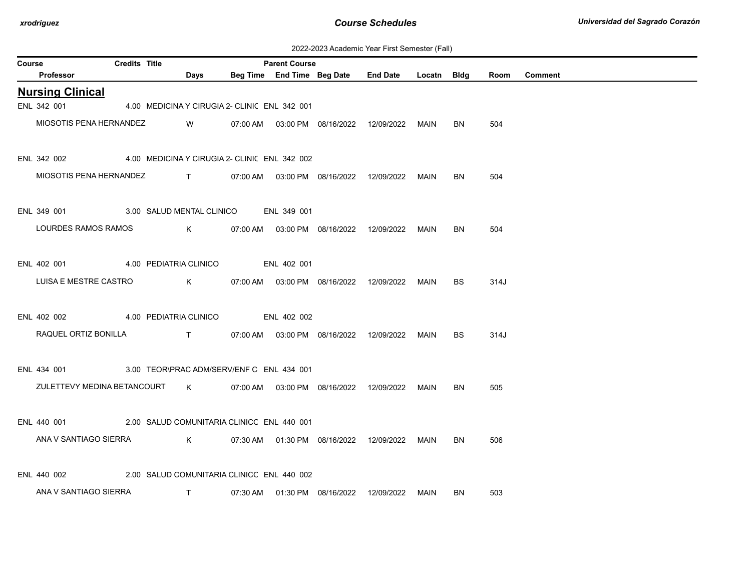| 2022-2023 Academic Year First Semester (Fall) |  |  |  |  |
|-----------------------------------------------|--|--|--|--|
|-----------------------------------------------|--|--|--|--|

| Course |                                                      | <b>Credits Title</b> |                                                                                                                                                                                                                                                                                                  |             | <b>Parent Course</b> |                                             |             |           |      |                |
|--------|------------------------------------------------------|----------------------|--------------------------------------------------------------------------------------------------------------------------------------------------------------------------------------------------------------------------------------------------------------------------------------------------|-------------|----------------------|---------------------------------------------|-------------|-----------|------|----------------|
|        | Professor                                            |                      | Days                                                                                                                                                                                                                                                                                             |             |                      | Beg Time End Time Beg Date End Date         | Locatn Bldg |           | Room | <b>Comment</b> |
|        | <b>Nursing Clinical</b>                              |                      |                                                                                                                                                                                                                                                                                                  |             |                      |                                             |             |           |      |                |
|        | ENL 342 001                                          |                      | 4.00 MEDICINA Y CIRUGIA 2- CLINIC ENL 342 001                                                                                                                                                                                                                                                    |             |                      |                                             |             |           |      |                |
|        | MIOSOTIS PENA HERNANDEZ                              |                      | W                                                                                                                                                                                                                                                                                                |             |                      | 07:00 AM   03:00 PM  08/16/2022  12/09/2022 | MAIN        | BN.       | 504  |                |
|        | ENL 342 002                                          |                      | 4.00 MEDICINA Y CIRUGIA 2- CLINIC ENL 342 002                                                                                                                                                                                                                                                    |             |                      |                                             |             |           |      |                |
|        |                                                      |                      |                                                                                                                                                                                                                                                                                                  |             |                      |                                             |             |           |      |                |
|        | MIOSOTIS PENA HERNANDEZ                              |                      | $\mathbf{T}$ and $\mathbf{T}$                                                                                                                                                                                                                                                                    |             |                      |                                             | MAIN        | BN        | 504  |                |
|        | ENL 349 001<br>3.00 SALUD MENTAL CLINICO ENL 349 001 |                      |                                                                                                                                                                                                                                                                                                  |             |                      |                                             |             |           |      |                |
|        | LOURDES RAMOS RAMOS                                  |                      | $\mathsf{K}$ and $\mathsf{K}$ and $\mathsf{K}$ and $\mathsf{K}$ and $\mathsf{K}$ and $\mathsf{K}$ and $\mathsf{K}$ and $\mathsf{K}$ and $\mathsf{K}$ and $\mathsf{K}$ and $\mathsf{K}$ and $\mathsf{K}$ and $\mathsf{K}$ and $\mathsf{K}$ and $\mathsf{K}$ and $\mathsf{K}$ and $\mathsf{K}$ and |             |                      | 07:00 AM  03:00 PM  08/16/2022  12/09/2022  | MAIN        | <b>BN</b> | 504  |                |
|        |                                                      |                      |                                                                                                                                                                                                                                                                                                  |             |                      |                                             |             |           |      |                |
|        | ENL 402 001<br>4.00 PEDIATRIA CLINICO                |                      |                                                                                                                                                                                                                                                                                                  | ENL 402 001 |                      |                                             |             |           |      |                |
|        | LUISA E MESTRE CASTRO                                |                      | $\mathsf K$                                                                                                                                                                                                                                                                                      |             |                      | 07:00 AM  03:00 PM  08/16/2022  12/09/2022  | MAIN        | <b>BS</b> | 314J |                |
|        | ENL 402 002                                          |                      | 4.00 PEDIATRIA CLINICO                                                                                                                                                                                                                                                                           |             | ENL 402 002          |                                             |             |           |      |                |
|        | RAQUEL ORTIZ BONILLA T                               |                      |                                                                                                                                                                                                                                                                                                  |             |                      | 07:00 AM  03:00 PM  08/16/2022  12/09/2022  | MAIN        | <b>BS</b> | 314J |                |
|        |                                                      |                      |                                                                                                                                                                                                                                                                                                  |             |                      |                                             |             |           |      |                |
|        | ENL 434 001                                          |                      | 3.00 TEOR\PRAC ADM/SERV/ENF C ENL 434 001                                                                                                                                                                                                                                                        |             |                      |                                             |             |           |      |                |
|        | ZULETTEVY MEDINA BETANCOURT K                        |                      |                                                                                                                                                                                                                                                                                                  |             |                      | 07:00 AM  03:00 PM  08/16/2022  12/09/2022  | MAIN        | BN        | 505  |                |
|        |                                                      |                      |                                                                                                                                                                                                                                                                                                  |             |                      |                                             |             |           |      |                |
|        | ENL 440 001                                          |                      | 2.00 SALUD COMUNITARIA CLINICC ENL 440 001                                                                                                                                                                                                                                                       |             |                      |                                             |             |           |      |                |
|        | ANA V SANTIAGO SIERRA                                |                      | $\mathsf K$                                                                                                                                                                                                                                                                                      |             |                      | 07:30 AM  01:30 PM  08/16/2022  12/09/2022  | MAIN        | BN        | 506  |                |
|        |                                                      |                      |                                                                                                                                                                                                                                                                                                  |             |                      |                                             |             |           |      |                |
|        | ENL 440 002                                          |                      | 2.00 SALUD COMUNITARIA CLINICC ENL 440 002                                                                                                                                                                                                                                                       |             |                      |                                             |             |           |      |                |
|        | ANA V SANTIAGO SIERRA                                |                      | T                                                                                                                                                                                                                                                                                                |             |                      | 07:30 AM  01:30 PM  08/16/2022  12/09/2022  | MAIN        | BN.       | 503  |                |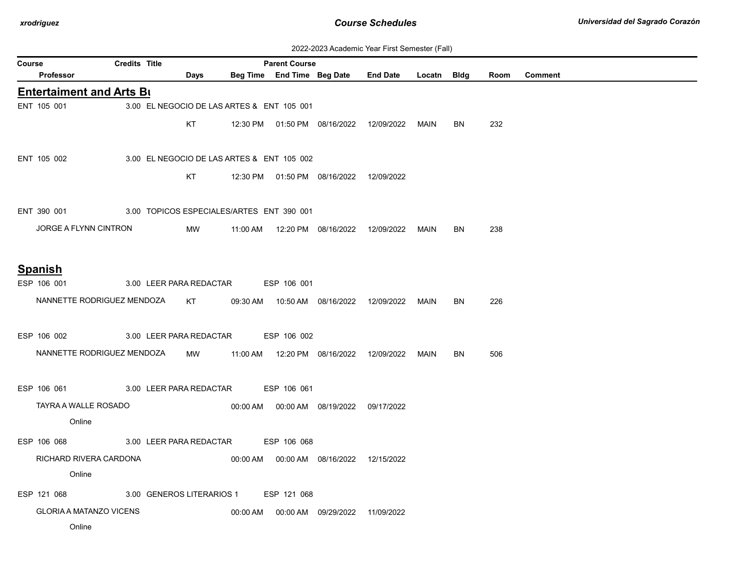| 2022-2023 Academic Year First Semester (Fall) |  |  |  |
|-----------------------------------------------|--|--|--|
|-----------------------------------------------|--|--|--|

|        |                  |                                 |                      |                                            |                      |                                            | ZUZZ-ZUZJ ACQUEINIC TEGI FIISI JENIESIEI (Fali) |      |           |      |                |
|--------|------------------|---------------------------------|----------------------|--------------------------------------------|----------------------|--------------------------------------------|-------------------------------------------------|------|-----------|------|----------------|
| Course |                  |                                 | <b>Credits Title</b> |                                            | <b>Parent Course</b> |                                            |                                                 |      |           |      |                |
|        | <b>Professor</b> |                                 |                      | Days                                       |                      |                                            | Beg Time End Time Beg Date End Date Locatn Bldg |      |           | Room | <b>Comment</b> |
|        |                  | <b>Entertaiment and Arts Bu</b> |                      |                                            |                      |                                            |                                                 |      |           |      |                |
|        | ENT 105 001      |                                 |                      | 3.00 EL NEGOCIO DE LAS ARTES & ENT 105 001 |                      |                                            |                                                 |      |           |      |                |
|        |                  |                                 |                      | KT.                                        |                      |                                            | 12:30 PM  01:50 PM  08/16/2022  12/09/2022      | MAIN | <b>BN</b> | 232  |                |
|        |                  |                                 |                      |                                            |                      |                                            |                                                 |      |           |      |                |
|        | ENT 105 002      |                                 |                      | 3.00 EL NEGOCIO DE LAS ARTES & ENT 105 002 |                      |                                            |                                                 |      |           |      |                |
|        |                  |                                 |                      | KT                                         |                      | 12:30 PM  01:50 PM  08/16/2022  12/09/2022 |                                                 |      |           |      |                |
|        |                  |                                 |                      |                                            |                      |                                            |                                                 |      |           |      |                |
|        | ENT 390 001      |                                 |                      | 3.00 TOPICOS ESPECIALES/ARTES ENT 390 001  |                      |                                            |                                                 |      |           |      |                |
|        |                  |                                 |                      |                                            |                      |                                            |                                                 |      |           |      |                |
|        |                  | JORGE A FLYNN CINTRON           |                      | MW                                         |                      |                                            |                                                 |      | BN        | 238  |                |
|        |                  |                                 |                      |                                            |                      |                                            |                                                 |      |           |      |                |
|        | <b>Spanish</b>   |                                 |                      |                                            |                      |                                            |                                                 |      |           |      |                |
|        | ESP 106 001      |                                 |                      | 3.00 LEER PARA REDACTAR ESP 106 001        |                      |                                            |                                                 |      |           |      |                |
|        |                  | NANNETTE RODRIGUEZ MENDOZA      |                      | KT                                         |                      |                                            |                                                 | MAIN | <b>BN</b> | 226  |                |
|        |                  |                                 |                      |                                            |                      |                                            |                                                 |      |           |      |                |
|        | ESP 106 002      |                                 |                      | 3.00 LEER PARA REDACTAR ESP 106 002        |                      |                                            |                                                 |      |           |      |                |
|        |                  | NANNETTE RODRIGUEZ MENDOZA      |                      | MW                                         |                      |                                            | 11:00 AM  12:20 PM  08/16/2022  12/09/2022      | MAIN | <b>BN</b> | 506  |                |
|        |                  |                                 |                      |                                            |                      |                                            |                                                 |      |           |      |                |
|        |                  |                                 |                      |                                            |                      |                                            |                                                 |      |           |      |                |
|        | ESP 106 061      |                                 |                      | 3.00 LEER PARA REDACTAR ESP 106 061        |                      |                                            |                                                 |      |           |      |                |
|        |                  | TAYRA A WALLE ROSADO            |                      |                                            |                      | 00:00 AM  00:00 AM  08/19/2022  09/17/2022 |                                                 |      |           |      |                |
|        |                  | Online                          |                      |                                            |                      |                                            |                                                 |      |           |      |                |
|        | ESP 106 068      |                                 |                      | 3.00 LEER PARA REDACTAR ESP 106 068        |                      |                                            |                                                 |      |           |      |                |
|        |                  | RICHARD RIVERA CARDONA          |                      |                                            |                      | 00:00 AM  00:00 AM  08/16/2022  12/15/2022 |                                                 |      |           |      |                |
|        |                  | Online                          |                      |                                            |                      |                                            |                                                 |      |           |      |                |
|        | ESP 121 068      |                                 |                      | 3.00 GENEROS LITERARIOS 1                  | ESP 121 068          |                                            |                                                 |      |           |      |                |
|        |                  | <b>GLORIA A MATANZO VICENS</b>  |                      |                                            |                      | 00:00 AM  00:00 AM  09/29/2022  11/09/2022 |                                                 |      |           |      |                |
|        |                  | Online                          |                      |                                            |                      |                                            |                                                 |      |           |      |                |
|        |                  |                                 |                      |                                            |                      |                                            |                                                 |      |           |      |                |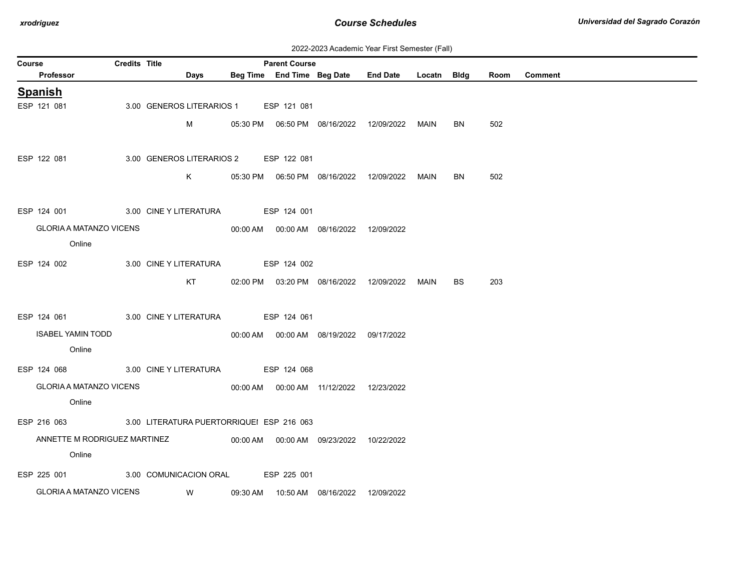| 2022-2023 Academic Year First Semester (Fall) |  |  |  |  |
|-----------------------------------------------|--|--|--|--|
|-----------------------------------------------|--|--|--|--|

|                          | Days        |                                                                                                                                |                                                     |                                                                                                                                                                                                                                                                                                                                                  |                                                                                                                                                                                     |                                                                                                      | Room                                                  | <b>Comment</b> |
|--------------------------|-------------|--------------------------------------------------------------------------------------------------------------------------------|-----------------------------------------------------|--------------------------------------------------------------------------------------------------------------------------------------------------------------------------------------------------------------------------------------------------------------------------------------------------------------------------------------------------|-------------------------------------------------------------------------------------------------------------------------------------------------------------------------------------|------------------------------------------------------------------------------------------------------|-------------------------------------------------------|----------------|
|                          |             |                                                                                                                                |                                                     |                                                                                                                                                                                                                                                                                                                                                  |                                                                                                                                                                                     |                                                                                                      |                                                       |                |
|                          |             |                                                                                                                                |                                                     |                                                                                                                                                                                                                                                                                                                                                  |                                                                                                                                                                                     |                                                                                                      |                                                       |                |
|                          | M           |                                                                                                                                |                                                     |                                                                                                                                                                                                                                                                                                                                                  |                                                                                                                                                                                     | BN                                                                                                   | 502                                                   |                |
|                          |             |                                                                                                                                |                                                     |                                                                                                                                                                                                                                                                                                                                                  |                                                                                                                                                                                     |                                                                                                      |                                                       |                |
|                          |             |                                                                                                                                |                                                     |                                                                                                                                                                                                                                                                                                                                                  |                                                                                                                                                                                     |                                                                                                      |                                                       |                |
|                          |             |                                                                                                                                |                                                     |                                                                                                                                                                                                                                                                                                                                                  | MAIN                                                                                                                                                                                | BN                                                                                                   | 502                                                   |                |
| ESP 124 001              |             |                                                                                                                                |                                                     |                                                                                                                                                                                                                                                                                                                                                  |                                                                                                                                                                                     |                                                                                                      |                                                       |                |
|                          |             |                                                                                                                                |                                                     |                                                                                                                                                                                                                                                                                                                                                  |                                                                                                                                                                                     |                                                                                                      |                                                       |                |
| Online                   |             |                                                                                                                                |                                                     |                                                                                                                                                                                                                                                                                                                                                  |                                                                                                                                                                                     |                                                                                                      |                                                       |                |
|                          |             |                                                                                                                                |                                                     |                                                                                                                                                                                                                                                                                                                                                  |                                                                                                                                                                                     |                                                                                                      |                                                       |                |
|                          |             |                                                                                                                                |                                                     |                                                                                                                                                                                                                                                                                                                                                  |                                                                                                                                                                                     |                                                                                                      |                                                       |                |
|                          |             |                                                                                                                                |                                                     |                                                                                                                                                                                                                                                                                                                                                  |                                                                                                                                                                                     |                                                                                                      |                                                       |                |
|                          |             |                                                                                                                                |                                                     |                                                                                                                                                                                                                                                                                                                                                  |                                                                                                                                                                                     |                                                                                                      |                                                       |                |
| <b>ISABEL YAMIN TODD</b> |             |                                                                                                                                |                                                     |                                                                                                                                                                                                                                                                                                                                                  |                                                                                                                                                                                     |                                                                                                      |                                                       |                |
| Online                   |             |                                                                                                                                |                                                     |                                                                                                                                                                                                                                                                                                                                                  |                                                                                                                                                                                     |                                                                                                      |                                                       |                |
|                          |             |                                                                                                                                |                                                     |                                                                                                                                                                                                                                                                                                                                                  |                                                                                                                                                                                     |                                                                                                      |                                                       |                |
|                          |             |                                                                                                                                |                                                     |                                                                                                                                                                                                                                                                                                                                                  |                                                                                                                                                                                     |                                                                                                      |                                                       |                |
| Online                   |             |                                                                                                                                |                                                     |                                                                                                                                                                                                                                                                                                                                                  |                                                                                                                                                                                     |                                                                                                      |                                                       |                |
|                          |             |                                                                                                                                |                                                     |                                                                                                                                                                                                                                                                                                                                                  |                                                                                                                                                                                     |                                                                                                      |                                                       |                |
|                          |             |                                                                                                                                |                                                     |                                                                                                                                                                                                                                                                                                                                                  |                                                                                                                                                                                     |                                                                                                      |                                                       |                |
| Online                   |             |                                                                                                                                |                                                     |                                                                                                                                                                                                                                                                                                                                                  |                                                                                                                                                                                     |                                                                                                      |                                                       |                |
|                          |             |                                                                                                                                |                                                     |                                                                                                                                                                                                                                                                                                                                                  |                                                                                                                                                                                     |                                                                                                      |                                                       |                |
|                          |             |                                                                                                                                |                                                     |                                                                                                                                                                                                                                                                                                                                                  |                                                                                                                                                                                     |                                                                                                      |                                                       |                |
|                          | ESP 124 002 | <b>Credits Title</b><br><b>GLORIA A MATANZO VICENS</b><br>KT<br><b>GLORIA A MATANZO VICENS</b><br>ANNETTE M RODRIGUEZ MARTINEZ | 3.00 GENEROS LITERARIOS 1<br>3.00 CINE Y LITERATURA | <b>Parent Course</b><br>ESP 121 081<br>3.00 GENEROS LITERARIOS 2 ESP 122 081<br>3.00 CINE Y LITERATURA ESP 124 001<br>ESP 124 002<br>ESP 124 061 3.00 CINE Y LITERATURA ESP 124 061<br>ESP 124 068 3.00 CINE Y LITERATURA ESP 124 068<br>ESP 216 063 3.00 LITERATURA PUERTORRIQUEI ESP 216 063<br>ESP 225 001 3.00 COMUNICACION ORAL ESP 225 001 | K 05:30 PM 06:50 PM 08/16/2022 12/09/2022<br>00:00 AM  00:00 AM  08/16/2022  12/09/2022<br>00:00 AM  00:00 AM  08/19/2022  09/17/2022<br>00:00 AM  00:00 AM  11/12/2022  12/23/2022 | 05:30 PM  06:50 PM  08/16/2022  12/09/2022  MAIN<br>02:00 PM  03:20 PM  08/16/2022  12/09/2022  MAIN | Beg Time End Time Beg Date End Date Locatn Bldg<br>BS | 203            |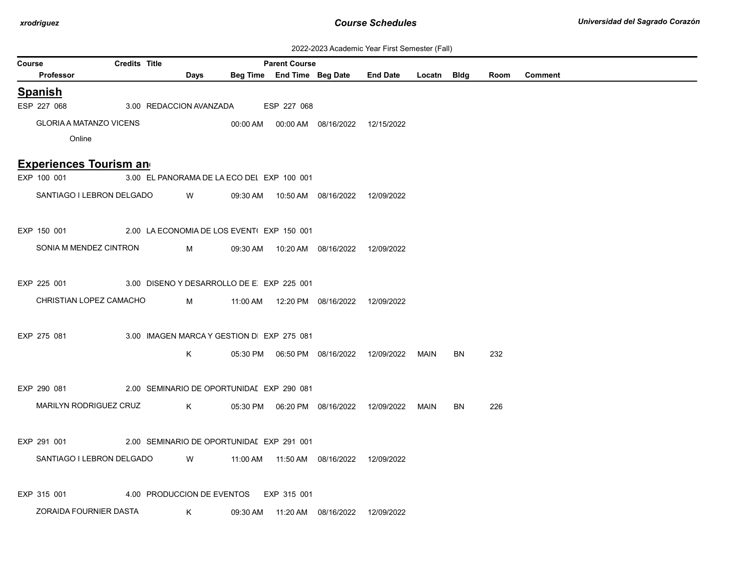## 2022-2023 Academic Year First Semester (Fall)

|        |                                                       |                      |                                            |          |                            |                                            | 2022-2023 Academic Year First Semester (Fail) |             |           |      |                |
|--------|-------------------------------------------------------|----------------------|--------------------------------------------|----------|----------------------------|--------------------------------------------|-----------------------------------------------|-------------|-----------|------|----------------|
| Course |                                                       | <b>Credits Title</b> |                                            |          | <b>Parent Course</b>       |                                            |                                               |             |           |      |                |
|        | <b>Professor</b>                                      |                      | Days                                       |          | Beg Time End Time Beg Date |                                            | <b>End Date</b>                               | Locatn Bldg |           | Room | <b>Comment</b> |
|        | <b>Spanish</b>                                        |                      |                                            |          |                            |                                            |                                               |             |           |      |                |
|        | ESP 227 068                                           |                      | 3.00 REDACCION AVANZADA                    |          | ESP 227 068                |                                            |                                               |             |           |      |                |
|        | <b>GLORIA A MATANZO VICENS</b>                        |                      |                                            |          |                            | 00:00 AM  00:00 AM  08/16/2022  12/15/2022 |                                               |             |           |      |                |
|        | Online                                                |                      |                                            |          |                            |                                            |                                               |             |           |      |                |
|        | <b>Experiences Tourism and</b>                        |                      |                                            |          |                            |                                            |                                               |             |           |      |                |
|        | EXP 100 001                                           |                      | 3.00 EL PANORAMA DE LA ECO DEI EXP 100 001 |          |                            |                                            |                                               |             |           |      |                |
|        | SANTIAGO I LEBRON DELGADO                             |                      | <b>W</b>                                   |          |                            | 09:30 AM  10:50 AM  08/16/2022  12/09/2022 |                                               |             |           |      |                |
|        | EXP 150 001                                           |                      | 2.00 LA ECONOMIA DE LOS EVENT(EXP 150 001  |          |                            |                                            |                                               |             |           |      |                |
|        | SONIA M MENDEZ CINTRON                                |                      | M                                          |          |                            | 09:30 AM  10:20 AM  08/16/2022  12/09/2022 |                                               |             |           |      |                |
|        | EXP 225 001                                           |                      | 3.00 DISENO Y DESARROLLO DE E EXP 225 001  |          |                            |                                            |                                               |             |           |      |                |
|        |                                                       |                      |                                            |          |                            |                                            |                                               |             |           |      |                |
|        | CHRISTIAN LOPEZ CAMACHO                               |                      | M                                          |          |                            | 11:00 AM  12:20 PM  08/16/2022  12/09/2022 |                                               |             |           |      |                |
|        | EXP 275 081                                           |                      | 3.00 IMAGEN MARCA Y GESTION D EXP 275 081  |          |                            |                                            |                                               |             |           |      |                |
|        |                                                       |                      |                                            |          |                            |                                            |                                               |             |           |      |                |
|        |                                                       |                      | K                                          |          |                            |                                            |                                               | MAIN        | <b>BN</b> | 232  |                |
|        | EXP 290 081                                           |                      | 2.00 SEMINARIO DE OPORTUNIDAI EXP 290 081  |          |                            |                                            |                                               |             |           |      |                |
|        | MARILYN RODRIGUEZ CRUZ                                |                      | K                                          |          |                            |                                            |                                               | MAIN        | BN        | 226  |                |
|        |                                                       |                      |                                            |          |                            |                                            |                                               |             |           |      |                |
|        | EXP 291 001 2.00 SEMINARIO DE OPORTUNIDAI EXP 291 001 |                      |                                            |          |                            |                                            |                                               |             |           |      |                |
|        | SANTIAGO I LEBRON DELGADO                             |                      | <b>W</b>                                   | 11:00 AM |                            | 11:50 AM  08/16/2022  12/09/2022           |                                               |             |           |      |                |
|        |                                                       |                      |                                            |          |                            |                                            |                                               |             |           |      |                |
|        | EXP 315 001                                           |                      | 4.00 PRODUCCION DE EVENTOS                 |          | EXP 315 001                |                                            |                                               |             |           |      |                |
|        | ZORAIDA FOURNIER DASTA                                |                      | K                                          |          |                            | 09:30 AM  11:20 AM  08/16/2022  12/09/2022 |                                               |             |           |      |                |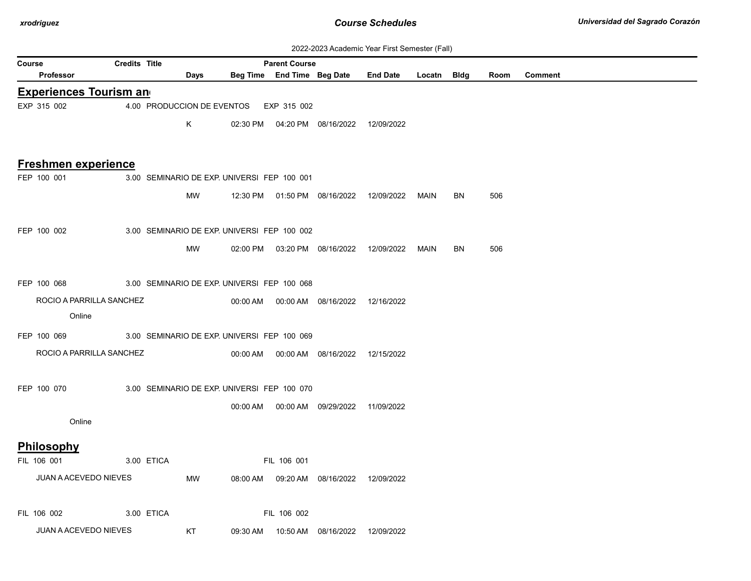| 2022-2023 Academic Year First Semester (Fall) |  |  |  |  |
|-----------------------------------------------|--|--|--|--|
|-----------------------------------------------|--|--|--|--|

|                            |                                |                      |            |                                             |          |                      |                                            | <u> ZUZZ-ZUZJ ACAGENIIC TEAL FIISLOENIESIEI (FAII)</u> |             |           |      |                |
|----------------------------|--------------------------------|----------------------|------------|---------------------------------------------|----------|----------------------|--------------------------------------------|--------------------------------------------------------|-------------|-----------|------|----------------|
| Course<br><b>Professor</b> |                                | <b>Credits Title</b> |            | Days                                        |          | <b>Parent Course</b> | Beg Time End Time Beg Date                 | <b>End Date</b>                                        | Locatn Bldg |           | Room | <b>Comment</b> |
|                            | <b>Experiences Tourism and</b> |                      |            |                                             |          |                      |                                            |                                                        |             |           |      |                |
| EXP 315 002                |                                |                      |            | 4.00 PRODUCCION DE EVENTOS                  |          | EXP 315 002          |                                            |                                                        |             |           |      |                |
|                            |                                |                      |            | K                                           |          |                      | 02:30 PM  04:20 PM  08/16/2022  12/09/2022 |                                                        |             |           |      |                |
|                            |                                |                      |            |                                             |          |                      |                                            |                                                        |             |           |      |                |
|                            | <b>Freshmen experience</b>     |                      |            |                                             |          |                      |                                            |                                                        |             |           |      |                |
| FEP 100 001                |                                |                      |            | 3.00 SEMINARIO DE EXP. UNIVERSI FEP 100 001 |          |                      |                                            |                                                        |             |           |      |                |
|                            |                                |                      |            | MW                                          |          |                      | 12:30 PM  01:50 PM  08/16/2022  12/09/2022 |                                                        | MAIN        | <b>BN</b> | 506  |                |
|                            |                                |                      |            |                                             |          |                      |                                            |                                                        |             |           |      |                |
| FEP 100 002                |                                |                      |            | 3.00 SEMINARIO DE EXP. UNIVERSI FEP 100 002 |          |                      |                                            |                                                        |             |           |      |                |
|                            |                                |                      |            | MW                                          |          |                      | 02:00 PM  03:20 PM  08/16/2022  12/09/2022 |                                                        | MAIN        | BN        | 506  |                |
|                            |                                |                      |            |                                             |          |                      |                                            |                                                        |             |           |      |                |
| FEP 100 068                |                                |                      |            | 3.00 SEMINARIO DE EXP. UNIVERSI FEP 100 068 |          |                      |                                            |                                                        |             |           |      |                |
|                            | ROCIO A PARRILLA SANCHEZ       |                      |            |                                             |          |                      | 00:00 AM  00:00 AM  08/16/2022  12/16/2022 |                                                        |             |           |      |                |
|                            | Online                         |                      |            |                                             |          |                      |                                            |                                                        |             |           |      |                |
| FEP 100 069                |                                |                      |            | 3.00 SEMINARIO DE EXP. UNIVERSI FEP 100 069 |          |                      |                                            |                                                        |             |           |      |                |
|                            | ROCIO A PARRILLA SANCHEZ       |                      |            |                                             |          |                      | 00:00 AM  00:00 AM  08/16/2022             | 12/15/2022                                             |             |           |      |                |
|                            |                                |                      |            |                                             |          |                      |                                            |                                                        |             |           |      |                |
| FEP 100 070                |                                |                      |            | 3.00 SEMINARIO DE EXP. UNIVERSI FEP 100 070 |          |                      |                                            |                                                        |             |           |      |                |
|                            |                                |                      |            |                                             | 00:00 AM |                      | 00:00 AM 09/29/2022 11/09/2022             |                                                        |             |           |      |                |
|                            | Online                         |                      |            |                                             |          |                      |                                            |                                                        |             |           |      |                |
| Philosophy                 |                                |                      |            |                                             |          |                      |                                            |                                                        |             |           |      |                |
| FIL 106 001                |                                |                      | 3.00 ETICA |                                             |          | FIL 106 001          |                                            |                                                        |             |           |      |                |
|                            | JUAN A ACEVEDO NIEVES          |                      |            | MW                                          | 08:00 AM |                      | 09:20 AM  08/16/2022  12/09/2022           |                                                        |             |           |      |                |
|                            |                                |                      |            |                                             |          |                      |                                            |                                                        |             |           |      |                |
| FIL 106 002                |                                |                      | 3.00 ETICA |                                             |          | FIL 106 002          |                                            |                                                        |             |           |      |                |
|                            | <b>JUAN A ACEVEDO NIEVES</b>   |                      |            | KT                                          |          |                      | 09:30 AM  10:50 AM  08/16/2022             | 12/09/2022                                             |             |           |      |                |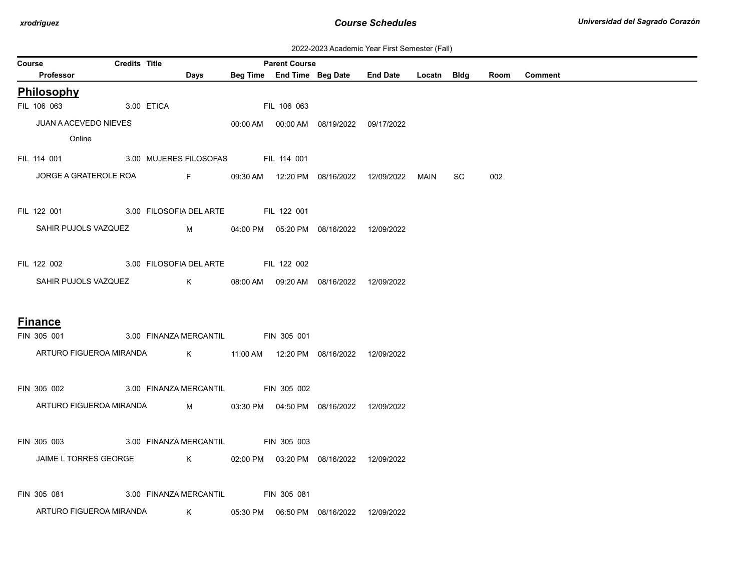| 2022-2023 Academic Year First Semester (Fall) |  |  |  |  |
|-----------------------------------------------|--|--|--|--|
|-----------------------------------------------|--|--|--|--|

|                |                                                                   |                      |          |                                                                                                                                                                                                                                                                                                  |                      |                                            | ZUZZ-ZUZJ ACQUENIIC TEGI FIISI JENIESIEI (Fail)  |             |     |      |                |
|----------------|-------------------------------------------------------------------|----------------------|----------|--------------------------------------------------------------------------------------------------------------------------------------------------------------------------------------------------------------------------------------------------------------------------------------------------|----------------------|--------------------------------------------|--------------------------------------------------|-------------|-----|------|----------------|
| Course         | <b>Professor</b>                                                  | <b>Credits Title</b> |          | Days                                                                                                                                                                                                                                                                                             | <b>Parent Course</b> | Beg Time End Time Beg Date End Date        |                                                  | Locatn Bldg |     | Room | <b>Comment</b> |
| Philosophy     |                                                                   |                      |          |                                                                                                                                                                                                                                                                                                  |                      |                                            |                                                  |             |     |      |                |
| FIL 106 063    | 3.00 ETICA                                                        |                      |          |                                                                                                                                                                                                                                                                                                  | FIL 106 063          |                                            |                                                  |             |     |      |                |
|                | JUAN A ACEVEDO NIEVES                                             |                      |          |                                                                                                                                                                                                                                                                                                  |                      | 00:00 AM  00:00 AM  08/19/2022  09/17/2022 |                                                  |             |     |      |                |
|                | Online                                                            |                      |          |                                                                                                                                                                                                                                                                                                  |                      |                                            |                                                  |             |     |      |                |
|                | FIL 114 001 3.00 MUJERES FILOSOFAS FIL 114 001                    |                      |          |                                                                                                                                                                                                                                                                                                  |                      |                                            |                                                  |             |     |      |                |
|                | JORGE A GRATEROLE ROA F                                           |                      |          |                                                                                                                                                                                                                                                                                                  |                      |                                            | 09:30 AM  12:20 PM  08/16/2022  12/09/2022  MAIN |             | SC. | 002  |                |
| FIL 122 001    |                                                                   |                      |          | 3.00 FILOSOFIA DEL ARTE FIL 122 001                                                                                                                                                                                                                                                              |                      |                                            |                                                  |             |     |      |                |
|                | SAHIR PUJOLS VAZQUEZ                                              |                      | <b>N</b> |                                                                                                                                                                                                                                                                                                  |                      | 04:00 PM  05:20 PM  08/16/2022  12/09/2022 |                                                  |             |     |      |                |
|                | FIL 122 002 3.00 FILOSOFIA DEL ARTE FIL 122 002                   |                      |          |                                                                                                                                                                                                                                                                                                  |                      |                                            |                                                  |             |     |      |                |
|                | SAHIR PUJOLS VAZQUEZ                                              |                      |          | $K$ and $K$                                                                                                                                                                                                                                                                                      |                      | 08:00 AM  09:20 AM  08/16/2022  12/09/2022 |                                                  |             |     |      |                |
| <b>Finance</b> |                                                                   |                      |          |                                                                                                                                                                                                                                                                                                  |                      |                                            |                                                  |             |     |      |                |
| FIN 305 001    |                                                                   |                      |          | 3.00 FINANZA MERCANTIL FIN 305 001                                                                                                                                                                                                                                                               |                      |                                            |                                                  |             |     |      |                |
|                | ARTURO FIGUEROA MIRANDA K 11:00 AM 12:20 PM 08/16/2022 12/09/2022 |                      |          |                                                                                                                                                                                                                                                                                                  |                      |                                            |                                                  |             |     |      |                |
| FIN 305 002    |                                                                   |                      |          | 3.00 FINANZA MERCANTIL FIN 305 002                                                                                                                                                                                                                                                               |                      |                                            |                                                  |             |     |      |                |
|                | ARTURO FIGUEROA MIRANDA                                           |                      |          | $M_{\rm{max}}$                                                                                                                                                                                                                                                                                   |                      | 03:30 PM  04:50 PM  08/16/2022  12/09/2022 |                                                  |             |     |      |                |
| FIN 305 003    |                                                                   |                      |          | 3.00 FINANZA MERCANTIL FIN 305 003                                                                                                                                                                                                                                                               |                      |                                            |                                                  |             |     |      |                |
|                | JAIME L TORRES GEORGE                                             |                      |          | $\mathsf{K}$ and $\mathsf{K}$ and $\mathsf{K}$ and $\mathsf{K}$ and $\mathsf{K}$ and $\mathsf{K}$ and $\mathsf{K}$ and $\mathsf{K}$ and $\mathsf{K}$ and $\mathsf{K}$ and $\mathsf{K}$ and $\mathsf{K}$ and $\mathsf{K}$ and $\mathsf{K}$ and $\mathsf{K}$ and $\mathsf{K}$ and $\mathsf{K}$ and |                      | 02:00 PM  03:20 PM  08/16/2022  12/09/2022 |                                                  |             |     |      |                |
|                | FIN 305 081 3.00 FINANZA MERCANTIL FIN 305 081                    |                      |          |                                                                                                                                                                                                                                                                                                  |                      |                                            |                                                  |             |     |      |                |
|                | ARTURO FIGUEROA MIRANDA                                           |                      |          | $\mathsf{K}$                                                                                                                                                                                                                                                                                     |                      | 05:30 PM  06:50 PM  08/16/2022  12/09/2022 |                                                  |             |     |      |                |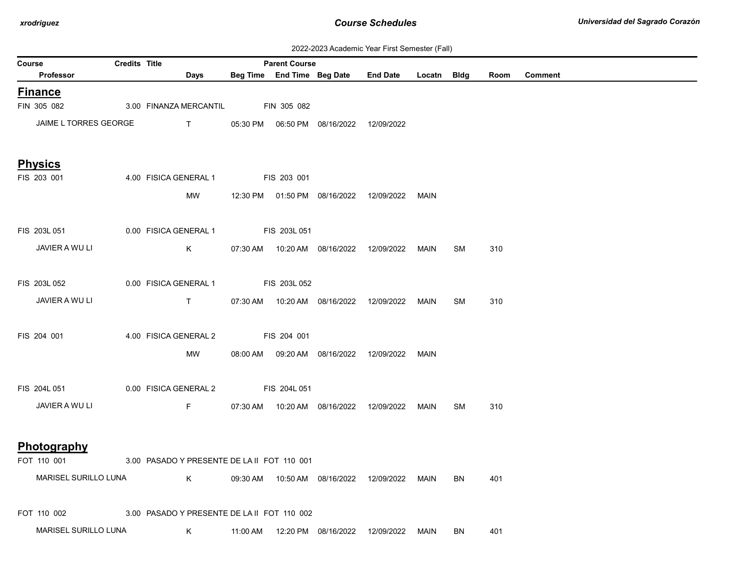| 2022-2023 Academic Year First Semester (Fall) |  |  |  |  |
|-----------------------------------------------|--|--|--|--|
|-----------------------------------------------|--|--|--|--|

| <b>Credits Title</b><br><b>Parent Course</b><br>Course |  |                                                        |                     |                     |                                |                                                  |             |    |      |                |
|--------------------------------------------------------|--|--------------------------------------------------------|---------------------|---------------------|--------------------------------|--------------------------------------------------|-------------|----|------|----------------|
| Professor                                              |  | Days                                                   |                     |                     | Beg Time End Time Beg Date     | <b>End Date</b>                                  | Locatn Bldg |    | Room | <b>Comment</b> |
| <b>Finance</b>                                         |  |                                                        |                     |                     |                                |                                                  |             |    |      |                |
| FIN 305 082                                            |  | 3.00 FINANZA MERCANTIL                                 |                     | <b>FIN 305 082</b>  |                                |                                                  |             |    |      |                |
| JAIME L TORRES GEORGE                                  |  | <b>The Community of the Community of the Community</b> |                     |                     |                                |                                                  |             |    |      |                |
|                                                        |  |                                                        |                     |                     |                                |                                                  |             |    |      |                |
| <b>Physics</b>                                         |  |                                                        |                     |                     |                                |                                                  |             |    |      |                |
| FIS 203 001                                            |  | 4.00 FISICA GENERAL 1                                  | <b>EIS 203 001</b>  |                     |                                |                                                  |             |    |      |                |
|                                                        |  | MW                                                     |                     |                     |                                | 12:30 PM  01:50 PM  08/16/2022  12/09/2022       | MAIN        |    |      |                |
|                                                        |  |                                                        |                     |                     |                                |                                                  |             |    |      |                |
| FIS 203L 051                                           |  | 0.00 FISICA GENERAL 1                                  | <b>EIS 203L 051</b> |                     |                                |                                                  |             |    |      |                |
| JAVIER A WU LI                                         |  | K                                                      |                     |                     | 07:30 AM  10:20 AM  08/16/2022 | 12/09/2022                                       | MAIN        | SM | 310  |                |
|                                                        |  |                                                        |                     |                     |                                |                                                  |             |    |      |                |
| FIS 203L 052                                           |  | 0.00 FISICA GENERAL 1                                  |                     | <b>FIS 203L 052</b> |                                |                                                  |             |    |      |                |
| JAVIER A WU LI                                         |  | T                                                      |                     |                     |                                | 07:30 AM  10:20 AM  08/16/2022  12/09/2022       | MAIN        | SM | 310  |                |
|                                                        |  |                                                        |                     |                     |                                |                                                  |             |    |      |                |
| FIS 204 001                                            |  | 4.00 FISICA GENERAL 2                                  | FIS 204 001         |                     |                                |                                                  |             |    |      |                |
|                                                        |  | MW                                                     |                     |                     |                                | 08:00 AM  09:20 AM  08/16/2022  12/09/2022  MAIN |             |    |      |                |
|                                                        |  |                                                        |                     |                     |                                |                                                  |             |    |      |                |
| FIS 204L 051                                           |  | 0.00 FISICA GENERAL 2 FIS 204L 051                     |                     |                     |                                |                                                  |             |    |      |                |
| JAVIER A WU LI                                         |  | F                                                      |                     |                     |                                | 07:30 AM  10:20 AM  08/16/2022  12/09/2022       | MAIN        | SM | 310  |                |
|                                                        |  |                                                        |                     |                     |                                |                                                  |             |    |      |                |
|                                                        |  |                                                        |                     |                     |                                |                                                  |             |    |      |                |
| Photography                                            |  |                                                        |                     |                     |                                |                                                  |             |    |      |                |
| FOT 110 001                                            |  | 3.00 PASADO Y PRESENTE DE LA II FOT 110 001            |                     |                     |                                |                                                  |             |    |      |                |
| MARISEL SURILLO LUNA                                   |  | $K$ and $K$                                            |                     |                     |                                | 09:30 AM  10:50 AM  08/16/2022  12/09/2022       | MAIN        | BN | 401  |                |
|                                                        |  |                                                        |                     |                     |                                |                                                  |             |    |      |                |
| FOT 110 002                                            |  | 3.00 PASADO Y PRESENTE DE LA II FOT 110 002            |                     |                     |                                |                                                  |             |    |      |                |
| MARISEL SURILLO LUNA                                   |  | K .                                                    | 11:00 AM            |                     | 12:20 PM 08/16/2022            | 12/09/2022                                       | MAIN        | BN | 401  |                |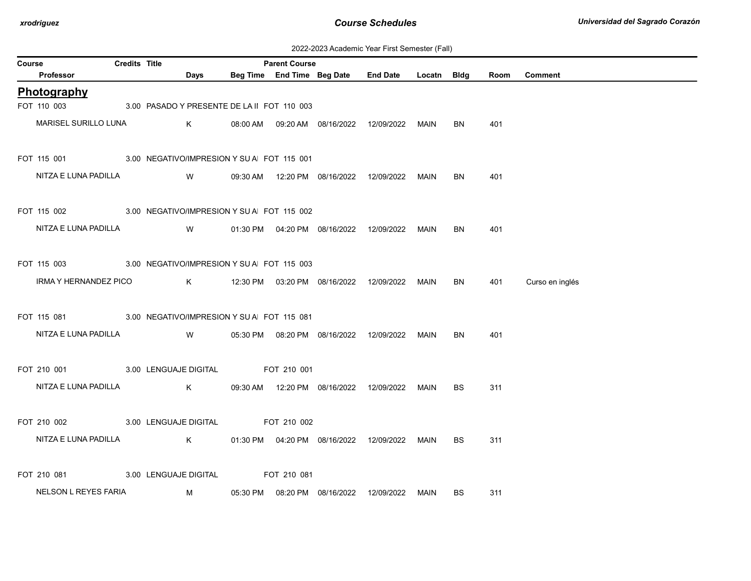| 2022-2023 Academic Year First Semester (Fall) |  |  |  |  |
|-----------------------------------------------|--|--|--|--|
|-----------------------------------------------|--|--|--|--|

| Course |                                                         | <b>Credits Title</b> |             | <b>Parent Course</b> |                                            |                                                  |             |           |      |                 |
|--------|---------------------------------------------------------|----------------------|-------------|----------------------|--------------------------------------------|--------------------------------------------------|-------------|-----------|------|-----------------|
|        | Professor                                               |                      | Days        |                      |                                            | Beg Time End Time Beg Date End Date              | Locatn Bldg |           | Room | <b>Comment</b>  |
|        | Photography                                             |                      |             |                      |                                            |                                                  |             |           |      |                 |
|        | FOT 110 003 3.00 PASADO Y PRESENTE DE LA II FOT 110 003 |                      |             |                      |                                            |                                                  |             |           |      |                 |
|        | MARISEL SURILLO LUNA                                    |                      | K           |                      |                                            | 08:00 AM  09:20 AM  08/16/2022  12/09/2022  MAIN |             | BN        | 401  |                 |
|        | FOT 115 001 3.00 NEGATIVO/IMPRESION Y SU A FOT 115 001  |                      |             |                      |                                            |                                                  |             |           |      |                 |
|        | NITZA E LUNA PADILLA                                    |                      | <b>W</b>    |                      | 09:30 AM  12:20 PM  08/16/2022  12/09/2022 |                                                  | MAIN        | <b>BN</b> | 401  |                 |
|        | FOT 115 002 3.00 NEGATIVO/IMPRESION Y SU A FOT 115 002  |                      |             |                      |                                            |                                                  |             |           |      |                 |
|        | NITZA E LUNA PADILLA                                    |                      | <b>W</b>    |                      | 01:30 PM  04:20 PM  08/16/2022  12/09/2022 |                                                  | MAIN        | <b>BN</b> | 401  |                 |
|        | FOT 115 003 3.00 NEGATIVO/IMPRESION Y SU A FOT 115 003  |                      |             |                      |                                            |                                                  |             |           |      |                 |
|        | IRMA Y HERNANDEZ PICO                                   |                      |             |                      |                                            | K 12:30 PM 03:20 PM 08/16/2022 12/09/2022 MAIN   |             | <b>BN</b> | 401  | Curso en inglés |
|        | FOT 115 081 3.00 NEGATIVO/IMPRESION Y SU A FOT 115 081  |                      |             |                      |                                            |                                                  |             |           |      |                 |
|        | NITZA E LUNA PADILLA VV                                 |                      |             |                      | 05:30 PM  08:20 PM  08/16/2022  12/09/2022 |                                                  | MAIN        | <b>BN</b> | 401  |                 |
|        | FOT 210 001 3.00 LENGUAJE DIGITAL FOT 210 001           |                      |             |                      |                                            |                                                  |             |           |      |                 |
|        | NITZA E LUNA PADILLA                                    |                      | $\mathsf K$ |                      |                                            | 09:30 AM  12:20 PM  08/16/2022  12/09/2022  MAIN |             | BS        | 311  |                 |
|        | FOT 210 002 3.00 LENGUAJE DIGITAL FOT 210 002           |                      |             |                      |                                            |                                                  |             |           |      |                 |
|        | NITZA E LUNA PADILLA K                                  |                      |             |                      |                                            | 01:30 PM  04:20 PM  08/16/2022  12/09/2022  MAIN |             | <b>BS</b> | 311  |                 |
|        | FOT 210 081 3.00 LENGUAJE DIGITAL                       |                      |             | FOT 210 081          |                                            |                                                  |             |           |      |                 |
|        | NELSON L REYES FARIA                                    |                      | M           |                      | 05:30 PM  08:20 PM  08/16/2022             | 12/09/2022                                       | MAIN        | BS        | 311  |                 |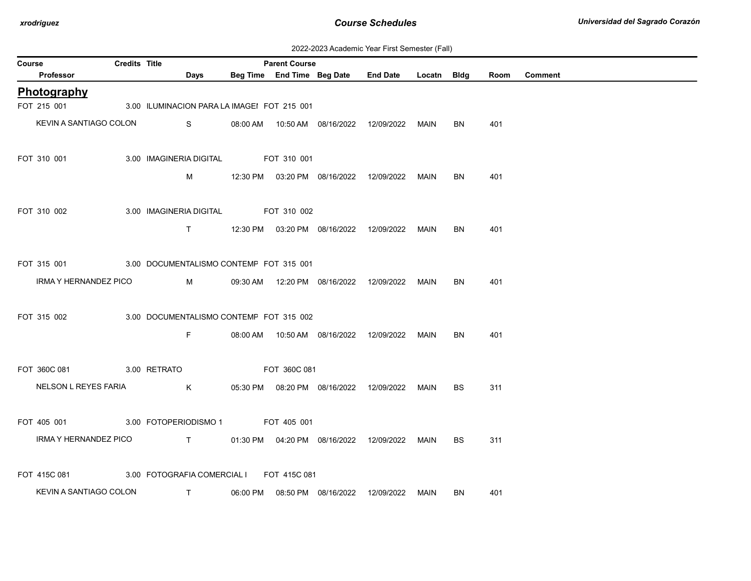| 2022-2023 Academic Year First Semester (Fall) |  |  |  |  |
|-----------------------------------------------|--|--|--|--|
|-----------------------------------------------|--|--|--|--|

| Course                                                | <b>Credits Title</b> |                                                                                                                                                                                                                                                                                                  |                     | <b>Parent Course</b> |                                                  |           |      |         |
|-------------------------------------------------------|----------------------|--------------------------------------------------------------------------------------------------------------------------------------------------------------------------------------------------------------------------------------------------------------------------------------------------|---------------------|----------------------|--------------------------------------------------|-----------|------|---------|
| Professor                                             |                      | Days                                                                                                                                                                                                                                                                                             |                     |                      | Beg Time End Time Beg Date End Date Locatn Bldg  |           | Room | Comment |
| Photography                                           |                      |                                                                                                                                                                                                                                                                                                  |                     |                      |                                                  |           |      |         |
| FOT 215 001                                           |                      | 3.00 ILUMINACION PARA LA IMAGEI FOT 215 001                                                                                                                                                                                                                                                      |                     |                      |                                                  |           |      |         |
| KEVIN A SANTIAGO COLON                                |                      | $\mathbf{S}$ and $\mathbf{S}$ and $\mathbf{S}$ and $\mathbf{S}$ and $\mathbf{S}$ and $\mathbf{S}$ and $\mathbf{S}$ and $\mathbf{S}$ and $\mathbf{S}$ and $\mathbf{S}$ and $\mathbf{S}$ and $\mathbf{S}$ and $\mathbf{S}$ and $\mathbf{S}$ and $\mathbf{S}$ and $\mathbf{S}$ and $\mathbf{S}$ and |                     |                      | 08:00 AM  10:50 AM  08/16/2022  12/09/2022  MAIN | <b>BN</b> | 401  |         |
| FOT 310 001                                           |                      | 3.00 IMAGINERIA DIGITAL FOT 310 001                                                                                                                                                                                                                                                              |                     |                      |                                                  |           |      |         |
|                                                       |                      |                                                                                                                                                                                                                                                                                                  |                     |                      |                                                  | BN.       | 401  |         |
| FOT 310 002                                           |                      | 3.00 IMAGINERIA DIGITAL FOT 310 002                                                                                                                                                                                                                                                              |                     |                      |                                                  |           |      |         |
|                                                       |                      |                                                                                                                                                                                                                                                                                                  |                     |                      | T 12:30 PM 03:20 PM 08/16/2022 12/09/2022 MAIN   | <b>BN</b> | 401  |         |
| FOT 315 001 3.00 DOCUMENTALISMO CONTEMF FOT 315 001   |                      |                                                                                                                                                                                                                                                                                                  |                     |                      |                                                  |           |      |         |
| IRMA Y HERNANDEZ PICO                                 |                      | M 09:30 AM 12:20 PM 08/16/2022 12/09/2022 MAIN                                                                                                                                                                                                                                                   |                     |                      |                                                  | BN.       | 401  |         |
| FOT 315 002                                           |                      | 3.00 DOCUMENTALISMO CONTEMF FOT 315 002                                                                                                                                                                                                                                                          |                     |                      |                                                  |           |      |         |
|                                                       |                      | F                                                                                                                                                                                                                                                                                                |                     |                      | 08:00 AM  10:50 AM  08/16/2022  12/09/2022  MAIN | <b>BN</b> | 401  |         |
| FOT 360C 081 3.00 RETRATO                             |                      |                                                                                                                                                                                                                                                                                                  | <b>EQT 360C 081</b> |                      |                                                  |           |      |         |
|                                                       |                      | NELSON L REYES FARIA K                                                                                                                                                                                                                                                                           |                     |                      | 05:30 PM  08:20 PM  08/16/2022  12/09/2022  MAIN | <b>BS</b> | 311  |         |
| FOT 405 001 3.00 FOTOPERIODISMO 1 FOT 405 001         |                      |                                                                                                                                                                                                                                                                                                  |                     |                      |                                                  |           |      |         |
|                                                       |                      | IRMA Y HERNANDEZ PICO T T 01:30 PM 04:20 PM 08/16/2022 12/09/2022 MAIN                                                                                                                                                                                                                           |                     |                      |                                                  | BS.       | 311  |         |
| FOT 415C 081 3.00 FOTOGRAFIA COMERCIAL I FOT 415C 081 |                      |                                                                                                                                                                                                                                                                                                  |                     |                      |                                                  |           |      |         |
|                                                       |                      | KEVIN A SANTIAGO COLON T                                                                                                                                                                                                                                                                         |                     |                      | 06:00 PM  08:50 PM  08/16/2022  12/09/2022  MAIN | BN        | 401  |         |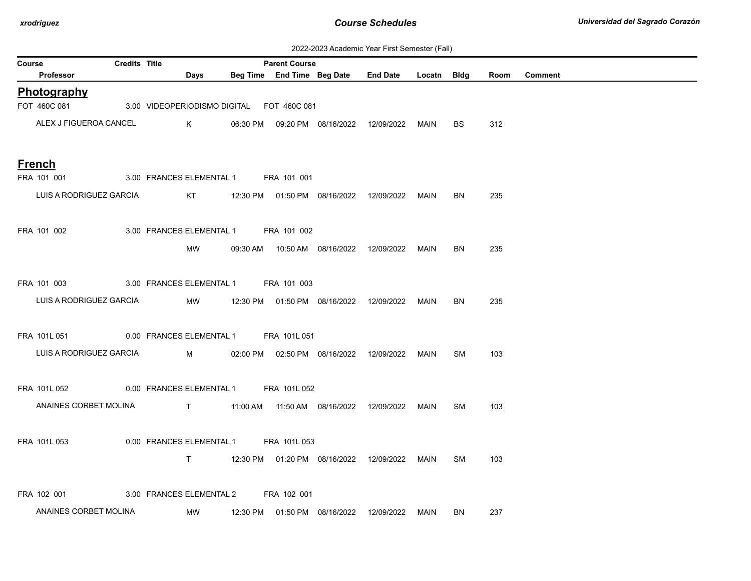| 2022-2023 Academic Year First Semester (Fall) |  |  |  |  |
|-----------------------------------------------|--|--|--|--|
|-----------------------------------------------|--|--|--|--|

| $\sigma$ , loadshind Toal Thot Sonnostor (Fair)<br><b>Credits Title</b><br><b>Parent Course</b><br>Course |  |                                           |                               |  |  |                                            |                                                         |      |           |      |         |
|-----------------------------------------------------------------------------------------------------------|--|-------------------------------------------|-------------------------------|--|--|--------------------------------------------|---------------------------------------------------------|------|-----------|------|---------|
| Professor                                                                                                 |  |                                           | <b>Days</b>                   |  |  |                                            | Beg Time End Time Beg Date End Date Locatn Bldg         |      |           | Room | Comment |
| Photography                                                                                               |  |                                           |                               |  |  |                                            |                                                         |      |           |      |         |
| FOT 460C 081                                                                                              |  | 3.00 VIDEOPERIODISMO DIGITAL FOT 460C 081 |                               |  |  |                                            |                                                         |      |           |      |         |
| ALEX J FIGUEROA CANCEL                                                                                    |  |                                           |                               |  |  |                                            | K      06:30 PM  09:20 PM  08/16/2022  12/09/2022  MAIN |      | BS        | 312  |         |
| <b>French</b>                                                                                             |  |                                           |                               |  |  |                                            |                                                         |      |           |      |         |
| FRA 101 001                                                                                               |  | 3.00 FRANCES ELEMENTAL 1 FRA 101 001      |                               |  |  |                                            |                                                         |      |           |      |         |
| LUIS A RODRIGUEZ GARCIA                                                                                   |  |                                           |                               |  |  |                                            |                                                         |      | <b>BN</b> | 235  |         |
|                                                                                                           |  |                                           |                               |  |  |                                            |                                                         |      |           |      |         |
| FRA 101 002                                                                                               |  | 3.00 FRANCES ELEMENTAL 1 FRA 101 002      |                               |  |  |                                            |                                                         |      |           |      |         |
|                                                                                                           |  |                                           | MW                            |  |  |                                            |                                                         |      | BN        | 235  |         |
|                                                                                                           |  |                                           |                               |  |  |                                            |                                                         |      |           |      |         |
| FRA 101 003                                                                                               |  | 3.00 FRANCES ELEMENTAL 1 FRA 101 003      |                               |  |  |                                            |                                                         |      |           |      |         |
| LUIS A RODRIGUEZ GARCIA                                                                                   |  |                                           |                               |  |  |                                            | MW 12:30 PM 01:50 PM 08/16/2022 12/09/2022 MAIN         |      | BN        | 235  |         |
|                                                                                                           |  |                                           |                               |  |  |                                            |                                                         |      |           |      |         |
| FRA 101L 051 0.00 FRANCES ELEMENTAL 1 FRA 101L 051                                                        |  |                                           |                               |  |  |                                            |                                                         |      |           |      |         |
| LUIS A RODRIGUEZ GARCIA                                                                                   |  |                                           |                               |  |  |                                            | M 02:00 PM 02:50 PM 08/16/2022 12/09/2022 MAIN          |      | SM        | 103  |         |
| FRA 101L 052                                                                                              |  | 0.00 FRANCES ELEMENTAL 1 FRA 101L 052     |                               |  |  |                                            |                                                         |      |           |      |         |
|                                                                                                           |  |                                           |                               |  |  |                                            |                                                         |      |           |      |         |
| ANAINES CORBET MOLINA                                                                                     |  |                                           |                               |  |  |                                            | T      11:00 AM  11:50 AM  08/16/2022  12/09/2022  MAIN |      | SM        | 103  |         |
| FRA 101L 053                                                                                              |  | 0.00 FRANCES ELEMENTAL 1 FRA 101L 053     |                               |  |  |                                            |                                                         |      |           |      |         |
|                                                                                                           |  |                                           | $\mathbf{T}$ and $\mathbf{T}$ |  |  |                                            | 12:30 PM  01:20 PM  08/16/2022  12/09/2022  MAIN        |      | SM        | 103  |         |
|                                                                                                           |  |                                           |                               |  |  |                                            |                                                         |      |           |      |         |
| FRA 102 001                                                                                               |  | 3.00 FRANCES ELEMENTAL 2 FRA 102 001      |                               |  |  |                                            |                                                         |      |           |      |         |
| ANAINES CORBET MOLINA                                                                                     |  |                                           | MW                            |  |  | 12:30 PM  01:50 PM  08/16/2022  12/09/2022 |                                                         | MAIN | BN        | 237  |         |
|                                                                                                           |  |                                           |                               |  |  |                                            |                                                         |      |           |      |         |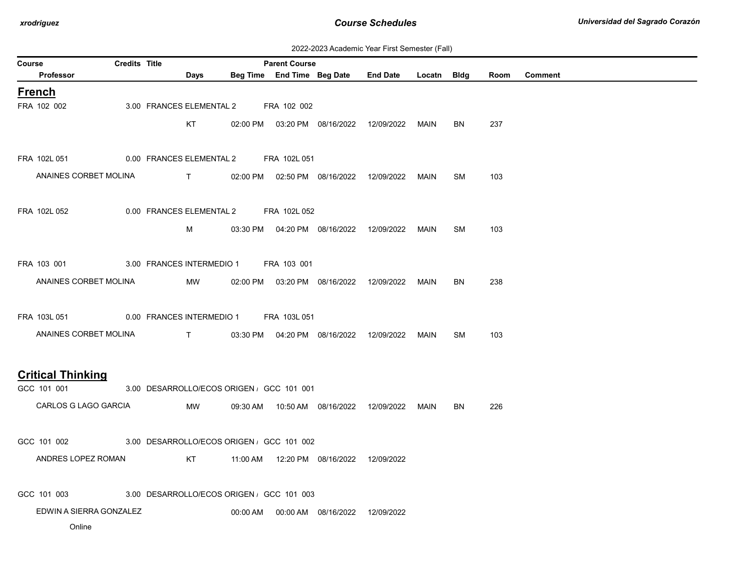| 2022-2023 Academic Year First Semester (Fall) |  |  |  |  |
|-----------------------------------------------|--|--|--|--|
|-----------------------------------------------|--|--|--|--|

|                                        | 2022-2023 Academic Year First Semester (Fail)<br><b>Credits Title</b> |  |                                                                                                                                                                                                                                                                                                                               |                                          |                      |                                                  |  |  |           |      |                |
|----------------------------------------|-----------------------------------------------------------------------|--|-------------------------------------------------------------------------------------------------------------------------------------------------------------------------------------------------------------------------------------------------------------------------------------------------------------------------------|------------------------------------------|----------------------|--------------------------------------------------|--|--|-----------|------|----------------|
| Course<br><b>Professor</b>             |                                                                       |  | Days                                                                                                                                                                                                                                                                                                                          |                                          | <b>Parent Course</b> | Beg Time End Time Beg Date End Date Locatn Bldg  |  |  |           | Room | <b>Comment</b> |
| <b>French</b>                          |                                                                       |  |                                                                                                                                                                                                                                                                                                                               |                                          |                      |                                                  |  |  |           |      |                |
| FRA 102 002                            |                                                                       |  | 3.00 FRANCES ELEMENTAL 2                                                                                                                                                                                                                                                                                                      |                                          | FRA 102 002          |                                                  |  |  |           |      |                |
|                                        |                                                                       |  | KT                                                                                                                                                                                                                                                                                                                            |                                          |                      | 02:00 PM  03:20 PM  08/16/2022  12/09/2022  MAIN |  |  | BN.       | 237  |                |
|                                        |                                                                       |  |                                                                                                                                                                                                                                                                                                                               |                                          |                      |                                                  |  |  |           |      |                |
| FRA 102L 051                           |                                                                       |  |                                                                                                                                                                                                                                                                                                                               | 0.00 FRANCES ELEMENTAL 2 FRA 102L 051    |                      |                                                  |  |  |           |      |                |
| ANAINES CORBET MOLINA                  |                                                                       |  | <b>The Contract of Contract Contract of Contract Contract Contract Oriental</b>                                                                                                                                                                                                                                               |                                          |                      | 02:00 PM  02:50 PM  08/16/2022  12/09/2022  MAIN |  |  | <b>SM</b> | 103  |                |
|                                        |                                                                       |  |                                                                                                                                                                                                                                                                                                                               |                                          |                      |                                                  |  |  |           |      |                |
| FRA 102L 052                           |                                                                       |  |                                                                                                                                                                                                                                                                                                                               | 0.00 FRANCES ELEMENTAL 2 FRA 102L 052    |                      |                                                  |  |  |           |      |                |
|                                        |                                                                       |  | M                                                                                                                                                                                                                                                                                                                             |                                          |                      | 03:30 PM  04:20 PM  08/16/2022  12/09/2022  MAIN |  |  | <b>SM</b> | 103  |                |
|                                        |                                                                       |  |                                                                                                                                                                                                                                                                                                                               |                                          |                      |                                                  |  |  |           |      |                |
| FRA 103 001                            |                                                                       |  | 3.00 FRANCES INTERMEDIO 1                                                                                                                                                                                                                                                                                                     |                                          | FRA 103 001          |                                                  |  |  |           |      |                |
| ANAINES CORBET MOLINA                  |                                                                       |  | MW                                                                                                                                                                                                                                                                                                                            |                                          |                      | 02:00 PM  03:20 PM  08/16/2022  12/09/2022  MAIN |  |  | BN        | 238  |                |
|                                        |                                                                       |  |                                                                                                                                                                                                                                                                                                                               |                                          |                      |                                                  |  |  |           |      |                |
| FRA 103L 051 0.00 FRANCES INTERMEDIO 1 |                                                                       |  |                                                                                                                                                                                                                                                                                                                               |                                          | FRA 103L 051         |                                                  |  |  |           |      |                |
| ANAINES CORBET MOLINA                  |                                                                       |  | $\mathbf{T}$ and $\mathbf{T}$ and $\mathbf{T}$ and $\mathbf{T}$ and $\mathbf{T}$ and $\mathbf{T}$ and $\mathbf{T}$ and $\mathbf{T}$ and $\mathbf{T}$ and $\mathbf{T}$ and $\mathbf{T}$ and $\mathbf{T}$ and $\mathbf{T}$ and $\mathbf{T}$ and $\mathbf{T}$ and $\mathbf{T}$ and $\mathbf{T}$ and $\mathbf{T}$ and $\mathbf{T$ |                                          |                      | 03:30 PM  04:20 PM  08/16/2022  12/09/2022  MAIN |  |  | SM        | 103  |                |
|                                        |                                                                       |  |                                                                                                                                                                                                                                                                                                                               |                                          |                      |                                                  |  |  |           |      |                |
| <b>Critical Thinking</b>               |                                                                       |  |                                                                                                                                                                                                                                                                                                                               |                                          |                      |                                                  |  |  |           |      |                |
| GCC 101 001                            |                                                                       |  |                                                                                                                                                                                                                                                                                                                               | 3.00 DESARROLLO/ECOS ORIGEN GCC 101 001  |                      |                                                  |  |  |           |      |                |
| CARLOS G LAGO GARCIA                   |                                                                       |  | MW                                                                                                                                                                                                                                                                                                                            |                                          |                      | 09:30 AM  10:50 AM  08/16/2022  12/09/2022  MAIN |  |  | <b>BN</b> | 226  |                |
|                                        |                                                                       |  |                                                                                                                                                                                                                                                                                                                               |                                          |                      |                                                  |  |  |           |      |                |
| GCC 101 002                            |                                                                       |  |                                                                                                                                                                                                                                                                                                                               | 3.00 DESARROLLO/ECOS ORIGEN GCC 101 002  |                      |                                                  |  |  |           |      |                |
| ANDRES LOPEZ ROMAN                     |                                                                       |  | KT                                                                                                                                                                                                                                                                                                                            |                                          |                      | 11:00 AM  12:20 PM  08/16/2022  12/09/2022       |  |  |           |      |                |
|                                        |                                                                       |  |                                                                                                                                                                                                                                                                                                                               |                                          |                      |                                                  |  |  |           |      |                |
| GCC 101 003                            |                                                                       |  |                                                                                                                                                                                                                                                                                                                               | 3.00 DESARROLLO/ECOS ORIGEN, GCC 101 003 |                      |                                                  |  |  |           |      |                |
| EDWIN A SIERRA GONZALEZ                |                                                                       |  |                                                                                                                                                                                                                                                                                                                               |                                          |                      | 00:00 AM  00:00 AM  08/16/2022  12/09/2022       |  |  |           |      |                |
| Online                                 |                                                                       |  |                                                                                                                                                                                                                                                                                                                               |                                          |                      |                                                  |  |  |           |      |                |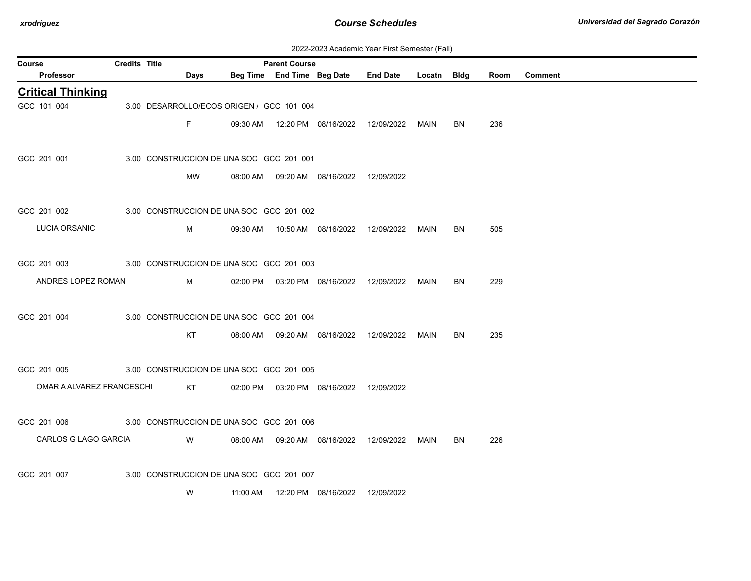| 2022-2023 Academic Year First Semester (Fall) |  |  |  |  |
|-----------------------------------------------|--|--|--|--|
|-----------------------------------------------|--|--|--|--|

| Course                    | Credits Title |      |                                           | <b>Parent Course</b> |                                            |                                                  |      |     |      |                |
|---------------------------|---------------|------|-------------------------------------------|----------------------|--------------------------------------------|--------------------------------------------------|------|-----|------|----------------|
| Professor                 |               | Days |                                           |                      |                                            | Beg Time End Time Beg Date End Date Locatn Bldg  |      |     | Room | <b>Comment</b> |
| <b>Critical Thinking</b>  |               |      |                                           |                      |                                            |                                                  |      |     |      |                |
| GCC 101 004               |               |      | 3.00 DESARROLLO/ECOS ORIGEN , GCC 101 004 |                      |                                            |                                                  |      |     |      |                |
|                           |               | F.   |                                           |                      |                                            | 09:30 AM  12:20 PM  08/16/2022  12/09/2022  MAIN |      | BN. | 236  |                |
| GCC 201 001               |               |      | 3.00 CONSTRUCCION DE UNA SOC GCC 201 001  |                      |                                            |                                                  |      |     |      |                |
|                           |               | MW   |                                           |                      | 08:00 AM  09:20 AM  08/16/2022  12/09/2022 |                                                  |      |     |      |                |
| GCC 201 002               |               |      | 3.00 CONSTRUCCION DE UNA SOC GCC 201 002  |                      |                                            |                                                  |      |     |      |                |
| LUCIA ORSANIC             |               | M    |                                           |                      |                                            |                                                  | MAIN | BN  | 505  |                |
| GCC 201 003               |               |      | 3.00 CONSTRUCCION DE UNA SOC GCC 201 003  |                      |                                            |                                                  |      |     |      |                |
| ANDRES LOPEZ ROMAN        |               | M    |                                           |                      |                                            | 02:00 PM  03:20 PM  08/16/2022  12/09/2022  MAIN |      | BN  | 229  |                |
| GCC 201 004               |               |      | 3.00 CONSTRUCCION DE UNA SOC GCC 201 004  |                      |                                            |                                                  |      |     |      |                |
|                           |               | KT   |                                           |                      | 08:00 AM  09:20 AM  08/16/2022  12/09/2022 |                                                  | MAIN | BN  | 235  |                |
| GCC 201 005               |               |      | 3.00 CONSTRUCCION DE UNA SOC GCC 201 005  |                      |                                            |                                                  |      |     |      |                |
| OMAR A ALVAREZ FRANCESCHI |               | KT   |                                           |                      | 02:00 PM  03:20 PM  08/16/2022  12/09/2022 |                                                  |      |     |      |                |
| GCC 201 006               |               |      | 3.00 CONSTRUCCION DE UNA SOC GCC 201 006  |                      |                                            |                                                  |      |     |      |                |
| CARLOS G LAGO GARCIA      |               | W    |                                           |                      |                                            | 08:00 AM  09:20 AM  08/16/2022  12/09/2022  MAIN |      | BN. | 226  |                |
| GCC 201 007               |               |      | 3.00 CONSTRUCCION DE UNA SOC GCC 201 007  |                      |                                            |                                                  |      |     |      |                |
|                           |               | W    |                                           |                      |                                            |                                                  |      |     |      |                |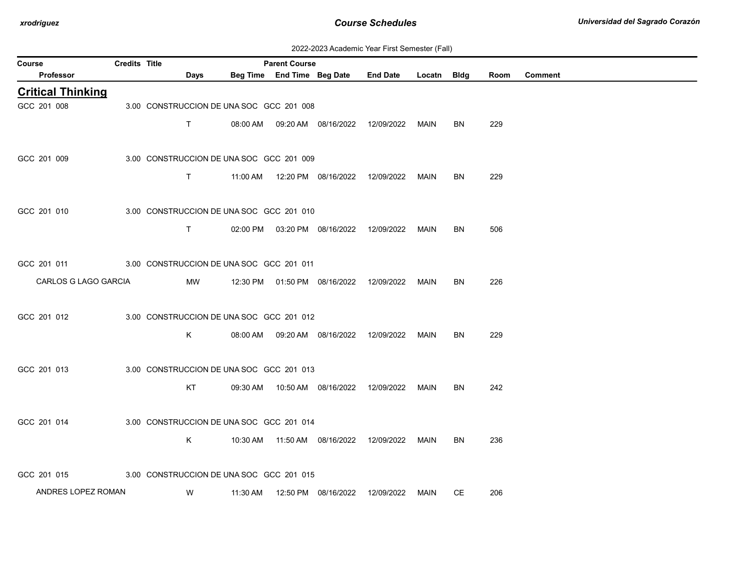| 2022-2023 Academic Year First Semester (Fall) |  |  |  |  |
|-----------------------------------------------|--|--|--|--|
|-----------------------------------------------|--|--|--|--|

| Course                   | Credits Title |                                          |          | <b>Parent Course</b> |                                            |                 |             |           |      |                |
|--------------------------|---------------|------------------------------------------|----------|----------------------|--------------------------------------------|-----------------|-------------|-----------|------|----------------|
| Professor                |               | Days                                     |          |                      | Beg Time End Time Beg Date                 | <b>End Date</b> | Locatn Bldg |           | Room | <b>Comment</b> |
| <b>Critical Thinking</b> |               |                                          |          |                      |                                            |                 |             |           |      |                |
| GCC 201 008              |               | 3.00 CONSTRUCCION DE UNA SOC GCC 201 008 |          |                      |                                            |                 |             |           |      |                |
|                          |               | T.                                       |          |                      | 08:00 AM  09:20 AM  08/16/2022  12/09/2022 |                 | MAIN        | BN        | 229  |                |
|                          |               |                                          |          |                      |                                            |                 |             |           |      |                |
| GCC 201 009              |               | 3.00 CONSTRUCCION DE UNA SOC GCC 201 009 |          |                      |                                            |                 |             |           |      |                |
|                          |               | $\mathsf{T}$                             |          |                      | 11:00 AM  12:20 PM  08/16/2022  12/09/2022 |                 | MAIN        | BN        | 229  |                |
|                          |               |                                          |          |                      |                                            |                 |             |           |      |                |
| GCC 201 010              |               | 3.00 CONSTRUCCION DE UNA SOC GCC 201 010 |          |                      |                                            |                 |             |           |      |                |
|                          |               | $\mathsf{T}$                             |          |                      |                                            |                 |             |           |      |                |
|                          |               |                                          |          |                      | 02:00 PM  03:20 PM  08/16/2022  12/09/2022 |                 | MAIN        | BN        | 506  |                |
|                          |               |                                          |          |                      |                                            |                 |             |           |      |                |
| GCC 201 011              |               | 3.00 CONSTRUCCION DE UNA SOC GCC 201 011 |          |                      |                                            |                 |             |           |      |                |
| CARLOS G LAGO GARCIA     |               | MW                                       |          |                      | 12:30 PM  01:50 PM  08/16/2022  12/09/2022 |                 | <b>MAIN</b> | BN        | 226  |                |
|                          |               |                                          |          |                      |                                            |                 |             |           |      |                |
| GCC 201 012              |               | 3.00 CONSTRUCCION DE UNA SOC GCC 201 012 |          |                      |                                            |                 |             |           |      |                |
|                          |               | K.                                       | 08:00 AM |                      |                                            |                 | MAIN        | <b>BN</b> | 229  |                |
|                          |               |                                          |          |                      |                                            |                 |             |           |      |                |
| GCC 201 013              |               | 3.00 CONSTRUCCION DE UNA SOC GCC 201 013 |          |                      |                                            |                 |             |           |      |                |
|                          |               | KT                                       | 09:30 AM |                      | 10:50 AM  08/16/2022  12/09/2022           |                 | MAIN        | BN        | 242  |                |
|                          |               |                                          |          |                      |                                            |                 |             |           |      |                |
| GCC 201 014              |               | 3.00 CONSTRUCCION DE UNA SOC GCC 201 014 |          |                      |                                            |                 |             |           |      |                |
|                          |               | Κ                                        |          |                      |                                            |                 | <b>MAIN</b> | BN        | 236  |                |
|                          |               |                                          |          |                      | 10:30 AM  11:50 AM  08/16/2022  12/09/2022 |                 |             |           |      |                |
|                          |               |                                          |          |                      |                                            |                 |             |           |      |                |
| GCC 201 015              |               | 3.00 CONSTRUCCION DE UNA SOC GCC 201 015 |          |                      |                                            |                 |             |           |      |                |
| ANDRES LOPEZ ROMAN       |               | W                                        | 11:30 AM |                      | 12:50 PM 08/16/2022                        | 12/09/2022      | MAIN        | CE        | 206  |                |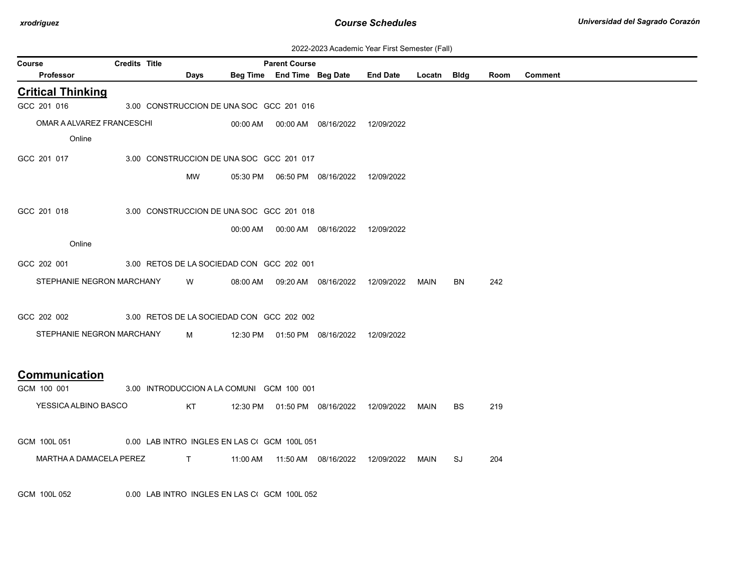| 2022-2023 Academic Year First Semester (Fall) |  |  |  |  |
|-----------------------------------------------|--|--|--|--|
|-----------------------------------------------|--|--|--|--|

|                           |                                              |      |          |                            |                                              | 2022-2023 Academic Tear First Semester (Fail) |             |     |      |         |
|---------------------------|----------------------------------------------|------|----------|----------------------------|----------------------------------------------|-----------------------------------------------|-------------|-----|------|---------|
| <b>Course</b>             | <b>Credits Title</b>                         |      |          | <b>Parent Course</b>       |                                              |                                               |             |     |      |         |
| <b>Professor</b>          |                                              | Days |          | Beg Time End Time Beg Date |                                              | <b>End Date</b>                               | Locatn Bidg |     | Room | Comment |
| <b>Critical Thinking</b>  |                                              |      |          |                            |                                              |                                               |             |     |      |         |
| GCC 201 016               | 3.00 CONSTRUCCION DE UNA SOC GCC 201 016     |      |          |                            |                                              |                                               |             |     |      |         |
| OMAR A ALVAREZ FRANCESCHI |                                              |      |          |                            | 00:00 AM  00:00 AM  08/16/2022  12/09/2022   |                                               |             |     |      |         |
| Online                    |                                              |      |          |                            |                                              |                                               |             |     |      |         |
| GCC 201 017               | 3.00 CONSTRUCCION DE UNA SOC GCC 201 017     |      |          |                            |                                              |                                               |             |     |      |         |
|                           |                                              |      |          |                            |                                              |                                               |             |     |      |         |
|                           |                                              | MW   |          |                            |                                              |                                               |             |     |      |         |
|                           |                                              |      |          |                            |                                              |                                               |             |     |      |         |
| GCC 201 018               | 3.00 CONSTRUCCION DE UNA SOC GCC 201 018     |      |          |                            |                                              |                                               |             |     |      |         |
|                           |                                              |      |          |                            | 00:00 AM   00:00 AM   08/16/2022  12/09/2022 |                                               |             |     |      |         |
| Online                    |                                              |      |          |                            |                                              |                                               |             |     |      |         |
| GCC 202 001               | 3.00 RETOS DE LA SOCIEDAD CON GCC 202 001    |      |          |                            |                                              |                                               |             |     |      |         |
| STEPHANIE NEGRON MARCHANY |                                              | W    | 08:00 AM |                            | 09:20 AM  08/16/2022                         | 12/09/2022                                    | MAIN        | BN  | 242  |         |
|                           |                                              |      |          |                            |                                              |                                               |             |     |      |         |
| GCC 202 002               | 3.00 RETOS DE LA SOCIEDAD CON GCC 202 002    |      |          |                            |                                              |                                               |             |     |      |         |
|                           |                                              |      |          |                            |                                              |                                               |             |     |      |         |
| STEPHANIE NEGRON MARCHANY |                                              | M    |          |                            | 12:30 PM  01:50 PM  08/16/2022  12/09/2022   |                                               |             |     |      |         |
|                           |                                              |      |          |                            |                                              |                                               |             |     |      |         |
| <b>Communication</b>      |                                              |      |          |                            |                                              |                                               |             |     |      |         |
| GCM 100 001               | 3.00 INTRODUCCION A LA COMUNI GCM 100 001    |      |          |                            |                                              |                                               |             |     |      |         |
| YESSICA ALBINO BASCO      |                                              | KT   |          |                            | 12:30 PM  01:50 PM  08/16/2022  12/09/2022   |                                               | MAIN        | BS. | 219  |         |
|                           |                                              |      |          |                            |                                              |                                               |             |     |      |         |
| GCM 100L 051              | 0.00 LAB INTRO INGLES EN LAS CI GCM 100L 051 |      |          |                            |                                              |                                               |             |     |      |         |
| MARTHA A DAMACELA PEREZ T |                                              |      |          |                            |                                              |                                               |             |     |      |         |
|                           |                                              |      |          |                            |                                              |                                               | MAIN        | SJ  | 204  |         |
|                           |                                              |      |          |                            |                                              |                                               |             |     |      |         |
| GCM 100L 052              | 0.00 LAB INTRO INGLES EN LAS CI GCM 100L 052 |      |          |                            |                                              |                                               |             |     |      |         |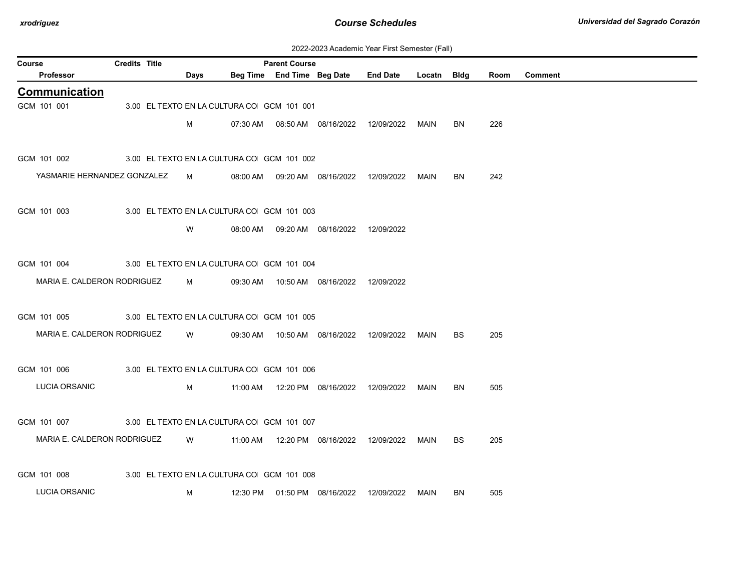| 2022-2023 Academic Year First Semester (Fall) |  |  |  |  |
|-----------------------------------------------|--|--|--|--|
|-----------------------------------------------|--|--|--|--|

| Course |                             | <b>Credits Title</b> |                                            |          | <b>Parent Course</b>       |                                            |                 |             |           |      |                |
|--------|-----------------------------|----------------------|--------------------------------------------|----------|----------------------------|--------------------------------------------|-----------------|-------------|-----------|------|----------------|
|        | Professor                   |                      | Days                                       |          | Beg Time End Time Beg Date |                                            | <b>End Date</b> | Locatn Bldg |           | Room | <b>Comment</b> |
|        | <b>Communication</b>        |                      |                                            |          |                            |                                            |                 |             |           |      |                |
|        | GCM 101 001                 |                      | 3.00 EL TEXTO EN LA CULTURA CO GCM 101 001 |          |                            |                                            |                 |             |           |      |                |
|        |                             |                      | М                                          |          |                            | 07:30 AM   08:50 AM   08/16/2022           | 12/09/2022      | MAIN        | BN        | 226  |                |
|        |                             |                      |                                            |          |                            |                                            |                 |             |           |      |                |
|        | GCM 101 002                 |                      | 3.00 EL TEXTO EN LA CULTURA CO GCM 101 002 |          |                            |                                            |                 |             |           |      |                |
|        | YASMARIE HERNANDEZ GONZALEZ |                      | M                                          | 08:00 AM |                            | 09:20 AM  08/16/2022  12/09/2022           |                 | MAIN        | BN        | 242  |                |
|        |                             |                      |                                            |          |                            |                                            |                 |             |           |      |                |
|        | GCM 101 003                 |                      | 3.00 EL TEXTO EN LA CULTURA CO GCM 101 003 |          |                            |                                            |                 |             |           |      |                |
|        |                             |                      | W                                          | 08:00 AM |                            | 09:20 AM  08/16/2022                       | 12/09/2022      |             |           |      |                |
|        |                             |                      |                                            |          |                            |                                            |                 |             |           |      |                |
|        | GCM 101 004                 |                      | 3.00 EL TEXTO EN LA CULTURA CO GCM 101 004 |          |                            |                                            |                 |             |           |      |                |
|        | MARIA E. CALDERON RODRIGUEZ |                      | M                                          |          |                            | 09:30 AM  10:50 AM  08/16/2022  12/09/2022 |                 |             |           |      |                |
|        |                             |                      |                                            |          |                            |                                            |                 |             |           |      |                |
|        | GCM 101 005                 |                      | 3.00 EL TEXTO EN LA CULTURA CO GCM 101 005 |          |                            |                                            |                 |             |           |      |                |
|        |                             |                      |                                            |          |                            |                                            |                 |             |           |      |                |
|        | MARIA E. CALDERON RODRIGUEZ |                      | W                                          | 09:30 AM |                            | 10:50 AM  08/16/2022  12/09/2022           |                 | MAIN        | <b>BS</b> | 205  |                |
|        |                             |                      |                                            |          |                            |                                            |                 |             |           |      |                |
|        | GCM 101 006                 |                      | 3.00 EL TEXTO EN LA CULTURA CO GCM 101 006 |          |                            |                                            |                 |             |           |      |                |
|        | LUCIA ORSANIC               |                      | M                                          | 11:00 AM |                            | 12:20 PM 08/16/2022                        | 12/09/2022      | MAIN        | BN        | 505  |                |
|        |                             |                      |                                            |          |                            |                                            |                 |             |           |      |                |
|        | GCM 101 007                 |                      | 3.00 EL TEXTO EN LA CULTURA CO GCM 101 007 |          |                            |                                            |                 |             |           |      |                |
|        | MARIA E. CALDERON RODRIGUEZ |                      | W                                          |          |                            | 11:00 AM  12:20 PM  08/16/2022  12/09/2022 |                 | MAIN        | <b>BS</b> | 205  |                |
|        |                             |                      |                                            |          |                            |                                            |                 |             |           |      |                |
|        | GCM 101 008                 |                      | 3.00 EL TEXTO EN LA CULTURA CO GCM 101 008 |          |                            |                                            |                 |             |           |      |                |
|        | LUCIA ORSANIC               |                      | м                                          |          |                            | 12:30 PM  01:50 PM  08/16/2022             | 12/09/2022      | MAIN        | <b>BN</b> | 505  |                |
|        |                             |                      |                                            |          |                            |                                            |                 |             |           |      |                |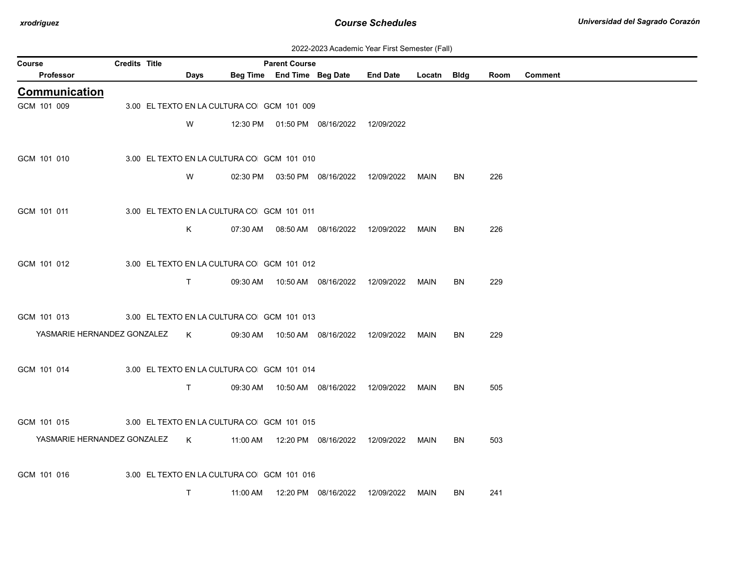| 2022-2023 Academic Year First Semester (Fall) |  |  |  |  |
|-----------------------------------------------|--|--|--|--|
|-----------------------------------------------|--|--|--|--|

| Course |                                                                       | <b>Credits Title</b> |                                            | <b>Parent Course</b> |                                            |                                                  |      |    |      |                |
|--------|-----------------------------------------------------------------------|----------------------|--------------------------------------------|----------------------|--------------------------------------------|--------------------------------------------------|------|----|------|----------------|
|        | Professor                                                             |                      | Days                                       |                      |                                            | Beg Time End Time Beg Date End Date Locatn Bldg  |      |    | Room | <b>Comment</b> |
|        | <b>Communication</b>                                                  |                      |                                            |                      |                                            |                                                  |      |    |      |                |
|        | GCM 101 009                                                           |                      | 3.00 EL TEXTO EN LA CULTURA CO GCM 101 009 |                      |                                            |                                                  |      |    |      |                |
|        |                                                                       |                      | W                                          |                      | 12:30 PM  01:50 PM  08/16/2022  12/09/2022 |                                                  |      |    |      |                |
|        |                                                                       |                      |                                            |                      |                                            |                                                  |      |    |      |                |
|        | GCM 101 010                                                           |                      | 3.00 EL TEXTO EN LA CULTURA CO GCM 101 010 |                      |                                            |                                                  |      |    |      |                |
|        |                                                                       |                      | W                                          |                      |                                            | 02:30 PM  03:50 PM  08/16/2022  12/09/2022  MAIN |      | BN | 226  |                |
|        |                                                                       |                      |                                            |                      |                                            |                                                  |      |    |      |                |
|        | GCM 101 011                                                           |                      | 3.00 EL TEXTO EN LA CULTURA CO GCM 101 011 |                      |                                            |                                                  |      |    |      |                |
|        |                                                                       |                      | K.                                         |                      |                                            |                                                  | MAIN | BN | 226  |                |
|        |                                                                       |                      |                                            |                      |                                            |                                                  |      |    |      |                |
|        | GCM 101 012                                                           |                      | 3.00 EL TEXTO EN LA CULTURA CO GCM 101 012 |                      |                                            |                                                  |      |    |      |                |
|        |                                                                       |                      |                                            |                      |                                            |                                                  |      |    |      |                |
|        |                                                                       |                      | $\mathsf{T}$                               |                      |                                            | 09:30 AM  10:50 AM  08/16/2022  12/09/2022  MAIN |      | BN | 229  |                |
|        |                                                                       |                      |                                            |                      |                                            |                                                  |      |    |      |                |
|        | GCM 101 013                                                           |                      | 3.00 EL TEXTO EN LA CULTURA CO GCM 101 013 |                      |                                            |                                                  |      |    |      |                |
|        | YASMARIE HERNANDEZ GONZALEZ K                                         |                      |                                            |                      |                                            | 09:30 AM  10:50 AM  08/16/2022  12/09/2022  MAIN |      | BN | 229  |                |
|        |                                                                       |                      |                                            |                      |                                            |                                                  |      |    |      |                |
|        | GCM 101 014                                                           |                      | 3.00 EL TEXTO EN LA CULTURA CO GCM 101 014 |                      |                                            |                                                  |      |    |      |                |
|        |                                                                       |                      | T.                                         |                      | 09:30 AM  10:50 AM  08/16/2022  12/09/2022 |                                                  | MAIN | BN | 505  |                |
|        |                                                                       |                      |                                            |                      |                                            |                                                  |      |    |      |                |
|        | GCM 101 015                                                           |                      | 3.00 EL TEXTO EN LA CULTURA CO GCM 101 015 |                      |                                            |                                                  |      |    |      |                |
|        | YASMARIE HERNANDEZ GONZALEZ K 11:00 AM 12:20 PM 08/16/2022 12/09/2022 |                      |                                            |                      |                                            |                                                  | MAIN | BN | 503  |                |
|        |                                                                       |                      |                                            |                      |                                            |                                                  |      |    |      |                |
|        | GCM 101 016                                                           |                      | 3.00 EL TEXTO EN LA CULTURA CO GCM 101 016 |                      |                                            |                                                  |      |    |      |                |
|        |                                                                       |                      | $\mathsf{T}$                               |                      | 11:00 AM  12:20 PM  08/16/2022  12/09/2022 |                                                  | MAIN | BN | 241  |                |
|        |                                                                       |                      |                                            |                      |                                            |                                                  |      |    |      |                |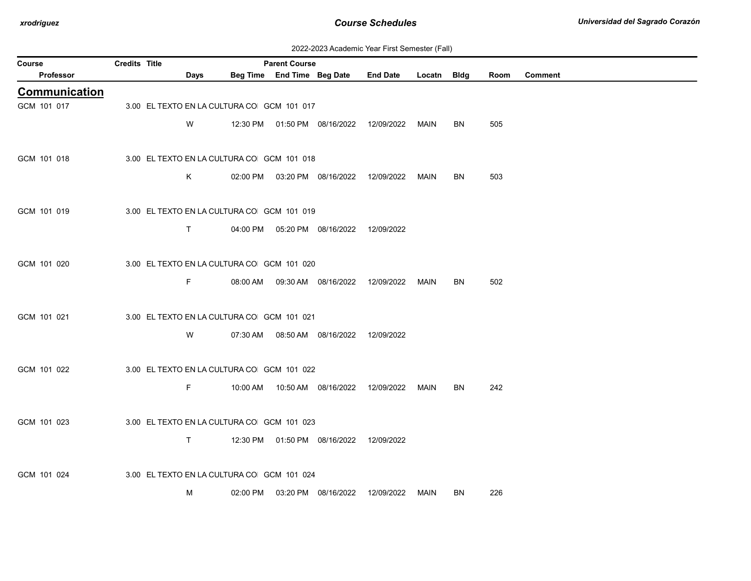| 2022-2023 Academic Year First Semester (Fall) |  |  |  |  |
|-----------------------------------------------|--|--|--|--|
|-----------------------------------------------|--|--|--|--|

| <b>Course</b>        | <b>Credits Title</b> |              |                                            | <b>Parent Course</b> |                                            |                                            |             |     |      |                |
|----------------------|----------------------|--------------|--------------------------------------------|----------------------|--------------------------------------------|--------------------------------------------|-------------|-----|------|----------------|
| Professor            |                      | Days         |                                            |                      | Beg Time End Time Beg Date                 | <b>End Date</b>                            | Locatn Bldg |     | Room | <b>Comment</b> |
| <b>Communication</b> |                      |              |                                            |                      |                                            |                                            |             |     |      |                |
| GCM 101 017          |                      |              | 3.00 EL TEXTO EN LA CULTURA CO GCM 101 017 |                      |                                            |                                            |             |     |      |                |
|                      |                      | W            |                                            |                      |                                            | 12:30 PM  01:50 PM  08/16/2022  12/09/2022 | MAIN        | BN. | 505  |                |
|                      |                      |              |                                            |                      |                                            |                                            |             |     |      |                |
| GCM 101 018          |                      |              | 3.00 EL TEXTO EN LA CULTURA CO GCM 101 018 |                      |                                            |                                            |             |     |      |                |
|                      |                      | K            |                                            |                      | 02:00 PM  03:20 PM  08/16/2022  12/09/2022 |                                            | MAIN        | BN  | 503  |                |
|                      |                      |              |                                            |                      |                                            |                                            |             |     |      |                |
| GCM 101 019          |                      |              | 3.00 EL TEXTO EN LA CULTURA CO GCM 101 019 |                      |                                            |                                            |             |     |      |                |
|                      |                      | $\mathsf{T}$ |                                            |                      | 04:00 PM  05:20 PM  08/16/2022             | 12/09/2022                                 |             |     |      |                |
|                      |                      |              |                                            |                      |                                            |                                            |             |     |      |                |
| GCM 101 020          |                      |              | 3.00 EL TEXTO EN LA CULTURA CO GCM 101 020 |                      |                                            |                                            |             |     |      |                |
|                      |                      |              |                                            |                      |                                            |                                            |             |     |      |                |
|                      |                      | F.           |                                            |                      | 08:00 AM  09:30 AM  08/16/2022  12/09/2022 |                                            | MAIN        | BN  | 502  |                |
|                      |                      |              |                                            |                      |                                            |                                            |             |     |      |                |
| GCM 101 021          |                      |              | 3.00 EL TEXTO EN LA CULTURA CO GCM 101 021 |                      |                                            |                                            |             |     |      |                |
|                      |                      | W            |                                            |                      | 07:30 AM  08:50 AM  08/16/2022  12/09/2022 |                                            |             |     |      |                |
|                      |                      |              |                                            |                      |                                            |                                            |             |     |      |                |
| GCM 101 022          |                      |              | 3.00 EL TEXTO EN LA CULTURA CO GCM 101 022 |                      |                                            |                                            |             |     |      |                |
|                      |                      | F.           |                                            |                      | 10:00 AM   10:50 AM   08/16/2022           | 12/09/2022                                 | MAIN        | BN  | 242  |                |
|                      |                      |              |                                            |                      |                                            |                                            |             |     |      |                |
| GCM 101 023          |                      |              | 3.00 EL TEXTO EN LA CULTURA CO GCM 101 023 |                      |                                            |                                            |             |     |      |                |
|                      |                      | $\mathsf{T}$ |                                            |                      | 12:30 PM  01:50 PM  08/16/2022  12/09/2022 |                                            |             |     |      |                |
|                      |                      |              |                                            |                      |                                            |                                            |             |     |      |                |
| GCM 101 024          |                      |              | 3.00 EL TEXTO EN LA CULTURA CO GCM 101 024 |                      |                                            |                                            |             |     |      |                |
|                      |                      | М            |                                            |                      | 02:00 PM  03:20 PM  08/16/2022             | 12/09/2022                                 | MAIN        | BN. | 226  |                |
|                      |                      |              |                                            |                      |                                            |                                            |             |     |      |                |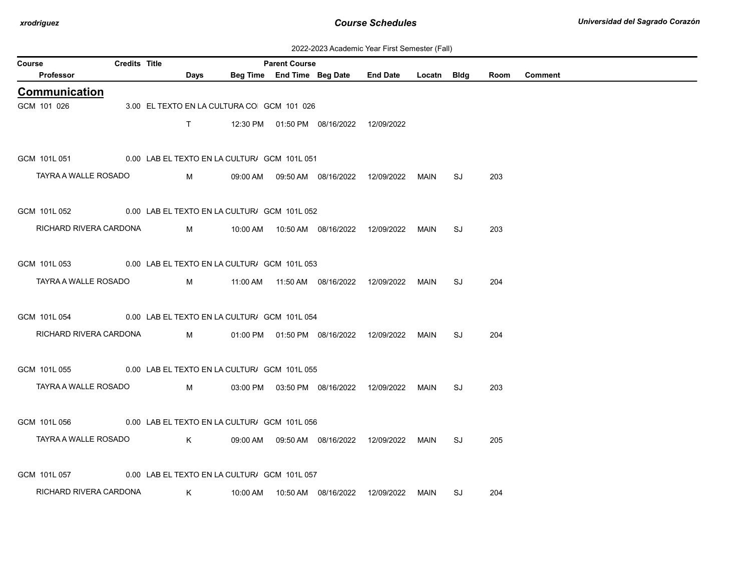| 2022-2023 Academic Year First Semester (Fall) |  |  |  |  |
|-----------------------------------------------|--|--|--|--|
|-----------------------------------------------|--|--|--|--|

| Course |                                                           | <b>Credits Title</b> |              |          | <b>Parent Course</b>                         |                                            |                 |             |    |      |                |
|--------|-----------------------------------------------------------|----------------------|--------------|----------|----------------------------------------------|--------------------------------------------|-----------------|-------------|----|------|----------------|
|        | Professor                                                 |                      | Days         |          |                                              | Beg Time End Time Beg Date                 | <b>End Date</b> | Locatn Bldg |    | Room | <b>Comment</b> |
|        | <b>Communication</b>                                      |                      |              |          |                                              |                                            |                 |             |    |      |                |
|        | GCM 101 026                                               |                      |              |          | 3.00 EL TEXTO EN LA CULTURA CO GCM 101 026   |                                            |                 |             |    |      |                |
|        |                                                           |                      | $\mathsf{T}$ |          |                                              | 12:30 PM  01:50 PM  08/16/2022  12/09/2022 |                 |             |    |      |                |
|        |                                                           |                      |              |          |                                              |                                            |                 |             |    |      |                |
|        | GCM 101L 051                                              |                      |              |          | 0.00 LAB EL TEXTO EN LA CULTUR/ GCM 101L 051 |                                            |                 |             |    |      |                |
|        | TAYRA A WALLE ROSADO                                      |                      | M            |          |                                              | 09:00 AM  09:50 AM  08/16/2022             | 12/09/2022      | MAIN        | SJ | 203  |                |
|        |                                                           |                      |              |          |                                              |                                            |                 |             |    |      |                |
|        | GCM 101L 052                                              |                      |              |          | 0.00 LAB EL TEXTO EN LA CULTUR/ GCM 101L 052 |                                            |                 |             |    |      |                |
|        | RICHARD RIVERA CARDONA                                    |                      | M            |          |                                              |                                            |                 | MAIN        | SJ | 203  |                |
|        |                                                           |                      |              |          |                                              |                                            |                 |             |    |      |                |
|        | GCM 101L 053                                              |                      |              |          | 0.00 LAB EL TEXTO EN LA CULTUR/ GCM 101L 053 |                                            |                 |             |    |      |                |
|        | TAYRA A WALLE ROSADO                                      |                      | M            |          |                                              |                                            |                 |             | SJ | 204  |                |
|        |                                                           |                      |              |          |                                              |                                            |                 |             |    |      |                |
|        | GCM 101L 054                                              |                      |              |          | 0.00 LAB EL TEXTO EN LA CULTUR/ GCM 101L 054 |                                            |                 |             |    |      |                |
|        | RICHARD RIVERA CARDONA                                    |                      | M            |          |                                              | 01:00 PM  01:50 PM  08/16/2022  12/09/2022 |                 | MAIN        | SJ | 204  |                |
|        |                                                           |                      |              |          |                                              |                                            |                 |             |    |      |                |
|        | GCM 101L 055 0.00 LAB EL TEXTO EN LA CULTUR/ GCM 101L 055 |                      |              |          |                                              |                                            |                 |             |    |      |                |
|        | TAYRA A WALLE ROSADO                                      |                      | M            |          |                                              | 03:00 PM  03:50 PM  08/16/2022  12/09/2022 |                 | MAIN        | SJ | 203  |                |
|        |                                                           |                      |              |          |                                              |                                            |                 |             |    |      |                |
|        | GCM 101L 056                                              |                      |              |          | 0.00 LAB EL TEXTO EN LA CULTUR/ GCM 101L 056 |                                            |                 |             |    |      |                |
|        | TAYRA A WALLE ROSADO                                      |                      | K.           |          |                                              |                                            |                 |             | SJ | 205  |                |
|        |                                                           |                      |              |          |                                              |                                            |                 |             |    |      |                |
|        | GCM 101L 057                                              |                      |              |          | 0.00 LAB EL TEXTO EN LA CULTUR/ GCM 101L 057 |                                            |                 |             |    |      |                |
|        | RICHARD RIVERA CARDONA                                    |                      | K            | 10:00 AM |                                              |                                            | 12/09/2022      | MAIN        | SJ | 204  |                |
|        |                                                           |                      |              |          |                                              |                                            |                 |             |    |      |                |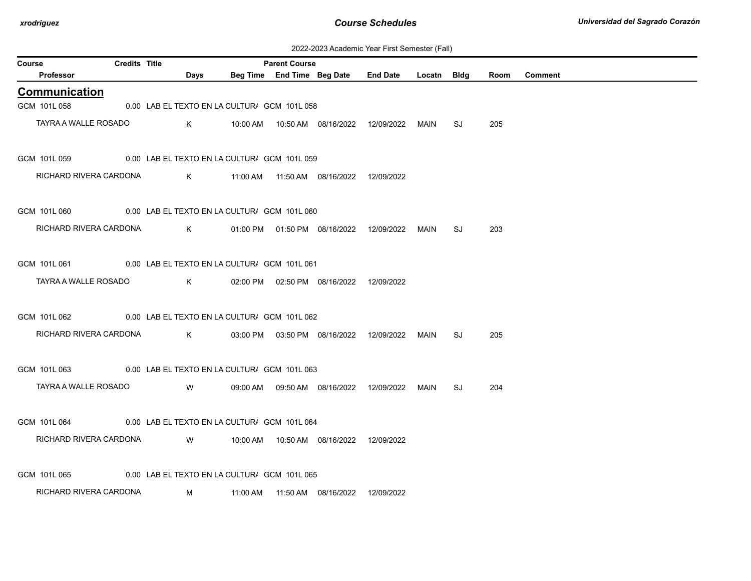| 2022-2023 Academic Year First Semester (Fall) |  |  |  |  |
|-----------------------------------------------|--|--|--|--|
|-----------------------------------------------|--|--|--|--|

| <b>Course</b> |                        | <b>Credits Title</b> |                                                           |                                           | <b>Parent Course</b> |                                            |             |    |      |         |
|---------------|------------------------|----------------------|-----------------------------------------------------------|-------------------------------------------|----------------------|--------------------------------------------|-------------|----|------|---------|
|               | <b>Professor</b>       |                      | Days                                                      |                                           |                      | Beg Time End Time Beg Date End Date        | Locatn Bldg |    | Room | Comment |
|               | Communication          |                      |                                                           |                                           |                      |                                            |             |    |      |         |
|               | GCM 101L 058           |                      | 0.00 LAB EL TEXTO EN LA CULTUR/ GCM 101L 058              |                                           |                      |                                            |             |    |      |         |
|               | TAYRA A WALLE ROSADO   |                      | K                                                         |                                           |                      |                                            | MAIN        | SJ | 205  |         |
|               | GCM 101L 059           |                      | 0.00 LAB EL TEXTO EN LA CULTUR/ GCM 101L 059              |                                           |                      |                                            |             |    |      |         |
|               | RICHARD RIVERA CARDONA |                      |                                                           | K 11:00 AM                                |                      |                                            |             |    |      |         |
|               | GCM 101L 060           |                      | 0.00 LAB EL TEXTO EN LA CULTUR/ GCM 101L 060              |                                           |                      |                                            |             |    |      |         |
|               | RICHARD RIVERA CARDONA |                      |                                                           | K 01:00 PM 01:50 PM 08/16/2022 12/09/2022 |                      |                                            | MAIN        | SJ | 203  |         |
|               |                        |                      | GCM 101L 061 0.00 LAB EL TEXTO EN LA CULTUR/ GCM 101L 061 |                                           |                      |                                            |             |    |      |         |
|               | TAYRA A WALLE ROSADO   |                      | $K$ and $K$                                               |                                           |                      | 02:00 PM  02:50 PM  08/16/2022  12/09/2022 |             |    |      |         |
|               | GCM 101L 062           |                      | 0.00 LAB EL TEXTO EN LA CULTUR/ GCM 101L 062              |                                           |                      |                                            |             |    |      |         |
|               | RICHARD RIVERA CARDONA |                      |                                                           | K 03:00 PM 03:50 PM 08/16/2022 12/09/2022 |                      |                                            | MAIN        | SJ | 205  |         |
|               | GCM 101L 063           |                      | 0.00 LAB EL TEXTO EN LA CULTUR/ GCM 101L 063              |                                           |                      |                                            |             |    |      |         |
|               | TAYRA A WALLE ROSADO   |                      | W l                                                       |                                           |                      | 09:00 AM  09:50 AM  08/16/2022  12/09/2022 | MAIN        | SJ | 204  |         |
|               | GCM 101L 064           |                      | 0.00 LAB EL TEXTO EN LA CULTUR/ GCM 101L 064              |                                           |                      |                                            |             |    |      |         |
|               | RICHARD RIVERA CARDONA |                      | W                                                         |                                           |                      |                                            |             |    |      |         |
|               | GCM 101L 065           |                      | 0.00 LAB EL TEXTO EN LA CULTUR/ GCM 101L 065              |                                           |                      |                                            |             |    |      |         |
|               | RICHARD RIVERA CARDONA |                      | M                                                         |                                           |                      | 11:00 AM  11:50 AM  08/16/2022  12/09/2022 |             |    |      |         |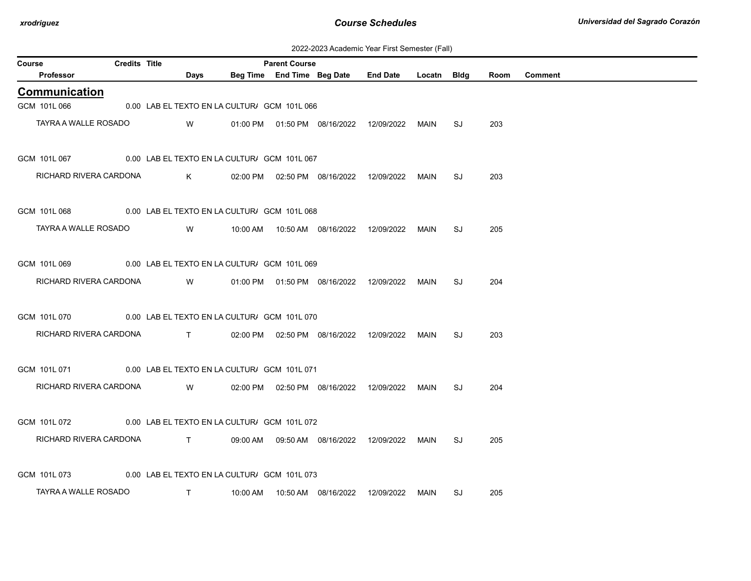| 2022-2023 Academic Year First Semester (Fall) |  |  |  |  |
|-----------------------------------------------|--|--|--|--|
|-----------------------------------------------|--|--|--|--|

| Course |                                                           | <b>Credits Title</b> |                                                |                                              | <b>Parent Course</b> |                                            |                 |             |    |      |         |
|--------|-----------------------------------------------------------|----------------------|------------------------------------------------|----------------------------------------------|----------------------|--------------------------------------------|-----------------|-------------|----|------|---------|
|        | <b>Professor</b>                                          |                      | Days                                           |                                              |                      | Beg Time End Time Beg Date                 | <b>End Date</b> | Locatn Bldg |    | Room | Comment |
|        | Communication                                             |                      |                                                |                                              |                      |                                            |                 |             |    |      |         |
|        | GCM 101L 066                                              |                      |                                                | 0.00 LAB EL TEXTO EN LA CULTUR/ GCM 101L 066 |                      |                                            |                 |             |    |      |         |
|        | TAYRA A WALLE ROSADO                                      |                      | W                                              |                                              |                      | 01:00 PM  01:50 PM  08/16/2022  12/09/2022 |                 | MAIN        | SJ | 203  |         |
|        | GCM 101L 067                                              |                      |                                                | 0.00 LAB EL TEXTO EN LA CULTUR/ GCM 101L 067 |                      |                                            |                 |             |    |      |         |
|        | RICHARD RIVERA CARDONA                                    |                      | K                                              |                                              |                      | 02:00 PM  02:50 PM  08/16/2022  12/09/2022 |                 | <b>MAIN</b> | SJ | 203  |         |
|        | GCM 101L 068                                              |                      |                                                | 0.00 LAB EL TEXTO EN LA CULTUR/ GCM 101L 068 |                      |                                            |                 |             |    |      |         |
|        | TAYRA A WALLE ROSADO                                      |                      | W                                              |                                              |                      |                                            |                 | MAIN        | SJ | 205  |         |
|        | GCM 101L 069                                              |                      |                                                | 0.00 LAB EL TEXTO EN LA CULTUR/ GCM 101L 069 |                      |                                            |                 |             |    |      |         |
|        | RICHARD RIVERA CARDONA                                    |                      | W                                              |                                              |                      | 01:00 PM  01:50 PM  08/16/2022  12/09/2022 |                 | <b>MAIN</b> | SJ | 204  |         |
|        | GCM 101L 070                                              |                      |                                                | 0.00 LAB EL TEXTO EN LA CULTUR/ GCM 101L 070 |                      |                                            |                 |             |    |      |         |
|        | RICHARD RIVERA CARDONA                                    |                      |                                                | $\mathsf{T}$                                 |                      | 02:00 PM  02:50 PM  08/16/2022  12/09/2022 |                 | MAIN        | SJ | 203  |         |
|        | GCM 101L 071                                              |                      |                                                | 0.00 LAB EL TEXTO EN LA CULTUR/ GCM 101L 071 |                      |                                            |                 |             |    |      |         |
|        | RICHARD RIVERA CARDONA                                    |                      | W                                              |                                              |                      | 02:00 PM  02:50 PM  08/16/2022  12/09/2022 |                 | MAIN        | SJ | 204  |         |
|        | GCM 101L 072                                              |                      |                                                | 0.00 LAB EL TEXTO EN LA CULTUR/ GCM 101L 072 |                      |                                            |                 |             |    |      |         |
|        | RICHARD RIVERA CARDONA                                    |                      | $\mathbf{T}$ and $\mathbf{T}$ and $\mathbf{T}$ |                                              |                      | 09:00 AM  09:50 AM  08/16/2022  12/09/2022 |                 | MAIN        | SJ | 205  |         |
|        | GCM 101L 073 0.00 LAB EL TEXTO EN LA CULTUR/ GCM 101L 073 |                      |                                                |                                              |                      |                                            |                 |             |    |      |         |
|        | TAYRA A WALLE ROSADO                                      |                      | $\top$                                         |                                              |                      |                                            | 12/09/2022      | MAIN        | SJ | 205  |         |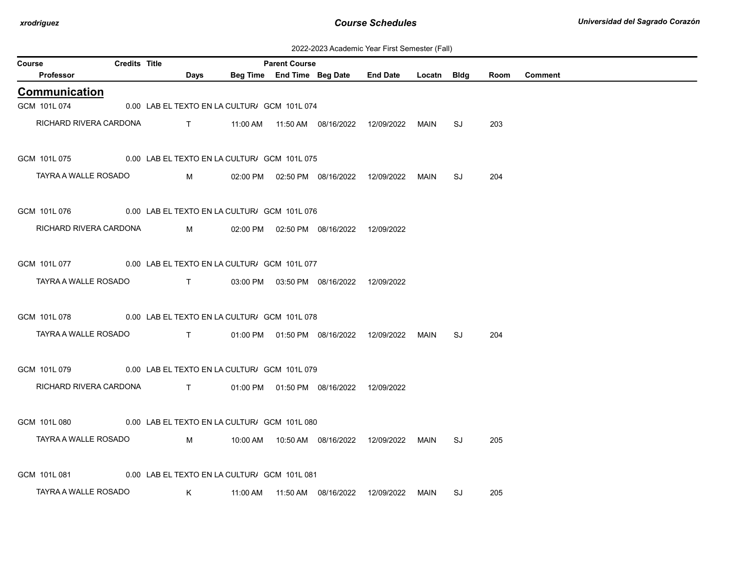| 2022-2023 Academic Year First Semester (Fall) |  |  |  |  |
|-----------------------------------------------|--|--|--|--|
|-----------------------------------------------|--|--|--|--|

| Course                                                           | <b>Credits Title</b> |                                                                                  | <b>Parent Course</b> |                                            |                                            |             |    |      |                |
|------------------------------------------------------------------|----------------------|----------------------------------------------------------------------------------|----------------------|--------------------------------------------|--------------------------------------------|-------------|----|------|----------------|
| Professor                                                        |                      | Days                                                                             |                      |                                            | Beg Time End Time Beg Date End Date        | Locatn Bldg |    | Room | <b>Comment</b> |
| Communication                                                    |                      |                                                                                  |                      |                                            |                                            |             |    |      |                |
| GCM 101L 074                                                     |                      | 0.00 LAB EL TEXTO EN LA CULTUR/ GCM 101L 074                                     |                      |                                            |                                            |             |    |      |                |
| RICHARD RIVERA CARDONA                                           |                      |                                                                                  |                      |                                            |                                            |             | SJ | 203  |                |
| GCM 101L 075                                                     |                      | 0.00 LAB EL TEXTO EN LA CULTUR/ GCM 101L 075                                     |                      |                                            |                                            |             |    |      |                |
| TAYRA A WALLE ROSADO                                             |                      | $M \sim 1$                                                                       |                      |                                            | 02:00 PM  02:50 PM  08/16/2022  12/09/2022 | MAIN        | SJ | 204  |                |
| GCM 101L 076                                                     |                      | 0.00 LAB EL TEXTO EN LA CULTUR/ GCM 101L 076                                     |                      |                                            |                                            |             |    |      |                |
| RICHARD RIVERA CARDONA                                           |                      | $M \sim 1$                                                                       |                      | 02:00 PM  02:50 PM  08/16/2022  12/09/2022 |                                            |             |    |      |                |
| GCM 101L 077 0.00 LAB EL TEXTO EN LA CULTUR/ GCM 101L 077        |                      |                                                                                  |                      |                                            |                                            |             |    |      |                |
| TAYRA A WALLE ROSADO                                             |                      | $\mathbf{T}$ and $\mathbf{T}$ and $\mathbf{T}$ and $\mathbf{T}$ and $\mathbf{T}$ |                      | 03:00 PM  03:50 PM  08/16/2022  12/09/2022 |                                            |             |    |      |                |
| GCM 101L 078 0.00 LAB EL TEXTO EN LA CULTUR/ GCM 101L 078        |                      |                                                                                  |                      |                                            |                                            |             |    |      |                |
| TAYRA A WALLE ROSADO                                             |                      | $\mathbf{T}$ and $\mathbf{T}$                                                    |                      |                                            |                                            | MAIN        | SJ | 204  |                |
| GCM 101L 079                                                     |                      | 0.00 LAB EL TEXTO EN LA CULTUR/ GCM 101L 079                                     |                      |                                            |                                            |             |    |      |                |
| RICHARD RIVERA CARDONA T 01:00 PM 01:50 PM 08/16/2022 12/09/2022 |                      |                                                                                  |                      |                                            |                                            |             |    |      |                |
| GCM 101L 080 0.00 LAB EL TEXTO EN LA CULTUR/ GCM 101L 080        |                      |                                                                                  |                      |                                            |                                            |             |    |      |                |
| TAYRA A WALLE ROSADO                                             |                      | M                                                                                |                      |                                            |                                            | MAIN        | SJ | 205  |                |
| GCM 101L 081                                                     |                      | 0.00 LAB EL TEXTO EN LA CULTUR/ GCM 101L 081                                     |                      |                                            |                                            |             |    |      |                |
| TAYRA A WALLE ROSADO                                             |                      | K .                                                                              |                      |                                            |                                            | MAIN        | SJ | 205  |                |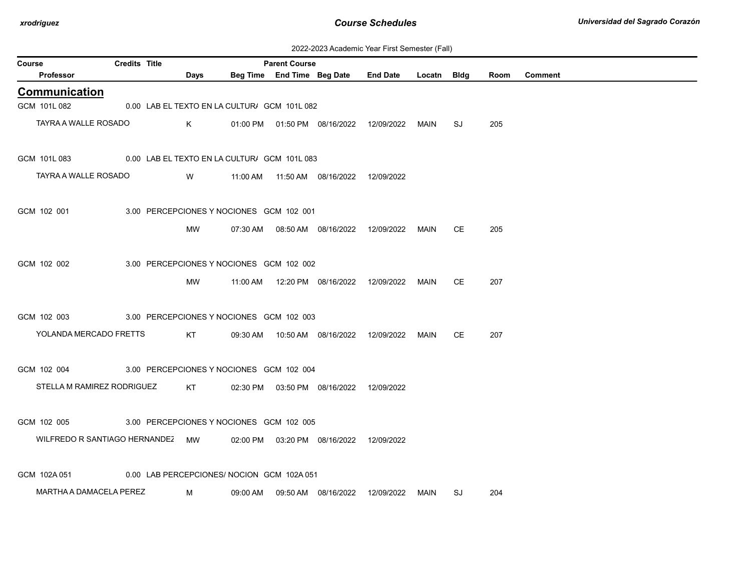| 2022-2023 Academic Year First Semester (Fall) |  |  |  |  |
|-----------------------------------------------|--|--|--|--|
|-----------------------------------------------|--|--|--|--|

| Course |                                  | <b>Credits Title</b> |                                              |          | <b>Parent Course</b>       |                                            |                 |             |    |      |                |
|--------|----------------------------------|----------------------|----------------------------------------------|----------|----------------------------|--------------------------------------------|-----------------|-------------|----|------|----------------|
|        | Professor                        |                      | Days                                         |          | Beg Time End Time Beg Date |                                            | <b>End Date</b> | Locatn Bldg |    | Room | <b>Comment</b> |
|        | <b>Communication</b>             |                      |                                              |          |                            |                                            |                 |             |    |      |                |
|        | GCM 101L 082                     |                      | 0.00 LAB EL TEXTO EN LA CULTUR/ GCM 101L 082 |          |                            |                                            |                 |             |    |      |                |
|        | TAYRA A WALLE ROSADO             |                      | K                                            |          |                            | 01:00 PM   01:50 PM   08/16/2022           | 12/09/2022      | MAIN        | SJ | 205  |                |
|        | GCM 101L 083                     |                      | 0.00 LAB EL TEXTO EN LA CULTUR/ GCM 101L 083 |          |                            |                                            |                 |             |    |      |                |
|        | TAYRA A WALLE ROSADO             |                      | W                                            | 11:00 AM |                            |                                            | 12/09/2022      |             |    |      |                |
|        | GCM 102 001                      |                      | 3.00 PERCEPCIONES Y NOCIONES GCM 102 001     |          |                            |                                            |                 |             |    |      |                |
|        |                                  |                      | МW                                           |          |                            | 07:30 AM  08:50 AM  08/16/2022  12/09/2022 |                 | MAIN        | CE | 205  |                |
|        | GCM 102 002                      |                      | 3.00 PERCEPCIONES Y NOCIONES GCM 102 002     |          |                            |                                            |                 |             |    |      |                |
|        |                                  |                      | MW                                           | 11:00 AM |                            | 12:20 PM 08/16/2022                        | 12/09/2022      | <b>MAIN</b> | CE | 207  |                |
|        | GCM 102 003                      |                      | 3.00 PERCEPCIONES Y NOCIONES GCM 102 003     |          |                            |                                            |                 |             |    |      |                |
|        | YOLANDA MERCADO FRETTS           |                      | KT                                           |          |                            | 09:30 AM  10:50 AM  08/16/2022  12/09/2022 |                 | <b>MAIN</b> | СE | 207  |                |
|        | GCM 102 004                      |                      | 3.00 PERCEPCIONES Y NOCIONES GCM 102 004     |          |                            |                                            |                 |             |    |      |                |
|        | STELLA M RAMIREZ RODRIGUEZ       |                      | KT                                           |          |                            | 02:30 PM  03:50 PM  08/16/2022  12/09/2022 |                 |             |    |      |                |
|        | GCM 102 005                      |                      | 3.00 PERCEPCIONES Y NOCIONES GCM 102 005     |          |                            |                                            |                 |             |    |      |                |
|        | WILFREDO R SANTIAGO HERNANDEZ MW |                      |                                              |          |                            | 02:00 PM  03:20 PM  08/16/2022             | 12/09/2022      |             |    |      |                |
|        | GCM 102A 051                     |                      | 0.00 LAB PERCEPCIONES/ NOCION GCM 102A 051   |          |                            |                                            |                 |             |    |      |                |
|        | MARTHA A DAMACELA PEREZ          |                      | M                                            | 09:00 AM |                            | 09:50 AM  08/16/2022                       | 12/09/2022      | MAIN        | SJ | 204  |                |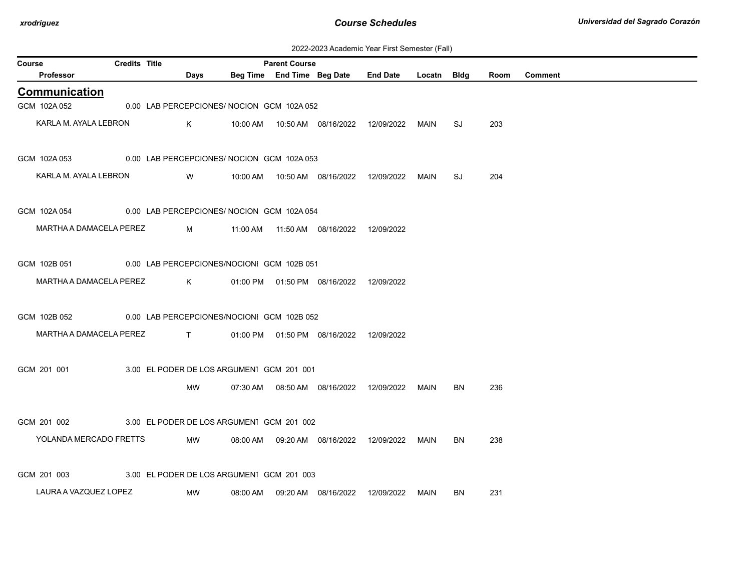| 2022-2023 Academic Year First Semester (Fall) |
|-----------------------------------------------|
|-----------------------------------------------|

| <b>Credits Title</b><br>Course |  |  |                                            |          | <b>Parent Course</b> |                                            |                 |             |     |      |                |
|--------------------------------|--|--|--------------------------------------------|----------|----------------------|--------------------------------------------|-----------------|-------------|-----|------|----------------|
| Professor                      |  |  | Days                                       |          |                      | Beg Time End Time Beg Date                 | <b>End Date</b> | Locatn Bldg |     | Room | <b>Comment</b> |
| <b>Communication</b>           |  |  |                                            |          |                      |                                            |                 |             |     |      |                |
| GCM 102A 052                   |  |  | 0.00 LAB PERCEPCIONES/ NOCION GCM 102A 052 |          |                      |                                            |                 |             |     |      |                |
| KARLA M. AYALA LEBRON          |  |  | K                                          |          |                      |                                            |                 | MAIN        | SJ  | 203  |                |
| GCM 102A 053                   |  |  | 0.00 LAB PERCEPCIONES/NOCION GCM 102A 053  |          |                      |                                            |                 |             |     |      |                |
| KARLA M. AYALA LEBRON          |  |  | W                                          | 10:00 AM |                      |                                            | 12/09/2022      | MAIN        | SJ  | 204  |                |
| GCM 102A 054                   |  |  | 0.00 LAB PERCEPCIONES/ NOCION GCM 102A 054 |          |                      |                                            |                 |             |     |      |                |
| MARTHA A DAMACELA PEREZ        |  |  | M                                          |          |                      |                                            |                 |             |     |      |                |
| GCM 102B 051                   |  |  | 0.00 LAB PERCEPCIONES/NOCIONI GCM 102B 051 |          |                      |                                            |                 |             |     |      |                |
| MARTHA A DAMACELA PEREZ        |  |  | K                                          |          |                      | 01:00 PM  01:50 PM  08/16/2022  12/09/2022 |                 |             |     |      |                |
| GCM 102B 052                   |  |  | 0.00 LAB PERCEPCIONES/NOCIONI GCM 102B 052 |          |                      |                                            |                 |             |     |      |                |
| MARTHA A DAMACELA PEREZ        |  |  | $\mathbf{T}$ and $\mathbf{T}$              |          |                      | 01:00 PM   01:50 PM   08/16/2022           | 12/09/2022      |             |     |      |                |
| GCM 201 001                    |  |  | 3.00 EL PODER DE LOS ARGUMENT GCM 201 001  |          |                      |                                            |                 |             |     |      |                |
|                                |  |  | MW                                         |          |                      | 07:30 AM  08:50 AM  08/16/2022  12/09/2022 |                 | MAIN        | BN  | 236  |                |
| GCM 201 002                    |  |  | 3.00 EL PODER DE LOS ARGUMENT GCM 201 002  |          |                      |                                            |                 |             |     |      |                |
| YOLANDA MERCADO FRETTS         |  |  | MW                                         |          |                      |                                            |                 | MAIN        | BN  | 238  |                |
| GCM 201 003                    |  |  | 3.00 EL PODER DE LOS ARGUMENT GCM 201 003  |          |                      |                                            |                 |             |     |      |                |
| LAURA A VAZQUEZ LOPEZ          |  |  | MW                                         | 08:00 AM |                      | 09:20 AM  08/16/2022                       | 12/09/2022      | MAIN        | BN. | 231  |                |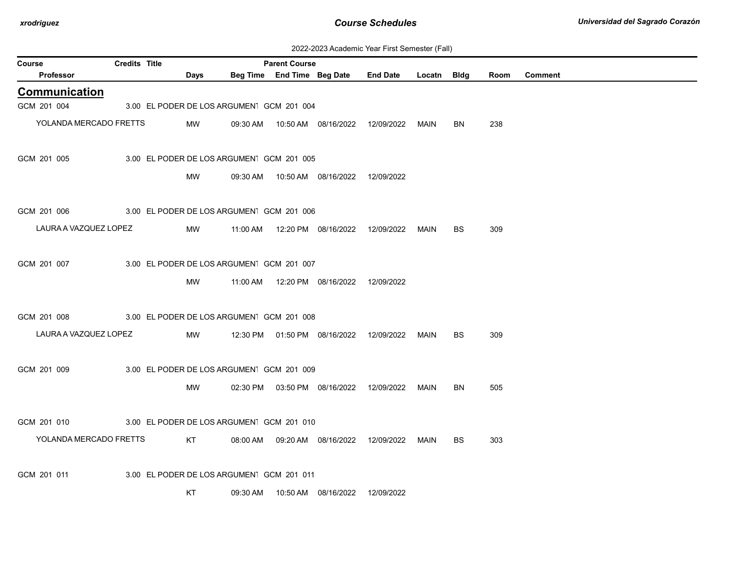| 2022-2023 Academic Year First Semester (Fall) |  |  |  |
|-----------------------------------------------|--|--|--|
|-----------------------------------------------|--|--|--|

|                            | ZUZZ-ZUZJ ACQUENTIC TEGI T IISL OCHICSICI (1 GII)<br><b>Credits Title</b><br><b>Parent Course</b> |                                           |          |                            |                                            |                                            |        |             |      |                |  |  |
|----------------------------|---------------------------------------------------------------------------------------------------|-------------------------------------------|----------|----------------------------|--------------------------------------------|--------------------------------------------|--------|-------------|------|----------------|--|--|
| Course<br><b>Professor</b> |                                                                                                   | <b>Days</b>                               |          | Beg Time End Time Beg Date |                                            | <b>End Date</b>                            | Locatn | <b>Bldg</b> | Room | <b>Comment</b> |  |  |
| Communication              |                                                                                                   |                                           |          |                            |                                            |                                            |        |             |      |                |  |  |
| GCM 201 004                |                                                                                                   | 3.00 EL PODER DE LOS ARGUMENT GCM 201 004 |          |                            |                                            |                                            |        |             |      |                |  |  |
| YOLANDA MERCADO FRETTS     |                                                                                                   |                                           |          |                            |                                            |                                            |        |             |      |                |  |  |
|                            |                                                                                                   | MW                                        |          |                            |                                            | 09:30 AM  10:50 AM  08/16/2022  12/09/2022 | MAIN   | BN          | 238  |                |  |  |
| GCM 201 005                |                                                                                                   | 3.00 EL PODER DE LOS ARGUMENT GCM 201 005 |          |                            |                                            |                                            |        |             |      |                |  |  |
|                            |                                                                                                   | MW                                        |          |                            | 09:30 AM  10:50 AM  08/16/2022  12/09/2022 |                                            |        |             |      |                |  |  |
|                            |                                                                                                   |                                           |          |                            |                                            |                                            |        |             |      |                |  |  |
| GCM 201 006                |                                                                                                   | 3.00 EL PODER DE LOS ARGUMENT GCM 201 006 |          |                            |                                            |                                            |        |             |      |                |  |  |
| LAURA A VAZQUEZ LOPEZ      |                                                                                                   | MW                                        | 11:00 AM |                            |                                            | 12:20 PM  08/16/2022  12/09/2022           | MAIN   | BS          | 309  |                |  |  |
|                            |                                                                                                   |                                           |          |                            |                                            |                                            |        |             |      |                |  |  |
| GCM 201 007                |                                                                                                   | 3.00 EL PODER DE LOS ARGUMENT GCM 201 007 |          |                            |                                            |                                            |        |             |      |                |  |  |
|                            |                                                                                                   | MW                                        |          |                            | 11:00 AM  12:20 PM  08/16/2022  12/09/2022 |                                            |        |             |      |                |  |  |
|                            |                                                                                                   |                                           |          |                            |                                            |                                            |        |             |      |                |  |  |
| GCM 201 008                |                                                                                                   | 3.00 EL PODER DE LOS ARGUMENT GCM 201 008 |          |                            |                                            |                                            |        |             |      |                |  |  |
| LAURA A VAZQUEZ LOPEZ      |                                                                                                   | MW                                        |          |                            | 12:30 PM  01:50 PM  08/16/2022  12/09/2022 |                                            | MAIN   | BS          | 309  |                |  |  |
|                            |                                                                                                   |                                           |          |                            |                                            |                                            |        |             |      |                |  |  |
| GCM 201 009                |                                                                                                   | 3.00 EL PODER DE LOS ARGUMENT GCM 201 009 |          |                            |                                            |                                            |        |             |      |                |  |  |
|                            |                                                                                                   | MW                                        |          |                            |                                            | 02:30 PM  03:50 PM  08/16/2022  12/09/2022 | MAIN   | <b>BN</b>   | 505  |                |  |  |
|                            |                                                                                                   |                                           |          |                            |                                            |                                            |        |             |      |                |  |  |
| GCM 201 010                |                                                                                                   | 3.00 EL PODER DE LOS ARGUMENT GCM 201 010 |          |                            |                                            |                                            |        |             |      |                |  |  |
| YOLANDA MERCADO FRETTS     |                                                                                                   | KT                                        |          |                            | 08:00 AM  09:20 AM  08/16/2022             | 12/09/2022                                 | MAIN   | BS          | 303  |                |  |  |
|                            |                                                                                                   |                                           |          |                            |                                            |                                            |        |             |      |                |  |  |
| GCM 201 011                |                                                                                                   | 3.00 EL PODER DE LOS ARGUMENT GCM 201 011 |          |                            |                                            |                                            |        |             |      |                |  |  |
|                            |                                                                                                   | KT                                        | 09:30 AM |                            | 10:50 AM  08/16/2022                       | 12/09/2022                                 |        |             |      |                |  |  |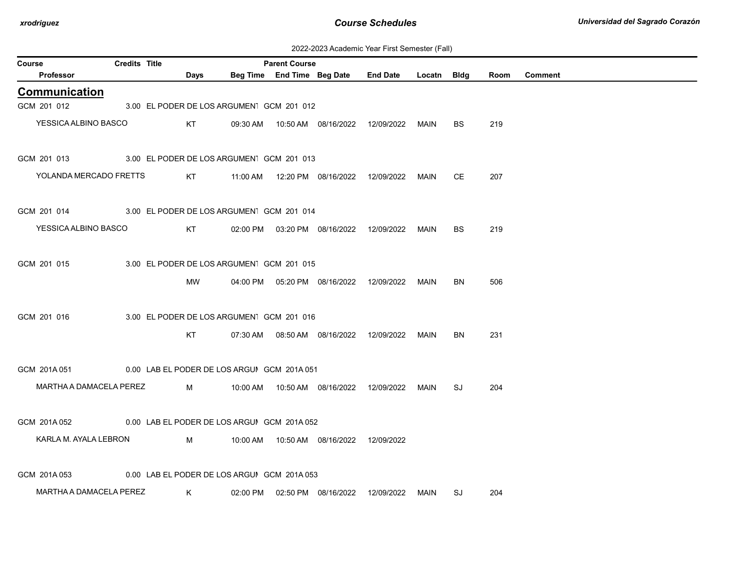| Course |                         | <b>Credits Title</b> |      |                                             | <b>Parent Course</b> |                                            |            |             |           |      |                |
|--------|-------------------------|----------------------|------|---------------------------------------------|----------------------|--------------------------------------------|------------|-------------|-----------|------|----------------|
|        | Professor               |                      | Days |                                             |                      | Beg Time End Time Beg Date End Date        |            | Locatn Bldg |           | Room | <b>Comment</b> |
|        | Communication           |                      |      |                                             |                      |                                            |            |             |           |      |                |
|        | GCM 201 012             |                      |      | 3.00 EL PODER DE LOS ARGUMENT GCM 201 012   |                      |                                            |            |             |           |      |                |
|        | YESSICA ALBINO BASCO    |                      | KT   |                                             |                      | 09:30 AM  10:50 AM  08/16/2022  12/09/2022 |            | MAIN        | BS.       | 219  |                |
|        | GCM 201 013             |                      |      | 3.00 EL PODER DE LOS ARGUMENT GCM 201 013   |                      |                                            |            |             |           |      |                |
|        | YOLANDA MERCADO FRETTS  |                      | KT   | 11:00 AM                                    |                      | 12:20 PM  08/16/2022                       | 12/09/2022 | MAIN        | <b>CE</b> | 207  |                |
|        | GCM 201 014             |                      |      | 3.00 EL PODER DE LOS ARGUMENT GCM 201 014   |                      |                                            |            |             |           |      |                |
|        | YESSICA ALBINO BASCO    |                      | KT   |                                             |                      | 02:00 PM  03:20 PM  08/16/2022  12/09/2022 |            | MAIN        | <b>BS</b> | 219  |                |
|        | GCM 201 015             |                      |      | 3.00 EL PODER DE LOS ARGUMENT GCM 201 015   |                      |                                            |            |             |           |      |                |
|        |                         |                      | MW   |                                             |                      | 04:00 PM  05:20 PM  08/16/2022  12/09/2022 |            | MAIN        | BN        | 506  |                |
|        | GCM 201 016             |                      |      | 3.00 EL PODER DE LOS ARGUMENT GCM 201 016   |                      |                                            |            |             |           |      |                |
|        |                         |                      | KT   |                                             |                      |                                            |            | MAIN        | BN        | 231  |                |
|        | GCM 201A 051            |                      |      | 0.00 LAB EL PODER DE LOS ARGUI GCM 201A 051 |                      |                                            |            |             |           |      |                |
|        | MARTHA A DAMACELA PEREZ |                      | M    |                                             |                      |                                            |            | MAIN        | SJ        | 204  |                |
|        | GCM 201A 052            |                      |      | 0.00 LAB EL PODER DE LOS ARGUI GCM 201A 052 |                      |                                            |            |             |           |      |                |
|        | KARLA M. AYALA LEBRON   |                      | M    |                                             |                      | 10:00 AM  10:50 AM  08/16/2022  12/09/2022 |            |             |           |      |                |
|        | GCM 201A053             |                      |      | 0.00 LAB EL PODER DE LOS ARGUI GCM 201A 053 |                      |                                            |            |             |           |      |                |
|        | MARTHA A DAMACELA PEREZ |                      | K    |                                             |                      | 02:00 PM  02:50 PM  08/16/2022             | 12/09/2022 | MAIN        | SJ        | 204  |                |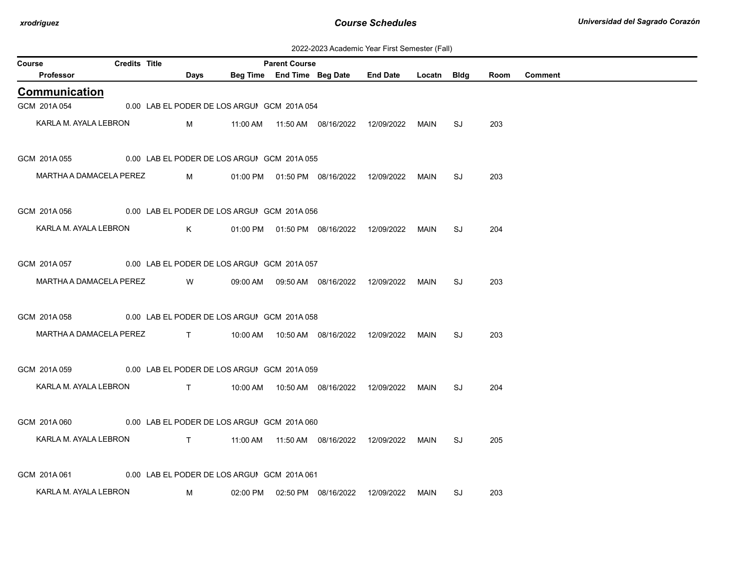| 2022-2023 Academic Year First Semester (Fall) |  |  |  |  |
|-----------------------------------------------|--|--|--|--|
|-----------------------------------------------|--|--|--|--|

| Course |                         | <b>Credits Title</b> |                                                                                                                                                                                                                                                                                                                               |                                             | <b>Parent Course</b> |                                            |                 |        |      |      |                |
|--------|-------------------------|----------------------|-------------------------------------------------------------------------------------------------------------------------------------------------------------------------------------------------------------------------------------------------------------------------------------------------------------------------------|---------------------------------------------|----------------------|--------------------------------------------|-----------------|--------|------|------|----------------|
|        | Professor               |                      | Days                                                                                                                                                                                                                                                                                                                          |                                             |                      | Beg Time End Time Beg Date                 | <b>End Date</b> | Locatn | Bldg | Room | <b>Comment</b> |
|        | <b>Communication</b>    |                      |                                                                                                                                                                                                                                                                                                                               |                                             |                      |                                            |                 |        |      |      |                |
|        | GCM 201A 054            |                      |                                                                                                                                                                                                                                                                                                                               | 0.00 LAB EL PODER DE LOS ARGUI GCM 201A 054 |                      |                                            |                 |        |      |      |                |
|        | KARLA M. AYALA LEBRON   |                      | M                                                                                                                                                                                                                                                                                                                             |                                             |                      |                                            |                 | MAIN   | SJ   | 203  |                |
|        | GCM 201A 055            |                      |                                                                                                                                                                                                                                                                                                                               | 0.00 LAB EL PODER DE LOS ARGUIGCM 201A 055  |                      |                                            |                 |        |      |      |                |
|        | MARTHA A DAMACELA PEREZ |                      | M                                                                                                                                                                                                                                                                                                                             |                                             |                      | 01:00 PM  01:50 PM  08/16/2022  12/09/2022 |                 | MAIN   | SJ   | 203  |                |
|        | GCM 201A056             |                      |                                                                                                                                                                                                                                                                                                                               | 0.00 LAB EL PODER DE LOS ARGUI GCM 201A 056 |                      |                                            |                 |        |      |      |                |
|        | KARLA M. AYALA LEBRON   |                      | K                                                                                                                                                                                                                                                                                                                             |                                             |                      | 01:00 PM  01:50 PM  08/16/2022  12/09/2022 |                 | MAIN   | SJ   | 204  |                |
|        | GCM 201A 057            |                      |                                                                                                                                                                                                                                                                                                                               | 0.00 LAB EL PODER DE LOS ARGUI GCM 201A 057 |                      |                                            |                 |        |      |      |                |
|        | MARTHA A DAMACELA PEREZ |                      | W                                                                                                                                                                                                                                                                                                                             |                                             |                      | 09:00 AM  09:50 AM  08/16/2022  12/09/2022 |                 | MAIN   | SJ   | 203  |                |
|        | GCM 201A058             |                      |                                                                                                                                                                                                                                                                                                                               | 0.00 LAB EL PODER DE LOS ARGUI GCM 201A 058 |                      |                                            |                 |        |      |      |                |
|        | MARTHA A DAMACELA PEREZ |                      | $\mathbf{T}$ and $\mathbf{T}$ and $\mathbf{T}$ and $\mathbf{T}$ and $\mathbf{T}$ and $\mathbf{T}$ and $\mathbf{T}$ and $\mathbf{T}$ and $\mathbf{T}$ and $\mathbf{T}$ and $\mathbf{T}$ and $\mathbf{T}$ and $\mathbf{T}$ and $\mathbf{T}$ and $\mathbf{T}$ and $\mathbf{T}$ and $\mathbf{T}$ and $\mathbf{T}$ and $\mathbf{T$ |                                             |                      | 10:00 AM  10:50 AM  08/16/2022  12/09/2022 |                 | MAIN   | SJ   | 203  |                |
|        | GCM 201A059             |                      |                                                                                                                                                                                                                                                                                                                               | 0.00 LAB EL PODER DE LOS ARGUI GCM 201A 059 |                      |                                            |                 |        |      |      |                |
|        | KARLA M. AYALA LEBRON   |                      | T                                                                                                                                                                                                                                                                                                                             |                                             |                      | 10:00 AM  10:50 AM  08/16/2022  12/09/2022 |                 | MAIN   | SJ   | 204  |                |
|        | GCM 201A 060            |                      |                                                                                                                                                                                                                                                                                                                               | 0.00 LAB EL PODER DE LOS ARGUIGCM 201A 060  |                      |                                            |                 |        |      |      |                |
|        | KARLA M. AYALA LEBRON   |                      | $\mathbf{T}$ and $\mathbf{T}$ and $\mathbf{T}$ and $\mathbf{T}$                                                                                                                                                                                                                                                               |                                             |                      |                                            |                 | MAIN   | SJ   | 205  |                |
|        | GCM 201A061             |                      |                                                                                                                                                                                                                                                                                                                               | 0.00 LAB EL PODER DE LOS ARGUIGCM 201A 061  |                      |                                            |                 |        |      |      |                |
|        | KARLA M. AYALA LEBRON   |                      | м                                                                                                                                                                                                                                                                                                                             |                                             |                      | 02:00 PM   02:50 PM   08/16/2022           | 12/09/2022      | MAIN   | SJ   | 203  |                |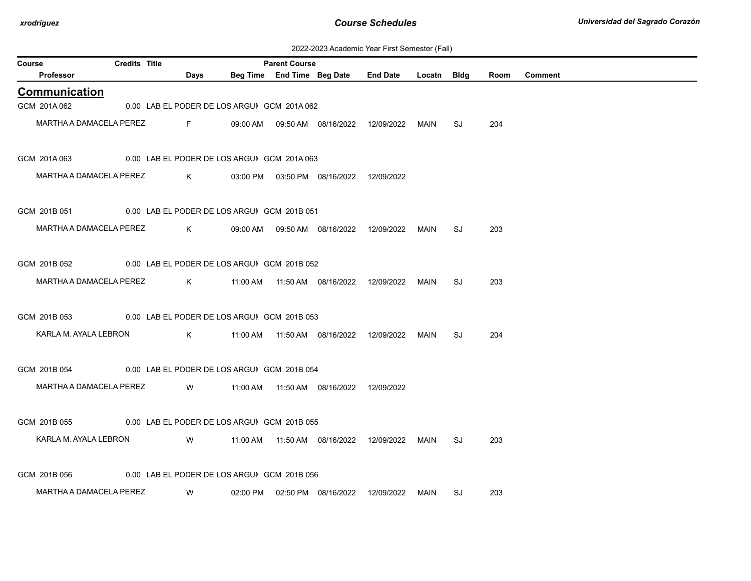| 2022-2023 Academic Year First Semester (Fall) |  |  |  |  |
|-----------------------------------------------|--|--|--|--|
|-----------------------------------------------|--|--|--|--|

| Course       |                         | <b>Credits Title</b> |                                                                                                                                                                                                                                                                                                  |                                             | <b>Parent Course</b>       |                                              |                 |             |    |      |                |
|--------------|-------------------------|----------------------|--------------------------------------------------------------------------------------------------------------------------------------------------------------------------------------------------------------------------------------------------------------------------------------------------|---------------------------------------------|----------------------------|----------------------------------------------|-----------------|-------------|----|------|----------------|
|              | Professor               |                      | Days                                                                                                                                                                                                                                                                                             |                                             | Beg Time End Time Beg Date |                                              | <b>End Date</b> | Locatn Bldg |    | Room | <b>Comment</b> |
|              | <b>Communication</b>    |                      |                                                                                                                                                                                                                                                                                                  |                                             |                            |                                              |                 |             |    |      |                |
| GCM 201A 062 |                         |                      |                                                                                                                                                                                                                                                                                                  | 0.00 LAB EL PODER DE LOS ARGUI GCM 201A 062 |                            |                                              |                 |             |    |      |                |
|              | MARTHA A DAMACELA PEREZ |                      | <b>Example 19</b> For the 19 Hours                                                                                                                                                                                                                                                               |                                             |                            | 09:00 AM  09:50 AM  08/16/2022  12/09/2022   |                 | MAIN        | SJ | 204  |                |
| GCM 201A063  |                         |                      |                                                                                                                                                                                                                                                                                                  | 0.00 LAB EL PODER DE LOS ARGUIGCM 201A 063  |                            |                                              |                 |             |    |      |                |
|              | MARTHA A DAMACELA PEREZ |                      | K                                                                                                                                                                                                                                                                                                |                                             |                            | 03:00 PM  03:50 PM  08/16/2022  12/09/2022   |                 |             |    |      |                |
| GCM 201B 051 |                         |                      |                                                                                                                                                                                                                                                                                                  | 0.00 LAB EL PODER DE LOS ARGUI GCM 201B 051 |                            |                                              |                 |             |    |      |                |
|              | MARTHA A DAMACELA PEREZ |                      | $\mathsf{K}$ and $\mathsf{K}$ and $\mathsf{K}$ and $\mathsf{K}$ and $\mathsf{K}$ and $\mathsf{K}$ and $\mathsf{K}$ and $\mathsf{K}$ and $\mathsf{K}$ and $\mathsf{K}$ and $\mathsf{K}$ and $\mathsf{K}$ and $\mathsf{K}$ and $\mathsf{K}$ and $\mathsf{K}$ and $\mathsf{K}$ and $\mathsf{K}$ and |                                             |                            |                                              |                 | MAIN        | SJ | 203  |                |
| GCM 201B 052 |                         |                      |                                                                                                                                                                                                                                                                                                  | 0.00 LAB EL PODER DE LOS ARGUIGCM 201B 052  |                            |                                              |                 |             |    |      |                |
|              | MARTHA A DAMACELA PEREZ |                      | $\mathsf{K}$ and $\mathsf{K}$ and $\mathsf{K}$ and $\mathsf{K}$ and $\mathsf{K}$ and $\mathsf{K}$ and $\mathsf{K}$ and $\mathsf{K}$ and $\mathsf{K}$ and $\mathsf{K}$ and $\mathsf{K}$ and $\mathsf{K}$ and $\mathsf{K}$ and $\mathsf{K}$ and $\mathsf{K}$ and $\mathsf{K}$ and $\mathsf{K}$ and |                                             |                            | 11:00 AM  11:50 AM  08/16/2022  12/09/2022   |                 | MAIN        | SJ | 203  |                |
| GCM 201B 053 |                         |                      |                                                                                                                                                                                                                                                                                                  | 0.00 LAB EL PODER DE LOS ARGUI GCM 201B 053 |                            |                                              |                 |             |    |      |                |
|              | KARLA M. AYALA LEBRON   |                      | $K$ and $K$                                                                                                                                                                                                                                                                                      |                                             |                            |                                              |                 | MAIN        | SJ | 204  |                |
| GCM 201B 054 |                         |                      |                                                                                                                                                                                                                                                                                                  | 0.00 LAB EL PODER DE LOS ARGUI GCM 201B 054 |                            |                                              |                 |             |    |      |                |
|              | MARTHA A DAMACELA PEREZ |                      | <b>Since the Contract of the Contract of the Contract of the Contract of the Contract of the Contract of the Contract of the Contract of the Contract of the Contract of the Contract of the Contract of the Contract of the Con</b>                                                             |                                             |                            | 11:00 AM  11:50 AM  08/16/2022  12/09/2022   |                 |             |    |      |                |
| GCM 201B 055 |                         |                      |                                                                                                                                                                                                                                                                                                  | 0.00 LAB EL PODER DE LOS ARGUI GCM 201B 055 |                            |                                              |                 |             |    |      |                |
|              | KARLA M. AYALA LEBRON   |                      | W                                                                                                                                                                                                                                                                                                |                                             |                            | 11:00 AM  11:50 AM  08/16/2022               | 12/09/2022      | MAIN        | SJ | 203  |                |
| GCM 201B 056 |                         |                      |                                                                                                                                                                                                                                                                                                  | 0.00 LAB EL PODER DE LOS ARGUIGCM 201B 056  |                            |                                              |                 |             |    |      |                |
|              | MARTHA A DAMACELA PEREZ |                      | W                                                                                                                                                                                                                                                                                                |                                             |                            | 02:00 PM   02:50 PM   08/16/2022  12/09/2022 |                 | MAIN        | SJ | 203  |                |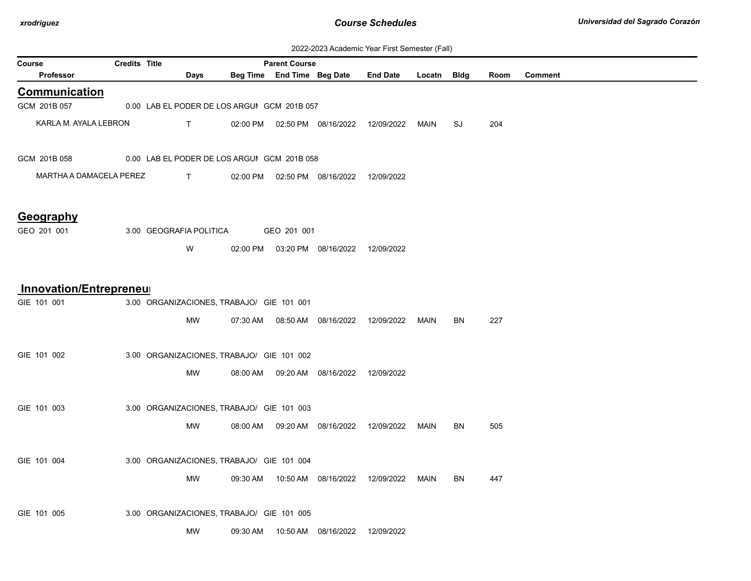| 2022-2023 Academic Year First Semester (Fall) |  |  |  |  |
|-----------------------------------------------|--|--|--|--|
|-----------------------------------------------|--|--|--|--|

| Course                  | <b>Credits Title</b><br><b>Parent Course</b> |                                             |          |             |                                            |                                            |      |           |      |                |
|-------------------------|----------------------------------------------|---------------------------------------------|----------|-------------|--------------------------------------------|--------------------------------------------|------|-----------|------|----------------|
| Professor               |                                              | Days                                        |          |             | Beg Time End Time Beg Date                 | End Date Locatn Bldg                       |      |           | Room | <b>Comment</b> |
| <b>Communication</b>    |                                              |                                             |          |             |                                            |                                            |      |           |      |                |
| GCM 201B 057            |                                              | 0.00 LAB EL PODER DE LOS ARGUI GCM 201B 057 |          |             |                                            |                                            |      |           |      |                |
| KARLA M. AYALA LEBRON   |                                              | T.                                          |          |             | 02:00 PM  02:50 PM  08/16/2022  12/09/2022 |                                            | MAIN | SJ        | 204  |                |
| GCM 201B 058            |                                              | 0.00 LAB EL PODER DE LOS ARGUI GCM 201B 058 |          |             |                                            |                                            |      |           |      |                |
| MARTHA A DAMACELA PEREZ |                                              | $\mathsf{T}$                                |          |             | 02:00 PM  02:50 PM  08/16/2022  12/09/2022 |                                            |      |           |      |                |
| Geography               |                                              |                                             |          |             |                                            |                                            |      |           |      |                |
| GEO 201 001             |                                              | 3.00 GEOGRAFIA POLITICA                     |          | GEO 201 001 |                                            |                                            |      |           |      |                |
|                         |                                              | W                                           |          |             | 02:00 PM  03:20 PM  08/16/2022  12/09/2022 |                                            |      |           |      |                |
| Innovation/Entrepreneu  |                                              |                                             |          |             |                                            |                                            |      |           |      |                |
| GIE 101 001             |                                              | 3.00 ORGANIZACIONES, TRABAJO/ GIE 101 001   |          |             |                                            |                                            |      |           |      |                |
|                         |                                              | MW                                          |          |             |                                            | 07:30 AM  08:50 AM  08/16/2022  12/09/2022 | MAIN | BN        | 227  |                |
| GIE 101 002             |                                              | 3.00 ORGANIZACIONES, TRABAJO/ GIE 101 002   |          |             |                                            |                                            |      |           |      |                |
|                         |                                              | MW                                          |          |             | 08:00 AM  09:20 AM  08/16/2022  12/09/2022 |                                            |      |           |      |                |
| GIE 101 003             |                                              | 3.00 ORGANIZACIONES, TRABAJO/ GIE 101 003   |          |             |                                            |                                            |      |           |      |                |
|                         |                                              | MW                                          |          |             | 08:00 AM  09:20 AM  08/16/2022  12/09/2022 |                                            | MAIN | <b>BN</b> | 505  |                |
| GIE 101 004             |                                              | 3.00 ORGANIZACIONES, TRABAJO/ GIE 101 004   |          |             |                                            |                                            |      |           |      |                |
|                         |                                              | MW                                          |          |             | 09:30 AM  10:50 AM  08/16/2022  12/09/2022 |                                            | MAIN | <b>BN</b> | 447  |                |
| GIE 101 005             |                                              | 3.00 ORGANIZACIONES, TRABAJO/ GIE 101 005   |          |             |                                            |                                            |      |           |      |                |
|                         |                                              | MW                                          | 09:30 AM |             | 10:50 AM  08/16/2022                       | 12/09/2022                                 |      |           |      |                |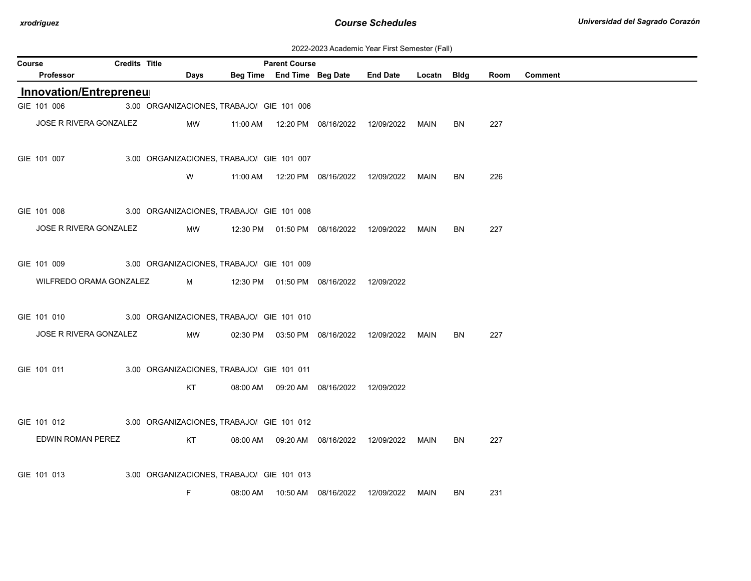| 2022-2023 Academic Year First Semester (Fall) |  |  |  |  |
|-----------------------------------------------|--|--|--|--|
|-----------------------------------------------|--|--|--|--|

| <b>Credits Title</b><br>Course<br><b>Parent Course</b> |  |                                           |            |  |                            |                                            |                      |      |           |      |                |
|--------------------------------------------------------|--|-------------------------------------------|------------|--|----------------------------|--------------------------------------------|----------------------|------|-----------|------|----------------|
| <b>Professor</b>                                       |  | Days                                      |            |  | Beg Time End Time Beg Date |                                            | End Date Locatn Bldg |      |           | Room | <b>Comment</b> |
| Innovation/Entrepreneur                                |  |                                           |            |  |                            |                                            |                      |      |           |      |                |
| GIE 101 006                                            |  | 3.00 ORGANIZACIONES, TRABAJO/ GIE 101 006 |            |  |                            |                                            |                      |      |           |      |                |
| JOSE R RIVERA GONZALEZ                                 |  | MW                                        |            |  |                            |                                            |                      | MAIN | BN        | 227  |                |
| GIE 101 007                                            |  | 3.00 ORGANIZACIONES, TRABAJO/ GIE 101 007 |            |  |                            |                                            |                      |      |           |      |                |
|                                                        |  | W                                         |            |  |                            | 11:00 AM  12:20 PM  08/16/2022  12/09/2022 |                      | MAIN | BN        | 226  |                |
| GIE 101 008                                            |  | 3.00 ORGANIZACIONES, TRABAJO/ GIE 101 008 |            |  |                            |                                            |                      |      |           |      |                |
| JOSE R RIVERA GONZALEZ                                 |  | MW                                        |            |  |                            |                                            |                      | MAIN | BN        | 227  |                |
| GIE 101 009                                            |  | 3.00 ORGANIZACIONES, TRABAJO/ GIE 101 009 |            |  |                            |                                            |                      |      |           |      |                |
| WILFREDO ORAMA GONZALEZ                                |  |                                           | $M \sim 1$ |  |                            | 12:30 PM  01:50 PM  08/16/2022  12/09/2022 |                      |      |           |      |                |
| GIE 101 010 3.00 ORGANIZACIONES, TRABAJO/ GIE 101 010  |  |                                           |            |  |                            |                                            |                      |      |           |      |                |
| JOSE R RIVERA GONZALEZ                                 |  | MW                                        |            |  |                            | 02:30 PM  03:50 PM  08/16/2022  12/09/2022 |                      | MAIN | BN        | 227  |                |
| GIE 101 011                                            |  | 3.00 ORGANIZACIONES, TRABAJO/ GIE 101 011 |            |  |                            |                                            |                      |      |           |      |                |
|                                                        |  | KT                                        |            |  |                            | 08:00 AM  09:20 AM  08/16/2022  12/09/2022 |                      |      |           |      |                |
| GIE 101 012                                            |  | 3.00 ORGANIZACIONES, TRABAJO/ GIE 101 012 |            |  |                            |                                            |                      |      |           |      |                |
| EDWIN ROMAN PEREZ                                      |  | KT                                        |            |  |                            | 08:00 AM  09:20 AM  08/16/2022  12/09/2022 |                      | MAIN | <b>BN</b> | 227  |                |
| GIE 101 013                                            |  | 3.00 ORGANIZACIONES, TRABAJO/ GIE 101 013 |            |  |                            |                                            |                      |      |           |      |                |
|                                                        |  | F                                         |            |  |                            | 08:00 AM  10:50 AM  08/16/2022  12/09/2022 |                      | MAIN | BN        | 231  |                |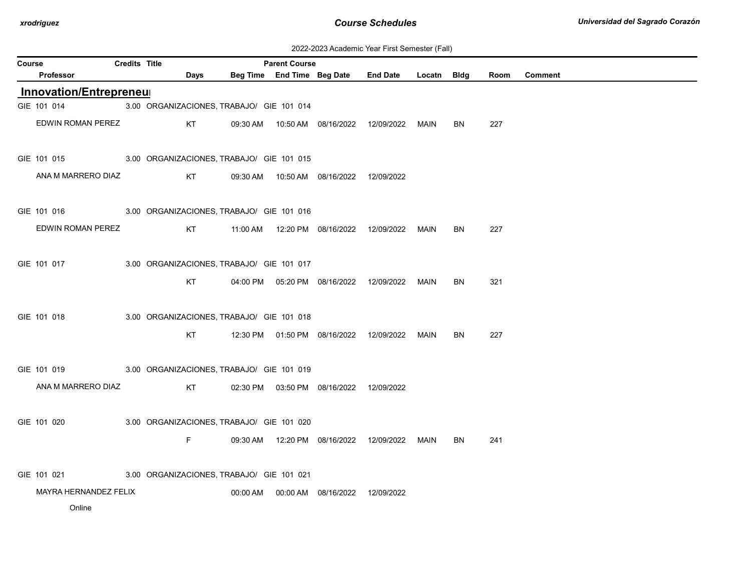| 2022-2023 Academic Year First Semester (Fall) |  |  |  |  |
|-----------------------------------------------|--|--|--|--|
|-----------------------------------------------|--|--|--|--|

| Course | <b>Credits Title</b>                                  | <b>Parent Course</b> |                                           |  |                                            |                                                  |             |           |      |                |
|--------|-------------------------------------------------------|----------------------|-------------------------------------------|--|--------------------------------------------|--------------------------------------------------|-------------|-----------|------|----------------|
|        | Professor                                             | <b>Days</b>          |                                           |  | Beg Time End Time Beg Date                 | <b>End Date</b>                                  | Locatn Bldg |           | Room | <b>Comment</b> |
|        | <b>Innovation/Entrepreneur</b>                        |                      |                                           |  |                                            |                                                  |             |           |      |                |
|        | GIE 101 014                                           |                      | 3.00 ORGANIZACIONES, TRABAJO/ GIE 101 014 |  |                                            |                                                  |             |           |      |                |
|        | EDWIN ROMAN PEREZ                                     | KT                   |                                           |  |                                            |                                                  | MAIN        | BN        | 227  |                |
|        | GIE 101 015 3.00 ORGANIZACIONES, TRABAJO/ GIE 101 015 |                      |                                           |  |                                            |                                                  |             |           |      |                |
|        | ANA M MARRERO DIAZ                                    | KT                   |                                           |  | 09:30 AM  10:50 AM  08/16/2022  12/09/2022 |                                                  |             |           |      |                |
|        | GIE 101 016 3.00 ORGANIZACIONES, TRABAJO/ GIE 101 016 |                      |                                           |  |                                            |                                                  |             |           |      |                |
|        | EDWIN ROMAN PEREZ                                     | KT                   |                                           |  |                                            |                                                  | MAIN        | BN        | 227  |                |
|        | GIE 101 017                                           |                      | 3.00 ORGANIZACIONES, TRABAJO/ GIE 101 017 |  |                                            |                                                  |             |           |      |                |
|        |                                                       | KT.                  |                                           |  |                                            | 04:00 PM  05:20 PM  08/16/2022  12/09/2022  MAIN |             | <b>BN</b> | 321  |                |
|        | GIE 101 018                                           |                      | 3.00 ORGANIZACIONES, TRABAJO/ GIE 101 018 |  |                                            |                                                  |             |           |      |                |
|        |                                                       | KT                   |                                           |  |                                            | 12:30 PM  01:50 PM  08/16/2022  12/09/2022  MAIN |             | <b>BN</b> | 227  |                |
|        | GIE 101 019                                           |                      | 3.00 ORGANIZACIONES, TRABAJO/ GIE 101 019 |  |                                            |                                                  |             |           |      |                |
|        | ANA M MARRERO DIAZ                                    | KT                   |                                           |  | 02:30 PM  03:50 PM  08/16/2022  12/09/2022 |                                                  |             |           |      |                |
|        | GIE 101 020                                           |                      | 3.00 ORGANIZACIONES, TRABAJO/ GIE 101 020 |  |                                            |                                                  |             |           |      |                |
|        |                                                       | F.                   |                                           |  |                                            | 09:30 AM  12:20 PM  08/16/2022  12/09/2022  MAIN |             | <b>BN</b> | 241  |                |
|        | GIE 101 021                                           |                      | 3.00 ORGANIZACIONES, TRABAJO/ GIE 101 021 |  |                                            |                                                  |             |           |      |                |
|        | MAYRA HERNANDEZ FELIX                                 |                      |                                           |  | 00:00 AM  00:00 AM  08/16/2022  12/09/2022 |                                                  |             |           |      |                |
|        | Online                                                |                      |                                           |  |                                            |                                                  |             |           |      |                |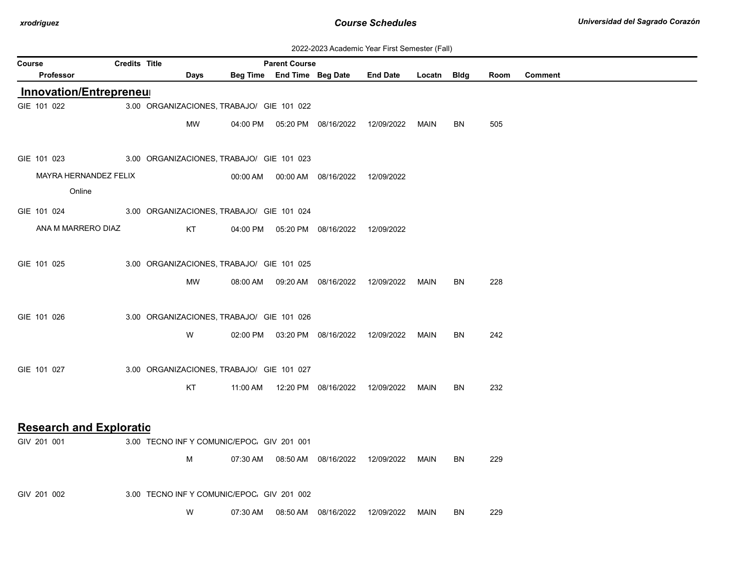| 2022-2023 Academic Year First Semester (Fall) |  |  |  |  |
|-----------------------------------------------|--|--|--|--|
|-----------------------------------------------|--|--|--|--|

| ZUZZ-ZUZU AUGUCHIIU TUGI TIISTOCHIUSTUI (Tail)<br><b>Credits Title</b><br><b>Parent Course</b> |  |                                            |          |                            |                                            |                 |             |           |      |                |
|------------------------------------------------------------------------------------------------|--|--------------------------------------------|----------|----------------------------|--------------------------------------------|-----------------|-------------|-----------|------|----------------|
| Course<br>Professor                                                                            |  | Days                                       |          | Beg Time End Time Beg Date |                                            | <b>End Date</b> | Locatn Bldg |           | Room | <b>Comment</b> |
| <b>Innovation/Entrepreneur</b>                                                                 |  |                                            |          |                            |                                            |                 |             |           |      |                |
| GIE 101 022                                                                                    |  | 3.00 ORGANIZACIONES, TRABAJO/ GIE 101 022  |          |                            |                                            |                 |             |           |      |                |
|                                                                                                |  | MW                                         |          |                            | 04:00 PM  05:20 PM  08/16/2022  12/09/2022 |                 | MAIN        | BN.       | 505  |                |
| GIE 101 023                                                                                    |  | 3.00 ORGANIZACIONES, TRABAJO/ GIE 101 023  |          |                            |                                            |                 |             |           |      |                |
| MAYRA HERNANDEZ FELIX                                                                          |  |                                            |          |                            | 00:00 AM  00:00 AM  08/16/2022  12/09/2022 |                 |             |           |      |                |
| Online                                                                                         |  |                                            |          |                            |                                            |                 |             |           |      |                |
| GIE 101 024                                                                                    |  | 3.00 ORGANIZACIONES, TRABAJO/ GIE 101 024  |          |                            |                                            |                 |             |           |      |                |
| ANA M MARRERO DIAZ                                                                             |  | KT.                                        |          |                            | 04:00 PM  05:20 PM  08/16/2022             | 12/09/2022      |             |           |      |                |
| GIE 101 025                                                                                    |  | 3.00 ORGANIZACIONES, TRABAJO/ GIE 101 025  |          |                            |                                            |                 |             |           |      |                |
|                                                                                                |  | МW                                         |          |                            | 08:00 AM  09:20 AM  08/16/2022             | 12/09/2022      | MAIN        | BN        | 228  |                |
| GIE 101 026                                                                                    |  | 3.00 ORGANIZACIONES, TRABAJO/ GIE 101 026  |          |                            |                                            |                 |             |           |      |                |
|                                                                                                |  | W                                          |          |                            | 02:00 PM  03:20 PM  08/16/2022             | 12/09/2022      | MAIN        | BN        | 242  |                |
| GIE 101 027                                                                                    |  | 3.00 ORGANIZACIONES, TRABAJO/ GIE 101 027  |          |                            |                                            |                 |             |           |      |                |
|                                                                                                |  | KT                                         | 11:00 AM |                            | 12:20 PM 08/16/2022                        | 12/09/2022      | <b>MAIN</b> | BN        | 232  |                |
| <b>Research and Exploratio</b>                                                                 |  |                                            |          |                            |                                            |                 |             |           |      |                |
| GIV 201 001                                                                                    |  | 3.00 TECNO INF Y COMUNIC/EPOC. GIV 201 001 |          |                            |                                            |                 |             |           |      |                |
|                                                                                                |  | м                                          |          |                            | 07:30 AM  08:50 AM  08/16/2022             | 12/09/2022      | MAIN        | <b>BN</b> | 229  |                |
| GIV 201 002                                                                                    |  | 3.00 TECNO INF Y COMUNIC/EPOC. GIV 201 002 |          |                            |                                            |                 |             |           |      |                |
|                                                                                                |  | W                                          | 07:30 AM |                            | 08:50 AM  08/16/2022                       | 12/09/2022      | MAIN        | BN        | 229  |                |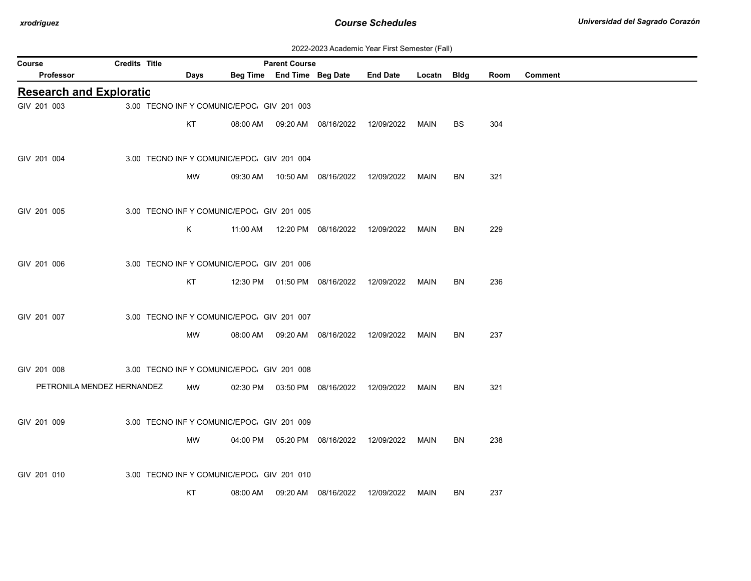| 2022-2023 Academic Year First Semester (Fall) |  |  |  |  |
|-----------------------------------------------|--|--|--|--|
|-----------------------------------------------|--|--|--|--|

| Course                         | Credits Title |             |                                            | <b>Parent Course</b>       |                                            |                 |             |    |      |                |
|--------------------------------|---------------|-------------|--------------------------------------------|----------------------------|--------------------------------------------|-----------------|-------------|----|------|----------------|
| Professor                      |               | <b>Days</b> |                                            | Beg Time End Time Beg Date |                                            | <b>End Date</b> | Locatn Bldg |    | Room | <b>Comment</b> |
| <b>Research and Exploratio</b> |               |             |                                            |                            |                                            |                 |             |    |      |                |
| GIV 201 003                    |               |             | 3.00 TECNO INF Y COMUNIC/EPOC. GIV 201 003 |                            |                                            |                 |             |    |      |                |
|                                |               | KT          |                                            |                            | 08:00 AM  09:20 AM  08/16/2022  12/09/2022 |                 | MAIN        | BS | 304  |                |
|                                |               |             |                                            |                            |                                            |                 |             |    |      |                |
| GIV 201 004                    |               |             | 3.00 TECNO INFY COMUNIC/EPOC. GIV 201 004  |                            |                                            |                 |             |    |      |                |
|                                |               | MW          |                                            |                            | 09:30 AM  10:50 AM  08/16/2022  12/09/2022 |                 | MAIN        | BN | 321  |                |
|                                |               |             |                                            |                            |                                            |                 |             |    |      |                |
| GIV 201 005                    |               |             | 3.00 TECNO INF Y COMUNIC/EPOC. GIV 201 005 |                            |                                            |                 |             |    |      |                |
|                                |               | K           | 11:00 AM                                   |                            | 12:20 PM 08/16/2022                        | 12/09/2022      | MAIN        | BN | 229  |                |
|                                |               |             |                                            |                            |                                            |                 |             |    |      |                |
| GIV 201 006                    |               |             | 3.00 TECNO INF Y COMUNIC/EPOC. GIV 201 006 |                            |                                            |                 |             |    |      |                |
|                                |               | KT          |                                            |                            | 12:30 PM  01:50 PM  08/16/2022  12/09/2022 |                 | MAIN        | BN | 236  |                |
|                                |               |             |                                            |                            |                                            |                 |             |    |      |                |
| GIV 201 007                    |               |             | 3.00 TECNO INF Y COMUNIC/EPOC. GIV 201 007 |                            |                                            |                 |             |    |      |                |
|                                |               | MW          |                                            |                            | 08:00 AM  09:20 AM  08/16/2022  12/09/2022 |                 | MAIN        | BN | 237  |                |
|                                |               |             |                                            |                            |                                            |                 |             |    |      |                |
| GIV 201 008                    |               |             | 3.00 TECNO INF Y COMUNIC/EPOC. GIV 201 008 |                            |                                            |                 |             |    |      |                |
| PETRONILA MENDEZ HERNANDEZ     |               | MW          |                                            |                            | 02:30 PM  03:50 PM  08/16/2022             | 12/09/2022      | MAIN        | BN | 321  |                |
|                                |               |             |                                            |                            |                                            |                 |             |    |      |                |
| GIV 201 009                    |               |             | 3.00 TECNO INF Y COMUNIC/EPOC. GIV 201 009 |                            |                                            |                 |             |    |      |                |
|                                |               | MW          |                                            |                            | 04:00 PM  05:20 PM  08/16/2022  12/09/2022 |                 | MAIN        | BN | 238  |                |
|                                |               |             |                                            |                            |                                            |                 |             |    |      |                |
| GIV 201 010                    |               |             | 3.00 TECNO INFY COMUNIC/EPOC. GIV 201 010  |                            |                                            |                 |             |    |      |                |
|                                |               |             |                                            |                            |                                            |                 |             |    |      |                |
|                                |               | KT          | 08:00 AM                                   |                            |                                            | 12/09/2022      | MAIN        | BN | 237  |                |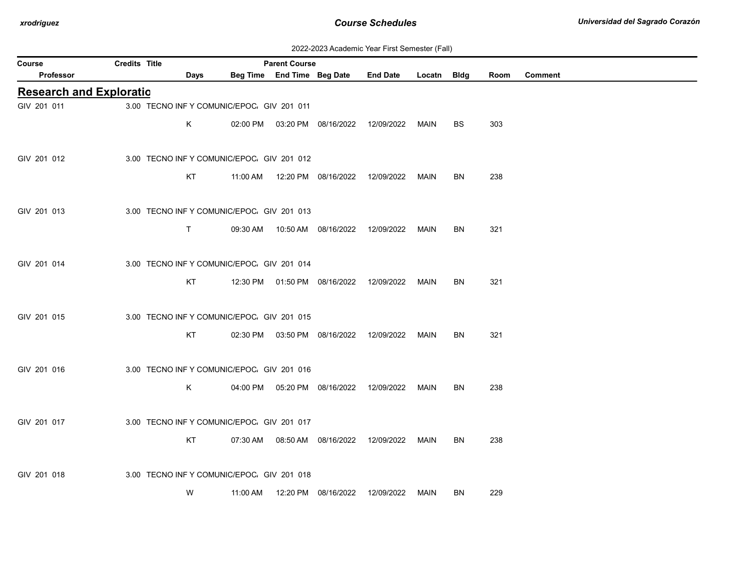| 2022-2023 Academic Year First Semester (Fall) |  |  |  |  |
|-----------------------------------------------|--|--|--|--|
|-----------------------------------------------|--|--|--|--|

| Course                         | Credits Title |                                            |          | <b>Parent Course</b>       |                                            |                 |             |           |      |                |
|--------------------------------|---------------|--------------------------------------------|----------|----------------------------|--------------------------------------------|-----------------|-------------|-----------|------|----------------|
| <b>Professor</b>               |               | Days                                       |          | Beg Time End Time Beg Date |                                            | <b>End Date</b> | Locatn Bldg |           | Room | <b>Comment</b> |
| <b>Research and Exploratio</b> |               |                                            |          |                            |                                            |                 |             |           |      |                |
| GIV 201 011                    |               | 3.00 TECNO INF Y COMUNIC/EPOC. GIV 201 011 |          |                            |                                            |                 |             |           |      |                |
|                                |               | Κ                                          |          |                            | 02:00 PM  03:20 PM  08/16/2022  12/09/2022 |                 | MAIN        | <b>BS</b> | 303  |                |
|                                |               |                                            |          |                            |                                            |                 |             |           |      |                |
| GIV 201 012                    |               | 3.00 TECNO INF Y COMUNIC/EPOC. GIV 201 012 |          |                            |                                            |                 |             |           |      |                |
|                                |               | KT                                         |          |                            | 11:00 AM  12:20 PM  08/16/2022  12/09/2022 |                 | <b>MAIN</b> | BN        | 238  |                |
| GIV 201 013                    |               | 3.00 TECNO INF Y COMUNIC/EPOC. GIV 201 013 |          |                            |                                            |                 |             |           |      |                |
|                                |               | T.                                         |          |                            | 09:30 AM  10:50 AM  08/16/2022             | 12/09/2022      | MAIN        | BN        | 321  |                |
|                                |               |                                            |          |                            |                                            |                 |             |           |      |                |
| GIV 201 014                    |               | 3.00 TECNO INF Y COMUNIC/EPOC. GIV 201 014 |          |                            |                                            |                 |             |           |      |                |
|                                |               | KT                                         |          |                            | 12:30 PM  01:50 PM  08/16/2022  12/09/2022 |                 | MAIN        | BN        | 321  |                |
|                                |               |                                            |          |                            |                                            |                 |             |           |      |                |
| GIV 201 015                    |               | 3.00 TECNO INF Y COMUNIC/EPOC. GIV 201 015 |          |                            |                                            |                 |             |           |      |                |
|                                |               | KT                                         |          |                            | 02:30 PM  03:50 PM  08/16/2022  12/09/2022 |                 | <b>MAIN</b> | <b>BN</b> | 321  |                |
| GIV 201 016                    |               | 3.00 TECNO INF Y COMUNIC/EPOC. GIV 201 016 |          |                            |                                            |                 |             |           |      |                |
|                                |               | Κ                                          |          |                            | 04:00 PM  05:20 PM  08/16/2022  12/09/2022 |                 | MAIN        | BN        | 238  |                |
|                                |               |                                            |          |                            |                                            |                 |             |           |      |                |
| GIV 201 017                    |               | 3.00 TECNO INF Y COMUNIC/EPOC. GIV 201 017 |          |                            |                                            |                 |             |           |      |                |
|                                |               | KT                                         |          |                            |                                            |                 | MAIN        | BN        | 238  |                |
|                                |               |                                            |          |                            |                                            |                 |             |           |      |                |
| GIV 201 018                    |               | 3.00 TECNO INF Y COMUNIC/EPOC. GIV 201 018 |          |                            |                                            |                 |             |           |      |                |
|                                |               | W                                          | 11:00 AM |                            | 12:20 PM 08/16/2022                        | 12/09/2022      | MAIN        | BN        | 229  |                |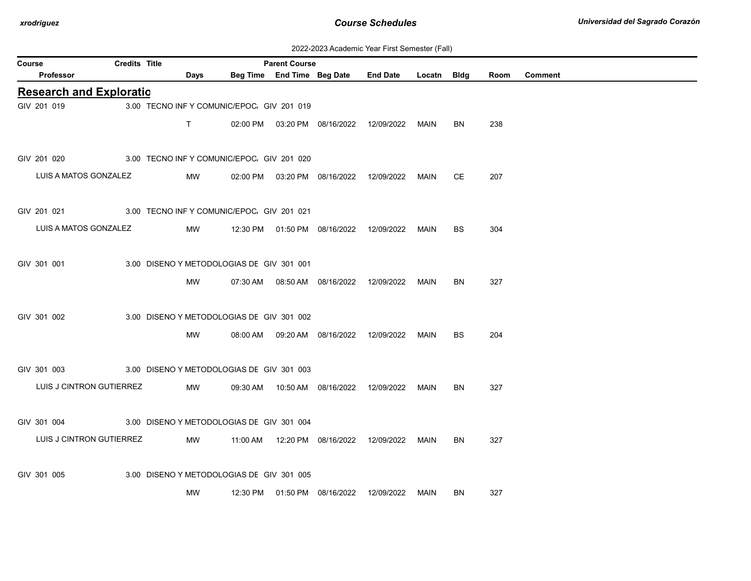| 2022-2023 Academic Year First Semester (Fall) |  |  |  |  |
|-----------------------------------------------|--|--|--|--|
|-----------------------------------------------|--|--|--|--|

| Course                         | Credits Title |             |                                            | <b>Parent Course</b> |                                            |                 |             |           |      |                |
|--------------------------------|---------------|-------------|--------------------------------------------|----------------------|--------------------------------------------|-----------------|-------------|-----------|------|----------------|
| Professor                      |               | <b>Days</b> |                                            |                      | Beg Time End Time Beg Date                 | <b>End Date</b> | Locatn Bldg |           | Room | <b>Comment</b> |
| <b>Research and Exploratio</b> |               |             |                                            |                      |                                            |                 |             |           |      |                |
| GIV 201 019                    |               |             | 3.00 TECNO INF Y COMUNIC/EPOC. GIV 201 019 |                      |                                            |                 |             |           |      |                |
|                                |               | T.          |                                            |                      | 02:00 PM  03:20 PM  08/16/2022  12/09/2022 |                 | MAIN        | BN        | 238  |                |
| GIV 201 020                    |               |             | 3.00 TECNO INF Y COMUNIC/EPOC. GIV 201 020 |                      |                                            |                 |             |           |      |                |
| LUIS A MATOS GONZALEZ          |               | MW          |                                            |                      | 02:00 PM  03:20 PM  08/16/2022             | 12/09/2022      | MAIN        | СE        | 207  |                |
| GIV 201 021                    |               |             | 3.00 TECNO INF Y COMUNIC/EPOC. GIV 201 021 |                      |                                            |                 |             |           |      |                |
| LUIS A MATOS GONZALEZ          |               | MW          |                                            |                      | 12:30 PM  01:50 PM  08/16/2022  12/09/2022 |                 | MAIN        | BS        | 304  |                |
| GIV 301 001                    |               |             | 3.00 DISENO Y METODOLOGIAS DE GIV 301 001  |                      |                                            |                 |             |           |      |                |
|                                |               | MW          |                                            |                      | 07:30 AM  08:50 AM  08/16/2022  12/09/2022 |                 | MAIN        | BN        | 327  |                |
| GIV 301 002                    |               |             | 3.00 DISENO Y METODOLOGIAS DE GIV 301 002  |                      |                                            |                 |             |           |      |                |
|                                |               | МW          |                                            |                      | 08:00 AM  09:20 AM  08/16/2022  12/09/2022 |                 | MAIN        | <b>BS</b> | 204  |                |
| GIV 301 003                    |               |             | 3.00 DISENO Y METODOLOGIAS DE GIV 301 003  |                      |                                            |                 |             |           |      |                |
| LUIS J CINTRON GUTIERREZ       |               | MW          |                                            |                      | 09:30 AM  10:50 AM  08/16/2022             | 12/09/2022      | MAIN        | BN        | 327  |                |
| GIV 301 004                    |               |             | 3.00 DISENO Y METODOLOGIAS DE GIV 301 004  |                      |                                            |                 |             |           |      |                |
| LUIS J CINTRON GUTIERREZ       |               | MW          |                                            |                      | 11:00 AM  12:20 PM  08/16/2022  12/09/2022 |                 | MAIN        | BN        | 327  |                |
| GIV 301 005                    |               |             | 3.00 DISENO Y METODOLOGIAS DE GIV 301 005  |                      |                                            |                 |             |           |      |                |
|                                |               | MW          |                                            |                      | 12:30 PM  01:50 PM  08/16/2022             | 12/09/2022      | MAIN        | <b>BN</b> | 327  |                |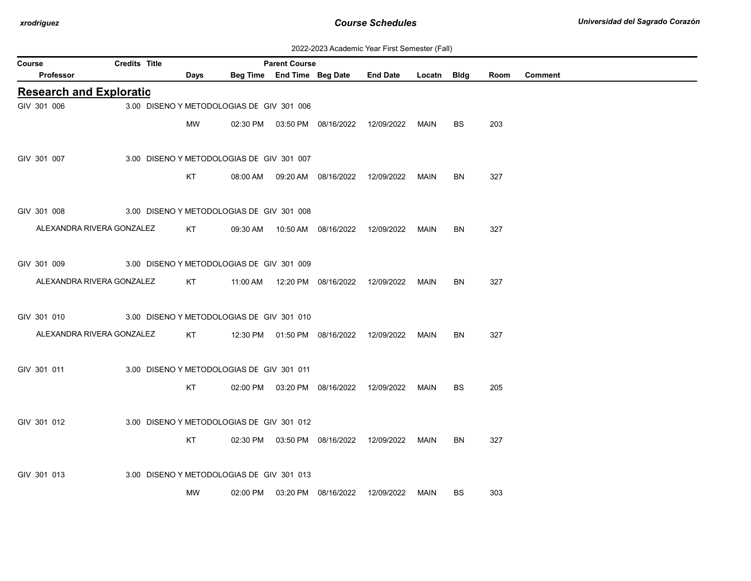| 2022-2023 Academic Year First Semester (Fall) |  |  |  |  |
|-----------------------------------------------|--|--|--|--|
|-----------------------------------------------|--|--|--|--|

| Course |                                | <b>Credits Title</b> |                                           | <b>Parent Course</b> |                                            |                                                  |             |           |      |                |
|--------|--------------------------------|----------------------|-------------------------------------------|----------------------|--------------------------------------------|--------------------------------------------------|-------------|-----------|------|----------------|
|        | Professor                      |                      | Days                                      |                      | Beg Time End Time Beg Date                 | <b>End Date</b>                                  | Locatn Bldg |           | Room | <b>Comment</b> |
|        | <b>Research and Exploratio</b> |                      |                                           |                      |                                            |                                                  |             |           |      |                |
|        | GIV 301 006                    |                      | 3.00 DISENO Y METODOLOGIAS DE GIV 301 006 |                      |                                            |                                                  |             |           |      |                |
|        |                                |                      | MW                                        |                      |                                            |                                                  | MAIN        | <b>BS</b> | 203  |                |
|        |                                |                      |                                           |                      |                                            |                                                  |             |           |      |                |
|        | GIV 301 007                    |                      | 3.00 DISENO Y METODOLOGIAS DE GIV 301 007 |                      |                                            |                                                  |             |           |      |                |
|        |                                |                      | KT                                        |                      |                                            | 08:00 AM  09:20 AM  08/16/2022  12/09/2022       | MAIN        | <b>BN</b> | 327  |                |
|        |                                |                      |                                           |                      |                                            |                                                  |             |           |      |                |
|        | GIV 301 008                    |                      | 3.00 DISENO Y METODOLOGIAS DE GIV 301 008 |                      |                                            |                                                  |             |           |      |                |
|        | ALEXANDRA RIVERA GONZALEZ      |                      | KT                                        |                      |                                            |                                                  | <b>MAIN</b> | BN        | 327  |                |
|        |                                |                      |                                           |                      |                                            |                                                  |             |           |      |                |
|        |                                |                      |                                           |                      |                                            |                                                  |             |           |      |                |
|        | GIV 301 009                    |                      | 3.00 DISENO Y METODOLOGIAS DE GIV 301 009 |                      |                                            |                                                  |             |           |      |                |
|        | ALEXANDRA RIVERA GONZALEZ      |                      | KT                                        |                      |                                            | 11:00 AM  12:20 PM  08/16/2022  12/09/2022  MAIN |             | <b>BN</b> | 327  |                |
|        |                                |                      |                                           |                      |                                            |                                                  |             |           |      |                |
|        | GIV 301 010                    |                      | 3.00 DISENO Y METODOLOGIAS DE GIV 301 010 |                      |                                            |                                                  |             |           |      |                |
|        | ALEXANDRA RIVERA GONZALEZ      |                      | KT                                        |                      |                                            | 12:30 PM  01:50 PM  08/16/2022  12/09/2022       | MAIN        | BN        | 327  |                |
|        |                                |                      |                                           |                      |                                            |                                                  |             |           |      |                |
|        | GIV 301 011                    |                      | 3.00 DISENO Y METODOLOGIAS DE GIV 301 011 |                      |                                            |                                                  |             |           |      |                |
|        |                                |                      | KT                                        |                      | 02:00 PM  03:20 PM  08/16/2022  12/09/2022 |                                                  | MAIN        | BS        | 205  |                |
|        |                                |                      |                                           |                      |                                            |                                                  |             |           |      |                |
|        | GIV 301 012                    |                      | 3.00 DISENO Y METODOLOGIAS DE GIV 301 012 |                      |                                            |                                                  |             |           |      |                |
|        |                                |                      | KT                                        |                      | 02:30 PM  03:50 PM  08/16/2022  12/09/2022 |                                                  | MAIN        | BN        | 327  |                |
|        |                                |                      |                                           |                      |                                            |                                                  |             |           |      |                |
|        | GIV 301 013                    |                      | 3.00 DISENO Y METODOLOGIAS DE GIV 301 013 |                      |                                            |                                                  |             |           |      |                |
|        |                                |                      | MW                                        |                      | 02:00 PM  03:20 PM  08/16/2022  12/09/2022 |                                                  |             | <b>BS</b> | 303  |                |
|        |                                |                      |                                           |                      |                                            |                                                  | MAIN        |           |      |                |
|        |                                |                      |                                           |                      |                                            |                                                  |             |           |      |                |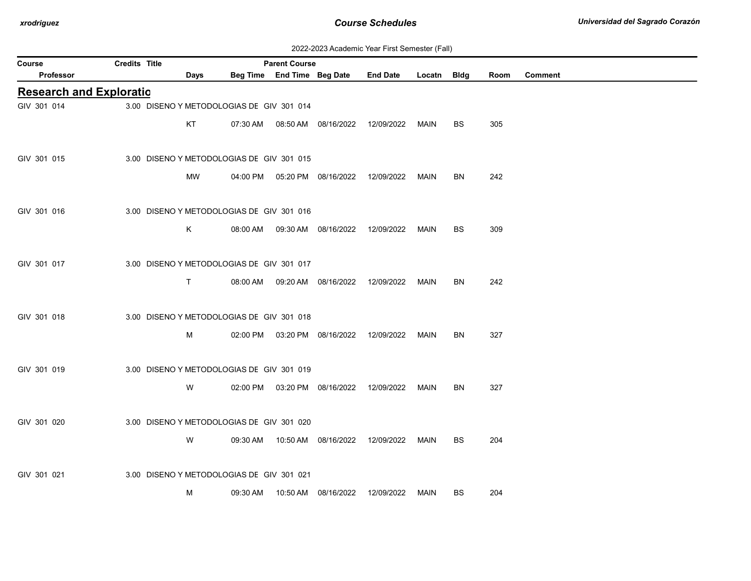| 2022-2023 Academic Year First Semester (Fall) |  |  |  |  |
|-----------------------------------------------|--|--|--|--|
|-----------------------------------------------|--|--|--|--|

| Course                         | Credits Title |                                           |          | <b>Parent Course</b>       |                                            |                 |             |           |      |                |
|--------------------------------|---------------|-------------------------------------------|----------|----------------------------|--------------------------------------------|-----------------|-------------|-----------|------|----------------|
| Professor                      |               | Days                                      |          | Beg Time End Time Beg Date |                                            | <b>End Date</b> | Locatn Bldg |           | Room | <b>Comment</b> |
| <b>Research and Exploratio</b> |               |                                           |          |                            |                                            |                 |             |           |      |                |
| GIV 301 014                    |               | 3.00 DISENO Y METODOLOGIAS DE GIV 301 014 |          |                            |                                            |                 |             |           |      |                |
|                                |               | KT                                        |          |                            | 07:30 AM  08:50 AM  08/16/2022  12/09/2022 |                 | MAIN        | <b>BS</b> | 305  |                |
|                                |               |                                           |          |                            |                                            |                 |             |           |      |                |
| GIV 301 015                    |               | 3.00 DISENO Y METODOLOGIAS DE GIV 301 015 |          |                            |                                            |                 |             |           |      |                |
|                                |               | MW                                        |          |                            | 04:00 PM  05:20 PM  08/16/2022  12/09/2022 |                 | <b>MAIN</b> | BN        | 242  |                |
|                                |               |                                           |          |                            |                                            |                 |             |           |      |                |
| GIV 301 016                    |               | 3.00 DISENO Y METODOLOGIAS DE GIV 301 016 |          |                            |                                            |                 |             |           |      |                |
|                                |               | K.                                        | 08:00 AM |                            | 09:30 AM  08/16/2022                       | 12/09/2022      | MAIN        | BS        | 309  |                |
|                                |               |                                           |          |                            |                                            |                 |             |           |      |                |
| GIV 301 017                    |               | 3.00 DISENO Y METODOLOGIAS DE GIV 301 017 |          |                            |                                            |                 |             |           |      |                |
|                                |               | T.                                        |          |                            | 08:00 AM  09:20 AM  08/16/2022  12/09/2022 |                 | MAIN        | BN        | 242  |                |
|                                |               |                                           |          |                            |                                            |                 |             |           |      |                |
| GIV 301 018                    |               | 3.00 DISENO Y METODOLOGIAS DE GIV 301 018 |          |                            |                                            |                 |             |           |      |                |
|                                |               | м                                         |          |                            | 02:00 PM  03:20 PM  08/16/2022  12/09/2022 |                 | MAIN        | <b>BN</b> | 327  |                |
|                                |               |                                           |          |                            |                                            |                 |             |           |      |                |
| GIV 301 019                    |               | 3.00 DISENO Y METODOLOGIAS DE GIV 301 019 |          |                            |                                            |                 |             |           |      |                |
|                                |               | W                                         |          |                            |                                            | 12/09/2022      | MAIN        | <b>BN</b> | 327  |                |
|                                |               |                                           |          |                            | 02:00 PM  03:20 PM  08/16/2022             |                 |             |           |      |                |
| GIV 301 020                    |               | 3.00 DISENO Y METODOLOGIAS DE GIV 301 020 |          |                            |                                            |                 |             |           |      |                |
|                                |               |                                           |          |                            |                                            |                 |             |           |      |                |
|                                |               | W                                         |          |                            | 09:30 AM  10:50 AM  08/16/2022             | 12/09/2022      | <b>MAIN</b> | BS        | 204  |                |
|                                |               |                                           |          |                            |                                            |                 |             |           |      |                |
| GIV 301 021                    |               | 3.00 DISENO Y METODOLOGIAS DE GIV 301 021 |          |                            |                                            |                 |             |           |      |                |
|                                |               | М                                         | 09:30 AM |                            | 10:50 AM  08/16/2022                       | 12/09/2022      | MAIN        | BS        | 204  |                |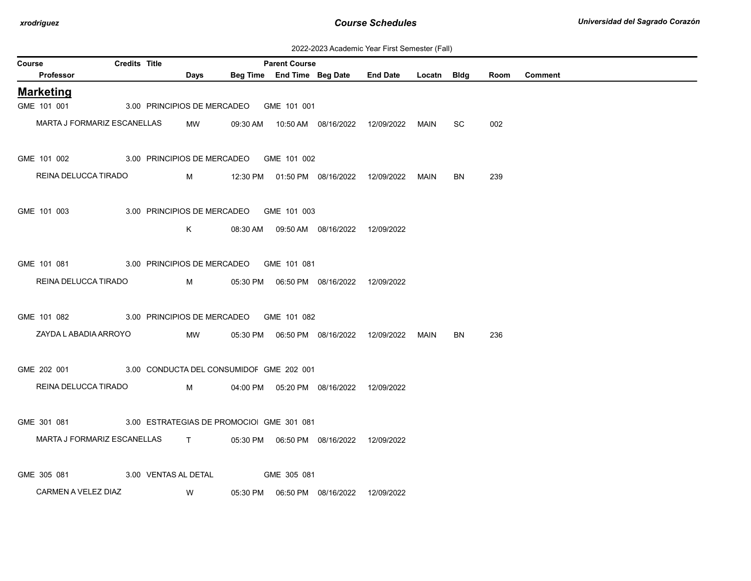| 2022-2023 Academic Year First Semester (Fall) |  |  |  |  |
|-----------------------------------------------|--|--|--|--|
|-----------------------------------------------|--|--|--|--|

| Course                                               | Credits Title |                                         | <b>Parent Course</b> |                                            |                                                  |             |           |      |                |
|------------------------------------------------------|---------------|-----------------------------------------|----------------------|--------------------------------------------|--------------------------------------------------|-------------|-----------|------|----------------|
| Professor                                            |               | Days                                    |                      |                                            | Beg Time End Time Beg Date End Date              | Locatn Bldg |           | Room | <b>Comment</b> |
| <b>Marketing</b>                                     |               |                                         |                      |                                            |                                                  |             |           |      |                |
| GME 101 001                                          |               | 3.00 PRINCIPIOS DE MERCADEO             | GME 101 001          |                                            |                                                  |             |           |      |                |
| MARTA J FORMARIZ ESCANELLAS                          |               | MW                                      |                      |                                            | 09:30 AM  10:50 AM  08/16/2022  12/09/2022  MAIN |             | SC        | 002  |                |
| GME 101 002                                          |               | 3.00 PRINCIPIOS DE MERCADEO GME 101 002 |                      |                                            |                                                  |             |           |      |                |
| REINA DELUCCA TIRADO                                 |               | $M \sim 1$                              |                      |                                            | 12:30 PM  01:50 PM  08/16/2022  12/09/2022       | MAIN        | <b>BN</b> | 239  |                |
| GME 101 003                                          |               | 3.00 PRINCIPIOS DE MERCADEO GME 101 003 |                      |                                            |                                                  |             |           |      |                |
|                                                      |               | K                                       |                      | 08:30 AM  09:50 AM  08/16/2022  12/09/2022 |                                                  |             |           |      |                |
|                                                      |               |                                         |                      |                                            |                                                  |             |           |      |                |
| GME 101 081                                          |               | 3.00 PRINCIPIOS DE MERCADEO GME 101 081 |                      |                                            |                                                  |             |           |      |                |
| REINA DELUCCA TIRADO                                 |               | M                                       |                      | 05:30 PM  06:50 PM  08/16/2022  12/09/2022 |                                                  |             |           |      |                |
| GME 101 082                                          |               | 3.00 PRINCIPIOS DE MERCADEO GME 101 082 |                      |                                            |                                                  |             |           |      |                |
| ZAYDA L ABADIA ARROYO                                |               | MW                                      |                      |                                            |                                                  |             | BN        | 236  |                |
| GME 202 001 3.00 CONDUCTA DEL CONSUMIDOF GME 202 001 |               |                                         |                      |                                            |                                                  |             |           |      |                |
| REINA DELUCCA TIRADO                                 |               | M                                       |                      | 04:00 PM  05:20 PM  08/16/2022  12/09/2022 |                                                  |             |           |      |                |
|                                                      |               |                                         |                      |                                            |                                                  |             |           |      |                |
| GME 301 081 3.00 ESTRATEGIAS DE PROMOCIO GME 301 081 |               |                                         |                      |                                            |                                                  |             |           |      |                |
| MARTA J FORMARIZ ESCANELLAS T                        |               |                                         |                      | 05:30 PM  06:50 PM  08/16/2022  12/09/2022 |                                                  |             |           |      |                |
| GME 305 081                                          |               | 3.00 VENTAS AL DETAL                    | GME 305 081          |                                            |                                                  |             |           |      |                |
| CARMEN A VELEZ DIAZ                                  |               | <b>W</b>                                |                      |                                            |                                                  |             |           |      |                |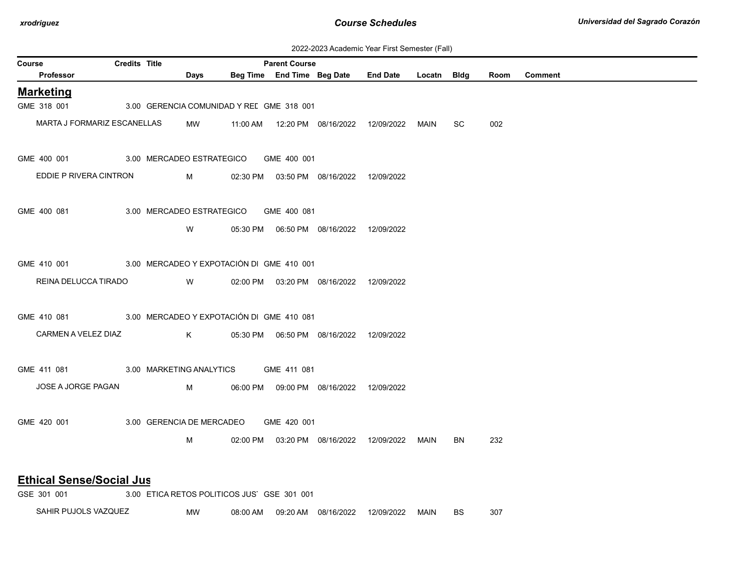| 2022-2023 Academic Year First Semester (Fall) |  |  |  |  |
|-----------------------------------------------|--|--|--|--|
|-----------------------------------------------|--|--|--|--|

| Course                                                | <b>Credits Title</b> |                                                                                                                                                                                                                                     |                                             | <b>Parent Course</b> |                                            |                                                 |      |           |      |                |
|-------------------------------------------------------|----------------------|-------------------------------------------------------------------------------------------------------------------------------------------------------------------------------------------------------------------------------------|---------------------------------------------|----------------------|--------------------------------------------|-------------------------------------------------|------|-----------|------|----------------|
| Professor                                             |                      | Days                                                                                                                                                                                                                                |                                             |                      |                                            | Beg Time End Time Beg Date End Date Locatn Bldg |      |           | Room | <b>Comment</b> |
| <b>Marketing</b>                                      |                      |                                                                                                                                                                                                                                     |                                             |                      |                                            |                                                 |      |           |      |                |
| GME 318 001                                           |                      |                                                                                                                                                                                                                                     | 3.00 GERENCIA COMUNIDAD Y REL GME 318 001   |                      |                                            |                                                 |      |           |      |                |
| MARTA J FORMARIZ ESCANELLAS                           |                      | MW                                                                                                                                                                                                                                  | 11:00 AM                                    |                      |                                            | 12:20 PM  08/16/2022  12/09/2022  MAIN          |      | SC        | 002  |                |
| GME 400 001 3.00 MERCADEO ESTRATEGICO GME 400 001     |                      |                                                                                                                                                                                                                                     |                                             |                      |                                            |                                                 |      |           |      |                |
| EDDIE P RIVERA CINTRON                                |                      | <b>M</b> and the state of the state of the state of the state of the state of the state of the state of the state of the state of the state of the state of the state of the state of the state of the state of the state of the st |                                             |                      | 02:30 PM  03:50 PM  08/16/2022  12/09/2022 |                                                 |      |           |      |                |
| GME 400 081                                           |                      |                                                                                                                                                                                                                                     | 3.00 MERCADEO ESTRATEGICO GME 400 081       |                      |                                            |                                                 |      |           |      |                |
|                                                       |                      | W                                                                                                                                                                                                                                   |                                             |                      | 05:30 PM  06:50 PM  08/16/2022  12/09/2022 |                                                 |      |           |      |                |
| GME 410 001 3.00 MERCADEO Y EXPOTACIÓN DI GME 410 001 |                      |                                                                                                                                                                                                                                     |                                             |                      |                                            |                                                 |      |           |      |                |
| REINA DELUCCA TIRADO                                  |                      | <b>W</b>                                                                                                                                                                                                                            |                                             |                      | 02:00 PM  03:20 PM  08/16/2022  12/09/2022 |                                                 |      |           |      |                |
| GME 410 081 3.00 MERCADEO Y EXPOTACIÓN DI GME 410 081 |                      |                                                                                                                                                                                                                                     |                                             |                      |                                            |                                                 |      |           |      |                |
| CARMEN A VELEZ DIAZ                                   |                      | $K$ and $K$                                                                                                                                                                                                                         |                                             |                      |                                            |                                                 |      |           |      |                |
| GME 411 081 3.00 MARKETING ANALYTICS GME 411 081      |                      |                                                                                                                                                                                                                                     |                                             |                      |                                            |                                                 |      |           |      |                |
| JOSE A JORGE PAGAN                                    |                      | $M \sim 1$                                                                                                                                                                                                                          |                                             |                      | 06:00 PM  09:00 PM  08/16/2022  12/09/2022 |                                                 |      |           |      |                |
| GME 420 001                                           |                      |                                                                                                                                                                                                                                     | 3.00 GERENCIA DE MERCADEO                   | GME 420 001          |                                            |                                                 |      |           |      |                |
|                                                       |                      | M                                                                                                                                                                                                                                   |                                             |                      | 02:00 PM  03:20 PM  08/16/2022  12/09/2022 |                                                 | MAIN | <b>BN</b> | 232  |                |
| <b>Ethical Sense/Social Jus</b>                       |                      |                                                                                                                                                                                                                                     |                                             |                      |                                            |                                                 |      |           |      |                |
| GSE 301 001                                           |                      |                                                                                                                                                                                                                                     | 3.00 ETICA RETOS POLITICOS JUS' GSE 301 001 |                      |                                            |                                                 |      |           |      |                |

SAHIR PUJOLS VAZQUEZ MW 08:00 AM 09:20 AM 08/16/2022 12/09/2022 MAIN BS 307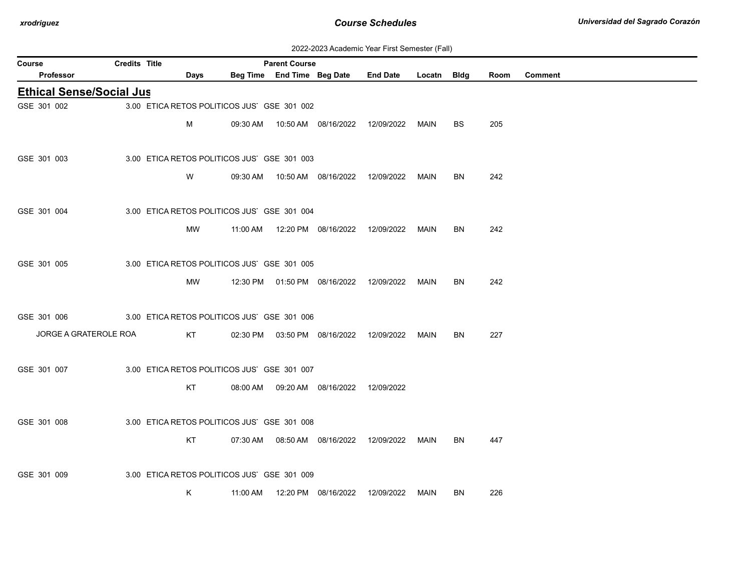| 2022-2023 Academic Year First Semester (Fall) |  |  |  |  |
|-----------------------------------------------|--|--|--|--|
|-----------------------------------------------|--|--|--|--|

| Course                          | <b>Credits Title</b> |                                             |          | <b>Parent Course</b> |                                            |                                                 |      |           |      |                |
|---------------------------------|----------------------|---------------------------------------------|----------|----------------------|--------------------------------------------|-------------------------------------------------|------|-----------|------|----------------|
| Professor                       |                      | Days                                        |          |                      |                                            | Beg Time End Time Beg Date End Date Locatn Bldg |      |           | Room | <b>Comment</b> |
| <b>Ethical Sense/Social Jus</b> |                      |                                             |          |                      |                                            |                                                 |      |           |      |                |
| GSE 301 002                     |                      | 3.00 ETICA RETOS POLITICOS JUS' GSE 301 002 |          |                      |                                            |                                                 |      |           |      |                |
|                                 |                      | M                                           |          |                      |                                            |                                                 |      | <b>BS</b> | 205  |                |
|                                 |                      |                                             |          |                      |                                            |                                                 |      |           |      |                |
| GSE 301 003                     |                      | 3.00 ETICA RETOS POLITICOS JUS' GSE 301 003 |          |                      |                                            |                                                 |      |           |      |                |
|                                 |                      | W                                           |          |                      | 09:30 AM  10:50 AM  08/16/2022  12/09/2022 |                                                 | MAIN | BN        | 242  |                |
|                                 |                      |                                             |          |                      |                                            |                                                 |      |           |      |                |
| GSE 301 004                     |                      | 3.00 ETICA RETOS POLITICOS JUS' GSE 301 004 |          |                      |                                            |                                                 |      |           |      |                |
|                                 |                      | <b>MW</b>                                   |          |                      | 11:00 AM  12:20 PM  08/16/2022  12/09/2022 |                                                 | MAIN | BN        | 242  |                |
|                                 |                      |                                             |          |                      |                                            |                                                 |      |           |      |                |
| GSE 301 005                     |                      | 3.00 ETICA RETOS POLITICOS JUS' GSE 301 005 |          |                      |                                            |                                                 |      |           |      |                |
|                                 |                      | <b>MW</b>                                   |          |                      | 12:30 PM  01:50 PM  08/16/2022  12/09/2022 |                                                 | MAIN | BN.       | 242  |                |
|                                 |                      |                                             |          |                      |                                            |                                                 |      |           |      |                |
| GSE 301 006                     |                      | 3.00 ETICA RETOS POLITICOS JUS' GSE 301 006 |          |                      |                                            |                                                 |      |           |      |                |
| JORGE A GRATEROLE ROA           |                      | KT                                          |          |                      | 02:30 PM  03:50 PM  08/16/2022  12/09/2022 |                                                 | MAIN | <b>BN</b> | 227  |                |
|                                 |                      |                                             |          |                      |                                            |                                                 |      |           |      |                |
| GSE 301 007                     |                      | 3.00 ETICA RETOS POLITICOS JUS' GSE 301 007 |          |                      |                                            |                                                 |      |           |      |                |
|                                 |                      | KT                                          |          |                      | 08:00 AM  09:20 AM  08/16/2022  12/09/2022 |                                                 |      |           |      |                |
|                                 |                      |                                             |          |                      |                                            |                                                 |      |           |      |                |
| GSE 301 008                     |                      | 3.00 ETICA RETOS POLITICOS JUS' GSE 301 008 |          |                      |                                            |                                                 |      |           |      |                |
|                                 |                      | KT                                          |          |                      |                                            |                                                 | MAIN | BN.       | 447  |                |
|                                 |                      |                                             |          |                      |                                            |                                                 |      |           |      |                |
| GSE 301 009                     |                      | 3.00 ETICA RETOS POLITICOS JUS' GSE 301 009 |          |                      |                                            |                                                 |      |           |      |                |
|                                 |                      | Κ                                           | 11:00 AM |                      | 12:20 PM 08/16/2022                        | 12/09/2022                                      | MAIN | BN        | 226  |                |
|                                 |                      |                                             |          |                      |                                            |                                                 |      |           |      |                |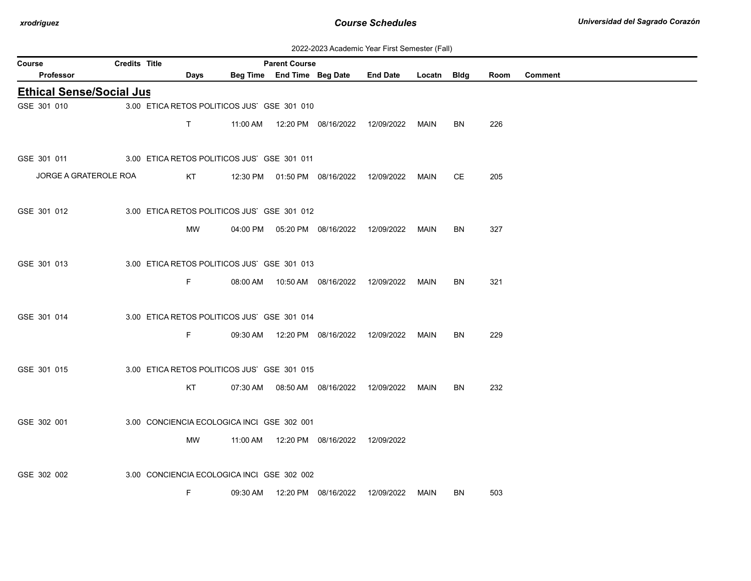| 2022-2023 Academic Year First Semester (Fall) |  |  |  |
|-----------------------------------------------|--|--|--|
|-----------------------------------------------|--|--|--|

| Course                                                  | <b>Credits Title</b> |              | <b>Parent Course</b>                        |                                            | EULL LULU NUGGUINU TUGI THUI UUNIUUTI (TUM)      |      |    |      |                |
|---------------------------------------------------------|----------------------|--------------|---------------------------------------------|--------------------------------------------|--------------------------------------------------|------|----|------|----------------|
| <b>Professor</b>                                        |                      | <b>Days</b>  |                                             |                                            | Beg Time End Time Beg Date End Date Locatn Bldg  |      |    | Room | <b>Comment</b> |
| <b>Ethical Sense/Social Jus</b>                         |                      |              |                                             |                                            |                                                  |      |    |      |                |
| GSE 301 010                                             |                      |              | 3.00 ETICA RETOS POLITICOS JUS' GSE 301 010 |                                            |                                                  |      |    |      |                |
|                                                         |                      | $\mathsf{T}$ |                                             |                                            | 11:00 AM  12:20 PM  08/16/2022  12/09/2022  MAIN |      | BN | 226  |                |
| GSE 301 011 3.00 ETICA RETOS POLITICOS JUS' GSE 301 011 |                      |              |                                             |                                            |                                                  |      |    |      |                |
| JORGE A GRATEROLE ROA                                   |                      | KT           |                                             | 12:30 PM  01:50 PM  08/16/2022  12/09/2022 |                                                  | MAIN | СE | 205  |                |
| GSE 301 012                                             |                      |              | 3.00 ETICA RETOS POLITICOS JUS' GSE 301 012 |                                            |                                                  |      |    |      |                |
|                                                         |                      | MW           |                                             |                                            | 04:00 PM  05:20 PM  08/16/2022  12/09/2022  MAIN |      | BN | 327  |                |
| GSE 301 013                                             |                      |              | 3.00 ETICA RETOS POLITICOS JUS' GSE 301 013 |                                            |                                                  |      |    |      |                |
|                                                         |                      | F.           |                                             |                                            | 08:00 AM  10:50 AM  08/16/2022  12/09/2022  MAIN |      | BN | 321  |                |
| GSE 301 014                                             |                      |              | 3.00 ETICA RETOS POLITICOS JUS' GSE 301 014 |                                            |                                                  |      |    |      |                |
|                                                         |                      | F.           |                                             |                                            | 09:30 AM  12:20 PM  08/16/2022  12/09/2022  MAIN |      | BN | 229  |                |
| GSE 301 015                                             |                      |              | 3.00 ETICA RETOS POLITICOS JUS' GSE 301 015 |                                            |                                                  |      |    |      |                |
|                                                         |                      | KT           |                                             |                                            | 07:30 AM  08:50 AM  08/16/2022  12/09/2022  MAIN |      | BN | 232  |                |
| GSE 302 001                                             |                      |              | 3.00 CONCIENCIA ECOLOGICA INCI GSE 302 001  |                                            |                                                  |      |    |      |                |
|                                                         |                      | MW           |                                             | 11:00 AM  12:20 PM  08/16/2022  12/09/2022 |                                                  |      |    |      |                |
| GSE 302 002                                             |                      |              | 3.00 CONCIENCIA ECOLOGICA INCI GSE 302 002  |                                            |                                                  |      |    |      |                |
|                                                         |                      | F            |                                             | 09:30 AM  12:20 PM  08/16/2022             | 12/09/2022                                       | MAIN | BN | 503  |                |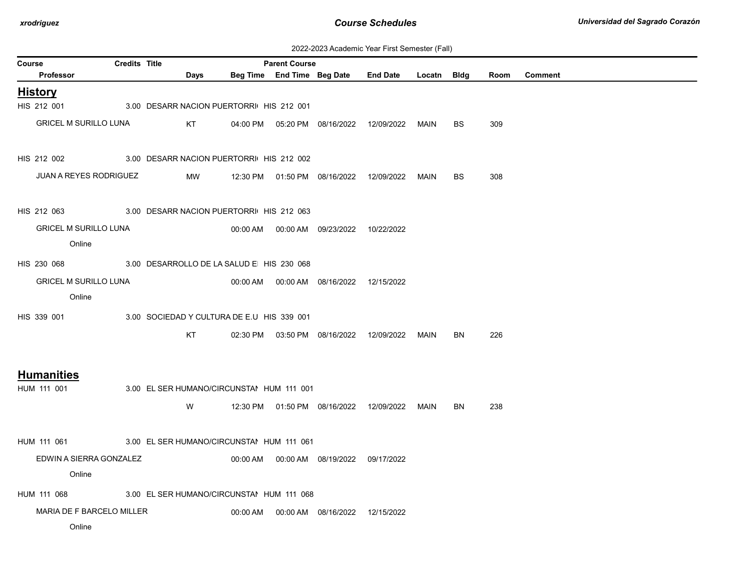| 2022-2023 Academic Year First Semester (Fall) |  |  |  |  |
|-----------------------------------------------|--|--|--|--|
|-----------------------------------------------|--|--|--|--|

| <b>Course</b>                                        | <b>Credits Title</b> |                                            | <b>Parent Course</b> |                                            |                                                  |             |           |      |                |
|------------------------------------------------------|----------------------|--------------------------------------------|----------------------|--------------------------------------------|--------------------------------------------------|-------------|-----------|------|----------------|
| Professor                                            |                      | Days                                       |                      |                                            | Beg Time End Time Beg Date End Date              | Locatn Bldg |           | Room | <b>Comment</b> |
| <b>History</b>                                       |                      |                                            |                      |                                            |                                                  |             |           |      |                |
| HIS 212 001                                          |                      | 3.00 DESARR NACION PUERTORRI HIS 212 001   |                      |                                            |                                                  |             |           |      |                |
| <b>GRICEL M SURILLO LUNA</b>                         |                      | KT                                         |                      |                                            | 04:00 PM  05:20 PM  08/16/2022  12/09/2022       | MAIN        | <b>BS</b> | 309  |                |
|                                                      |                      |                                            |                      |                                            |                                                  |             |           |      |                |
| HIS 212 002 3.00 DESARR NACION PUERTORRI HIS 212 002 |                      |                                            |                      |                                            |                                                  |             |           |      |                |
| <b>JUAN A REYES RODRIGUEZ</b>                        |                      | MW                                         |                      |                                            | 12:30 PM  01:50 PM  08/16/2022  12/09/2022       | MAIN        | <b>BS</b> | 308  |                |
|                                                      |                      |                                            |                      |                                            |                                                  |             |           |      |                |
| HIS 212 063 3.00 DESARR NACION PUERTORRI HIS 212 063 |                      |                                            |                      |                                            |                                                  |             |           |      |                |
| <b>GRICEL M SURILLO LUNA</b>                         |                      |                                            |                      | 00:00 AM  00:00 AM  09/23/2022  10/22/2022 |                                                  |             |           |      |                |
| Online                                               |                      |                                            |                      |                                            |                                                  |             |           |      |                |
| HIS 230 068                                          |                      | 3.00 DESARROLLO DE LA SALUD E HIS 230 068  |                      |                                            |                                                  |             |           |      |                |
| <b>GRICEL M SURILLO LUNA</b>                         |                      |                                            |                      | 00:00 AM  00:00 AM  08/16/2022  12/15/2022 |                                                  |             |           |      |                |
| Online                                               |                      |                                            |                      |                                            |                                                  |             |           |      |                |
| HIS 339 001                                          |                      | 3.00 SOCIEDAD Y CULTURA DE E.U HIS 339 001 |                      |                                            |                                                  |             |           |      |                |
|                                                      |                      | KT                                         |                      |                                            | 02:30 PM  03:50 PM  08/16/2022  12/09/2022  MAIN |             | <b>BN</b> | 226  |                |
|                                                      |                      |                                            |                      |                                            |                                                  |             |           |      |                |
| <b>Humanities</b>                                    |                      |                                            |                      |                                            |                                                  |             |           |      |                |
| HUM 111 001                                          |                      | 3.00 EL SER HUMANO/CIRCUNSTAI HUM 111 001  |                      |                                            |                                                  |             |           |      |                |
|                                                      |                      | W                                          |                      |                                            | 12:30 PM  01:50 PM  08/16/2022  12/09/2022  MAIN |             | BN        | 238  |                |
|                                                      |                      |                                            |                      |                                            |                                                  |             |           |      |                |
| HUM 111 061                                          |                      | 3.00 EL SER HUMANO/CIRCUNSTAI HUM 111 061  |                      |                                            |                                                  |             |           |      |                |
| EDWIN A SIERRA GONZALEZ                              |                      |                                            |                      | 00:00 AM  00:00 AM  08/19/2022  09/17/2022 |                                                  |             |           |      |                |
| Online                                               |                      |                                            |                      |                                            |                                                  |             |           |      |                |
| HUM 111 068                                          |                      | 3.00 EL SER HUMANO/CIRCUNSTAI HUM 111 068  |                      |                                            |                                                  |             |           |      |                |
| MARIA DE F BARCELO MILLER                            |                      |                                            |                      | 00:00 AM  00:00 AM  08/16/2022  12/15/2022 |                                                  |             |           |      |                |
| Online                                               |                      |                                            |                      |                                            |                                                  |             |           |      |                |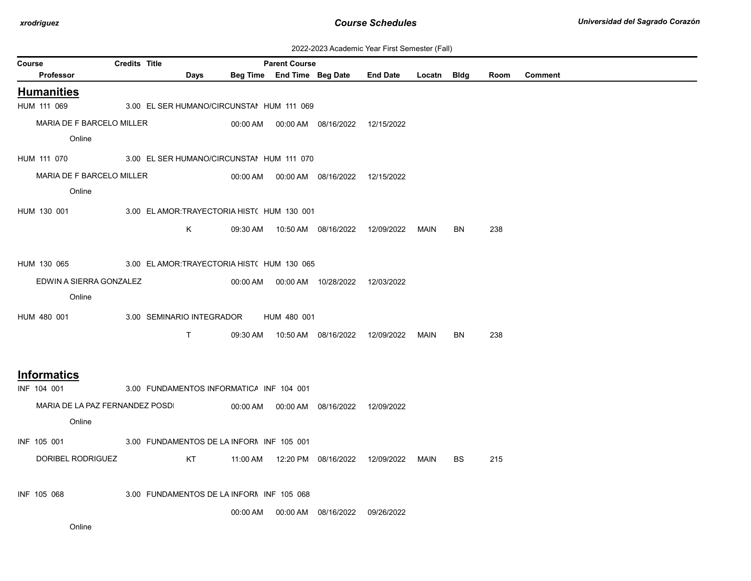| 2022-2023 Academic Year First Semester (Fall) |  |  |  |  |
|-----------------------------------------------|--|--|--|--|
|-----------------------------------------------|--|--|--|--|

|                                 |                      |                           |                                             |                                                    |                                            | ZUZZ-ZUZ3 ACAGEMIC TEAL FIIST SEMESTER (FAII) |             |           |      |                |
|---------------------------------|----------------------|---------------------------|---------------------------------------------|----------------------------------------------------|--------------------------------------------|-----------------------------------------------|-------------|-----------|------|----------------|
| Course<br>Professor             | <b>Credits Title</b> | Days                      |                                             | <b>Parent Course</b><br>Beg Time End Time Beg Date |                                            | <b>End Date</b>                               | Locatn Bldg |           | Room | <b>Comment</b> |
|                                 |                      |                           |                                             |                                                    |                                            |                                               |             |           |      |                |
| <b>Humanities</b>               |                      |                           |                                             |                                                    |                                            |                                               |             |           |      |                |
| HUM 111 069                     |                      |                           | 3.00 EL SER HUMANO/CIRCUNSTAI HUM 111 069   |                                                    |                                            |                                               |             |           |      |                |
| MARIA DE F BARCELO MILLER       |                      |                           |                                             |                                                    | 00:00 AM  00:00 AM  08/16/2022  12/15/2022 |                                               |             |           |      |                |
| Online                          |                      |                           |                                             |                                                    |                                            |                                               |             |           |      |                |
| HUM 111 070                     |                      |                           | 3.00 EL SER HUMANO/CIRCUNSTAI HUM 111 070   |                                                    |                                            |                                               |             |           |      |                |
| MARIA DE F BARCELO MILLER       |                      |                           |                                             |                                                    | 00:00 AM  00:00 AM  08/16/2022  12/15/2022 |                                               |             |           |      |                |
| Online                          |                      |                           |                                             |                                                    |                                            |                                               |             |           |      |                |
| HUM 130 001                     |                      |                           | 3.00 EL AMOR: TRAYECTORIA HIST( HUM 130 001 |                                                    |                                            |                                               |             |           |      |                |
|                                 |                      | K                         |                                             |                                                    | 09:30 AM  10:50 AM  08/16/2022             | 12/09/2022                                    | MAIN        | BN        | 238  |                |
|                                 |                      |                           |                                             |                                                    |                                            |                                               |             |           |      |                |
| HUM 130 065                     |                      |                           | 3.00 EL AMOR: TRAYECTORIA HIST( HUM 130 065 |                                                    |                                            |                                               |             |           |      |                |
| EDWIN A SIERRA GONZALEZ         |                      |                           |                                             |                                                    | 00:00 AM   00:00 AM   10/28/2022           | 12/03/2022                                    |             |           |      |                |
| Online                          |                      |                           |                                             |                                                    |                                            |                                               |             |           |      |                |
|                                 |                      |                           |                                             |                                                    |                                            |                                               |             |           |      |                |
| HUM 480 001                     |                      | 3.00 SEMINARIO INTEGRADOR |                                             | HUM 480 001                                        |                                            |                                               |             |           |      |                |
|                                 |                      | T.                        | 09:30 AM                                    |                                                    |                                            | 12/09/2022                                    | MAIN        | <b>BN</b> | 238  |                |
|                                 |                      |                           |                                             |                                                    |                                            |                                               |             |           |      |                |
| <b>Informatics</b>              |                      |                           |                                             |                                                    |                                            |                                               |             |           |      |                |
| INF 104 001                     |                      |                           | 3.00 FUNDAMENTOS INFORMATICA INF 104 001    |                                                    |                                            |                                               |             |           |      |                |
| MARIA DE LA PAZ FERNANDEZ POSDI |                      |                           |                                             |                                                    | 00:00 AM   00:00 AM   08/16/2022           | 12/09/2022                                    |             |           |      |                |
| Online                          |                      |                           |                                             |                                                    |                                            |                                               |             |           |      |                |
|                                 |                      |                           |                                             |                                                    |                                            |                                               |             |           |      |                |
| INF 105 001                     |                      |                           | 3.00 FUNDAMENTOS DE LA INFORN INF 105 001   |                                                    |                                            |                                               |             |           |      |                |
| DORIBEL RODRIGUEZ               |                      | KT                        |                                             |                                                    |                                            | 12/09/2022                                    | MAIN        | <b>BS</b> | 215  |                |
|                                 |                      |                           |                                             |                                                    |                                            |                                               |             |           |      |                |
| INF 105 068                     |                      |                           | 3.00 FUNDAMENTOS DE LA INFORN INF 105 068   |                                                    |                                            |                                               |             |           |      |                |
|                                 |                      |                           | 00:00 AM                                    |                                                    | 00:00 AM 08/16/2022                        | 09/26/2022                                    |             |           |      |                |
|                                 |                      |                           |                                             |                                                    |                                            |                                               |             |           |      |                |

Online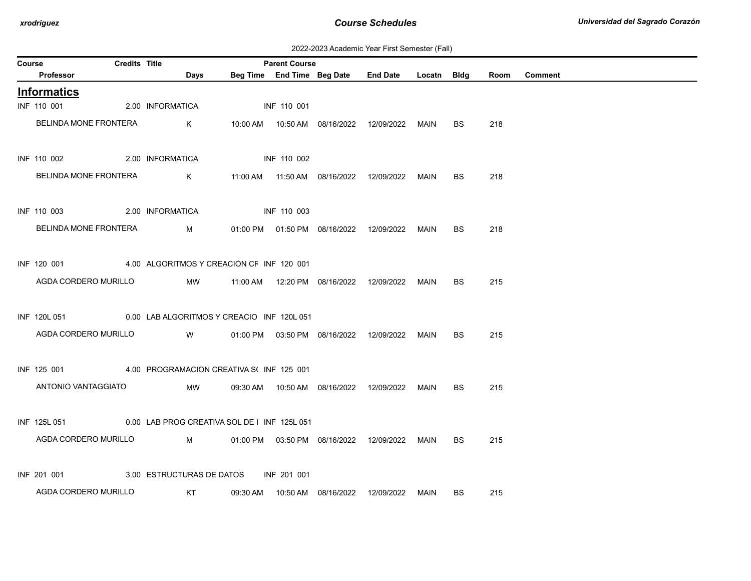| 2022-2023 Academic Year First Semester (Fall) |  |  |  |  |
|-----------------------------------------------|--|--|--|--|
|-----------------------------------------------|--|--|--|--|

| Course |                                                           | <b>Credits Title</b> |                                           | <b>Parent Course</b> |                                                  |             |           |      |                |
|--------|-----------------------------------------------------------|----------------------|-------------------------------------------|----------------------|--------------------------------------------------|-------------|-----------|------|----------------|
|        | Professor                                                 |                      | Days                                      |                      | Beg Time End Time Beg Date End Date              | Locatn Bldg |           | Room | <b>Comment</b> |
|        | <b>Informatics</b>                                        |                      |                                           |                      |                                                  |             |           |      |                |
|        | INF 110 001                                               |                      | 2.00 INFORMATICA                          | INF 110 001          |                                                  |             |           |      |                |
|        | BELINDA MONE FRONTERA                                     |                      | K                                         |                      |                                                  |             | BS.       | 218  |                |
|        | INF 110 002                                               |                      | 2.00 INFORMATICA                          | INF 110 002          |                                                  |             |           |      |                |
|        | BELINDA MONE FRONTERA                                     |                      | K                                         |                      |                                                  | MAIN        | <b>BS</b> | 218  |                |
|        | INF 110 003                                               |                      | 2.00 INFORMATICA                          | INF 110 003          |                                                  |             |           |      |                |
|        | BELINDA MONE FRONTERA                                     |                      | M                                         |                      | 01:00 PM  01:50 PM  08/16/2022  12/09/2022  MAIN |             | BS        | 218  |                |
|        | INF 120 001                                               |                      | 4.00 ALGORITMOS Y CREACIÓN CF INF 120 001 |                      |                                                  |             |           |      |                |
|        | AGDA CORDERO MURILLO                                      |                      | MW                                        |                      |                                                  | MAIN        | BS        | 215  |                |
|        | INF 120L 051 0.00 LAB ALGORITMOS Y CREACIO INF 120L 051   |                      |                                           |                      |                                                  |             |           |      |                |
|        | AGDA CORDERO MURILLO                                      |                      | <b>W</b>                                  |                      | 01:00 PM  03:50 PM  08/16/2022  12/09/2022  MAIN |             | <b>BS</b> | 215  |                |
|        | INF 125 001                                               |                      | 4.00 PROGRAMACION CREATIVA S(INF 125 001  |                      |                                                  |             |           |      |                |
|        | ANTONIO VANTAGGIATO                                       |                      | MW                                        |                      |                                                  | MAIN        | BS.       | 215  |                |
|        | INF 125L 051 0.00 LAB PROG CREATIVA SOL DE I INF 125L 051 |                      |                                           |                      |                                                  |             |           |      |                |
|        | AGDA CORDERO MURILLO                                      |                      | $M \sim 1$                                |                      | 01:00 PM  03:50 PM  08/16/2022  12/09/2022       | MAIN        | BS.       | 215  |                |
|        | INF 201 001                                               |                      | 3.00 ESTRUCTURAS DE DATOS                 | INF 201 001          |                                                  |             |           |      |                |
|        | AGDA CORDERO MURILLO                                      |                      | <b>KT</b>                                 |                      | 09:30 AM  10:50 AM  08/16/2022  12/09/2022       | MAIN        | <b>BS</b> | 215  |                |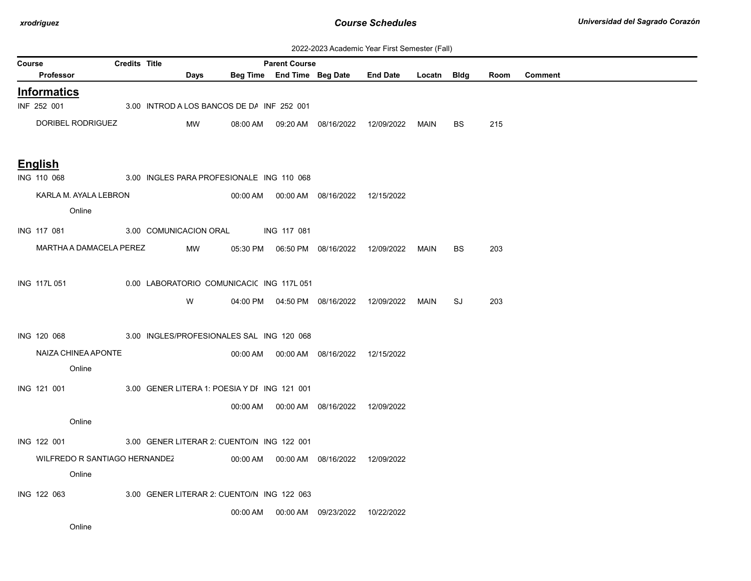| 2022-2023 Academic Year First Semester (Fall) |  |  |  |  |
|-----------------------------------------------|--|--|--|--|
|-----------------------------------------------|--|--|--|--|

| Course |                               | <b>Credits Title</b> |                        |                                              | <b>Parent Course</b> |                                              | <b>EULL-LULU AUGUCHIIU TUGI T IIU OCHICULI (I GII)</b> |             |    |      |                |
|--------|-------------------------------|----------------------|------------------------|----------------------------------------------|----------------------|----------------------------------------------|--------------------------------------------------------|-------------|----|------|----------------|
|        | <b>Professor</b>              |                      | Days                   |                                              |                      | Beg Time End Time Beg Date                   | <b>End Date</b>                                        | Locatn Bldg |    | Room | <b>Comment</b> |
|        | <b>Informatics</b>            |                      |                        |                                              |                      |                                              |                                                        |             |    |      |                |
|        | INF 252 001                   |                      |                        | 3.00 INTROD A LOS BANCOS DE DA INF 252 001   |                      |                                              |                                                        |             |    |      |                |
|        | DORIBEL RODRIGUEZ             |                      | MW                     |                                              |                      | 08:00 AM  09:20 AM  08/16/2022  12/09/2022   |                                                        | MAIN        | BS | 215  |                |
|        |                               |                      |                        |                                              |                      |                                              |                                                        |             |    |      |                |
|        | <b>English</b>                |                      |                        |                                              |                      |                                              |                                                        |             |    |      |                |
|        | ING 110 068                   |                      |                        | 3.00 INGLES PARA PROFESIONALE ING 110 068    |                      |                                              |                                                        |             |    |      |                |
|        | KARLA M. AYALA LEBRON         |                      |                        |                                              |                      | 00:00 AM  00:00 AM  08/16/2022  12/15/2022   |                                                        |             |    |      |                |
|        | Online                        |                      |                        |                                              |                      |                                              |                                                        |             |    |      |                |
|        | ING 117 081                   |                      | 3.00 COMUNICACION ORAL |                                              | <b>ING 117 081</b>   |                                              |                                                        |             |    |      |                |
|        | MARTHA A DAMACELA PEREZ       |                      | MW                     |                                              |                      | 05:30 PM   06:50 PM   08/16/2022             | 12/09/2022                                             | MAIN        | BS | 203  |                |
|        |                               |                      |                        |                                              |                      |                                              |                                                        |             |    |      |                |
|        | ING 117L 051                  |                      |                        | 0.00 LABORATORIO COMUNICACI( ING 117L 051    |                      |                                              |                                                        |             |    |      |                |
|        |                               |                      | W                      |                                              |                      | 04:00 PM   04:50 PM   08/16/2022  12/09/2022 |                                                        | MAIN        | SJ | 203  |                |
|        |                               |                      |                        |                                              |                      |                                              |                                                        |             |    |      |                |
|        | ING 120 068                   |                      |                        | 3.00 INGLES/PROFESIONALES SAL ING 120 068    |                      |                                              |                                                        |             |    |      |                |
|        | NAIZA CHINEA APONTE           |                      |                        |                                              |                      | 00:00 AM  00:00 AM  08/16/2022  12/15/2022   |                                                        |             |    |      |                |
|        | Online                        |                      |                        |                                              |                      |                                              |                                                        |             |    |      |                |
|        | ING 121 001                   |                      |                        | 3.00 GENER LITERA 1: POESIA Y DI ING 121 001 |                      |                                              |                                                        |             |    |      |                |
|        |                               |                      |                        |                                              |                      | 00:00 AM  00:00 AM  08/16/2022  12/09/2022   |                                                        |             |    |      |                |
|        | Online                        |                      |                        |                                              |                      |                                              |                                                        |             |    |      |                |
|        | ING 122 001                   |                      |                        | 3.00 GENER LITERAR 2: CUENTO/N ING 122 001   |                      |                                              |                                                        |             |    |      |                |
|        | WILFREDO R SANTIAGO HERNANDEZ |                      |                        |                                              |                      |                                              |                                                        |             |    |      |                |
|        | Online                        |                      |                        |                                              |                      | 00:00 AM  00:00 AM  08/16/2022  12/09/2022   |                                                        |             |    |      |                |
|        |                               |                      |                        |                                              |                      |                                              |                                                        |             |    |      |                |
|        | ING 122 063                   |                      |                        | 3.00 GENER LITERAR 2: CUENTO/N ING 122 063   |                      |                                              |                                                        |             |    |      |                |
|        |                               |                      |                        |                                              |                      | 00:00 AM   00:00 AM   09/23/2022             | 10/22/2022                                             |             |    |      |                |
|        | Online                        |                      |                        |                                              |                      |                                              |                                                        |             |    |      |                |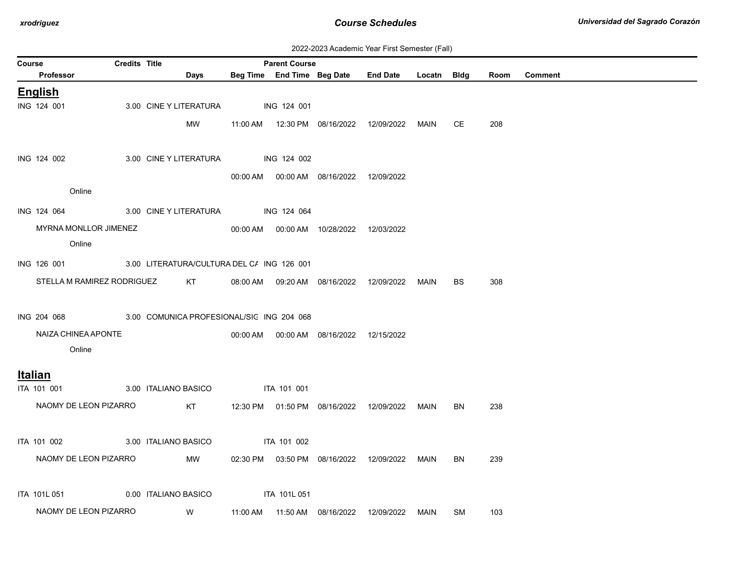| 2022-2023 Academic Year First Semester (Fall) |  |  |  |  |
|-----------------------------------------------|--|--|--|--|
|-----------------------------------------------|--|--|--|--|

| <b>Course</b> |                                                        | <b>Credits Title</b><br><b>Parent Course</b> |                                                                                                                |          |                    |                                            |                                  |              |                        |            |                |
|---------------|--------------------------------------------------------|----------------------------------------------|----------------------------------------------------------------------------------------------------------------|----------|--------------------|--------------------------------------------|----------------------------------|--------------|------------------------|------------|----------------|
|               | Professor                                              |                                              | Days                                                                                                           |          |                    | Beg Time End Time Beg Date                 | End Date Locatn Bldg             |              |                        | Room       | <b>Comment</b> |
|               | <b>English</b>                                         |                                              |                                                                                                                |          |                    |                                            |                                  |              |                        |            |                |
|               | ING 124 001                                            |                                              | 3.00 CINE Y LITERATURA                                                                                         |          | ING 124 001        |                                            |                                  |              |                        |            |                |
|               |                                                        |                                              | MW                                                                                                             |          |                    | 11:00 AM  12:30 PM  08/16/2022  12/09/2022 |                                  | MAIN         | CE.                    | 208        |                |
|               |                                                        |                                              |                                                                                                                |          |                    |                                            |                                  |              |                        |            |                |
|               | ING 124 002                                            |                                              | 3.00 CINE Y LITERATURA                                                                                         |          | ING 124 002        |                                            |                                  |              |                        |            |                |
|               |                                                        |                                              |                                                                                                                |          |                    | 00:00 AM  00:00 AM  08/16/2022  12/09/2022 |                                  |              |                        |            |                |
|               | Online                                                 |                                              |                                                                                                                |          |                    |                                            |                                  |              |                        |            |                |
|               | ING 124 064 3.00 CINE Y LITERATURA                     |                                              |                                                                                                                |          | <b>ING 124 064</b> |                                            |                                  |              |                        |            |                |
|               | MYRNA MONLLOR JIMENEZ                                  |                                              |                                                                                                                |          |                    | 00:00 AM  00:00 AM  10/28/2022             | 12/03/2022                       |              |                        |            |                |
|               | Online                                                 |                                              |                                                                                                                |          |                    |                                            |                                  |              |                        |            |                |
|               |                                                        |                                              |                                                                                                                |          |                    |                                            |                                  |              |                        |            |                |
|               | ING 126 001 3.00 LITERATURA/CULTURA DEL C/ ING 126 001 |                                              |                                                                                                                |          |                    |                                            |                                  |              |                        |            |                |
|               | STELLA M RAMIREZ RODRIGUEZ                             |                                              | KT to the set of the set of the set of the set of the set of the set of the set of the set of the set of the s | 08:00 AM |                    | 09:20 AM  08/16/2022                       | 12/09/2022                       | MAIN         | BS.                    | 308        |                |
|               |                                                        |                                              |                                                                                                                |          |                    |                                            |                                  |              |                        |            |                |
|               | ING 204 068 3.00 COMUNICA PROFESIONAL/SIC ING 204 068  |                                              |                                                                                                                |          |                    |                                            |                                  |              |                        |            |                |
|               | NAIZA CHINEA APONTE                                    |                                              |                                                                                                                |          |                    | 00:00 AM  00:00 AM  08/16/2022  12/15/2022 |                                  |              |                        |            |                |
|               | Online                                                 |                                              |                                                                                                                |          |                    |                                            |                                  |              |                        |            |                |
|               | <b>Italian</b>                                         |                                              |                                                                                                                |          |                    |                                            |                                  |              |                        |            |                |
|               | ITA 101 001                                            |                                              | 3.00 ITALIANO BASICO ITA 101 001                                                                               |          |                    |                                            |                                  |              |                        |            |                |
|               | NAOMY DE LEON PIZARRO                                  |                                              | KT                                                                                                             |          |                    | 12:30 PM  01:50 PM  08/16/2022  12/09/2022 |                                  | MAIN         | BN                     | 238        |                |
|               |                                                        |                                              |                                                                                                                |          |                    |                                            |                                  |              |                        |            |                |
|               | ITA 101 002                                            |                                              | 3.00 ITALIANO BASICO                                                                                           |          | <b>ITA 101 002</b> |                                            |                                  |              |                        |            |                |
|               | NAOMY DE LEON PIZARRO                                  |                                              |                                                                                                                |          |                    |                                            |                                  |              |                        |            |                |
|               |                                                        |                                              |                                                                                                                |          |                    |                                            |                                  |              |                        |            |                |
|               |                                                        |                                              |                                                                                                                |          |                    |                                            |                                  |              |                        |            |                |
|               |                                                        |                                              |                                                                                                                |          |                    |                                            |                                  |              |                        |            |                |
|               | ITA 101L 051<br>NAOMY DE LEON PIZARRO                  |                                              | MW<br>0.00 ITALIANO BASICO<br><b>W</b>                                                                         | 11:00 AM | ITA 101L 051       | 02:30 PM  03:50 PM  08/16/2022  12/09/2022 | 11:50 AM  08/16/2022  12/09/2022 | MAIN<br>MAIN | <b>BN</b><br><b>SM</b> | 239<br>103 |                |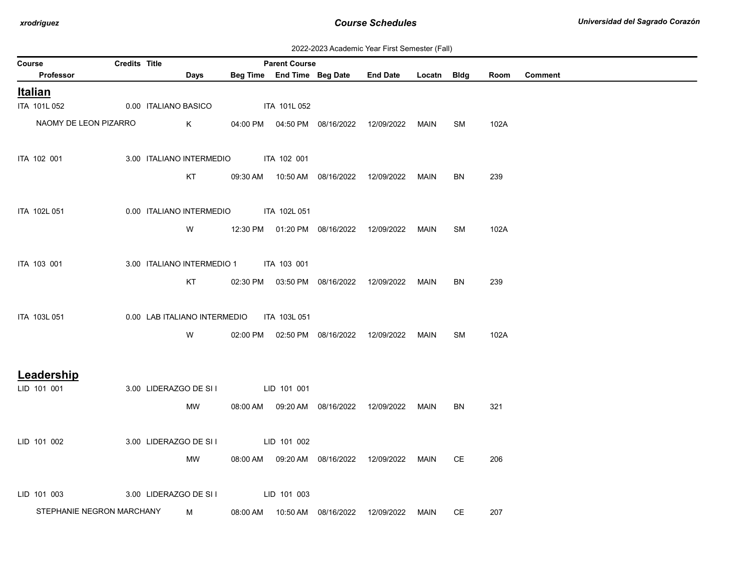| 2022-2023 Academic Year First Semester (Fall) |  |  |  |  |
|-----------------------------------------------|--|--|--|--|
|-----------------------------------------------|--|--|--|--|

| <b>Course</b>             | <b>Credits Title</b> |                                       | <b>Parent Course</b> |                                | $\epsilon$ . $\epsilon$ . $\epsilon$ . $\epsilon$ . $\epsilon$ . $\epsilon$ . $\epsilon$ . $\epsilon$ . $\epsilon$ . $\epsilon$ . $\epsilon$ . $\epsilon$ . $\epsilon$ . $\epsilon$ . $\epsilon$ . $\epsilon$ . $\epsilon$ . $\epsilon$ . $\epsilon$ . $\epsilon$ . $\epsilon$ . $\epsilon$ . $\epsilon$ . $\epsilon$ . $\epsilon$ . $\epsilon$ . $\epsilon$ . $\epsilon$ . $\epsilon$ . $\epsilon$ . $\epsilon$ . $\epsilon$ |      |           |      |                |
|---------------------------|----------------------|---------------------------------------|----------------------|--------------------------------|-------------------------------------------------------------------------------------------------------------------------------------------------------------------------------------------------------------------------------------------------------------------------------------------------------------------------------------------------------------------------------------------------------------------------------|------|-----------|------|----------------|
| Professor                 |                      | Days                                  |                      | Beg Time End Time Beg Date     | End Date Locatn Bldg                                                                                                                                                                                                                                                                                                                                                                                                          |      |           | Room | <b>Comment</b> |
| Italian                   |                      |                                       |                      |                                |                                                                                                                                                                                                                                                                                                                                                                                                                               |      |           |      |                |
| ITA 101L 052              |                      | 0.00 ITALIANO BASICO                  | ITA 101L 052         |                                |                                                                                                                                                                                                                                                                                                                                                                                                                               |      |           |      |                |
| NAOMY DE LEON PIZARRO     |                      | $\mathsf{K}^-$                        |                      |                                | 04:00 PM  04:50 PM  08/16/2022  12/09/2022  MAIN                                                                                                                                                                                                                                                                                                                                                                              |      | SM        | 102A |                |
| ITA 102 001               |                      | 3.00 ITALIANO INTERMEDIO ITA 102 001  |                      |                                |                                                                                                                                                                                                                                                                                                                                                                                                                               |      |           |      |                |
|                           |                      | KT                                    |                      |                                | 09:30 AM  10:50 AM  08/16/2022  12/09/2022                                                                                                                                                                                                                                                                                                                                                                                    | MAIN | BN        | 239  |                |
| ITA 102L 051              |                      | 0.00 ITALIANO INTERMEDIO ITA 102L 051 |                      |                                |                                                                                                                                                                                                                                                                                                                                                                                                                               |      |           |      |                |
|                           |                      | W                                     |                      | 12:30 PM  01:20 PM  08/16/2022 | 12/09/2022                                                                                                                                                                                                                                                                                                                                                                                                                    | MAIN | <b>SM</b> | 102A |                |
| ITA 103 001               |                      | 3.00 ITALIANO INTERMEDIO 1            | ITA 103 001          |                                |                                                                                                                                                                                                                                                                                                                                                                                                                               |      |           |      |                |
|                           |                      | KT                                    |                      |                                | 02:30 PM  03:50 PM  08/16/2022  12/09/2022                                                                                                                                                                                                                                                                                                                                                                                    | MAIN | BN        | 239  |                |
| ITA 103L 051              |                      | 0.00 LAB ITALIANO INTERMEDIO          | ITA 103L 051         |                                |                                                                                                                                                                                                                                                                                                                                                                                                                               |      |           |      |                |
|                           |                      | W                                     |                      |                                | 02:00 PM  02:50 PM  08/16/2022  12/09/2022  MAIN                                                                                                                                                                                                                                                                                                                                                                              |      | SM        | 102A |                |
| Leadership                |                      |                                       |                      |                                |                                                                                                                                                                                                                                                                                                                                                                                                                               |      |           |      |                |
| LID 101 001               |                      | 3.00 LIDERAZGO DE SI I                | LID 101 001          |                                |                                                                                                                                                                                                                                                                                                                                                                                                                               |      |           |      |                |
|                           |                      | MW                                    |                      |                                | 08:00 AM  09:20 AM  08/16/2022  12/09/2022                                                                                                                                                                                                                                                                                                                                                                                    | MAIN | <b>BN</b> | 321  |                |
| LID 101 002               |                      | 3.00 LIDERAZGO DE SI I                | LID 101 002          |                                |                                                                                                                                                                                                                                                                                                                                                                                                                               |      |           |      |                |
|                           |                      | MW                                    |                      |                                | 08:00 AM  09:20 AM  08/16/2022  12/09/2022  MAIN                                                                                                                                                                                                                                                                                                                                                                              |      | CE        | 206  |                |
| LID 101 003               |                      | 3.00 LIDERAZGO DE SI I                | LID 101 003          |                                |                                                                                                                                                                                                                                                                                                                                                                                                                               |      |           |      |                |
| STEPHANIE NEGRON MARCHANY |                      | M                                     |                      | 08:00 AM  10:50 AM  08/16/2022 | 12/09/2022 MAIN                                                                                                                                                                                                                                                                                                                                                                                                               |      | CE        | 207  |                |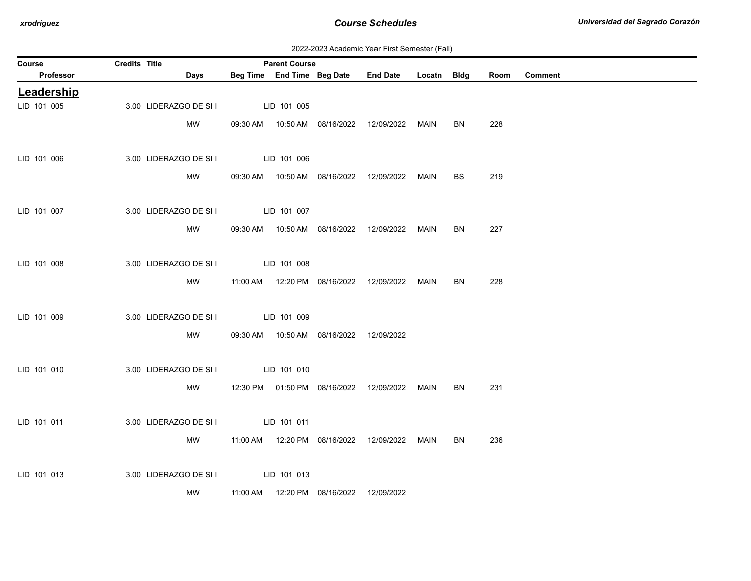| 2022-2023 Academic Year First Semester (Fall) |  |  |  |  |
|-----------------------------------------------|--|--|--|--|
|-----------------------------------------------|--|--|--|--|

| Course      | Credits Title |                        | <b>Parent Course</b> |                                            |                                            |             |           |      |                |
|-------------|---------------|------------------------|----------------------|--------------------------------------------|--------------------------------------------|-------------|-----------|------|----------------|
| Professor   |               | Days                   |                      | Beg Time End Time Beg Date                 | <b>End Date</b>                            | Locatn Bldg |           | Room | <b>Comment</b> |
| Leadership  |               |                        |                      |                                            |                                            |             |           |      |                |
| LID 101 005 |               | 3.00 LIDERAZGO DE SI I | LID 101 005          |                                            |                                            |             |           |      |                |
|             |               | MW                     |                      |                                            | 09:30 AM  10:50 AM  08/16/2022  12/09/2022 | MAIN        | BN        | 228  |                |
|             |               |                        |                      |                                            |                                            |             |           |      |                |
| LID 101 006 |               | 3.00 LIDERAZGO DE SI I | LID 101 006          |                                            |                                            |             |           |      |                |
|             |               | MW                     |                      |                                            | 09:30 AM  10:50 AM  08/16/2022  12/09/2022 | MAIN        | <b>BS</b> | 219  |                |
| LID 101 007 |               | 3.00 LIDERAZGO DE SI I | LID 101 007          |                                            |                                            |             |           |      |                |
|             |               | MW                     |                      |                                            |                                            |             | <b>BN</b> | 227  |                |
|             |               |                        |                      |                                            | 09:30 AM  10:50 AM  08/16/2022  12/09/2022 | MAIN        |           |      |                |
| LID 101 008 |               | 3.00 LIDERAZGO DE SI I | LID 101 008          |                                            |                                            |             |           |      |                |
|             |               | MW                     |                      |                                            | 11:00 AM  12:20 PM  08/16/2022  12/09/2022 | MAIN        | <b>BN</b> | 228  |                |
|             |               |                        |                      |                                            |                                            |             |           |      |                |
| LID 101 009 |               | 3.00 LIDERAZGO DE SI I | LID 101 009          |                                            |                                            |             |           |      |                |
|             |               | MW                     |                      | 09:30 AM  10:50 AM  08/16/2022             | 12/09/2022                                 |             |           |      |                |
|             |               |                        |                      |                                            |                                            |             |           |      |                |
| LID 101 010 |               | 3.00 LIDERAZGO DE SI I | LID 101 010          |                                            |                                            |             |           |      |                |
|             |               | MW                     |                      |                                            | 12:30 PM  01:50 PM  08/16/2022  12/09/2022 | MAIN        | <b>BN</b> | 231  |                |
|             |               |                        |                      |                                            |                                            |             |           |      |                |
| LID 101 011 |               | 3.00 LIDERAZGO DE SI I | LID 101 011          |                                            |                                            |             |           |      |                |
|             |               | MW                     |                      | 11:00 AM  12:20 PM  08/16/2022             | 12/09/2022                                 | MAIN        | <b>BN</b> | 236  |                |
|             |               |                        |                      |                                            |                                            |             |           |      |                |
| LID 101 013 |               | 3.00 LIDERAZGO DE SI I | LID 101 013          |                                            |                                            |             |           |      |                |
|             |               | MW                     |                      | 11:00 AM  12:20 PM  08/16/2022  12/09/2022 |                                            |             |           |      |                |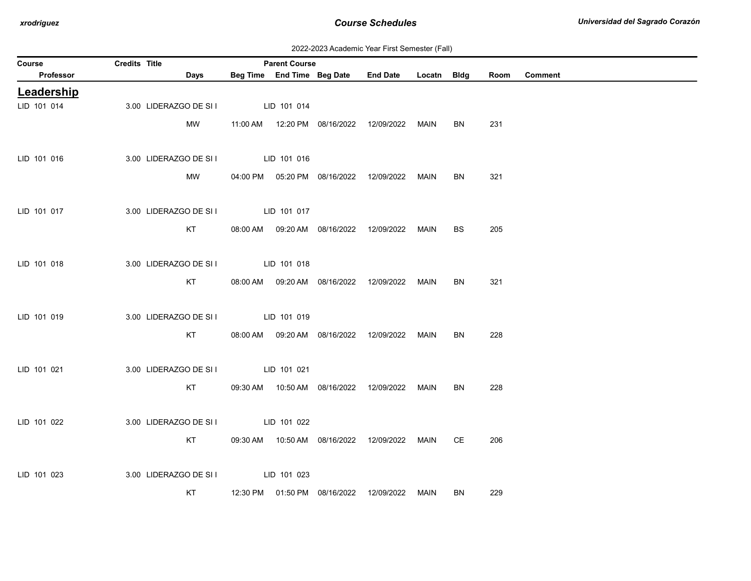2022-2023 Academic Year First Semester (Fall)

| Course      | Credits Title |                                    | <b>Parent Course</b> |                                            |                                            |      |           |      |                |
|-------------|---------------|------------------------------------|----------------------|--------------------------------------------|--------------------------------------------|------|-----------|------|----------------|
| Professor   |               | Days                               |                      | Beg Time End Time Beg Date                 | End Date Locatn Bldg                       |      |           | Room | <b>Comment</b> |
| Leadership  |               |                                    |                      |                                            |                                            |      |           |      |                |
| LID 101 014 |               | 3.00 LIDERAZGO DE SI I             | LID 101 014          |                                            |                                            |      |           |      |                |
|             |               | MW                                 |                      |                                            | 11:00 AM  12:20 PM  08/16/2022  12/09/2022 | MAIN | BN        | 231  |                |
|             |               |                                    |                      |                                            |                                            |      |           |      |                |
| LID 101 016 |               | 3.00 LIDERAZGO DE SI I             | LID 101 016          |                                            |                                            |      |           |      |                |
|             |               | MW                                 |                      | 04:00 PM  05:20 PM  08/16/2022  12/09/2022 |                                            | MAIN | BN        | 321  |                |
|             |               |                                    |                      |                                            |                                            |      |           |      |                |
| LID 101 017 |               | 3.00 LIDERAZGO DE SI I LID 101 017 |                      |                                            |                                            |      |           |      |                |
|             |               | KT                                 |                      |                                            | 08:00 AM  09:20 AM  08/16/2022  12/09/2022 | MAIN | BS.       | 205  |                |
|             |               |                                    |                      |                                            |                                            |      |           |      |                |
| LID 101 018 |               | 3.00 LIDERAZGO DE SI I LID 101 018 |                      |                                            |                                            |      |           |      |                |
|             |               | KT                                 |                      | 08:00 AM  09:20 AM  08/16/2022  12/09/2022 |                                            | MAIN | BN        | 321  |                |
|             |               |                                    |                      |                                            |                                            |      |           |      |                |
| LID 101 019 |               | 3.00 LIDERAZGO DE SI I LID 101 019 |                      |                                            |                                            |      |           |      |                |
|             |               | KT                                 |                      | 08:00 AM  09:20 AM  08/16/2022  12/09/2022 |                                            | MAIN | <b>BN</b> | 228  |                |
|             |               |                                    |                      |                                            |                                            |      |           |      |                |
| LID 101 021 |               | 3.00 LIDERAZGO DE SI I LID 101 021 |                      |                                            |                                            |      |           |      |                |
|             |               | KT                                 |                      |                                            |                                            | MAIN | BN        | 228  |                |
|             |               |                                    |                      |                                            |                                            |      |           |      |                |
| LID 101 022 |               | 3.00 LIDERAZGO DE SI I LID 101 022 |                      |                                            |                                            |      |           |      |                |
|             |               | KT                                 |                      | 09:30 AM  10:50 AM  08/16/2022  12/09/2022 |                                            | MAIN | CE        | 206  |                |
|             |               |                                    |                      |                                            |                                            |      |           |      |                |
| LID 101 023 |               | 3.00 LIDERAZGO DE SI I LID 101 023 |                      |                                            |                                            |      |           |      |                |
|             |               | KT                                 |                      | 12:30 PM  01:50 PM  08/16/2022  12/09/2022 |                                            | MAIN | BN        | 229  |                |
|             |               |                                    |                      |                                            |                                            |      |           |      |                |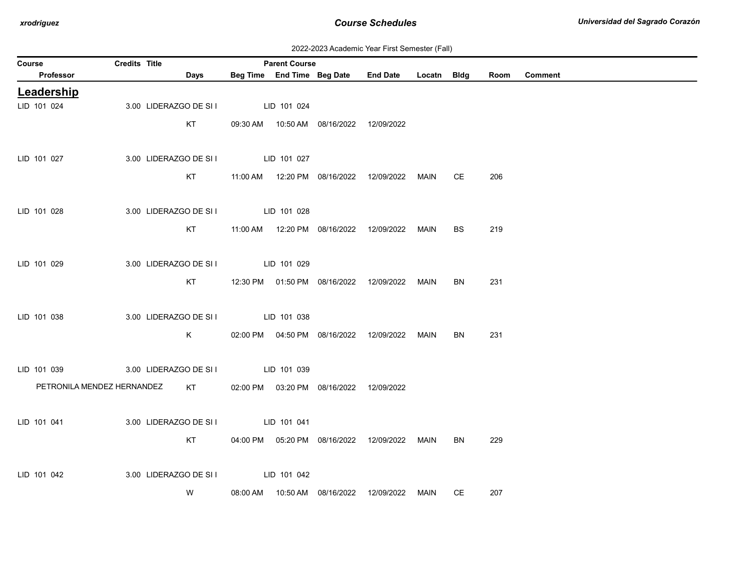| 2022-2023 Academic Year First Semester (Fall) |  |  |  |  |
|-----------------------------------------------|--|--|--|--|
|-----------------------------------------------|--|--|--|--|

| Credits Title<br><b>Parent Course</b><br>Course                                                             |  |
|-------------------------------------------------------------------------------------------------------------|--|
| Beg Time End Time Beg Date<br>Professor<br><b>End Date</b><br><b>Comment</b><br>Days<br>Locatn Bldg<br>Room |  |
| Leadership                                                                                                  |  |
| LID 101 024<br>3.00 LIDERAZGO DE SI I<br>LID 101 024                                                        |  |
| KT<br>09:30 AM  10:50 AM  08/16/2022  12/09/2022                                                            |  |
|                                                                                                             |  |
| LID 101 027<br>3.00 LIDERAZGO DE SI I<br>LID 101 027                                                        |  |
| KT<br>206<br>11:00 AM  12:20 PM  08/16/2022<br>12/09/2022<br>CE<br>MAIN                                     |  |
|                                                                                                             |  |
| LID 101 028<br>3.00 LIDERAZGO DE SI I<br>LID 101 028                                                        |  |
|                                                                                                             |  |
| KT<br><b>BS</b><br>219<br>12/09/2022<br><b>MAIN</b>                                                         |  |
|                                                                                                             |  |
| LID 101 029<br>3.00 LIDERAZGO DE SI I<br>LID 101 029                                                        |  |
| KT<br>12:30 PM  01:50 PM  08/16/2022  12/09/2022<br><b>BN</b><br>231<br>MAIN                                |  |
|                                                                                                             |  |
| LID 101 038<br>3.00 LIDERAZGO DE SI I<br>LID 101 038                                                        |  |
| K<br>231<br>02:00 PM  04:50 PM  08/16/2022  12/09/2022<br>BN<br>MAIN                                        |  |
|                                                                                                             |  |
| LID 101 039<br>3.00 LIDERAZGO DE SI I<br>LID 101 039                                                        |  |
| PETRONILA MENDEZ HERNANDEZ<br>KT<br>02:00 PM  03:20 PM  08/16/2022<br>12/09/2022                            |  |
|                                                                                                             |  |
| LID 101 041<br>3.00 LIDERAZGO DE SI I<br>LID 101 041                                                        |  |
| KT<br>04:00 PM  05:20 PM  08/16/2022  12/09/2022<br>229<br>MAIN<br>BN                                       |  |
|                                                                                                             |  |
|                                                                                                             |  |
| 3.00 LIDERAZGO DE SI I<br>LID 101 042<br>LID 101 042                                                        |  |
| W<br>10:50 AM  08/16/2022<br>CE<br>207<br>08:00 AM<br>12/09/2022<br>MAIN                                    |  |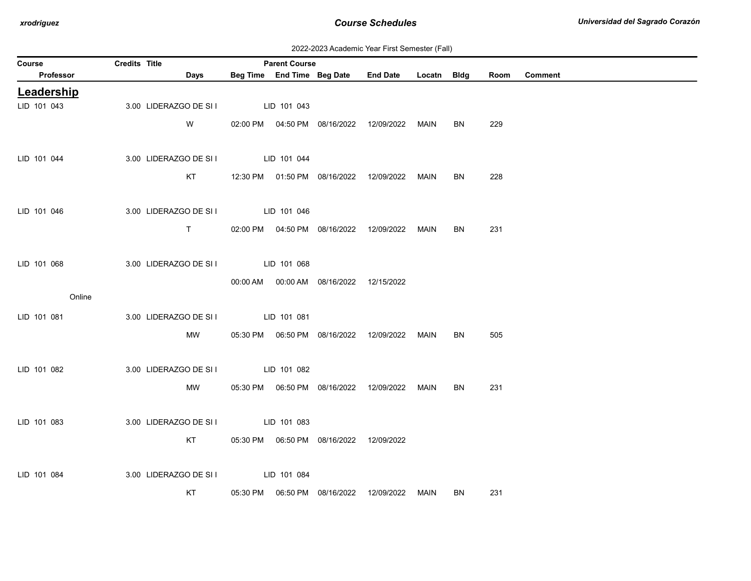| 2022-2023 Academic Year First Semester (Fall) |  |  |  |  |
|-----------------------------------------------|--|--|--|--|
|-----------------------------------------------|--|--|--|--|

| Course      | Credits Title |                                    | <b>Parent Course</b> |                                            |                                            |             |     |      |                |
|-------------|---------------|------------------------------------|----------------------|--------------------------------------------|--------------------------------------------|-------------|-----|------|----------------|
| Professor   |               | <b>Days</b>                        |                      | Beg Time End Time Beg Date                 | <b>End Date</b>                            | Locatn Bldg |     | Room | <b>Comment</b> |
| Leadership  |               |                                    |                      |                                            |                                            |             |     |      |                |
| LID 101 043 |               | 3.00 LIDERAZGO DE SI I             | LID 101 043          |                                            |                                            |             |     |      |                |
|             |               | W                                  |                      |                                            | 02:00 PM  04:50 PM  08/16/2022  12/09/2022 | MAIN        | BN. | 229  |                |
| LID 101 044 |               | 3.00 LIDERAZGO DE SI I LID 101 044 |                      |                                            |                                            |             |     |      |                |
|             |               | KT                                 |                      |                                            | 12:30 PM  01:50 PM  08/16/2022  12/09/2022 | MAIN        | BN  | 228  |                |
| LID 101 046 |               | 3.00 LIDERAZGO DE SI I LID 101 046 |                      |                                            |                                            |             |     |      |                |
|             |               | T                                  |                      |                                            | 02:00 PM  04:50 PM  08/16/2022  12/09/2022 | MAIN        | BN  | 231  |                |
| LID 101 068 |               | 3.00 LIDERAZGO DE SI I             | LID 101 068          |                                            |                                            |             |     |      |                |
|             |               |                                    |                      | 00:00 AM  00:00 AM  08/16/2022  12/15/2022 |                                            |             |     |      |                |
| Online      |               |                                    |                      |                                            |                                            |             |     |      |                |
| LID 101 081 |               | 3.00 LIDERAZGO DE SI I LID 101 081 |                      |                                            |                                            |             |     |      |                |
|             |               |                                    |                      |                                            |                                            |             |     |      |                |
|             |               | MW                                 |                      |                                            |                                            | MAIN        | BN  | 505  |                |
|             |               |                                    |                      |                                            |                                            |             |     |      |                |
| LID 101 082 |               | 3.00 LIDERAZGO DE SI I LID 101 082 |                      |                                            |                                            |             |     |      |                |
|             |               | MW                                 |                      |                                            |                                            | MAIN        | BN. | 231  |                |
| LID 101 083 |               | 3.00 LIDERAZGO DE SI I LID 101 083 |                      |                                            |                                            |             |     |      |                |
|             |               | KT                                 |                      |                                            |                                            |             |     |      |                |
| LID 101 084 |               | 3.00 LIDERAZGO DE SI I             | LID 101 084          |                                            |                                            |             |     |      |                |
|             |               | KT                                 |                      |                                            |                                            | MAIN        | BN. | 231  |                |
|             |               |                                    |                      |                                            |                                            |             |     |      |                |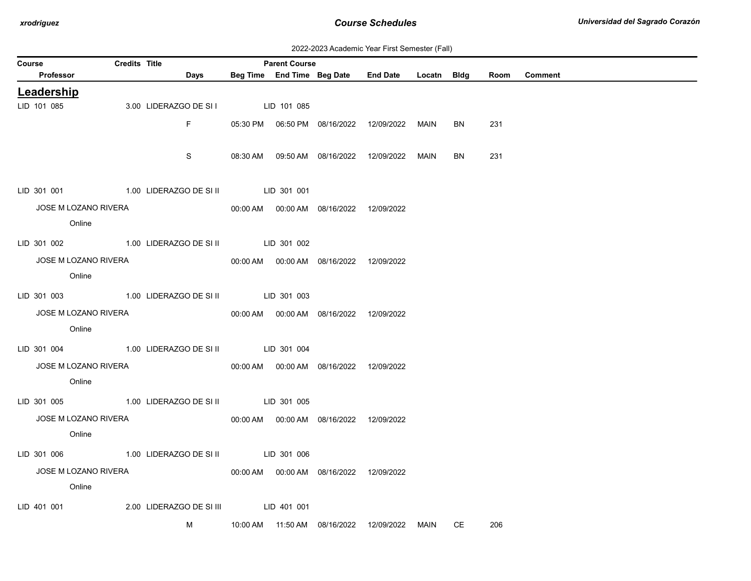| 2022-2023 Academic Year First Semester (Fall) |  |  |  |  |
|-----------------------------------------------|--|--|--|--|
|-----------------------------------------------|--|--|--|--|

|                           |                                |                      |                                                 |             | <b>Parent Course</b> |                                            |                                            |             |    |      |                |
|---------------------------|--------------------------------|----------------------|-------------------------------------------------|-------------|----------------------|--------------------------------------------|--------------------------------------------|-------------|----|------|----------------|
| Course<br>Professor       |                                | <b>Credits Title</b> | Days                                            |             |                      |                                            | Beg Time End Time Beg Date End Date        | Locatn Bldg |    | Room | <b>Comment</b> |
|                           |                                |                      |                                                 |             |                      |                                            |                                            |             |    |      |                |
| Leadership<br>LID 101 085 |                                |                      | 3.00 LIDERAZGO DE SI I                          | LID 101 085 |                      |                                            |                                            |             |    |      |                |
|                           |                                |                      |                                                 |             |                      |                                            |                                            |             |    |      |                |
|                           |                                |                      | F.                                              |             |                      | 05:30 PM  06:50 PM  08/16/2022  12/09/2022 |                                            | MAIN        | BN | 231  |                |
|                           |                                |                      |                                                 |             |                      |                                            |                                            |             |    |      |                |
|                           |                                |                      | S                                               |             |                      |                                            | 08:30 AM  09:50 AM  08/16/2022  12/09/2022 | MAIN        | BN | 231  |                |
|                           |                                |                      |                                                 |             |                      |                                            |                                            |             |    |      |                |
| LID 301 001               |                                |                      | 1.00 LIDERAZGO DE SI II  LID 301 001            |             |                      |                                            |                                            |             |    |      |                |
|                           | JOSE M LOZANO RIVERA           |                      |                                                 |             |                      |                                            |                                            |             |    |      |                |
|                           | Online                         |                      |                                                 |             |                      |                                            |                                            |             |    |      |                |
|                           |                                |                      | LID 301 002 1.00 LIDERAZGO DE SI II LID 301 002 |             |                      |                                            |                                            |             |    |      |                |
|                           |                                |                      |                                                 |             |                      |                                            |                                            |             |    |      |                |
|                           | JOSE M LOZANO RIVERA<br>Online |                      |                                                 |             |                      | 00:00 AM  00:00 AM  08/16/2022  12/09/2022 |                                            |             |    |      |                |
|                           |                                |                      |                                                 |             |                      |                                            |                                            |             |    |      |                |
|                           |                                |                      | LID 301 003 1.00 LIDERAZGO DE SI II LID 301 003 |             |                      |                                            |                                            |             |    |      |                |
|                           | JOSE M LOZANO RIVERA           |                      |                                                 |             |                      | 00:00 AM  00:00 AM  08/16/2022  12/09/2022 |                                            |             |    |      |                |
|                           | Online                         |                      |                                                 |             |                      |                                            |                                            |             |    |      |                |
|                           |                                |                      | LID 301 004 1.00 LIDERAZGO DE SI II LID 301 004 |             |                      |                                            |                                            |             |    |      |                |
|                           | JOSE M LOZANO RIVERA           |                      |                                                 |             |                      |                                            |                                            |             |    |      |                |
|                           | Online                         |                      |                                                 |             |                      |                                            |                                            |             |    |      |                |
|                           |                                |                      |                                                 |             |                      |                                            |                                            |             |    |      |                |
|                           |                                |                      | LID 301 005 1.00 LIDERAZGO DE SI II LID 301 005 |             |                      |                                            |                                            |             |    |      |                |
|                           | JOSE M LOZANO RIVERA           |                      |                                                 |             |                      | 00:00 AM  00:00 AM  08/16/2022  12/09/2022 |                                            |             |    |      |                |
|                           | Online                         |                      |                                                 |             |                      |                                            |                                            |             |    |      |                |
|                           |                                |                      | LID 301 006 1.00 LIDERAZGO DE SI II LID 301 006 |             |                      |                                            |                                            |             |    |      |                |
|                           | JOSE M LOZANO RIVERA           |                      |                                                 |             |                      | 00:00 AM  00:00 AM  08/16/2022  12/09/2022 |                                            |             |    |      |                |
|                           | Online                         |                      |                                                 |             |                      |                                            |                                            |             |    |      |                |
|                           |                                |                      |                                                 |             |                      |                                            |                                            |             |    |      |                |
| LID 401 001               |                                |                      |                                                 |             |                      |                                            |                                            |             |    |      |                |
|                           |                                |                      | M                                               |             |                      |                                            |                                            | MAIN        | CE | 206  |                |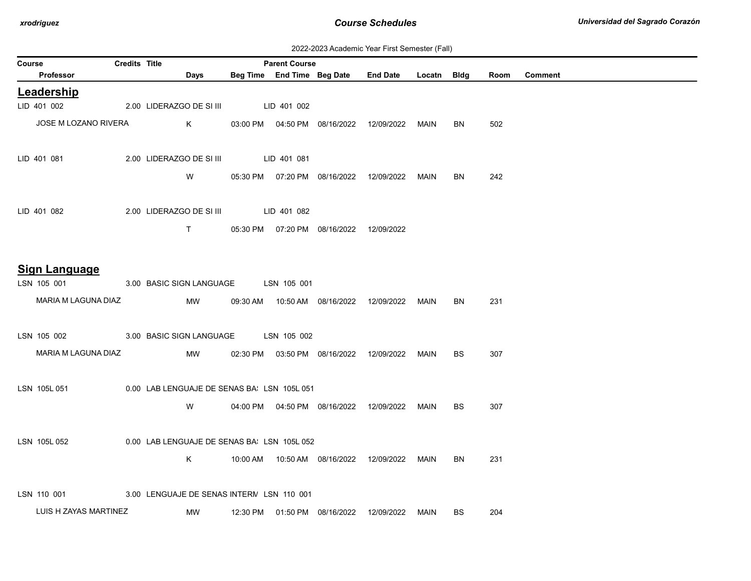| 2022-2023 Academic Year First Semester (Fall) |  |  |  |  |
|-----------------------------------------------|--|--|--|--|
|-----------------------------------------------|--|--|--|--|

| <b>Course</b> |                       | <b>Credits Title</b> |                                            | <b>Parent Course</b> |                                            | $201$ $104$ $104$ $104$ $105$ $100$ $100$        |             |           |      |         |
|---------------|-----------------------|----------------------|--------------------------------------------|----------------------|--------------------------------------------|--------------------------------------------------|-------------|-----------|------|---------|
|               | Professor             |                      | Days                                       |                      | Beg Time End Time Beg Date                 | <b>End Date</b>                                  | Locatn Bldg |           | Room | Comment |
|               | Leadership            |                      |                                            |                      |                                            |                                                  |             |           |      |         |
|               | LID 401 002           |                      | 2.00 LIDERAZGO DE SI III                   | LID 401 002          |                                            |                                                  |             |           |      |         |
|               | JOSE M LOZANO RIVERA  |                      | K                                          |                      |                                            | 03:00 PM  04:50 PM  08/16/2022  12/09/2022       | MAIN        | BN        | 502  |         |
|               | LID 401 081           |                      | 2.00 LIDERAZGO DE SI III                   | LID 401 081          |                                            |                                                  |             |           |      |         |
|               |                       |                      | W                                          |                      |                                            | 05:30 PM  07:20 PM  08/16/2022  12/09/2022  MAIN |             | BN        | 242  |         |
|               | LID 401 082           |                      | 2.00 LIDERAZGO DE SI III LID 401 082       |                      |                                            |                                                  |             |           |      |         |
|               |                       |                      | T                                          |                      | 05:30 PM  07:20 PM  08/16/2022  12/09/2022 |                                                  |             |           |      |         |
|               | <b>Sign Language</b>  |                      |                                            |                      |                                            |                                                  |             |           |      |         |
|               | LSN 105 001           |                      | 3.00 BASIC SIGN LANGUAGE LSN 105 001       |                      |                                            |                                                  |             |           |      |         |
|               | MARIA M LAGUNA DIAZ   |                      | MW                                         |                      |                                            | 09:30 AM  10:50 AM  08/16/2022  12/09/2022  MAIN |             | <b>BN</b> | 231  |         |
|               | LSN 105 002           |                      | 3.00 BASIC SIGN LANGUAGE LSN 105 002       |                      |                                            |                                                  |             |           |      |         |
|               | MARIA M LAGUNA DIAZ   |                      | MW                                         |                      |                                            | 02:30 PM  03:50 PM  08/16/2022  12/09/2022  MAIN |             | <b>BS</b> | 307  |         |
|               | LSN 105L 051          |                      | 0.00 LAB LENGUAJE DE SENAS BA LSN 105L 051 |                      |                                            |                                                  |             |           |      |         |
|               |                       |                      | W                                          |                      |                                            | 04:00 PM   04:50 PM   08/16/2022  12/09/2022     | MAIN        | <b>BS</b> | 307  |         |
|               | LSN 105L 052          |                      | 0.00 LAB LENGUAJE DE SENAS BA LSN 105L 052 |                      |                                            |                                                  |             |           |      |         |
|               |                       |                      | K                                          |                      |                                            |                                                  |             | BN        | 231  |         |
|               | LSN 110 001           |                      | 3.00 LENGUAJE DE SENAS INTERN LSN 110 001  |                      |                                            |                                                  |             |           |      |         |
|               | LUIS H ZAYAS MARTINEZ |                      | MW                                         |                      | 12:30 PM  01:50 PM  08/16/2022             | 12/09/2022                                       | MAIN        | <b>BS</b> | 204  |         |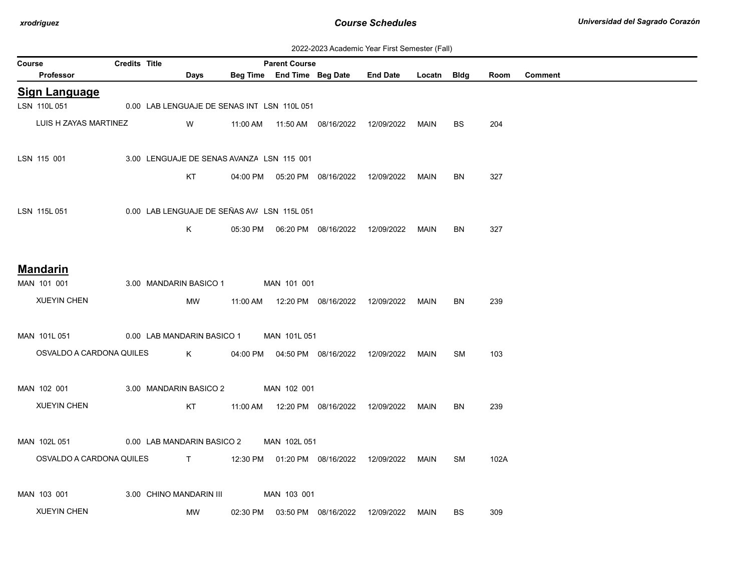| 2022-2023 Academic Year First Semester (Fall) |  |  |  |  |
|-----------------------------------------------|--|--|--|--|
|-----------------------------------------------|--|--|--|--|

| Course |                          | <b>Credits Title</b> |                                             |             |          | <b>Parent Course</b> |                                            |                      |             |           |      |                |
|--------|--------------------------|----------------------|---------------------------------------------|-------------|----------|----------------------|--------------------------------------------|----------------------|-------------|-----------|------|----------------|
|        | Professor                |                      | Days                                        |             |          |                      | Beg Time End Time Beg Date                 | End Date Locatn Bldg |             |           | Room | <b>Comment</b> |
|        | <b>Sign Language</b>     |                      |                                             |             |          |                      |                                            |                      |             |           |      |                |
|        | LSN 110L051              |                      | 0.00 LAB LENGUAJE DE SENAS INT LSN 110L 051 |             |          |                      |                                            |                      |             |           |      |                |
|        | LUIS H ZAYAS MARTINEZ    |                      | W                                           |             |          |                      | 11:00 AM  11:50 AM  08/16/2022  12/09/2022 |                      | <b>MAIN</b> | <b>BS</b> | 204  |                |
|        | LSN 115 001              |                      | 3.00 LENGUAJE DE SENAS AVANZA LSN 115 001   |             |          |                      |                                            |                      |             |           |      |                |
|        |                          |                      | KT                                          |             |          |                      | 04:00 PM  05:20 PM  08/16/2022  12/09/2022 |                      | MAIN        | BN        | 327  |                |
|        | LSN 115L 051             |                      | 0.00 LAB LENGUAJE DE SEÑAS AV/ LSN 115L 051 |             |          |                      |                                            |                      |             |           |      |                |
|        |                          |                      | Κ                                           |             |          |                      |                                            |                      | MAIN        | <b>BN</b> | 327  |                |
|        | <b>Mandarin</b>          |                      |                                             |             |          |                      |                                            |                      |             |           |      |                |
|        | MAN 101 001              |                      | 3.00 MANDARIN BASICO 1                      |             |          | MAN 101 001          |                                            |                      |             |           |      |                |
|        | <b>XUEYIN CHEN</b>       |                      | MW                                          |             |          |                      | 11:00 AM  12:20 PM  08/16/2022  12/09/2022 |                      | MAIN        | BN        | 239  |                |
|        | MAN 101L 051             |                      | 0.00 LAB MANDARIN BASICO 1                  |             |          | MAN 101L 051         |                                            |                      |             |           |      |                |
|        | OSVALDO A CARDONA QUILES |                      |                                             | $K$ and $K$ |          |                      | 04:00 PM  04:50 PM  08/16/2022             | 12/09/2022           | MAIN        | SM        | 103  |                |
|        | MAN 102 001              |                      | 3.00 MANDARIN BASICO 2 MAN 102 001          |             |          |                      |                                            |                      |             |           |      |                |
|        | <b>XUEYIN CHEN</b>       |                      | KT                                          |             |          |                      | 11:00 AM  12:20 PM  08/16/2022  12/09/2022 |                      | MAIN        | <b>BN</b> | 239  |                |
|        | MAN 102L 051             |                      | 0.00 LAB MANDARIN BASICO 2                  |             |          | MAN 102L 051         |                                            |                      |             |           |      |                |
|        | OSVALDO A CARDONA QUILES |                      |                                             |             |          |                      |                                            |                      | MAIN        | SM        | 102A |                |
|        | MAN 103 001              |                      | 3.00 CHINO MANDARIN III                     |             |          | MAN 103 001          |                                            |                      |             |           |      |                |
|        | <b>XUEYIN CHEN</b>       |                      | MW                                          |             | 02:30 PM |                      | 03:50 PM 08/16/2022                        | 12/09/2022           | MAIN        | ВS        | 309  |                |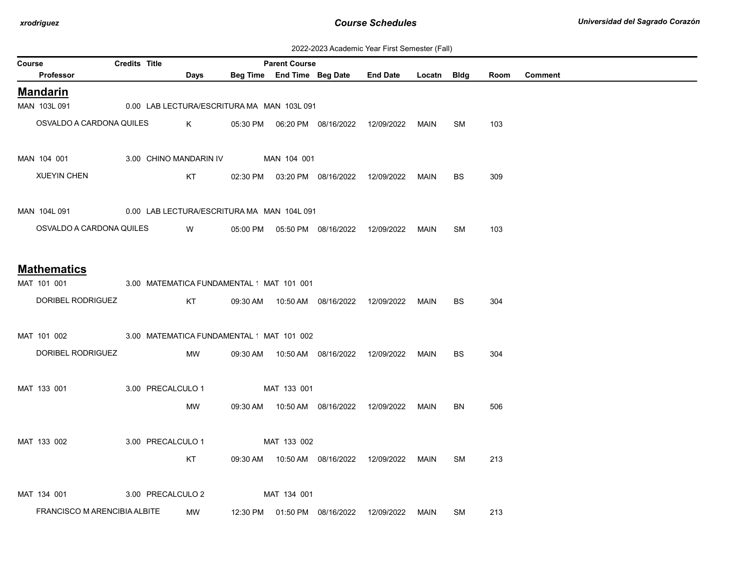| 2022-2023 Academic Year First Semester (Fall) |  |  |  |  |
|-----------------------------------------------|--|--|--|--|
|-----------------------------------------------|--|--|--|--|

| Course |                              | <b>Credits Title</b> |                                            | <b>Parent Course</b> |                                            |                                                  |             |           |      |         |
|--------|------------------------------|----------------------|--------------------------------------------|----------------------|--------------------------------------------|--------------------------------------------------|-------------|-----------|------|---------|
|        | Professor                    |                      | Days                                       |                      |                                            | Beg Time End Time Beg Date End Date              | Locatn Bldg |           | Room | Comment |
|        | <b>Mandarin</b>              |                      |                                            |                      |                                            |                                                  |             |           |      |         |
|        | MAN 103L 091                 |                      | 0.00 LAB LECTURA/ESCRITURA MA MAN 103L 091 |                      |                                            |                                                  |             |           |      |         |
|        | OSVALDO A CARDONA QUILES     |                      | K.                                         |                      |                                            | 05:30 PM  06:20 PM  08/16/2022  12/09/2022       | MAIN        | SM        | 103  |         |
|        |                              |                      |                                            |                      |                                            |                                                  |             |           |      |         |
|        | MAN 104 001                  |                      | 3.00 CHINO MANDARIN IV                     | MAN 104 001          |                                            |                                                  |             |           |      |         |
|        | <b>XUEYIN CHEN</b>           |                      | KT                                         |                      |                                            | 02:30 PM  03:20 PM  08/16/2022  12/09/2022       | MAIN        | BS.       | 309  |         |
|        |                              |                      |                                            |                      |                                            |                                                  |             |           |      |         |
|        | MAN 104L 091                 |                      | 0.00 LAB LECTURA/ESCRITURA MA MAN 104L 091 |                      |                                            |                                                  |             |           |      |         |
|        | OSVALDO A CARDONA QUILES     |                      |                                            |                      |                                            |                                                  |             |           |      |         |
|        |                              |                      | W                                          |                      |                                            | 05:00 PM  05:50 PM  08/16/2022  12/09/2022       | MAIN        | <b>SM</b> | 103  |         |
|        |                              |                      |                                            |                      |                                            |                                                  |             |           |      |         |
|        | <b>Mathematics</b>           |                      |                                            |                      |                                            |                                                  |             |           |      |         |
|        | MAT 101 001                  |                      | 3.00 MATEMATICA FUNDAMENTAL 'MAT 101 001   |                      |                                            |                                                  |             |           |      |         |
|        | DORIBEL RODRIGUEZ            |                      | KT                                         |                      |                                            | 09:30 AM  10:50 AM  08/16/2022  12/09/2022  MAIN |             | <b>BS</b> | 304  |         |
|        |                              |                      |                                            |                      |                                            |                                                  |             |           |      |         |
|        | MAT 101 002                  |                      | 3.00 MATEMATICA FUNDAMENTAL MAT 101 002    |                      |                                            |                                                  |             |           |      |         |
|        | DORIBEL RODRIGUEZ            |                      | MW                                         |                      |                                            | 09:30 AM  10:50 AM  08/16/2022  12/09/2022       | MAIN        | <b>BS</b> | 304  |         |
|        |                              |                      |                                            |                      |                                            |                                                  |             |           |      |         |
|        | MAT 133 001                  |                      | 3.00 PRECALCULO 1                          | MAT 133 001          |                                            |                                                  |             |           |      |         |
|        |                              |                      | MW                                         |                      | 09:30 AM  10:50 AM  08/16/2022  12/09/2022 |                                                  | MAIN        | BN        | 506  |         |
|        |                              |                      |                                            |                      |                                            |                                                  |             |           |      |         |
|        |                              |                      |                                            |                      |                                            |                                                  |             |           |      |         |
|        | MAT 133 002                  |                      | 3.00 PRECALCULO 1                          | MAT 133 002          |                                            |                                                  |             |           |      |         |
|        |                              |                      | KT                                         |                      |                                            | 09:30 AM  10:50 AM  08/16/2022  12/09/2022       | MAIN        | <b>SM</b> | 213  |         |
|        |                              |                      |                                            |                      |                                            |                                                  |             |           |      |         |
|        | MAT 134 001                  |                      | 3.00 PRECALCULO 2                          | MAT 134 001          |                                            |                                                  |             |           |      |         |
|        | FRANCISCO M ARENCIBIA ALBITE |                      | MW                                         |                      | 12:30 PM  01:50 PM  08/16/2022             | 12/09/2022                                       | MAIN        | SM        | 213  |         |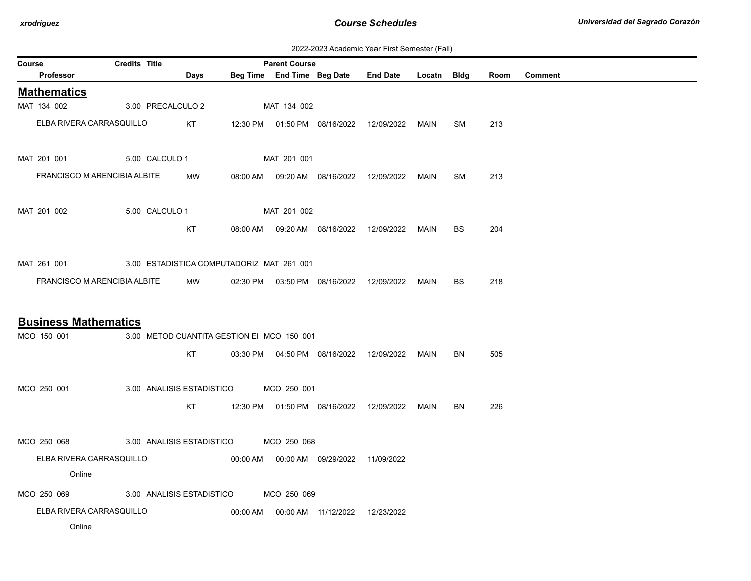| 2022-2023 Academic Year First Semester (Fall) |  |  |  |  |
|-----------------------------------------------|--|--|--|--|
|-----------------------------------------------|--|--|--|--|

| Course                                                | <b>Credits Title</b> |                                           |          | <b>Parent Course</b> |                                            |                                            |             |           |      |                |
|-------------------------------------------------------|----------------------|-------------------------------------------|----------|----------------------|--------------------------------------------|--------------------------------------------|-------------|-----------|------|----------------|
| Professor                                             |                      | Days                                      |          |                      | Beg Time End Time Beg Date                 | <b>End Date</b>                            | Locatn Bldg |           | Room | <b>Comment</b> |
| <b>Mathematics</b>                                    |                      |                                           |          |                      |                                            |                                            |             |           |      |                |
| MAT 134 002                                           |                      | 3.00 PRECALCULO 2                         |          | MAT 134 002          |                                            |                                            |             |           |      |                |
| ELBA RIVERA CARRASQUILLO                              |                      | KT                                        |          |                      | 12:30 PM  01:50 PM  08/16/2022             | 12/09/2022                                 | MAIN        | <b>SM</b> | 213  |                |
| MAT 201 001                                           |                      | 5.00 CALCULO 1                            |          | MAT 201 001          |                                            |                                            |             |           |      |                |
| FRANCISCO M ARENCIBIA ALBITE                          |                      | MW                                        | 08:00 AM |                      | 09:20 AM  08/16/2022                       | 12/09/2022                                 | MAIN        | SM        | 213  |                |
| MAT 201 002                                           |                      | 5.00 CALCULO 1                            |          | MAT 201 002          |                                            |                                            |             |           |      |                |
|                                                       |                      | KT                                        | 08:00 AM |                      |                                            | 09:20 AM  08/16/2022  12/09/2022  MAIN     |             | <b>BS</b> | 204  |                |
| MAT 261 001 3.00 ESTADISTICA COMPUTADORIZ MAT 261 001 |                      |                                           |          |                      |                                            |                                            |             |           |      |                |
| FRANCISCO M ARENCIBIA ALBITE                          |                      | MW                                        |          |                      |                                            | 02:30 PM  03:50 PM  08/16/2022  12/09/2022 | MAIN        | <b>BS</b> | 218  |                |
| <b>Business Mathematics</b>                           |                      |                                           |          |                      |                                            |                                            |             |           |      |                |
| MCO 150 001                                           |                      | 3.00 METOD CUANTITA GESTION E MCO 150 001 |          |                      |                                            |                                            |             |           |      |                |
|                                                       |                      | KT                                        |          |                      | 03:30 PM  04:50 PM  08/16/2022  12/09/2022 |                                            | MAIN        | <b>BN</b> | 505  |                |
| MCO 250 001                                           |                      | 3.00 ANALISIS ESTADISTICO MCO 250 001     |          |                      |                                            |                                            |             |           |      |                |
|                                                       |                      | KT                                        |          |                      | 12:30 PM  01:50 PM  08/16/2022             | 12/09/2022                                 | MAIN        | BN        | 226  |                |
| MCO 250 068                                           |                      | 3.00 ANALISIS ESTADISTICO MCO 250 068     |          |                      |                                            |                                            |             |           |      |                |
| ELBA RIVERA CARRASQUILLO                              |                      |                                           |          |                      | 00:00 AM  00:00 AM  09/29/2022  11/09/2022 |                                            |             |           |      |                |
| Online                                                |                      |                                           |          |                      |                                            |                                            |             |           |      |                |
| MCO 250 069 3.00 ANALISIS ESTADISTICO                 |                      |                                           |          | MCO 250 069          |                                            |                                            |             |           |      |                |
| ELBA RIVERA CARRASQUILLO                              |                      |                                           |          |                      | 00:00 AM   00:00 AM   11/12/2022           | 12/23/2022                                 |             |           |      |                |
| Online                                                |                      |                                           |          |                      |                                            |                                            |             |           |      |                |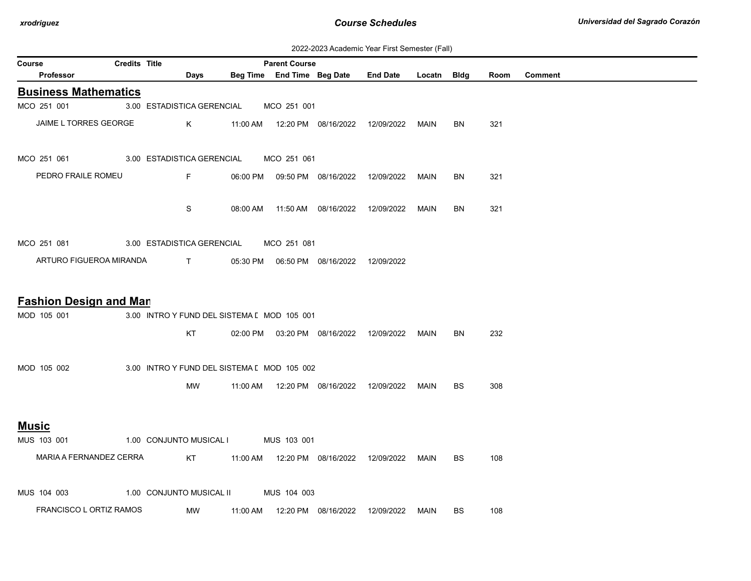| 2022-2023 Academic Year First Semester (Fall) |  |  |  |  |
|-----------------------------------------------|--|--|--|--|
|-----------------------------------------------|--|--|--|--|

| Course                        | <b>Credits Title</b> |                                             |          | <b>Parent Course</b> |                                            | EULL-LULU AUGUCTING TUGHT HUL OCHICULUI (1 GHT |             |           |      |                |
|-------------------------------|----------------------|---------------------------------------------|----------|----------------------|--------------------------------------------|------------------------------------------------|-------------|-----------|------|----------------|
| <b>Professor</b>              |                      | Days                                        |          |                      | Beg Time End Time Beg Date                 | <b>End Date</b>                                | Locatn Bldg |           | Room | <b>Comment</b> |
| <b>Business Mathematics</b>   |                      |                                             |          |                      |                                            |                                                |             |           |      |                |
| MCO 251 001                   |                      | 3.00 ESTADISTICA GERENCIAL                  |          | MCO 251 001          |                                            |                                                |             |           |      |                |
| JAIME L TORRES GEORGE         |                      | K .                                         |          |                      |                                            | 11:00 AM  12:20 PM  08/16/2022  12/09/2022     | MAIN        | BN        | 321  |                |
| MCO 251 061                   |                      | 3.00 ESTADISTICA GERENCIAL                  |          | MCO 251 061          |                                            |                                                |             |           |      |                |
| PEDRO FRAILE ROMEU            |                      | $F =$                                       |          |                      | 06:00 PM  09:50 PM  08/16/2022  12/09/2022 |                                                | MAIN        | BN        | 321  |                |
|                               |                      | S                                           |          |                      | 08:00 AM  11:50 AM  08/16/2022  12/09/2022 |                                                | MAIN        | BN        | 321  |                |
| MCO 251 081                   |                      | 3.00 ESTADISTICA GERENCIAL                  |          | MCO 251 081          |                                            |                                                |             |           |      |                |
| ARTURO FIGUEROA MIRANDA       |                      | $\mathbf{T}$                                |          |                      | 05:30 PM  06:50 PM  08/16/2022  12/09/2022 |                                                |             |           |      |                |
| <b>Fashion Design and Man</b> |                      |                                             |          |                      |                                            |                                                |             |           |      |                |
| MOD 105 001                   |                      | 3.00 INTRO Y FUND DEL SISTEMA [ MOD 105 001 |          |                      |                                            |                                                |             |           |      |                |
|                               |                      | KT                                          |          |                      | 02:00 PM  03:20 PM  08/16/2022  12/09/2022 |                                                | MAIN        | <b>BN</b> | 232  |                |
| MOD 105 002                   |                      | 3.00 INTRO Y FUND DEL SISTEMA [ MOD 105 002 |          |                      |                                            |                                                |             |           |      |                |
|                               |                      | MW                                          |          |                      | 11:00 AM  12:20 PM  08/16/2022  12/09/2022 |                                                | MAIN        | <b>BS</b> | 308  |                |
| <u>Music</u>                  |                      |                                             |          |                      |                                            |                                                |             |           |      |                |
| MUS 103 001                   |                      | 1.00 CONJUNTO MUSICAL I                     |          | MUS 103 001          |                                            |                                                |             |           |      |                |
| MARIA A FERNANDEZ CERRA       |                      | KT                                          |          |                      |                                            |                                                | MAIN        | BS.       | 108  |                |
| MUS 104 003                   |                      | 1.00 CONJUNTO MUSICAL II                    |          | MUS 104 003          |                                            |                                                |             |           |      |                |
| FRANCISCO L ORTIZ RAMOS       |                      | MW                                          | 11:00 AM |                      |                                            | 12:20 PM  08/16/2022  12/09/2022               | MAIN        | BS        | 108  |                |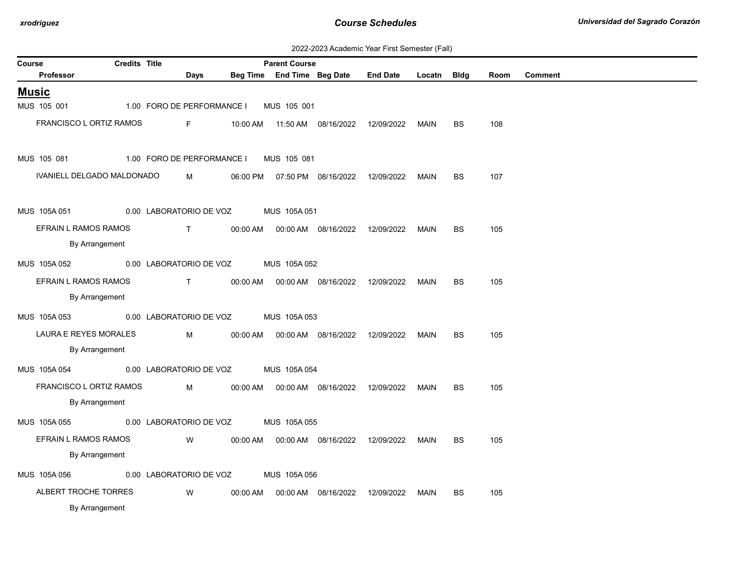| 2022-2023 Academic Year First Semester (Fall) |  |  |  |  |
|-----------------------------------------------|--|--|--|--|
|-----------------------------------------------|--|--|--|--|

| Course       |                            | <b>Credits Title</b> |              |                               |          | <b>Parent Course</b>             |                                  |                 |        |           |      |                |
|--------------|----------------------------|----------------------|--------------|-------------------------------|----------|----------------------------------|----------------------------------|-----------------|--------|-----------|------|----------------|
|              | Professor                  |                      |              | Days                          |          | Beg Time End Time Beg Date       |                                  | <b>End Date</b> | Locatn | Bldg      | Room | <b>Comment</b> |
| <b>Music</b> |                            |                      |              |                               |          |                                  |                                  |                 |        |           |      |                |
|              | MUS 105 001                |                      |              | 1.00 FORO DE PERFORMANCE I    |          | MUS 105 001                      |                                  |                 |        |           |      |                |
|              | FRANCISCO L ORTIZ RAMOS    |                      |              | $F -$                         |          |                                  | 10:00 AM  11:50 AM  08/16/2022   | 12/09/2022      | MAIN   | BS        | 108  |                |
|              |                            |                      |              |                               |          |                                  |                                  |                 |        |           |      |                |
|              | MUS 105 081                |                      |              | 1.00 FORO DE PERFORMANCE I    |          | MUS 105 081                      |                                  |                 |        |           |      |                |
|              | IVANIELL DELGADO MALDONADO |                      |              | M                             | 06:00 PM |                                  | 07:50 PM  08/16/2022  12/09/2022 |                 | MAIN   | BS        | 107  |                |
|              |                            |                      |              |                               |          |                                  |                                  |                 |        |           |      |                |
|              | MUS 105A 051               |                      |              | 0.00 LABORATORIO DE VOZ       |          | MUS 105A 051                     |                                  |                 |        |           |      |                |
|              | EFRAIN L RAMOS RAMOS       |                      | $\mathbf{T}$ |                               | 00:00 AM |                                  | 00:00 AM  08/16/2022             | 12/09/2022      | MAIN   | BS        | 105  |                |
|              | By Arrangement             |                      |              |                               |          |                                  |                                  |                 |        |           |      |                |
|              | MUS 105A 052               |                      |              | 0.00 LABORATORIO DE VOZ       |          | MUS 105A 052                     |                                  |                 |        |           |      |                |
|              | EFRAIN L RAMOS RAMOS       |                      |              | $\mathsf{T}$ and $\mathsf{T}$ |          | 00:00 AM   00:00 AM   08/16/2022 |                                  | 12/09/2022      | MAIN   | BS        | 105  |                |
|              | By Arrangement             |                      |              |                               |          |                                  |                                  |                 |        |           |      |                |
|              | MUS 105A053                |                      |              | 0.00 LABORATORIO DE VOZ       |          | MUS 105A 053                     |                                  |                 |        |           |      |                |
|              | LAURA E REYES MORALES      |                      |              | M                             | 00:00 AM |                                  | 00:00 AM  08/16/2022             | 12/09/2022      | MAIN   | BS        | 105  |                |
|              | By Arrangement             |                      |              |                               |          |                                  |                                  |                 |        |           |      |                |
|              | MUS 105A 054               |                      |              | 0.00 LABORATORIO DE VOZ       |          | MUS 105A 054                     |                                  |                 |        |           |      |                |
|              | FRANCISCO L ORTIZ RAMOS    |                      |              | M                             | 00:00 AM |                                  | 00:00 AM  08/16/2022  12/09/2022 |                 | MAIN   | <b>BS</b> | 105  |                |
|              | By Arrangement             |                      |              |                               |          |                                  |                                  |                 |        |           |      |                |
|              | MUS 105A 055               |                      |              | 0.00 LABORATORIO DE VOZ       |          | MUS 105A 055                     |                                  |                 |        |           |      |                |
|              | EFRAIN L RAMOS RAMOS       |                      |              | W                             |          |                                  | 00:00 AM  00:00 AM  08/16/2022   | 12/09/2022      | MAIN   | BS        | 105  |                |
|              | By Arrangement             |                      |              |                               |          |                                  |                                  |                 |        |           |      |                |
|              | MUS 105A 056               |                      |              | 0.00 LABORATORIO DE VOZ       |          | MUS 105A 056                     |                                  |                 |        |           |      |                |
|              | ALBERT TROCHE TORRES       |                      |              | W                             | 00:00 AM |                                  | 00:00 AM  08/16/2022             | 12/09/2022      | MAIN   | BS        | 105  |                |
|              | By Arrangement             |                      |              |                               |          |                                  |                                  |                 |        |           |      |                |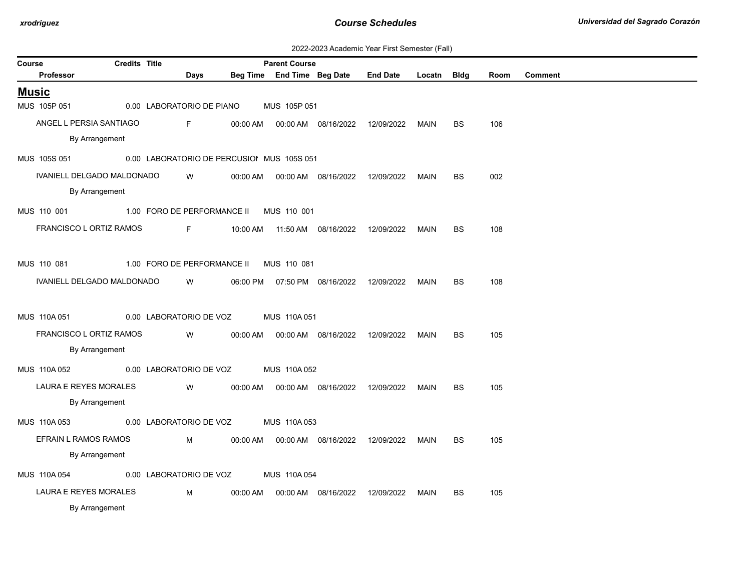| 2022-2023 Academic Year First Semester (Fall) |  |  |  |  |
|-----------------------------------------------|--|--|--|--|
|-----------------------------------------------|--|--|--|--|

| Course       |                            | <b>Credits Title</b> |                             |          | <b>Parent Course</b>                       |                                  |                 |        |             |      |                |
|--------------|----------------------------|----------------------|-----------------------------|----------|--------------------------------------------|----------------------------------|-----------------|--------|-------------|------|----------------|
|              | Professor                  |                      | Days                        |          | Beg Time End Time Beg Date                 |                                  | <b>End Date</b> | Locatn | <b>Bldg</b> | Room | <b>Comment</b> |
| <b>Music</b> |                            |                      |                             |          |                                            |                                  |                 |        |             |      |                |
|              | MUS 105P 051               |                      | 0.00 LABORATORIO DE PIANO   |          | MUS 105P 051                               |                                  |                 |        |             |      |                |
|              | ANGEL L PERSIA SANTIAGO    |                      | F.                          | 00:00 AM |                                            | 00:00 AM  08/16/2022             | 12/09/2022      | MAIN   | BS          | 106  |                |
|              | By Arrangement             |                      |                             |          |                                            |                                  |                 |        |             |      |                |
|              | MUS 105S 051               |                      |                             |          | 0.00 LABORATORIO DE PERCUSIOI MUS 105S 051 |                                  |                 |        |             |      |                |
|              | IVANIELL DELGADO MALDONADO |                      | W                           | 00:00 AM |                                            | 00:00 AM  08/16/2022  12/09/2022 |                 | MAIN   | BS          | 002  |                |
|              | By Arrangement             |                      |                             |          |                                            |                                  |                 |        |             |      |                |
|              | MUS 110 001                |                      | 1.00 FORO DE PERFORMANCE II |          | MUS 110 001                                |                                  |                 |        |             |      |                |
|              | FRANCISCO L ORTIZ RAMOS    |                      | F.                          |          |                                            | 10:00 AM  11:50 AM  08/16/2022   | 12/09/2022      | MAIN   | <b>BS</b>   | 108  |                |
|              |                            |                      |                             |          |                                            |                                  |                 |        |             |      |                |
|              | MUS 110 081                |                      | 1.00 FORO DE PERFORMANCE II |          | MUS 110 081                                |                                  |                 |        |             |      |                |
|              | IVANIELL DELGADO MALDONADO |                      | W                           |          |                                            | 06:00 PM  07:50 PM  08/16/2022   | 12/09/2022      | MAIN   | <b>BS</b>   | 108  |                |
|              |                            |                      |                             |          |                                            |                                  |                 |        |             |      |                |
|              | MUS 110A 051               |                      | 0.00 LABORATORIO DE VOZ     |          | MUS 110A051                                |                                  |                 |        |             |      |                |
|              | FRANCISCO L ORTIZ RAMOS    |                      | W                           | 00:00 AM |                                            | 00:00 AM  08/16/2022             | 12/09/2022      | MAIN   | <b>BS</b>   | 105  |                |
|              | By Arrangement             |                      |                             |          |                                            |                                  |                 |        |             |      |                |
|              | MUS 110A 052               |                      | 0.00 LABORATORIO DE VOZ     |          | MUS 110A 052                               |                                  |                 |        |             |      |                |
|              | LAURA E REYES MORALES      |                      | W                           | 00:00 AM |                                            | 00:00 AM  08/16/2022             | 12/09/2022      | MAIN   | BS          | 105  |                |
|              | By Arrangement             |                      |                             |          |                                            |                                  |                 |        |             |      |                |
|              | MUS 110A 053               |                      | 0.00 LABORATORIO DE VOZ     |          | MUS 110A 053                               |                                  |                 |        |             |      |                |
|              | EFRAIN L RAMOS RAMOS       |                      | M                           | 00:00 AM |                                            | 00:00 AM  08/16/2022             | 12/09/2022      | MAIN   | <b>BS</b>   | 105  |                |
|              | By Arrangement             |                      |                             |          |                                            |                                  |                 |        |             |      |                |
|              | MUS 110A 054               |                      | 0.00 LABORATORIO DE VOZ     |          | MUS 110A 054                               |                                  |                 |        |             |      |                |
|              | LAURA E REYES MORALES      |                      | М                           | 00:00 AM |                                            | 00:00 AM  08/16/2022             | 12/09/2022      | MAIN   | <b>BS</b>   | 105  |                |
|              | By Arrangement             |                      |                             |          |                                            |                                  |                 |        |             |      |                |
|              |                            |                      |                             |          |                                            |                                  |                 |        |             |      |                |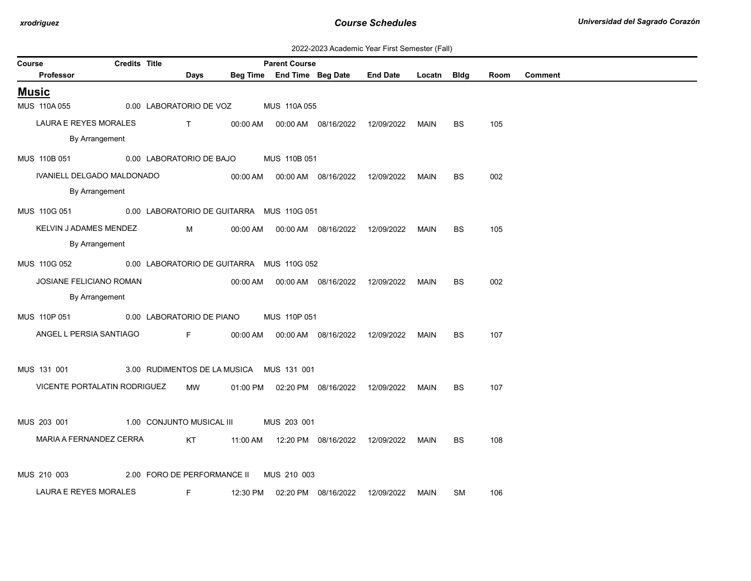| 2022-2023 Academic Year First Semester (Fall) |  |  |  |  |
|-----------------------------------------------|--|--|--|--|
|-----------------------------------------------|--|--|--|--|

| Course |                              | <b>Credits Title</b> |                                                | <b>Parent Course</b> |                                              |                                            |             |           |      |                |
|--------|------------------------------|----------------------|------------------------------------------------|----------------------|----------------------------------------------|--------------------------------------------|-------------|-----------|------|----------------|
|        | Professor                    |                      | Days                                           |                      | Beg Time End Time Beg Date                   | <b>End Date</b>                            | Locatn Bldg |           | Room | <b>Comment</b> |
|        | <b>Music</b>                 |                      |                                                |                      |                                              |                                            |             |           |      |                |
|        | MUS 110A 055                 |                      | 0.00 LABORATORIO DE VOZ                        | MUS 110A 055         |                                              |                                            |             |           |      |                |
|        | LAURA E REYES MORALES        |                      | $\mathbf{T}$ and $\mathbf{T}$ and $\mathbf{T}$ |                      |                                              |                                            | MAIN        | <b>BS</b> | 105  |                |
|        | By Arrangement               |                      |                                                |                      |                                              |                                            |             |           |      |                |
|        | MUS 110B 051                 |                      | 0.00 LABORATORIO DE BAJO                       | MUS 110B 051         |                                              |                                            |             |           |      |                |
|        | IVANIELL DELGADO MALDONADO   |                      |                                                |                      | 00:00 AM   00:00 AM   08/16/2022             | 12/09/2022                                 | <b>MAIN</b> | <b>BS</b> | 002  |                |
|        | By Arrangement               |                      |                                                |                      |                                              |                                            |             |           |      |                |
|        | MUS 110G 051                 |                      | 0.00 LABORATORIO DE GUITARRA MUS 110G 051      |                      |                                              |                                            |             |           |      |                |
|        | KELVIN J ADAMES MENDEZ       |                      | M                                              |                      | 00:00 AM   00:00 AM   08/16/2022  12/09/2022 |                                            | MAIN        | <b>BS</b> | 105  |                |
|        | By Arrangement               |                      |                                                |                      |                                              |                                            |             |           |      |                |
|        | MUS 110G 052                 |                      | 0.00 LABORATORIO DE GUITARRA MUS 110G 052      |                      |                                              |                                            |             |           |      |                |
|        | JOSIANE FELICIANO ROMAN      |                      |                                                |                      | 00:00 AM   00:00 AM   08/16/2022  12/09/2022 |                                            | <b>MAIN</b> | <b>BS</b> | 002  |                |
|        | By Arrangement               |                      |                                                |                      |                                              |                                            |             |           |      |                |
|        | MUS 110P 051                 |                      | 0.00 LABORATORIO DE PIANO                      | MUS 110P 051         |                                              |                                            |             |           |      |                |
|        | ANGEL L PERSIA SANTIAGO      |                      | Fig. 1989                                      |                      | 00:00 AM   00:00 AM   08/16/2022             | 12/09/2022                                 | MAIN        | ВS        | 107  |                |
|        |                              |                      |                                                |                      |                                              |                                            |             |           |      |                |
|        | MUS 131 001                  |                      | 3.00 RUDIMENTOS DE LA MUSICA MUS 131 001       |                      |                                              |                                            |             |           |      |                |
|        |                              |                      |                                                |                      |                                              |                                            |             |           |      |                |
|        | VICENTE PORTALATIN RODRIGUEZ |                      | MW                                             |                      |                                              | 01:00 PM  02:20 PM  08/16/2022  12/09/2022 | MAIN        | <b>BS</b> | 107  |                |
|        | MUS 203 001                  |                      | 1.00 CONJUNTO MUSICAL III                      | MUS 203 001          |                                              |                                            |             |           |      |                |
|        | MARIA A FERNANDEZ CERRA      |                      | KT                                             |                      | 11:00 AM  12:20 PM  08/16/2022  12/09/2022   |                                            | <b>MAIN</b> | BS        | 108  |                |
|        |                              |                      |                                                |                      |                                              |                                            |             |           |      |                |
|        | MUS 210 003                  |                      | 2.00 FORO DE PERFORMANCE II                    | MUS 210 003          |                                              |                                            |             |           |      |                |
|        | LAURA E REYES MORALES        |                      | F                                              |                      | 12:30 PM  02:20 PM  08/16/2022               | 12/09/2022                                 | MAIN        | <b>SM</b> | 106  |                |
|        |                              |                      |                                                |                      |                                              |                                            |             |           |      |                |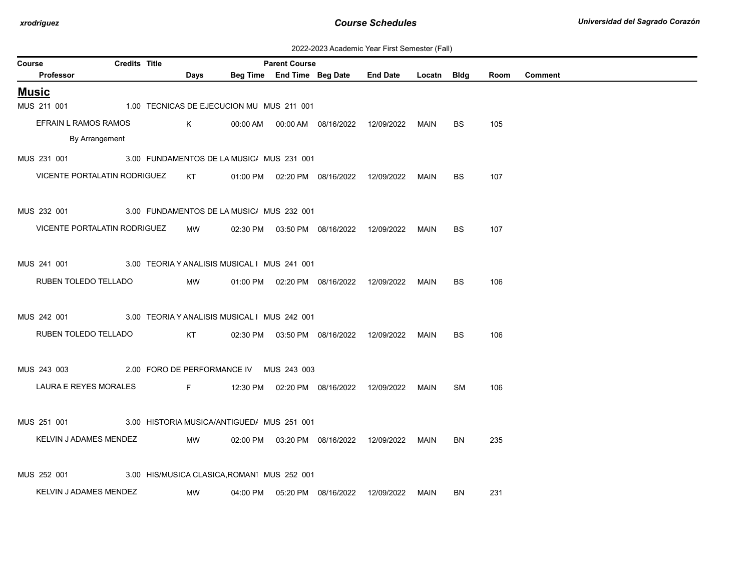| 2022-2023 Academic Year First Semester (Fall) |  |  |  |  |
|-----------------------------------------------|--|--|--|--|
|-----------------------------------------------|--|--|--|--|

| Course |                              | <b>Credits Title</b> |                                              |          | <b>Parent Course</b>       |                                              |                 |        |             |      |                |
|--------|------------------------------|----------------------|----------------------------------------------|----------|----------------------------|----------------------------------------------|-----------------|--------|-------------|------|----------------|
|        | Professor                    |                      | Days                                         |          | Beg Time End Time Beg Date |                                              | <b>End Date</b> | Locatn | <b>Bldg</b> | Room | <b>Comment</b> |
|        | <b>Music</b>                 |                      |                                              |          |                            |                                              |                 |        |             |      |                |
|        | MUS 211 001                  |                      | 1.00 TECNICAS DE EJECUCION MU MUS 211 001    |          |                            |                                              |                 |        |             |      |                |
|        | EFRAIN L RAMOS RAMOS         |                      | K                                            |          |                            | 00:00 AM   00:00 AM   08/16/2022  12/09/2022 |                 | MAIN   | <b>BS</b>   | 105  |                |
|        | By Arrangement               |                      |                                              |          |                            |                                              |                 |        |             |      |                |
|        | MUS 231 001                  |                      | 3.00 FUNDAMENTOS DE LA MUSIC/ MUS 231 001    |          |                            |                                              |                 |        |             |      |                |
|        | VICENTE PORTALATIN RODRIGUEZ |                      | KT                                           |          |                            | 01:00 PM   02:20 PM   08/16/2022             | 12/09/2022      | MAIN   | BS          | 107  |                |
|        | MUS 232 001                  |                      | 3.00 FUNDAMENTOS DE LA MUSIC/ MUS 232 001    |          |                            |                                              |                 |        |             |      |                |
|        | VICENTE PORTALATIN RODRIGUEZ |                      | MW                                           |          |                            | 02:30 PM  03:50 PM  08/16/2022  12/09/2022   |                 | MAIN   | BS.         | 107  |                |
|        |                              |                      | 3.00 TEORIA Y ANALISIS MUSICAL I MUS 241 001 |          |                            |                                              |                 |        |             |      |                |
|        | MUS 241 001                  |                      |                                              |          |                            |                                              |                 |        |             |      |                |
|        | RUBEN TOLEDO TELLADO         |                      | MW                                           |          |                            | 01:00 PM  02:20 PM  08/16/2022  12/09/2022   |                 | MAIN   | <b>BS</b>   | 106  |                |
|        | MUS 242 001                  |                      | 3.00 TEORIA Y ANALISIS MUSICAL I MUS 242 001 |          |                            |                                              |                 |        |             |      |                |
|        | RUBEN TOLEDO TELLADO         |                      | KT                                           |          |                            | 02:30 PM  03:50 PM  08/16/2022  12/09/2022   |                 | MAIN   | <b>BS</b>   | 106  |                |
|        | MUS 243 003                  |                      | 2.00 FORO DE PERFORMANCE IV MUS 243 003      |          |                            |                                              |                 |        |             |      |                |
|        | LAURA E REYES MORALES        |                      | Fig. 1989                                    |          |                            | 12:30 PM  02:20 PM  08/16/2022  12/09/2022   |                 | MAIN   | SM          | 106  |                |
|        | MUS 251 001                  |                      | 3.00 HISTORIA MUSICA/ANTIGUED/ MUS 251 001   |          |                            |                                              |                 |        |             |      |                |
|        | KELVIN J ADAMES MENDEZ       |                      | MW                                           |          |                            | 02:00 PM  03:20 PM  08/16/2022  12/09/2022   |                 | MAIN   | <b>BN</b>   | 235  |                |
|        |                              |                      |                                              |          |                            |                                              |                 |        |             |      |                |
|        | MUS 252 001                  |                      | 3.00 HIS/MUSICA CLASICA, ROMAN MUS 252 001   |          |                            |                                              |                 |        |             |      |                |
|        | KELVIN J ADAMES MENDEZ       |                      | MW                                           | 04:00 PM |                            | 05:20 PM 08/16/2022                          | 12/09/2022      | MAIN   | BN          | 231  |                |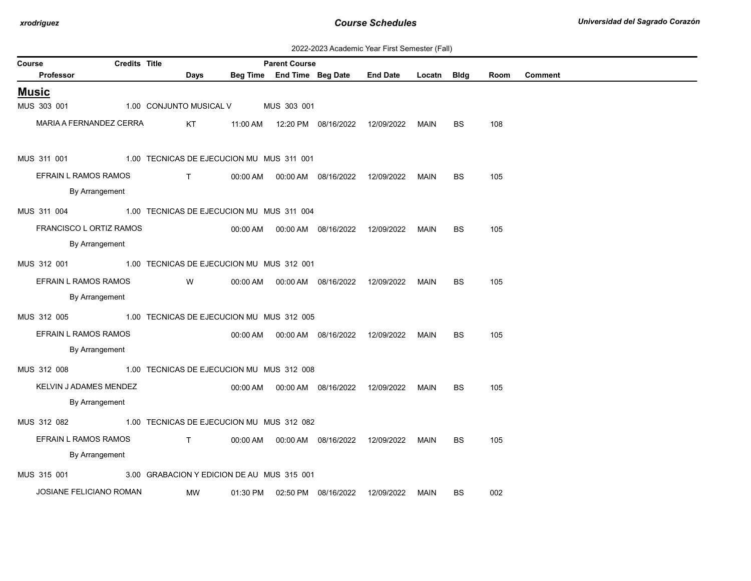| 2022-2023 Academic Year First Semester (Fall) |  |  |  |  |
|-----------------------------------------------|--|--|--|--|
|-----------------------------------------------|--|--|--|--|

| Course                  | <b>Credits Title</b> |                                            |          | <b>Parent Course</b>       |                                  |                 |             |           |      |                |
|-------------------------|----------------------|--------------------------------------------|----------|----------------------------|----------------------------------|-----------------|-------------|-----------|------|----------------|
| Professor               |                      | Days                                       |          | Beg Time End Time Beg Date |                                  | <b>End Date</b> | Locatn Bldg |           | Room | <b>Comment</b> |
| <b>Music</b>            |                      |                                            |          |                            |                                  |                 |             |           |      |                |
| MUS 303 001             |                      | 1.00 CONJUNTO MUSICAL V                    |          | MUS 303 001                |                                  |                 |             |           |      |                |
| MARIA A FERNANDEZ CERRA |                      | KT                                         | 11:00 AM |                            | 12:20 PM 08/16/2022              | 12/09/2022      | MAIN        | BS        | 108  |                |
| MUS 311 001             |                      | 1.00 TECNICAS DE EJECUCION MU MUS 311 001  |          |                            |                                  |                 |             |           |      |                |
| EFRAIN L RAMOS RAMOS    |                      | $\mathsf{T}$                               |          |                            | 00:00 AM   00:00 AM   08/16/2022 | 12/09/2022      | MAIN        | BS        | 105  |                |
| By Arrangement          |                      |                                            |          |                            |                                  |                 |             |           |      |                |
| MUS 311 004             |                      | 1.00 TECNICAS DE EJECUCION MU MUS 311 004  |          |                            |                                  |                 |             |           |      |                |
| FRANCISCO L ORTIZ RAMOS |                      |                                            |          |                            |                                  |                 |             | <b>BS</b> | 105  |                |
| By Arrangement          |                      |                                            |          |                            |                                  |                 |             |           |      |                |
| MUS 312 001             |                      | 1.00 TECNICAS DE EJECUCION MU MUS 312 001  |          |                            |                                  |                 |             |           |      |                |
| EFRAIN L RAMOS RAMOS    |                      | W                                          |          |                            | 00:00 AM   00:00 AM   08/16/2022 | 12/09/2022      | MAIN        | <b>BS</b> | 105  |                |
| By Arrangement          |                      |                                            |          |                            |                                  |                 |             |           |      |                |
| MUS 312 005             |                      | 1.00 TECNICAS DE EJECUCION MU MUS 312 005  |          |                            |                                  |                 |             |           |      |                |
| EFRAIN L RAMOS RAMOS    |                      |                                            |          |                            | 00:00 AM  00:00 AM  08/16/2022   | 12/09/2022      | <b>MAIN</b> | <b>BS</b> | 105  |                |
| By Arrangement          |                      |                                            |          |                            |                                  |                 |             |           |      |                |
|                         |                      |                                            |          |                            |                                  |                 |             |           |      |                |
| MUS 312 008             |                      | 1.00 TECNICAS DE EJECUCION MU MUS 312 008  |          |                            |                                  |                 |             |           |      |                |
| KELVIN J ADAMES MENDEZ  |                      |                                            |          |                            |                                  |                 | MAIN        | <b>BS</b> | 105  |                |
| By Arrangement          |                      |                                            |          |                            |                                  |                 |             |           |      |                |
| MUS 312 082             |                      | 1.00 TECNICAS DE EJECUCION MU MUS 312 082  |          |                            |                                  |                 |             |           |      |                |
| EFRAIN L RAMOS RAMOS    |                      | $\mathsf{T}$ and $\mathsf{T}$              |          |                            | 00:00 AM   00:00 AM   08/16/2022 | 12/09/2022      | MAIN        | BS.       | 105  |                |
| By Arrangement          |                      |                                            |          |                            |                                  |                 |             |           |      |                |
| MUS 315 001             |                      | 3.00 GRABACION Y EDICION DE AU MUS 315 001 |          |                            |                                  |                 |             |           |      |                |
| JOSIANE FELICIANO ROMAN |                      | MW                                         | 01:30 PM |                            | 02:50 PM 08/16/2022              | 12/09/2022      | MAIN        | BS.       | 002  |                |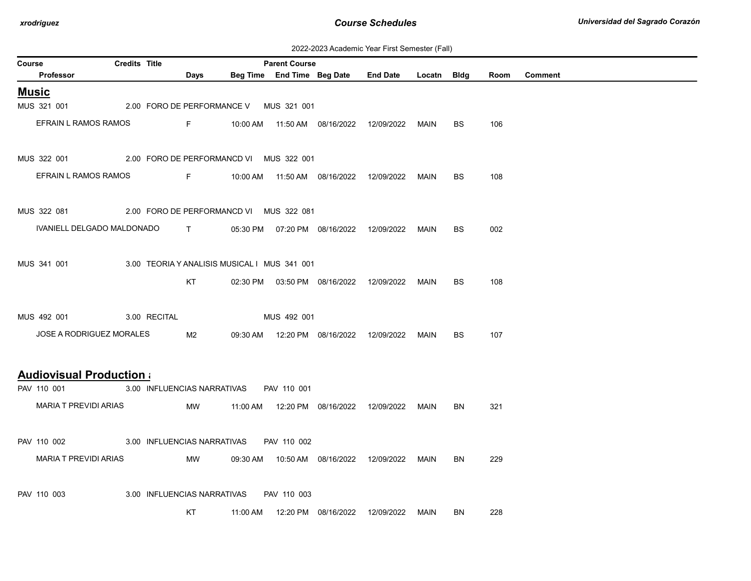| 2022-2023 Academic Year First Semester (Fall) |  |  |  |  |
|-----------------------------------------------|--|--|--|--|
|-----------------------------------------------|--|--|--|--|

| <b>Credits Title</b><br><b>Parent Course</b><br>Course |  |  |                                              |  |  |                                            |                                                    |      |           |      |         |
|--------------------------------------------------------|--|--|----------------------------------------------|--|--|--------------------------------------------|----------------------------------------------------|------|-----------|------|---------|
| Professor                                              |  |  | Days                                         |  |  |                                            | Beg Time End Time Beg Date End Date Locatn Bldg    |      |           | Room | Comment |
| <b>Music</b>                                           |  |  |                                              |  |  |                                            |                                                    |      |           |      |         |
| MUS 321 001 2.00 FORO DE PERFORMANCE V MUS 321 001     |  |  |                                              |  |  |                                            |                                                    |      |           |      |         |
| EFRAIN L RAMOS RAMOS                                   |  |  |                                              |  |  |                                            | F 10:00 AM  11:50 AM  08/16/2022  12/09/2022  MAIN |      | BS.       | 106  |         |
| MUS 322 001 2.00 FORO DE PERFORMANCD VI MUS 322 001    |  |  |                                              |  |  |                                            |                                                    |      |           |      |         |
| EFRAIN L RAMOS RAMOS                                   |  |  |                                              |  |  |                                            |                                                    |      | BS.       | 108  |         |
| MUS 322 081 2.00 FORO DE PERFORMANCD VI MUS 322 081    |  |  |                                              |  |  |                                            |                                                    |      |           |      |         |
| IVANIELL DELGADO MALDONADO T                           |  |  |                                              |  |  |                                            | 05:30 PM  07:20 PM  08/16/2022  12/09/2022  MAIN   |      | <b>BS</b> | 002  |         |
| MUS 341 001                                            |  |  | 3.00 TEORIA Y ANALISIS MUSICAL I MUS 341 001 |  |  |                                            |                                                    |      |           |      |         |
|                                                        |  |  | KT                                           |  |  |                                            | 02:30 PM  03:50 PM  08/16/2022  12/09/2022  MAIN   |      | <b>BS</b> | 108  |         |
| MUS 492 001 3.00 RECITAL 6.00 MUS 492 001              |  |  |                                              |  |  |                                            |                                                    |      |           |      |         |
| JOSE A RODRIGUEZ MORALES                               |  |  | M2                                           |  |  | 09:30 AM  12:20 PM  08/16/2022  12/09/2022 |                                                    | MAIN | <b>BS</b> | 107  |         |
| <b>Audiovisual Production a</b>                        |  |  |                                              |  |  |                                            |                                                    |      |           |      |         |
| PAV 110 001                                            |  |  | 3.00 INFLUENCIAS NARRATIVAS PAV 110 001      |  |  |                                            |                                                    |      |           |      |         |
| MARIA T PREVIDI ARIAS                                  |  |  | MW                                           |  |  |                                            |                                                    |      | BN        | 321  |         |
| PAV 110 002 3.00 INFLUENCIAS NARRATIVAS PAV 110 002    |  |  |                                              |  |  |                                            |                                                    |      |           |      |         |
| MARIA T PREVIDI ARIAS                                  |  |  | <b>MW</b>                                    |  |  |                                            |                                                    |      | BN        | 229  |         |
| PAV 110 003                                            |  |  | 3.00 INFLUENCIAS NARRATIVAS PAV 110 003      |  |  |                                            |                                                    |      |           |      |         |
|                                                        |  |  | KT                                           |  |  |                                            |                                                    | MAIN | BN        | 228  |         |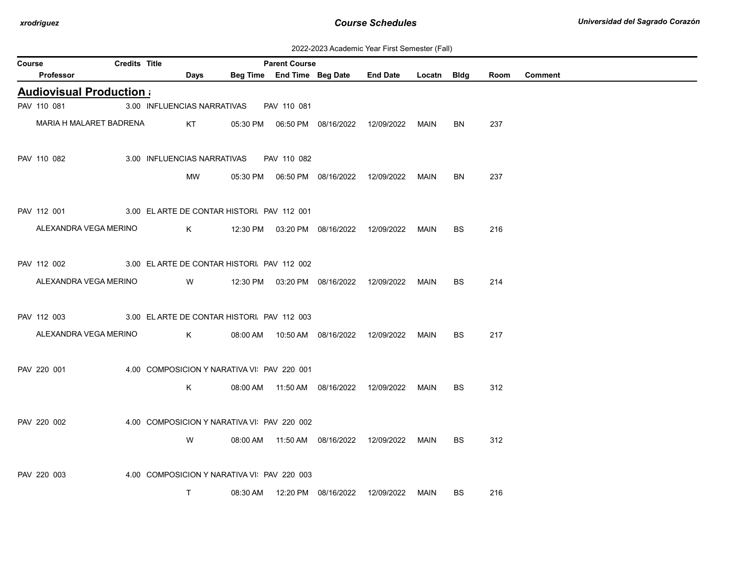| 2022-2023 Academic Year First Semester (Fall) |  |  |  |  |
|-----------------------------------------------|--|--|--|--|
|-----------------------------------------------|--|--|--|--|

| Course |                                 | Credits Title |                                             |          | <b>Parent Course</b>       |                                            |                                            |        |             |      |                |
|--------|---------------------------------|---------------|---------------------------------------------|----------|----------------------------|--------------------------------------------|--------------------------------------------|--------|-------------|------|----------------|
|        | Professor                       |               | Days                                        |          | Beg Time End Time Beg Date |                                            | <b>End Date</b>                            | Locatn | <b>Bldg</b> | Room | <b>Comment</b> |
|        | <b>Audiovisual Production (</b> |               |                                             |          |                            |                                            |                                            |        |             |      |                |
|        | PAV 110 081                     |               | 3.00 INFLUENCIAS NARRATIVAS                 |          | PAV 110 081                |                                            |                                            |        |             |      |                |
|        | MARIA H MALARET BADRENA         |               | KT.                                         |          |                            |                                            |                                            | MAIN   | BN          | 237  |                |
|        | PAV 110 082                     |               | 3.00 INFLUENCIAS NARRATIVAS                 |          | PAV 110 082                |                                            |                                            |        |             |      |                |
|        |                                 |               | MW                                          |          |                            |                                            |                                            | MAIN   | BN          | 237  |                |
|        | PAV 112 001                     |               | 3.00 EL ARTE DE CONTAR HISTORI. PAV 112 001 |          |                            |                                            |                                            |        |             |      |                |
|        | ALEXANDRA VEGA MERINO           |               | K                                           |          |                            |                                            | 12:30 PM  03:20 PM  08/16/2022  12/09/2022 | MAIN   | BS.         | 216  |                |
|        | PAV 112 002                     |               | 3.00 EL ARTE DE CONTAR HISTORI. PAV 112 002 |          |                            |                                            |                                            |        |             |      |                |
|        | ALEXANDRA VEGA MERINO           |               | W                                           |          |                            |                                            | 12:30 PM  03:20 PM  08/16/2022  12/09/2022 | MAIN   | <b>BS</b>   | 214  |                |
|        | PAV 112 003                     |               | 3.00 EL ARTE DE CONTAR HISTORI. PAV 112 003 |          |                            |                                            |                                            |        |             |      |                |
|        | ALEXANDRA VEGA MERINO           |               | K                                           |          |                            |                                            |                                            | MAIN   | <b>BS</b>   | 217  |                |
|        | PAV 220 001                     |               | 4.00 COMPOSICION Y NARATIVA VI PAV 220 001  |          |                            |                                            |                                            |        |             |      |                |
|        |                                 |               | K                                           |          |                            | 08:00 AM  11:50 AM  08/16/2022  12/09/2022 |                                            | MAIN   | BS.         | 312  |                |
|        | PAV 220 002                     |               | 4.00 COMPOSICION Y NARATIVA VI PAV 220 002  |          |                            |                                            |                                            |        |             |      |                |
|        |                                 |               | W                                           |          |                            |                                            | 08:00 AM  11:50 AM  08/16/2022  12/09/2022 | MAIN   | <b>BS</b>   | 312  |                |
|        | PAV 220 003                     |               | 4.00 COMPOSICION Y NARATIVA VI PAV 220 003  |          |                            |                                            |                                            |        |             |      |                |
|        |                                 |               | $\mathsf{T}$                                | 08:30 AM |                            | 12:20 PM 08/16/2022                        | 12/09/2022                                 | MAIN   | <b>BS</b>   | 216  |                |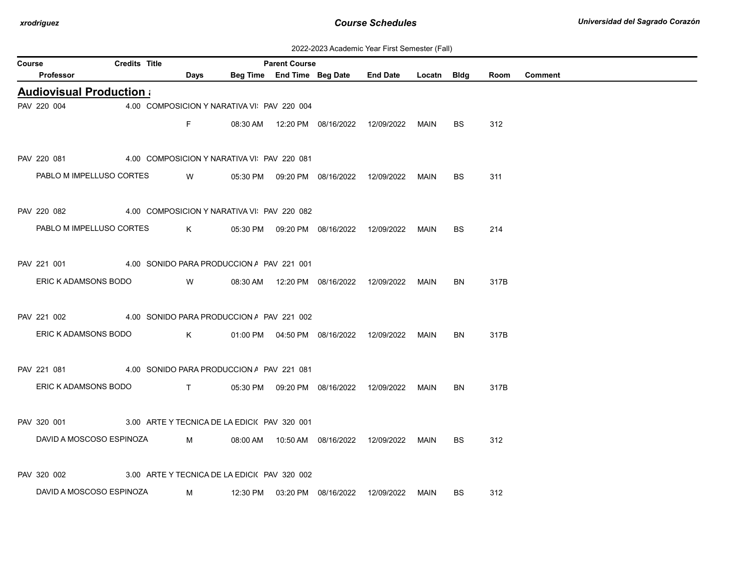| 2022-2023 Academic Year First Semester (Fall) |  |  |  |  |
|-----------------------------------------------|--|--|--|--|
|-----------------------------------------------|--|--|--|--|

| Course |                                 | <b>Credits Title</b> |                                             |          | <b>Parent Course</b> |                                            |                 |             |           |      |                |
|--------|---------------------------------|----------------------|---------------------------------------------|----------|----------------------|--------------------------------------------|-----------------|-------------|-----------|------|----------------|
|        | Professor                       |                      | Days                                        |          |                      | Beg Time End Time Beg Date                 | <b>End Date</b> | Locatn Bldg |           | Room | <b>Comment</b> |
|        | <b>Audiovisual Production a</b> |                      |                                             |          |                      |                                            |                 |             |           |      |                |
|        | PAV 220 004                     |                      | 4.00 COMPOSICION Y NARATIVA VI PAV 220 004  |          |                      |                                            |                 |             |           |      |                |
|        |                                 |                      | F.                                          |          |                      | 08:30 AM  12:20 PM  08/16/2022  12/09/2022 |                 | MAIN        | BS.       | 312  |                |
|        |                                 |                      |                                             |          |                      |                                            |                 |             |           |      |                |
|        | PAV 220 081                     |                      | 4.00 COMPOSICION Y NARATIVA VI PAV 220 081  |          |                      |                                            |                 |             |           |      |                |
|        | PABLO M IMPELLUSO CORTES        |                      | W                                           |          |                      | 05:30 PM  09:20 PM  08/16/2022             | 12/09/2022      | <b>MAIN</b> | BS        | 311  |                |
|        |                                 |                      |                                             |          |                      |                                            |                 |             |           |      |                |
|        | PAV 220 082                     |                      | 4.00 COMPOSICION Y NARATIVA VI PAV 220 082  |          |                      |                                            |                 |             |           |      |                |
|        | PABLO M IMPELLUSO CORTES        |                      | K                                           |          |                      | 05:30 PM  09:20 PM  08/16/2022  12/09/2022 |                 | MAIN        | BS.       | 214  |                |
|        |                                 |                      |                                             |          |                      |                                            |                 |             |           |      |                |
|        | PAV 221 001                     |                      | 4.00 SONIDO PARA PRODUCCION A PAV 221 001   |          |                      |                                            |                 |             |           |      |                |
|        | ERIC K ADAMSONS BODO            |                      | W                                           |          |                      | 08:30 AM  12:20 PM  08/16/2022  12/09/2022 |                 | MAIN        | BN        | 317B |                |
|        |                                 |                      |                                             |          |                      |                                            |                 |             |           |      |                |
|        | PAV 221 002                     |                      | 4.00 SONIDO PARA PRODUCCION A PAV 221 002   |          |                      |                                            |                 |             |           |      |                |
|        | ERIC K ADAMSONS BODO            |                      | K                                           |          |                      | 01:00 PM  04:50 PM  08/16/2022  12/09/2022 |                 | MAIN        | <b>BN</b> | 317B |                |
|        |                                 |                      |                                             |          |                      |                                            |                 |             |           |      |                |
|        | PAV 221 081                     |                      | 4.00 SONIDO PARA PRODUCCION A PAV 221 081   |          |                      |                                            |                 |             |           |      |                |
|        | ERIC K ADAMSONS BODO            |                      | $\mathsf{T}$                                |          |                      | 05:30 PM  09:20 PM  08/16/2022  12/09/2022 |                 | MAIN        | BN        | 317B |                |
|        |                                 |                      |                                             |          |                      |                                            |                 |             |           |      |                |
|        | PAV 320 001                     |                      | 3.00 ARTE Y TECNICA DE LA EDICI(PAV 320 001 |          |                      |                                            |                 |             |           |      |                |
|        | DAVID A MOSCOSO ESPINOZA        |                      | M                                           |          |                      | 08:00 AM  10:50 AM  08/16/2022  12/09/2022 |                 | MAIN        | <b>BS</b> | 312  |                |
|        |                                 |                      |                                             |          |                      |                                            |                 |             |           |      |                |
|        | PAV 320 002                     |                      | 3.00 ARTE Y TECNICA DE LA EDICI(PAV 320 002 |          |                      |                                            |                 |             |           |      |                |
|        | DAVID A MOSCOSO ESPINOZA        |                      | м                                           | 12:30 PM |                      | 03:20 PM 08/16/2022                        | 12/09/2022      | MAIN        | <b>BS</b> | 312  |                |
|        |                                 |                      |                                             |          |                      |                                            |                 |             |           |      |                |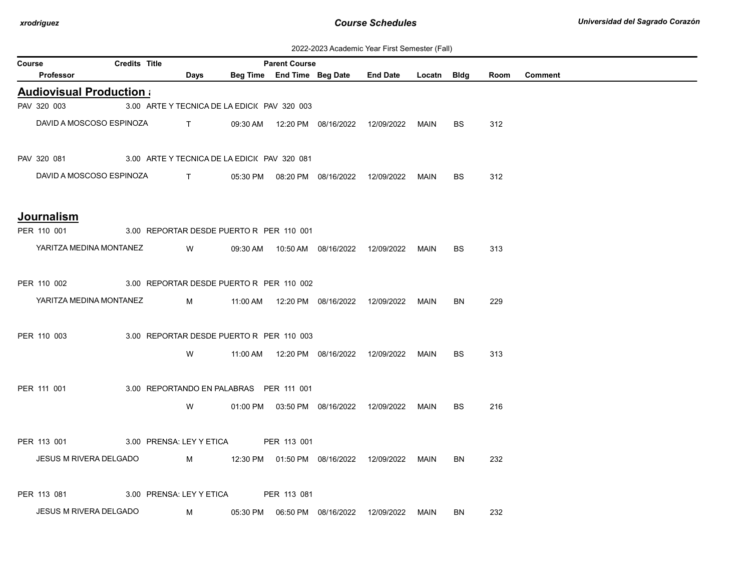| 2022-2023 Academic Year First Semester (Fall) |  |  |  |  |
|-----------------------------------------------|--|--|--|--|
|-----------------------------------------------|--|--|--|--|

| Course | <b>Credits Title</b><br><b>Parent Course</b>            |  |                                              |  |  |  |                                                  |      |           |      |         |
|--------|---------------------------------------------------------|--|----------------------------------------------|--|--|--|--------------------------------------------------|------|-----------|------|---------|
|        | Professor                                               |  | <b>Days</b>                                  |  |  |  | Beg Time End Time Beg Date End Date Locatn Bldg  |      |           | Room | Comment |
|        | <b>Audiovisual Production a</b>                         |  |                                              |  |  |  |                                                  |      |           |      |         |
|        | PAV 320 003                                             |  | 3.00 ARTE Y TECNICA DE LA EDICI( PAV 320 003 |  |  |  |                                                  |      |           |      |         |
|        | DAVID A MOSCOSO ESPINOZA                                |  |                                              |  |  |  |                                                  |      | <b>BS</b> | 312  |         |
|        | PAV 320 081 3.00 ARTE Y TECNICA DE LA EDICI(PAV 320 081 |  |                                              |  |  |  |                                                  |      |           |      |         |
|        | DAVID A MOSCOSO ESPINOZA                                |  | $\mathbf{T}$                                 |  |  |  | 05:30 PM  08:20 PM  08/16/2022  12/09/2022  MAIN |      | BS        | 312  |         |
|        | Journalism                                              |  |                                              |  |  |  |                                                  |      |           |      |         |
|        | PER 110 001 3.00 REPORTAR DESDE PUERTO R PER 110 001    |  |                                              |  |  |  |                                                  |      |           |      |         |
|        | YARITZA MEDINA MONTANEZ W                               |  |                                              |  |  |  |                                                  |      | <b>BS</b> | 313  |         |
|        | PER 110 002 3.00 REPORTAR DESDE PUERTO R PER 110 002    |  |                                              |  |  |  |                                                  |      |           |      |         |
|        | YARITZA MEDINA MONTANEZ                                 |  |                                              |  |  |  |                                                  |      | BN.       | 229  |         |
|        | PER 110 003                                             |  | 3.00 REPORTAR DESDE PUERTO R PER 110 003     |  |  |  |                                                  |      |           |      |         |
|        |                                                         |  | W                                            |  |  |  | 11:00 AM  12:20 PM  08/16/2022  12/09/2022  MAIN |      | <b>BS</b> | 313  |         |
|        | PER 111 001                                             |  | 3.00 REPORTANDO EN PALABRAS PER 111 001      |  |  |  |                                                  |      |           |      |         |
|        |                                                         |  | W                                            |  |  |  | 01:00 PM  03:50 PM  08/16/2022  12/09/2022  MAIN |      | <b>BS</b> | 216  |         |
|        | PER 113 001                                             |  | 3.00 PRENSA: LEY Y ETICA PER 113 001         |  |  |  |                                                  |      |           |      |         |
|        | JESUS M RIVERA DELGADO                                  |  |                                              |  |  |  |                                                  |      | BN.       | 232  |         |
|        | PER 113 081                                             |  | 3.00 PRENSA: LEY Y ETICA PER 113 081         |  |  |  |                                                  |      |           |      |         |
|        | JESUS M RIVERA DELGADO                                  |  | M                                            |  |  |  |                                                  | MAIN | BN        | 232  |         |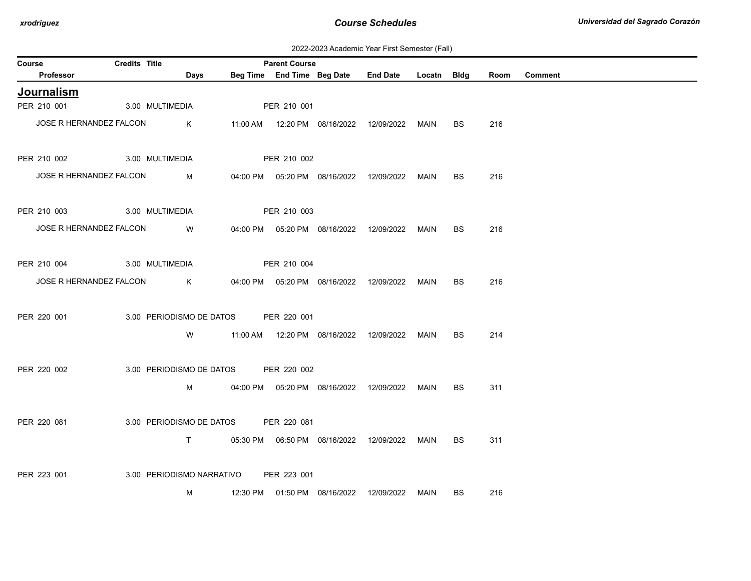| 2022-2023 Academic Year First Semester (Fall) |  |  |  |  |
|-----------------------------------------------|--|--|--|--|
|-----------------------------------------------|--|--|--|--|

| <b>Course</b>               | Credits Title   |                                       |                    | <b>Parent Course</b> |                                            |                                                  |      |           |     |              |
|-----------------------------|-----------------|---------------------------------------|--------------------|----------------------|--------------------------------------------|--------------------------------------------------|------|-----------|-----|--------------|
| Professor                   |                 | Days                                  |                    |                      |                                            | Beg Time End Time Beg Date End Date Locatn Bldg  |      |           |     | Room Comment |
| Journalism                  |                 |                                       |                    |                      |                                            |                                                  |      |           |     |              |
| PER 210 001 3.00 MULTIMEDIA |                 |                                       |                    | PER 210 001          |                                            |                                                  |      |           |     |              |
| JOSE R HERNANDEZ FALCON     |                 | $\mathsf K$                           |                    |                      |                                            |                                                  |      | BS        | 216 |              |
| PER 210 002                 | 3.00 MULTIMEDIA |                                       |                    | PER 210 002          |                                            |                                                  |      |           |     |              |
| JOSE R HERNANDEZ FALCON     |                 | M                                     |                    |                      | 04:00 PM  05:20 PM  08/16/2022  12/09/2022 |                                                  | MAIN | <b>BS</b> | 216 |              |
| PER 210 003 3.00 MULTIMEDIA |                 |                                       | <b>PER 210 003</b> |                      |                                            |                                                  |      |           |     |              |
| JOSE R HERNANDEZ FALCON W   |                 |                                       |                    |                      |                                            | 04:00 PM  05:20 PM  08/16/2022  12/09/2022  MAIN |      | BS.       | 216 |              |
| PER 210 004 3.00 MULTIMEDIA |                 |                                       |                    | PER 210 004          |                                            |                                                  |      |           |     |              |
| JOSE R HERNANDEZ FALCON     |                 | $\mathsf{K}$                          |                    |                      |                                            | 04:00 PM  05:20 PM  08/16/2022  12/09/2022  MAIN |      | BS.       | 216 |              |
| PER 220 001                 |                 | 3.00 PERIODISMO DE DATOS PER 220 001  |                    |                      |                                            |                                                  |      |           |     |              |
|                             |                 | <b>W</b>                              |                    |                      |                                            | 11:00 AM  12:20 PM  08/16/2022  12/09/2022  MAIN |      | BS.       | 214 |              |
| PER 220 002                 |                 | 3.00 PERIODISMO DE DATOS PER 220 002  |                    |                      |                                            |                                                  |      |           |     |              |
|                             |                 | $M \sim 1$                            |                    |                      |                                            | 04:00 PM  05:20 PM  08/16/2022  12/09/2022  MAIN |      | BS.       | 311 |              |
| PER 220 081                 |                 | 3.00 PERIODISMO DE DATOS PER 220 081  |                    |                      |                                            |                                                  |      |           |     |              |
|                             |                 | $\mathsf{T}$ and $\mathsf{T}$         |                    |                      |                                            | 05:30 PM  06:50 PM  08/16/2022  12/09/2022  MAIN |      | <b>BS</b> | 311 |              |
| PER 223 001                 |                 | 3.00 PERIODISMO NARRATIVO PER 223 001 |                    |                      |                                            |                                                  |      |           |     |              |
|                             |                 | M                                     |                    |                      | 12:30 PM  01:50 PM  08/16/2022  12/09/2022 |                                                  | MAIN | <b>BS</b> | 216 |              |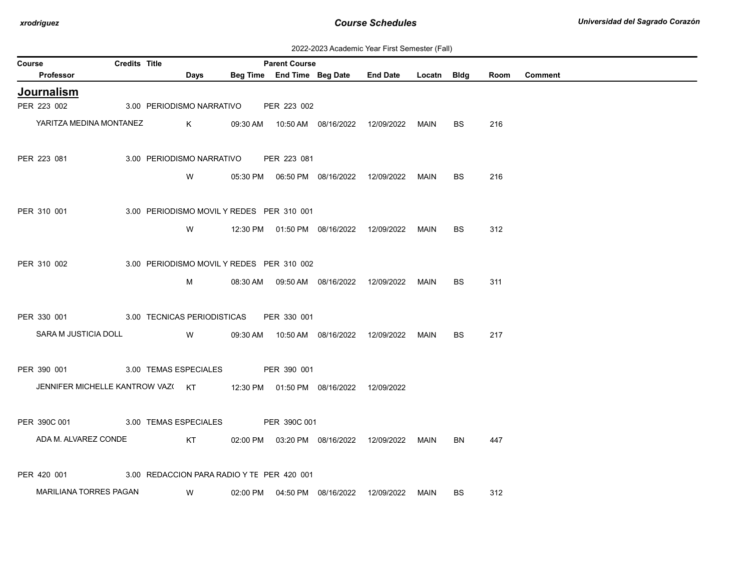| 2022-2023 Academic Year First Semester (Fall) |  |  |  |  |
|-----------------------------------------------|--|--|--|--|
|-----------------------------------------------|--|--|--|--|

| Course |                                  | Credits Title |                                            |          | <b>Parent Course</b> |                                            |                 |             |           |      |                |
|--------|----------------------------------|---------------|--------------------------------------------|----------|----------------------|--------------------------------------------|-----------------|-------------|-----------|------|----------------|
|        | <b>Professor</b>                 |               | <b>Days</b>                                |          |                      | Beg Time End Time Beg Date                 | <b>End Date</b> | Locatn Bldg |           | Room | <b>Comment</b> |
|        | Journalism                       |               |                                            |          |                      |                                            |                 |             |           |      |                |
|        | PER 223 002                      |               | 3.00 PERIODISMO NARRATIVO                  |          | PER 223 002          |                                            |                 |             |           |      |                |
|        | YARITZA MEDINA MONTANEZ          |               | K                                          |          |                      | 09:30 AM  10:50 AM  08/16/2022  12/09/2022 |                 | MAIN        | BS.       | 216  |                |
|        | PER 223 081                      |               | 3.00 PERIODISMO NARRATIVO                  |          | PER 223 081          |                                            |                 |             |           |      |                |
|        |                                  |               | W                                          |          |                      |                                            | 12/09/2022      | MAIN        | BS        | 216  |                |
|        | PER 310 001                      |               | 3.00 PERIODISMO MOVIL Y REDES PER 310 001  |          |                      |                                            |                 |             |           |      |                |
|        |                                  |               | W                                          |          |                      | 12:30 PM  01:50 PM  08/16/2022  12/09/2022 |                 | MAIN        | <b>BS</b> | 312  |                |
|        | PER 310 002                      |               | 3.00 PERIODISMO MOVIL Y REDES PER 310 002  |          |                      |                                            |                 |             |           |      |                |
|        |                                  |               | M                                          |          |                      | 08:30 AM  09:50 AM  08/16/2022  12/09/2022 |                 | MAIN        | BS        | 311  |                |
|        | PER 330 001                      |               | 3.00 TECNICAS PERIODISTICAS                |          | PER 330 001          |                                            |                 |             |           |      |                |
|        | SARA M JUSTICIA DOLL             |               | W                                          |          |                      | 09:30 AM  10:50 AM  08/16/2022             | 12/09/2022      | MAIN        | BS.       | 217  |                |
|        | PER 390 001                      |               | 3.00 TEMAS ESPECIALES                      |          | PER 390 001          |                                            |                 |             |           |      |                |
|        | JENNIFER MICHELLE KANTROW VAZ(KT |               |                                            |          |                      | 12:30 PM  01:50 PM  08/16/2022  12/09/2022 |                 |             |           |      |                |
|        | PER 390C 001                     |               | 3.00 TEMAS ESPECIALES                      |          | PER 390C 001         |                                            |                 |             |           |      |                |
|        | ADA M. ALVAREZ CONDE             |               | KT                                         | 02:00 PM |                      | 03:20 PM 08/16/2022                        | 12/09/2022      | MAIN        | BN        | 447  |                |
|        | PER 420 001                      |               | 3.00 REDACCION PARA RADIO Y TE PER 420 001 |          |                      |                                            |                 |             |           |      |                |
|        | <b>MARILIANA TORRES PAGAN</b>    |               | W                                          |          |                      | 02:00 PM  04:50 PM  08/16/2022             | 12/09/2022      | MAIN        | BS        | 312  |                |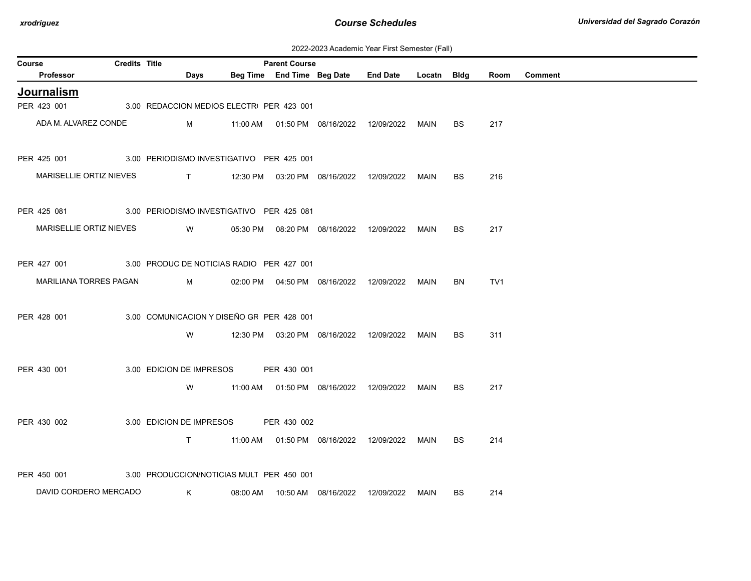| 2022-2023 Academic Year First Semester (Fall) |  |  |  |  |
|-----------------------------------------------|--|--|--|--|
|-----------------------------------------------|--|--|--|--|

| Course |                         | <b>Credits Title</b> |                                                                                                                                                                                                                                                                                                                               | <b>Parent Course</b> |                                            |                                            |             |           |                 |                |
|--------|-------------------------|----------------------|-------------------------------------------------------------------------------------------------------------------------------------------------------------------------------------------------------------------------------------------------------------------------------------------------------------------------------|----------------------|--------------------------------------------|--------------------------------------------|-------------|-----------|-----------------|----------------|
|        | Professor               |                      | Days                                                                                                                                                                                                                                                                                                                          |                      | Beg Time End Time Beg Date                 | <b>End Date</b>                            | Locatn Bldg |           | Room            | <b>Comment</b> |
|        | <b>Journalism</b>       |                      |                                                                                                                                                                                                                                                                                                                               |                      |                                            |                                            |             |           |                 |                |
|        | PER 423 001             |                      | 3.00 REDACCION MEDIOS ELECTRI PER 423 001                                                                                                                                                                                                                                                                                     |                      |                                            |                                            |             |           |                 |                |
|        | ADA M. ALVAREZ CONDE    |                      | M                                                                                                                                                                                                                                                                                                                             |                      | 11:00 AM  01:50 PM  08/16/2022  12/09/2022 |                                            | MAIN        | <b>BS</b> | 217             |                |
|        | PER 425 001             |                      | 3.00 PERIODISMO INVESTIGATIVO PER 425 001                                                                                                                                                                                                                                                                                     |                      |                                            |                                            |             |           |                 |                |
|        | MARISELLIE ORTIZ NIEVES |                      | $\mathbf{T}$ and $\mathbf{T}$ and $\mathbf{T}$ and $\mathbf{T}$ and $\mathbf{T}$ and $\mathbf{T}$ and $\mathbf{T}$ and $\mathbf{T}$ and $\mathbf{T}$ and $\mathbf{T}$ and $\mathbf{T}$ and $\mathbf{T}$ and $\mathbf{T}$ and $\mathbf{T}$ and $\mathbf{T}$ and $\mathbf{T}$ and $\mathbf{T}$ and $\mathbf{T}$ and $\mathbf{T$ |                      | 12:30 PM  03:20 PM  08/16/2022  12/09/2022 |                                            | MAIN        | BS.       | 216             |                |
|        | PER 425 081             |                      | 3.00 PERIODISMO INVESTIGATIVO PER 425 081                                                                                                                                                                                                                                                                                     |                      |                                            |                                            |             |           |                 |                |
|        | MARISELLIE ORTIZ NIEVES |                      | W                                                                                                                                                                                                                                                                                                                             |                      | 05:30 PM  08:20 PM  08/16/2022  12/09/2022 |                                            | MAIN        | BS.       | 217             |                |
|        | PER 427 001             |                      | 3.00 PRODUC DE NOTICIAS RADIO PER 427 001                                                                                                                                                                                                                                                                                     |                      |                                            |                                            |             |           |                 |                |
|        | MARILIANA TORRES PAGAN  |                      | M                                                                                                                                                                                                                                                                                                                             |                      | 02:00 PM  04:50 PM  08/16/2022  12/09/2022 |                                            | MAIN        | BN        | TV <sub>1</sub> |                |
|        | PER 428 001             |                      | 3.00 COMUNICACION Y DISEÑO GF PER 428 001                                                                                                                                                                                                                                                                                     |                      |                                            |                                            |             |           |                 |                |
|        |                         |                      | W                                                                                                                                                                                                                                                                                                                             |                      | 12:30 PM  03:20 PM  08/16/2022  12/09/2022 |                                            | MAIN        | BS.       | 311             |                |
|        | PER 430 001             |                      | 3.00 EDICION DE IMPRESOS                                                                                                                                                                                                                                                                                                      | PER 430 001          |                                            |                                            |             |           |                 |                |
|        |                         |                      | W                                                                                                                                                                                                                                                                                                                             |                      |                                            | 11:00 AM  01:50 PM  08/16/2022  12/09/2022 | MAIN        | <b>BS</b> | 217             |                |
|        | PER 430 002             |                      | 3.00 EDICION DE IMPRESOS                                                                                                                                                                                                                                                                                                      | PER 430 002          |                                            |                                            |             |           |                 |                |
|        |                         |                      | $\mathsf{T}$                                                                                                                                                                                                                                                                                                                  |                      | 11:00 AM  01:50 PM  08/16/2022  12/09/2022 |                                            | MAIN        | BS.       | 214             |                |
|        | PER 450 001             |                      | 3.00 PRODUCCION/NOTICIAS MULT PER 450 001                                                                                                                                                                                                                                                                                     |                      |                                            |                                            |             |           |                 |                |
|        | DAVID CORDERO MERCADO   |                      | K                                                                                                                                                                                                                                                                                                                             |                      | 08:00 AM  10:50 AM  08/16/2022             | 12/09/2022                                 | <b>MAIN</b> | <b>BS</b> | 214             |                |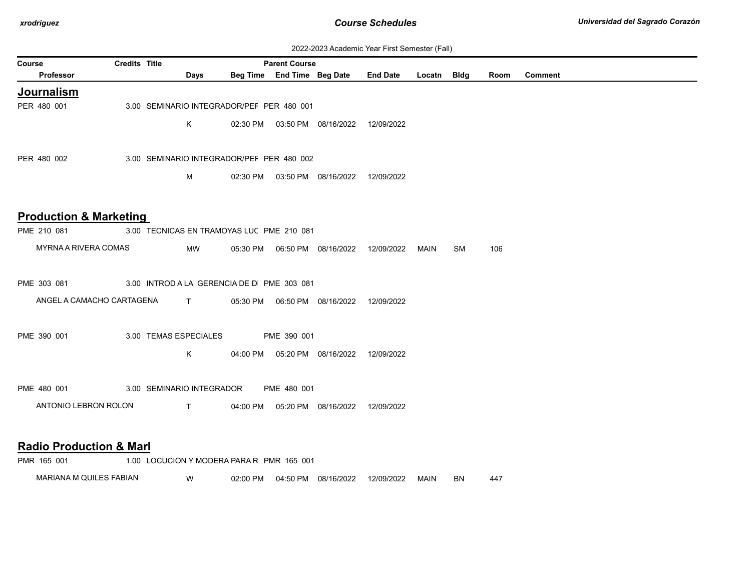| 2022-2023 Academic Year First Semester (Fall) |  |  |  |  |
|-----------------------------------------------|--|--|--|--|
|-----------------------------------------------|--|--|--|--|

| <b>Course</b>                      | <b>Credits Title</b> |                                            |          | <b>Parent Course</b>       |                                            | <u> ZUZZ-ZUZU AUGUCHIIU TUGI TIIBI OCHIUSIUI (1 GII)</u> |             |    |      |                |
|------------------------------------|----------------------|--------------------------------------------|----------|----------------------------|--------------------------------------------|----------------------------------------------------------|-------------|----|------|----------------|
| <b>Professor</b>                   |                      | <b>Days</b>                                |          | Beg Time End Time Beg Date |                                            | <b>End Date</b>                                          | Locatn Bldg |    | Room | <b>Comment</b> |
| Journalism                         |                      |                                            |          |                            |                                            |                                                          |             |    |      |                |
| PER 480 001                        |                      | 3.00 SEMINARIO INTEGRADOR/PEF PER 480 001  |          |                            |                                            |                                                          |             |    |      |                |
|                                    |                      | K                                          |          |                            | 02:30 PM  03:50 PM  08/16/2022  12/09/2022 |                                                          |             |    |      |                |
|                                    |                      |                                            |          |                            |                                            |                                                          |             |    |      |                |
|                                    |                      |                                            |          |                            |                                            |                                                          |             |    |      |                |
| PER 480 002                        |                      | 3.00 SEMINARIO INTEGRADOR/PEF PER 480 002  |          |                            |                                            |                                                          |             |    |      |                |
|                                    |                      | М                                          |          |                            | 02:30 PM  03:50 PM  08/16/2022  12/09/2022 |                                                          |             |    |      |                |
|                                    |                      |                                            |          |                            |                                            |                                                          |             |    |      |                |
|                                    |                      |                                            |          |                            |                                            |                                                          |             |    |      |                |
| <b>Production &amp; Marketing</b>  |                      |                                            |          |                            |                                            |                                                          |             |    |      |                |
| PME 210 081                        |                      | 3.00 TECNICAS EN TRAMOYAS LUC PME 210 081  |          |                            |                                            |                                                          |             |    |      |                |
| MYRNA A RIVERA COMAS               |                      | MW                                         |          |                            | 05:30 PM  06:50 PM  08/16/2022  12/09/2022 |                                                          | MAIN        | SM | 106  |                |
|                                    |                      |                                            |          |                            |                                            |                                                          |             |    |      |                |
| PME 303 081                        |                      | 3.00 INTROD A LA GERENCIA DE D PME 303 081 |          |                            |                                            |                                                          |             |    |      |                |
| ANGEL A CAMACHO CARTAGENA          |                      | $\mathbf{T}$                               | 05:30 PM |                            | 06:50 PM 08/16/2022                        | 12/09/2022                                               |             |    |      |                |
|                                    |                      |                                            |          |                            |                                            |                                                          |             |    |      |                |
|                                    |                      |                                            |          |                            |                                            |                                                          |             |    |      |                |
| PME 390 001                        |                      | 3.00 TEMAS ESPECIALES                      |          | PME 390 001                |                                            |                                                          |             |    |      |                |
|                                    |                      | K                                          | 04:00 PM |                            | 05:20 PM 08/16/2022                        | 12/09/2022                                               |             |    |      |                |
|                                    |                      |                                            |          |                            |                                            |                                                          |             |    |      |                |
| PME 480 001                        |                      | 3.00 SEMINARIO INTEGRADOR                  |          | PME 480 001                |                                            |                                                          |             |    |      |                |
| ANTONIO LEBRON ROLON               |                      | $\top$                                     | 04:00 PM |                            | 05:20 PM 08/16/2022 12/09/2022             |                                                          |             |    |      |                |
|                                    |                      |                                            |          |                            |                                            |                                                          |             |    |      |                |
|                                    |                      |                                            |          |                            |                                            |                                                          |             |    |      |                |
| <b>Radio Production &amp; Marl</b> |                      |                                            |          |                            |                                            |                                                          |             |    |      |                |
| PMR 165 001                        |                      | 1.00 LOCUCION Y MODERA PARA R PMR 165 001  |          |                            |                                            |                                                          |             |    |      |                |

MARIANA M QUILES FABIAN W 02:00 PM 04:50 PM 08/16/2022 12/09/2022 MAIN BN 447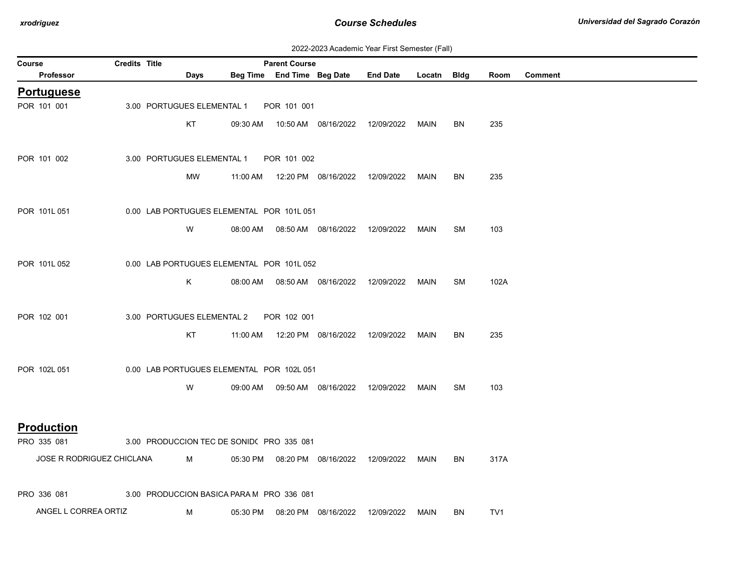| 2022-2023 Academic Year First Semester (Fall) |  |  |  |  |
|-----------------------------------------------|--|--|--|--|
|-----------------------------------------------|--|--|--|--|

| Course                    | <b>Credits Title</b> |                                           |          | <b>Parent Course</b> |                            |                                                  |      |           |                 |                |
|---------------------------|----------------------|-------------------------------------------|----------|----------------------|----------------------------|--------------------------------------------------|------|-----------|-----------------|----------------|
| Professor                 |                      | Days                                      |          |                      | Beg Time End Time Beg Date | End Date Locatn Bldg                             |      |           | Room            | <b>Comment</b> |
| <b>Portuguese</b>         |                      |                                           |          |                      |                            |                                                  |      |           |                 |                |
| POR 101 001               |                      | 3.00 PORTUGUES ELEMENTAL 1                |          | POR 101 001          |                            |                                                  |      |           |                 |                |
|                           |                      | KT                                        |          |                      |                            | 09:30 AM  10:50 AM  08/16/2022  12/09/2022  MAIN |      | BN        | 235             |                |
|                           |                      |                                           |          |                      |                            |                                                  |      |           |                 |                |
| POR 101 002               |                      | 3.00 PORTUGUES ELEMENTAL 1                |          | POR 101 002          |                            |                                                  |      |           |                 |                |
|                           |                      | MW                                        |          |                      |                            | 11:00 AM  12:20 PM  08/16/2022  12/09/2022       | MAIN | BN        | 235             |                |
| POR 101L 051              |                      | 0.00 LAB PORTUGUES ELEMENTAL POR 101L 051 |          |                      |                            |                                                  |      |           |                 |                |
|                           |                      | W                                         |          |                      |                            | 08:00 AM  08:50 AM  08/16/2022  12/09/2022       | MAIN | <b>SM</b> | 103             |                |
|                           |                      |                                           |          |                      |                            |                                                  |      |           |                 |                |
| POR 101L052               |                      | 0.00 LAB PORTUGUES ELEMENTAL POR 101L 052 |          |                      |                            |                                                  |      |           |                 |                |
|                           |                      | K                                         |          |                      |                            | 08:00 AM  08:50 AM  08/16/2022  12/09/2022  MAIN |      | SM        | 102A            |                |
|                           |                      |                                           |          |                      |                            |                                                  |      |           |                 |                |
| POR 102 001               |                      | 3.00 PORTUGUES ELEMENTAL 2                |          | POR 102 001          |                            |                                                  |      |           |                 |                |
|                           |                      | KT                                        |          |                      |                            |                                                  |      | BN        | 235             |                |
| POR 102L 051              |                      | 0.00 LAB PORTUGUES ELEMENTAL POR 102L 051 |          |                      |                            |                                                  |      |           |                 |                |
|                           |                      |                                           |          |                      |                            |                                                  |      |           | 103             |                |
|                           |                      | W                                         |          |                      |                            | 09:00 AM  09:50 AM  08/16/2022  12/09/2022       | MAIN | <b>SM</b> |                 |                |
| <b>Production</b>         |                      |                                           |          |                      |                            |                                                  |      |           |                 |                |
| PRO 335 081               |                      | 3.00 PRODUCCION TEC DE SONID( PRO 335 081 |          |                      |                            |                                                  |      |           |                 |                |
| JOSE R RODRIGUEZ CHICLANA |                      | M                                         |          |                      |                            | 05:30 PM  08:20 PM  08/16/2022  12/09/2022  MAIN |      | <b>BN</b> | 317A            |                |
|                           |                      |                                           |          |                      |                            |                                                  |      |           |                 |                |
| PRO 336 081               |                      | 3.00 PRODUCCION BASICA PARA M PRO 336 081 |          |                      |                            |                                                  |      |           |                 |                |
| ANGEL L CORREA ORTIZ      |                      | M                                         | 05:30 PM |                      | 08:20 PM 08/16/2022        | 12/09/2022                                       | MAIN | BN        | TV <sub>1</sub> |                |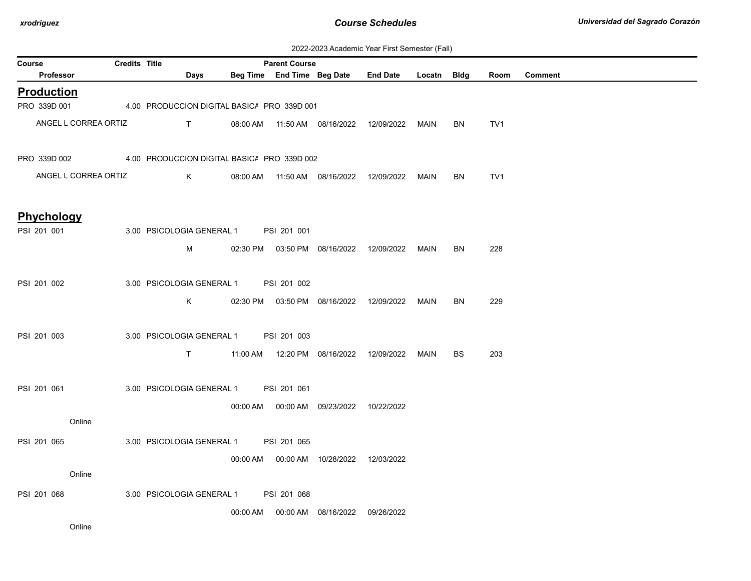| 2022-2023 Academic Year First Semester (Fall) |  |  |  |  |
|-----------------------------------------------|--|--|--|--|
|-----------------------------------------------|--|--|--|--|

| Course            |                      | Credits Title                               |          | <b>Parent Course</b>       |                                            |                 |             |           |                 |         |
|-------------------|----------------------|---------------------------------------------|----------|----------------------------|--------------------------------------------|-----------------|-------------|-----------|-----------------|---------|
| Professor         |                      | <b>Days</b>                                 |          | Beg Time End Time Beg Date |                                            | <b>End Date</b> | Locatn Bldg |           | Room            | Comment |
| <b>Production</b> |                      |                                             |          |                            |                                            |                 |             |           |                 |         |
| PRO 339D 001      |                      | 4.00 PRODUCCION DIGITAL BASIC/ PRO 339D 001 |          |                            |                                            |                 |             |           |                 |         |
|                   | ANGEL L CORREA ORTIZ | T.                                          |          |                            | 08:00 AM  11:50 AM  08/16/2022             | 12/09/2022      | MAIN        | BN        | TV <sub>1</sub> |         |
| PRO 339D 002      |                      | 4.00 PRODUCCION DIGITAL BASIC/ PRO 339D 002 |          |                            |                                            |                 |             |           |                 |         |
|                   | ANGEL L CORREA ORTIZ | K                                           |          |                            | 08:00 AM  11:50 AM  08/16/2022             | 12/09/2022      | MAIN        | BN        | TV <sub>1</sub> |         |
| <b>Phychology</b> |                      |                                             |          |                            |                                            |                 |             |           |                 |         |
| PSI 201 001       |                      | 3.00 PSICOLOGIA GENERAL 1 PSI 201 001       |          |                            |                                            |                 |             |           |                 |         |
|                   |                      | м                                           |          |                            | 02:30 PM  03:50 PM  08/16/2022             | 12/09/2022      | MAIN        | <b>BN</b> | 228             |         |
| PSI 201 002       |                      | 3.00 PSICOLOGIA GENERAL 1                   |          | PSI 201 002                |                                            |                 |             |           |                 |         |
|                   |                      | K                                           |          |                            | 02:30 PM  03:50 PM  08/16/2022             | 12/09/2022      | MAIN        | <b>BN</b> | 229             |         |
| PSI 201 003       |                      | 3.00 PSICOLOGIA GENERAL 1                   |          | PSI 201 003                |                                            |                 |             |           |                 |         |
|                   |                      | $\mathsf{T}$                                |          |                            |                                            | 12/09/2022      | MAIN        | <b>BS</b> | 203             |         |
| PSI 201 061       |                      | 3.00 PSICOLOGIA GENERAL 1                   |          | PSI 201 061                |                                            |                 |             |           |                 |         |
|                   |                      |                                             |          |                            | 00:00 AM   00:00 AM   09/23/2022           | 10/22/2022      |             |           |                 |         |
|                   | Online               |                                             |          |                            |                                            |                 |             |           |                 |         |
| PSI 201 065       |                      | 3.00 PSICOLOGIA GENERAL 1                   |          | PSI 201 065                |                                            |                 |             |           |                 |         |
|                   |                      |                                             |          |                            | 00:00 AM  00:00 AM  10/28/2022  12/03/2022 |                 |             |           |                 |         |
|                   | Online               |                                             |          |                            |                                            |                 |             |           |                 |         |
| PSI 201 068       |                      | 3.00 PSICOLOGIA GENERAL 1                   |          | PSI 201 068                |                                            |                 |             |           |                 |         |
|                   |                      |                                             | 00:00 AM |                            | 00:00 AM 08/16/2022                        | 09/26/2022      |             |           |                 |         |
|                   | Online               |                                             |          |                            |                                            |                 |             |           |                 |         |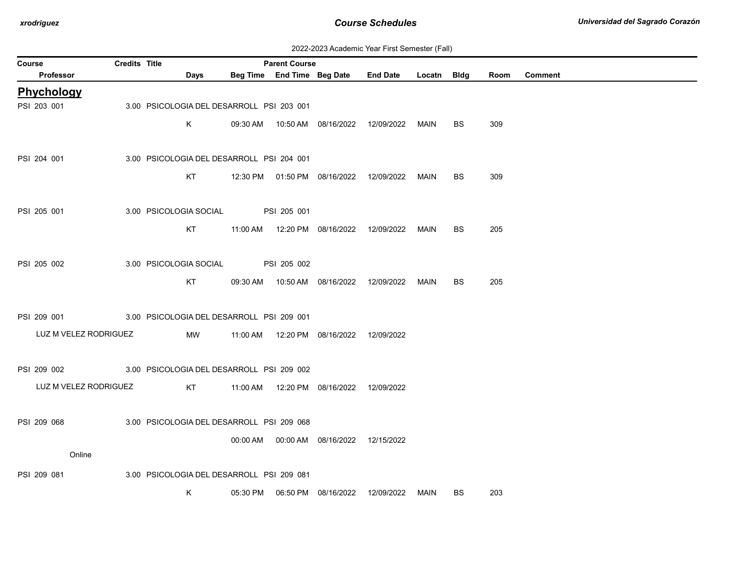| 2022-2023 Academic Year First Semester (Fall) |  |  |  |  |
|-----------------------------------------------|--|--|--|--|
|-----------------------------------------------|--|--|--|--|

| Course                | Credits Title |                                           |          | <b>Parent Course</b> |                                            |                 |             |           |      |         |
|-----------------------|---------------|-------------------------------------------|----------|----------------------|--------------------------------------------|-----------------|-------------|-----------|------|---------|
| Professor             |               | Days                                      |          |                      | Beg Time End Time Beg Date                 | <b>End Date</b> | Locatn Bldg |           | Room | Comment |
| Phychology            |               |                                           |          |                      |                                            |                 |             |           |      |         |
| PSI 203 001           |               | 3.00 PSICOLOGIA DEL DESARROLL PSI 203 001 |          |                      |                                            |                 |             |           |      |         |
|                       |               | K                                         |          |                      |                                            |                 | MAIN        | <b>BS</b> | 309  |         |
|                       |               |                                           |          |                      |                                            |                 |             |           |      |         |
| PSI 204 001           |               | 3.00 PSICOLOGIA DEL DESARROLL PSI 204 001 |          |                      |                                            |                 |             |           |      |         |
|                       |               | KT                                        |          |                      | 12:30 PM  01:50 PM  08/16/2022  12/09/2022 |                 | MAIN        | <b>BS</b> | 309  |         |
|                       |               |                                           |          |                      |                                            |                 |             |           |      |         |
| PSI 205 001           |               | 3.00 PSICOLOGIA SOCIAL                    |          | PSI 205 001          |                                            |                 |             |           |      |         |
|                       |               | KT                                        |          |                      | 11:00 AM  12:20 PM  08/16/2022  12/09/2022 |                 | MAIN        | <b>BS</b> | 205  |         |
|                       |               |                                           |          |                      |                                            |                 |             |           |      |         |
| PSI 205 002           |               | 3.00 PSICOLOGIA SOCIAL                    |          | PSI 205 002          |                                            |                 |             |           |      |         |
|                       |               | KT                                        |          |                      | 09:30 AM  10:50 AM  08/16/2022  12/09/2022 |                 | MAIN        | BS        | 205  |         |
|                       |               |                                           |          |                      |                                            |                 |             |           |      |         |
|                       |               |                                           |          |                      |                                            |                 |             |           |      |         |
| PSI 209 001           |               | 3.00 PSICOLOGIA DEL DESARROLL PSI 209 001 |          |                      |                                            |                 |             |           |      |         |
| LUZ M VELEZ RODRIGUEZ |               | MW                                        |          |                      | 11:00 AM  12:20 PM  08/16/2022  12/09/2022 |                 |             |           |      |         |
|                       |               |                                           |          |                      |                                            |                 |             |           |      |         |
| PSI 209 002           |               | 3.00 PSICOLOGIA DEL DESARROLL PSI 209 002 |          |                      |                                            |                 |             |           |      |         |
| LUZ M VELEZ RODRIGUEZ |               | KT                                        |          |                      | 11:00 AM  12:20 PM  08/16/2022  12/09/2022 |                 |             |           |      |         |
|                       |               |                                           |          |                      |                                            |                 |             |           |      |         |
| PSI 209 068           |               | 3.00 PSICOLOGIA DEL DESARROLL PSI 209 068 |          |                      |                                            |                 |             |           |      |         |
|                       |               |                                           |          |                      | 00:00 AM  00:00 AM  08/16/2022  12/15/2022 |                 |             |           |      |         |
| Online                |               |                                           |          |                      |                                            |                 |             |           |      |         |
| PSI 209 081           |               | 3.00 PSICOLOGIA DEL DESARROLL PSI 209 081 |          |                      |                                            |                 |             |           |      |         |
|                       |               | K                                         | 05:30 PM |                      | 06:50 PM 08/16/2022                        | 12/09/2022      | MAIN        | <b>BS</b> | 203  |         |
|                       |               |                                           |          |                      |                                            |                 |             |           |      |         |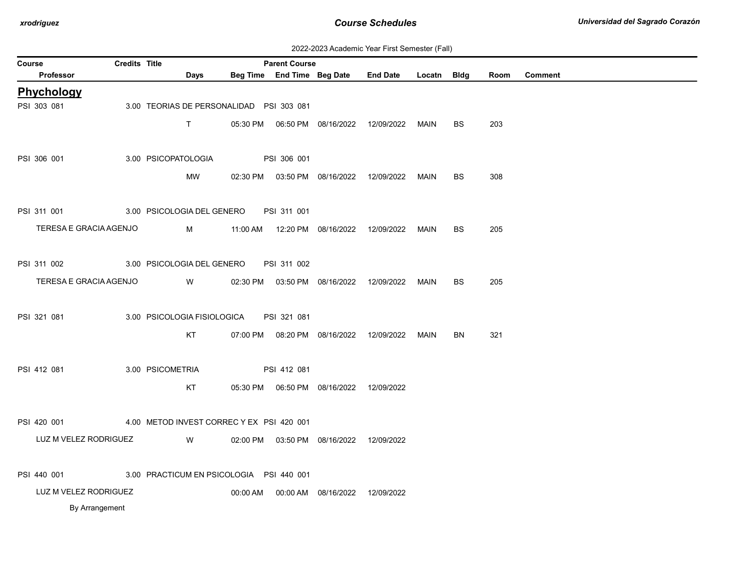| 2022-2023 Academic Year First Semester (Fall) |  |  |  |  |
|-----------------------------------------------|--|--|--|--|
|-----------------------------------------------|--|--|--|--|

| <b>Course</b> |                                                      | Credits Title |                                           |          | <b>Parent Course</b> |                                            |                                                  |             |           |      |                |
|---------------|------------------------------------------------------|---------------|-------------------------------------------|----------|----------------------|--------------------------------------------|--------------------------------------------------|-------------|-----------|------|----------------|
|               | Professor                                            |               | Days                                      |          |                      | Beg Time End Time Beg Date                 | <b>End Date</b>                                  | Locatn Bldg |           | Room | <b>Comment</b> |
|               | Phychology                                           |               |                                           |          |                      |                                            |                                                  |             |           |      |                |
|               | PSI 303 081                                          |               | 3.00 TEORIAS DE PERSONALIDAD PSI 303 081  |          |                      |                                            |                                                  |             |           |      |                |
|               |                                                      |               | $\mathsf{T}$                              |          |                      |                                            |                                                  | MAIN        | <b>BS</b> | 203  |                |
|               |                                                      |               |                                           |          |                      |                                            |                                                  |             |           |      |                |
|               | PSI 306 001                                          |               | 3.00 PSICOPATOLOGIA                       |          | PSI 306 001          |                                            |                                                  |             |           |      |                |
|               |                                                      |               | MW                                        |          |                      |                                            | 02:30 PM  03:50 PM  08/16/2022  12/09/2022  MAIN |             | BS.       | 308  |                |
|               |                                                      |               |                                           |          |                      |                                            |                                                  |             |           |      |                |
|               | PSI 311 001                                          |               | 3.00 PSICOLOGIA DEL GENERO                |          | PSI 311 001          |                                            |                                                  |             |           |      |                |
|               | TERESA E GRACIA AGENJO                               |               | M                                         |          |                      | 11:00 AM  12:20 PM  08/16/2022  12/09/2022 |                                                  | MAIN        | <b>BS</b> | 205  |                |
|               |                                                      |               |                                           |          |                      |                                            |                                                  |             |           |      |                |
|               | PSI 311 002                                          |               | 3.00 PSICOLOGIA DEL GENERO                |          | PSI 311 002          |                                            |                                                  |             |           |      |                |
|               | TERESA E GRACIA AGENJO                               |               | <b>W</b>                                  |          |                      |                                            |                                                  |             |           |      |                |
|               |                                                      |               |                                           |          |                      | 02:30 PM  03:50 PM  08/16/2022  12/09/2022 |                                                  | MAIN        | <b>BS</b> | 205  |                |
|               |                                                      |               |                                           |          |                      |                                            |                                                  |             |           |      |                |
|               | PSI 321 081                                          |               | 3.00 PSICOLOGIA FISIOLOGICA               |          | PSI 321 081          |                                            |                                                  |             |           |      |                |
|               |                                                      |               | KT                                        |          |                      | 07:00 PM  08:20 PM  08/16/2022  12/09/2022 |                                                  | MAIN        | <b>BN</b> | 321  |                |
|               |                                                      |               |                                           |          |                      |                                            |                                                  |             |           |      |                |
|               | PSI 412 081                                          |               | 3.00 PSICOMETRIA                          |          | PSI 412 081          |                                            |                                                  |             |           |      |                |
|               |                                                      |               | KT                                        |          |                      |                                            |                                                  |             |           |      |                |
|               |                                                      |               |                                           |          |                      |                                            |                                                  |             |           |      |                |
|               | PSI 420 001                                          |               | 4.00 METOD INVEST CORREC Y EX PSI 420 001 |          |                      |                                            |                                                  |             |           |      |                |
|               | LUZ M VELEZ RODRIGUEZ                                |               | W                                         |          |                      | 02:00 PM  03:50 PM  08/16/2022             | 12/09/2022                                       |             |           |      |                |
|               |                                                      |               |                                           |          |                      |                                            |                                                  |             |           |      |                |
|               | PSI 440 001 3.00 PRACTICUM EN PSICOLOGIA PSI 440 001 |               |                                           |          |                      |                                            |                                                  |             |           |      |                |
|               | LUZ M VELEZ RODRIGUEZ                                |               |                                           | 00:00 AM |                      | 00:00 AM  08/16/2022                       | 12/09/2022                                       |             |           |      |                |
|               | By Arrangement                                       |               |                                           |          |                      |                                            |                                                  |             |           |      |                |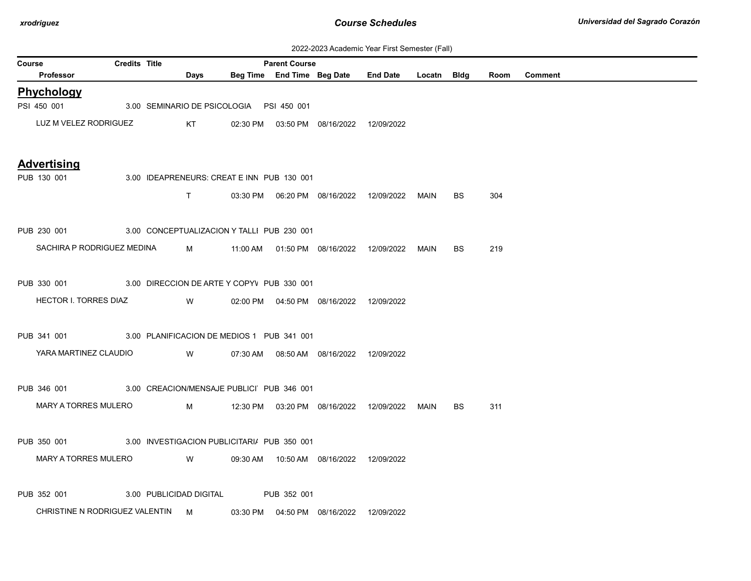| 2022-2023 Academic Year First Semester (Fall) |  |  |  |  |
|-----------------------------------------------|--|--|--|--|
|-----------------------------------------------|--|--|--|--|

| Course | $\sigma$ , location is not connected in any<br><b>Credits Title</b><br><b>Parent Course</b> |  |  |                                                                                                                         |                                             |             |                                            |                                                 |      |           |      |                |
|--------|---------------------------------------------------------------------------------------------|--|--|-------------------------------------------------------------------------------------------------------------------------|---------------------------------------------|-------------|--------------------------------------------|-------------------------------------------------|------|-----------|------|----------------|
|        | Professor                                                                                   |  |  | Days                                                                                                                    |                                             |             |                                            | Beg Time End Time Beg Date End Date Locatn Bldg |      |           | Room | <b>Comment</b> |
|        | Phychology                                                                                  |  |  |                                                                                                                         |                                             |             |                                            |                                                 |      |           |      |                |
|        | PSI 450 001 3.00 SEMINARIO DE PSICOLOGIA PSI 450 001                                        |  |  |                                                                                                                         |                                             |             |                                            |                                                 |      |           |      |                |
|        | LUZ M VELEZ RODRIGUEZ                                                                       |  |  | KT                                                                                                                      |                                             |             | 02:30 PM  03:50 PM  08/16/2022  12/09/2022 |                                                 |      |           |      |                |
|        | <b>Advertising</b>                                                                          |  |  |                                                                                                                         |                                             |             |                                            |                                                 |      |           |      |                |
|        | PUB 130 001                                                                                 |  |  |                                                                                                                         | 3.00 IDEAPRENEURS: CREAT E INN PUB 130 001  |             |                                            |                                                 |      |           |      |                |
|        |                                                                                             |  |  | $\mathsf{T}$ and $\mathsf{T}$                                                                                           |                                             |             |                                            |                                                 | MAIN | BS        | 304  |                |
|        | PUB 230 001 3.00 CONCEPTUALIZACION Y TALLI PUB 230 001                                      |  |  |                                                                                                                         |                                             |             |                                            |                                                 |      |           |      |                |
|        | SACHIRA P RODRIGUEZ MEDINA                                                                  |  |  |                                                                                                                         |                                             |             |                                            |                                                 | MAIN | <b>BS</b> | 219  |                |
|        | PUB 330 001 3.00 DIRECCION DE ARTE Y COPYV PUB 330 001                                      |  |  |                                                                                                                         |                                             |             |                                            |                                                 |      |           |      |                |
|        | HECTOR I. TORRES DIAZ                                                                       |  |  | W                                                                                                                       |                                             |             | 02:00 PM  04:50 PM  08/16/2022  12/09/2022 |                                                 |      |           |      |                |
|        | PUB 341 001 3.00 PLANIFICACION DE MEDIOS 1 PUB 341 001                                      |  |  |                                                                                                                         |                                             |             |                                            |                                                 |      |           |      |                |
|        | YARA MARTINEZ CLAUDIO                                                                       |  |  | <b>Solution</b> Service Service Service Service Service Service Service Service Service Service Service Service Service |                                             |             | 07:30 AM  08:50 AM  08/16/2022  12/09/2022 |                                                 |      |           |      |                |
|        | PUB 346 001 3.00 CREACION/MENSAJE PUBLICI PUB 346 001                                       |  |  |                                                                                                                         |                                             |             |                                            |                                                 |      |           |      |                |
|        | MARY A TORRES MULERO                                                                        |  |  | $M \sim 1$                                                                                                              |                                             |             |                                            | 12:30 PM  03:20 PM  08/16/2022  12/09/2022      | MAIN | BS.       | 311  |                |
|        | PUB 350 001                                                                                 |  |  |                                                                                                                         | 3.00 INVESTIGACION PUBLICITARI/ PUB 350 001 |             |                                            |                                                 |      |           |      |                |
|        | MARY A TORRES MULERO                                                                        |  |  | <b>W</b>                                                                                                                |                                             |             | 09:30 AM  10:50 AM  08/16/2022  12/09/2022 |                                                 |      |           |      |                |
|        | PUB 352 001                                                                                 |  |  | 3.00 PUBLICIDAD DIGITAL                                                                                                 |                                             | PUB 352 001 |                                            |                                                 |      |           |      |                |
|        | CHRISTINE N RODRIGUEZ VALENTIN M                                                            |  |  |                                                                                                                         |                                             |             | 03:30 PM  04:50 PM  08/16/2022  12/09/2022 |                                                 |      |           |      |                |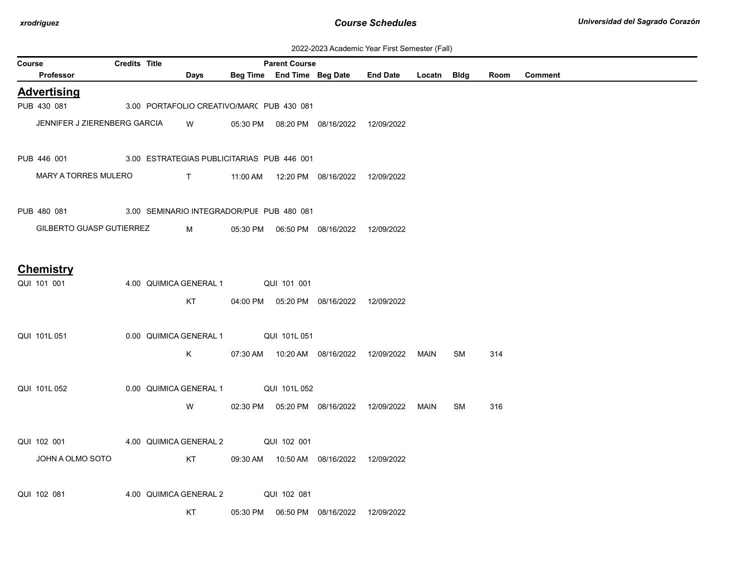| 2022-2023 Academic Year First Semester (Fall) |  |  |  |  |
|-----------------------------------------------|--|--|--|--|
|-----------------------------------------------|--|--|--|--|

|        | ZUZZ-ZUZJ ACQUENNO TEGI TIISLOENIESIEI (I GII)         |                      |                        |      |             |                                           |                                            |                                                  |      |    |      |                |
|--------|--------------------------------------------------------|----------------------|------------------------|------|-------------|-------------------------------------------|--------------------------------------------|--------------------------------------------------|------|----|------|----------------|
| Course | Professor                                              | <b>Credits Title</b> |                        | Days |             | <b>Parent Course</b>                      |                                            | Beg Time End Time Beg Date End Date Locatn Bldg  |      |    | Room | <b>Comment</b> |
|        | <b>Advertising</b>                                     |                      |                        |      |             |                                           |                                            |                                                  |      |    |      |                |
|        | PUB 430 081                                            |                      |                        |      |             | 3.00 PORTAFOLIO CREATIVO/MAR( PUB 430 081 |                                            |                                                  |      |    |      |                |
|        | JENNIFER J ZIERENBERG GARCIA                           |                      |                        |      |             |                                           |                                            |                                                  |      |    |      |                |
|        |                                                        |                      |                        | W    |             |                                           | 05:30 PM  08:20 PM  08/16/2022  12/09/2022 |                                                  |      |    |      |                |
|        |                                                        |                      |                        |      |             |                                           |                                            |                                                  |      |    |      |                |
|        | PUB 446 001 3.00 ESTRATEGIAS PUBLICITARIAS PUB 446 001 |                      |                        |      |             |                                           |                                            |                                                  |      |    |      |                |
|        | <b>MARY A TORRES MULERO</b>                            |                      |                        |      |             |                                           |                                            |                                                  |      |    |      |                |
|        |                                                        |                      |                        |      |             |                                           |                                            |                                                  |      |    |      |                |
|        | PUB 480 081                                            |                      |                        |      |             | 3.00 SEMINARIO INTEGRADOR/PUE PUB 480 081 |                                            |                                                  |      |    |      |                |
|        | GILBERTO GUASP GUTIERREZ                               |                      |                        | M    |             |                                           |                                            |                                                  |      |    |      |                |
|        |                                                        |                      |                        |      |             |                                           |                                            |                                                  |      |    |      |                |
|        |                                                        |                      |                        |      |             |                                           |                                            |                                                  |      |    |      |                |
|        | <b>Chemistry</b>                                       |                      |                        |      |             |                                           |                                            |                                                  |      |    |      |                |
|        | QUI 101 001                                            |                      | 4.00 QUIMICA GENERAL 1 |      |             | QUI 101 001                               |                                            |                                                  |      |    |      |                |
|        |                                                        |                      |                        | KT   |             |                                           | 04:00 PM  05:20 PM  08/16/2022  12/09/2022 |                                                  |      |    |      |                |
|        |                                                        |                      |                        |      |             |                                           |                                            |                                                  |      |    |      |                |
|        | QUI 101L 051                                           |                      | 0.00 QUIMICA GENERAL 1 |      |             | QUI 101L 051                              |                                            |                                                  |      |    |      |                |
|        |                                                        |                      |                        | Κ    |             |                                           |                                            |                                                  | MAIN | SM | 314  |                |
|        |                                                        |                      |                        |      |             |                                           |                                            |                                                  |      |    |      |                |
|        | QUI 101L 052                                           |                      | 0.00 QUIMICA GENERAL 1 |      |             | QUI 101L 052                              |                                            |                                                  |      |    |      |                |
|        |                                                        |                      |                        |      |             |                                           |                                            |                                                  |      |    |      |                |
|        |                                                        |                      |                        | W    |             |                                           |                                            | 02:30 PM  05:20 PM  08/16/2022  12/09/2022  MAIN |      | SM | 316  |                |
|        |                                                        |                      |                        |      |             |                                           |                                            |                                                  |      |    |      |                |
|        | QUI 102 001                                            |                      | 4.00 QUIMICA GENERAL 2 |      | QUI 102 001 |                                           |                                            |                                                  |      |    |      |                |
|        | JOHN A OLMO SOTO                                       |                      |                        | KT   |             |                                           | 09:30 AM  10:50 AM  08/16/2022  12/09/2022 |                                                  |      |    |      |                |
|        |                                                        |                      |                        |      |             |                                           |                                            |                                                  |      |    |      |                |
|        | QUI 102 081                                            |                      | 4.00 QUIMICA GENERAL 2 |      |             | QUI 102 081                               |                                            |                                                  |      |    |      |                |
|        |                                                        |                      |                        | КT   |             |                                           |                                            | 12/09/2022                                       |      |    |      |                |
|        |                                                        |                      |                        |      |             |                                           |                                            |                                                  |      |    |      |                |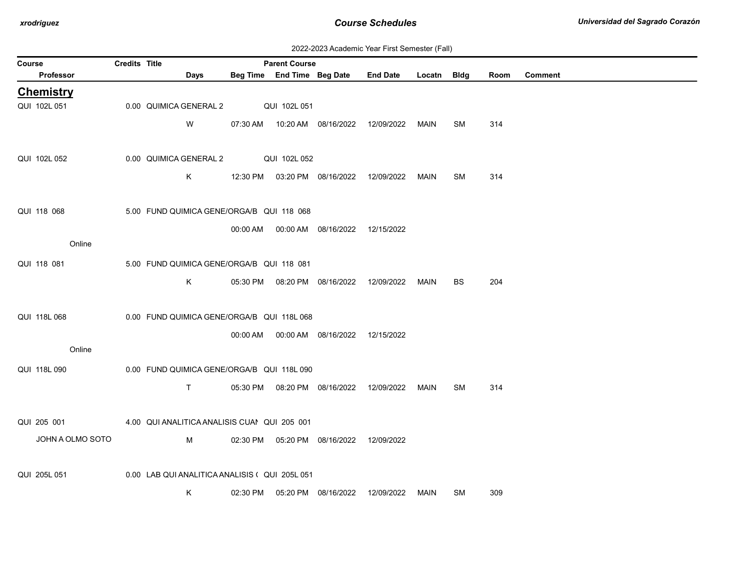| 2022-2023 Academic Year First Semester (Fall) |  |  |  |  |
|-----------------------------------------------|--|--|--|--|
|-----------------------------------------------|--|--|--|--|

| Course |                  | <b>Credits Title</b> |                        |      |                                               | <b>Parent Course</b>       |                                            |                 |             |           |      |                |
|--------|------------------|----------------------|------------------------|------|-----------------------------------------------|----------------------------|--------------------------------------------|-----------------|-------------|-----------|------|----------------|
|        | Professor        |                      |                        | Days |                                               | Beg Time End Time Beg Date |                                            | <b>End Date</b> | Locatn Bldg |           | Room | <b>Comment</b> |
|        | <b>Chemistry</b> |                      |                        |      |                                               |                            |                                            |                 |             |           |      |                |
|        | QUI 102L 051     |                      | 0.00 QUIMICA GENERAL 2 |      |                                               | QUI 102L 051               |                                            |                 |             |           |      |                |
|        |                  |                      |                        | W    |                                               |                            | 07:30 AM  10:20 AM  08/16/2022             | 12/09/2022      | MAIN        | SM        | 314  |                |
|        | QUI 102L 052     |                      | 0.00 QUIMICA GENERAL 2 |      |                                               | QUI 102L 052               |                                            |                 |             |           |      |                |
|        |                  |                      |                        | K    | 12:30 PM                                      |                            | 03:20 PM 08/16/2022                        | 12/09/2022      | MAIN        | SM        | 314  |                |
|        | QUI 118 068      |                      |                        |      | 5.00 FUND QUIMICA GENE/ORGA/B QUI 118 068     |                            |                                            |                 |             |           |      |                |
|        |                  |                      |                        |      |                                               |                            | 00:00 AM  00:00 AM  08/16/2022  12/15/2022 |                 |             |           |      |                |
|        | Online           |                      |                        |      |                                               |                            |                                            |                 |             |           |      |                |
|        |                  |                      |                        |      |                                               |                            |                                            |                 |             |           |      |                |
|        | QUI 118 081      |                      |                        |      | 5.00 FUND QUIMICA GENE/ORGA/B QUI 118 081     |                            |                                            |                 |             |           |      |                |
|        |                  |                      |                        | K.   |                                               |                            | 05:30 PM  08:20 PM  08/16/2022             | 12/09/2022      | MAIN        | <b>BS</b> | 204  |                |
|        | QUI 118L 068     |                      |                        |      | 0.00 FUND QUIMICA GENE/ORGA/B QUI 118L 068    |                            |                                            |                 |             |           |      |                |
|        |                  |                      |                        |      | 00:00 AM                                      |                            |                                            |                 |             |           |      |                |
|        | Online           |                      |                        |      |                                               |                            | 00:00 AM  08/16/2022  12/15/2022           |                 |             |           |      |                |
|        | QUI 118L 090     |                      |                        |      | 0.00 FUND QUIMICA GENE/ORGA/B QUI 118L 090    |                            |                                            |                 |             |           |      |                |
|        |                  |                      |                        | T.   |                                               |                            | 05:30 PM  08:20 PM  08/16/2022             | 12/09/2022      | MAIN        | SM        | 314  |                |
|        | QUI 205 001      |                      |                        |      | 4.00 QUI ANALITICA ANALISIS CUAI QUI 205 001  |                            |                                            |                 |             |           |      |                |
|        | JOHN A OLMO SOTO |                      |                        | M    |                                               |                            | 02:30 PM  05:20 PM  08/16/2022             | 12/09/2022      |             |           |      |                |
|        |                  |                      |                        |      |                                               |                            |                                            |                 |             |           |      |                |
|        | QUI 205L 051     |                      |                        |      | 0.00 LAB QUI ANALITICA ANALISIS (QUI 205L 051 |                            |                                            |                 |             |           |      |                |
|        |                  |                      |                        | Κ    | 02:30 PM                                      |                            | 05:20 PM 08/16/2022                        | 12/09/2022      | MAIN        | <b>SM</b> | 309  |                |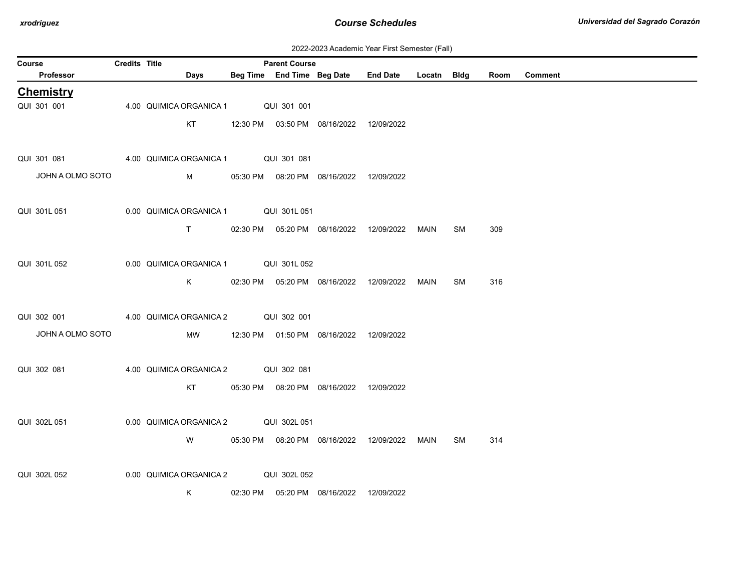| 2022-2023 Academic Year First Semester (Fall) |  |  |  |  |
|-----------------------------------------------|--|--|--|--|
|-----------------------------------------------|--|--|--|--|

|        | ZUZZ-ZUZJ ACQUEINIC TEGI FIISI JENIESIEI (Fail) |                      |  |                                                                                                                                                                                                                                     |  |                            |                                            |                                            |             |           |      |                |
|--------|-------------------------------------------------|----------------------|--|-------------------------------------------------------------------------------------------------------------------------------------------------------------------------------------------------------------------------------------|--|----------------------------|--------------------------------------------|--------------------------------------------|-------------|-----------|------|----------------|
| Course |                                                 | <b>Credits Title</b> |  |                                                                                                                                                                                                                                     |  | <b>Parent Course</b>       |                                            |                                            |             |           |      |                |
|        | Professor                                       |                      |  | <b>Days</b>                                                                                                                                                                                                                         |  | Beg Time End Time Beg Date |                                            | <b>End Date</b>                            | Locatn Bldg |           | Room | <b>Comment</b> |
|        | <b>Chemistry</b>                                |                      |  |                                                                                                                                                                                                                                     |  |                            |                                            |                                            |             |           |      |                |
|        | QUI 301 001                                     |                      |  | 4.00 QUIMICA ORGANICA 1                                                                                                                                                                                                             |  | QUI 301 001                |                                            |                                            |             |           |      |                |
|        |                                                 |                      |  | KT                                                                                                                                                                                                                                  |  |                            | 12:30 PM  03:50 PM  08/16/2022  12/09/2022 |                                            |             |           |      |                |
|        |                                                 |                      |  |                                                                                                                                                                                                                                     |  |                            |                                            |                                            |             |           |      |                |
|        | QUI 301 081                                     |                      |  | 4.00 QUIMICA ORGANICA 1 QUI 301 081                                                                                                                                                                                                 |  |                            |                                            |                                            |             |           |      |                |
|        | JOHN A OLMO SOTO                                |                      |  | <b>M</b> and the state of the state of the state of the state of the state of the state of the state of the state of the state of the state of the state of the state of the state of the state of the state of the state of the st |  |                            | 05:30 PM  08:20 PM  08/16/2022  12/09/2022 |                                            |             |           |      |                |
|        |                                                 |                      |  |                                                                                                                                                                                                                                     |  |                            |                                            |                                            |             |           |      |                |
|        |                                                 |                      |  |                                                                                                                                                                                                                                     |  |                            |                                            |                                            |             |           |      |                |
|        | QUI 301L 051                                    |                      |  | 0.00 QUIMICA ORGANICA 1 QUI 301L 051                                                                                                                                                                                                |  |                            |                                            |                                            |             |           |      |                |
|        |                                                 |                      |  | $\mathsf{T}$ and $\mathsf{T}$                                                                                                                                                                                                       |  |                            | 02:30 PM  05:20 PM  08/16/2022  12/09/2022 |                                            | MAIN        | SM        | 309  |                |
|        |                                                 |                      |  |                                                                                                                                                                                                                                     |  |                            |                                            |                                            |             |           |      |                |
|        | QUI 301L 052                                    |                      |  | 0.00 QUIMICA ORGANICA 1 QUI 301L 052                                                                                                                                                                                                |  |                            |                                            |                                            |             |           |      |                |
|        |                                                 |                      |  | K.                                                                                                                                                                                                                                  |  |                            |                                            | 02:30 PM  05:20 PM  08/16/2022  12/09/2022 | MAIN        | SM        | 316  |                |
|        |                                                 |                      |  |                                                                                                                                                                                                                                     |  |                            |                                            |                                            |             |           |      |                |
|        |                                                 |                      |  |                                                                                                                                                                                                                                     |  |                            |                                            |                                            |             |           |      |                |
|        | QUI 302 001                                     |                      |  | 4.00 QUIMICA ORGANICA 2 QUI 302 001                                                                                                                                                                                                 |  |                            |                                            |                                            |             |           |      |                |
|        | JOHN A OLMO SOTO                                |                      |  | MW                                                                                                                                                                                                                                  |  |                            | 12:30 PM  01:50 PM  08/16/2022  12/09/2022 |                                            |             |           |      |                |
|        |                                                 |                      |  |                                                                                                                                                                                                                                     |  |                            |                                            |                                            |             |           |      |                |
|        | QUI 302 081                                     |                      |  | 4.00 QUIMICA ORGANICA 2 QUI 302 081                                                                                                                                                                                                 |  |                            |                                            |                                            |             |           |      |                |
|        |                                                 |                      |  | KT                                                                                                                                                                                                                                  |  |                            | 05:30 PM  08:20 PM  08/16/2022  12/09/2022 |                                            |             |           |      |                |
|        |                                                 |                      |  |                                                                                                                                                                                                                                     |  |                            |                                            |                                            |             |           |      |                |
|        | QUI 302L 051                                    |                      |  | 0.00 QUIMICA ORGANICA 2                                                                                                                                                                                                             |  | QUI 302L 051               |                                            |                                            |             |           |      |                |
|        |                                                 |                      |  |                                                                                                                                                                                                                                     |  |                            |                                            |                                            |             |           |      |                |
|        |                                                 |                      |  | W                                                                                                                                                                                                                                   |  |                            | 05:30 PM  08:20 PM  08/16/2022  12/09/2022 |                                            | MAIN        | <b>SM</b> | 314  |                |
|        |                                                 |                      |  |                                                                                                                                                                                                                                     |  |                            |                                            |                                            |             |           |      |                |
|        | QUI 302L 052                                    |                      |  | 0.00 QUIMICA ORGANICA 2 QUI 302L 052                                                                                                                                                                                                |  |                            |                                            |                                            |             |           |      |                |
|        |                                                 |                      |  | Κ                                                                                                                                                                                                                                   |  |                            | 02:30 PM  05:20 PM  08/16/2022  12/09/2022 |                                            |             |           |      |                |
|        |                                                 |                      |  |                                                                                                                                                                                                                                     |  |                            |                                            |                                            |             |           |      |                |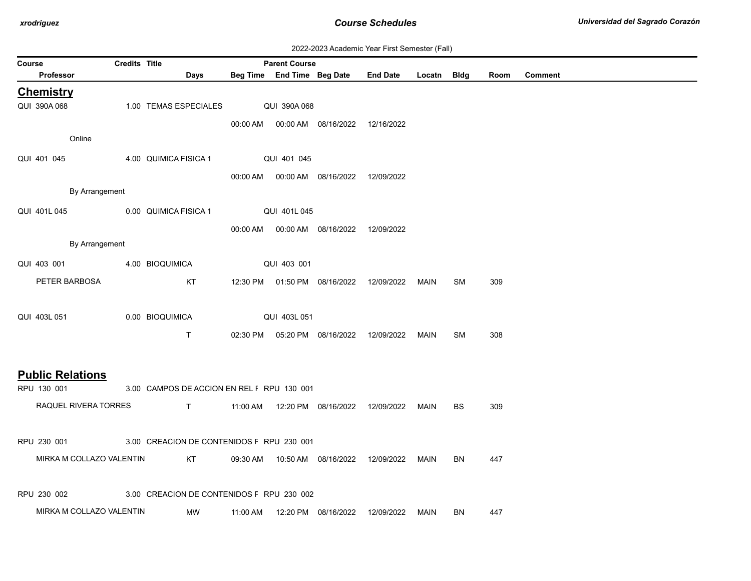| 2022-2023 Academic Year First Semester (Fall) |  |  |  |  |
|-----------------------------------------------|--|--|--|--|
|-----------------------------------------------|--|--|--|--|

|        | ZUZZ-ZUZU AUGUUNIIU TUGI TIIBI UUNIUSIUI (1 GII) |                      |                                            |          |                      |                                              |            |             |           |      |                |
|--------|--------------------------------------------------|----------------------|--------------------------------------------|----------|----------------------|----------------------------------------------|------------|-------------|-----------|------|----------------|
| Course | Professor                                        | <b>Credits Title</b> |                                            |          | <b>Parent Course</b> | Beg Time End Time Beg Date End Date          |            |             |           |      |                |
|        |                                                  |                      | <b>Days</b>                                |          |                      |                                              |            | Locatn Bldg |           | Room | <b>Comment</b> |
|        | <b>Chemistry</b>                                 |                      |                                            |          |                      |                                              |            |             |           |      |                |
|        | QUI 390A 068                                     |                      | 1.00 TEMAS ESPECIALES                      |          | QUI 390A068          |                                              |            |             |           |      |                |
|        |                                                  |                      |                                            |          |                      | 00:00 AM  00:00 AM  08/16/2022  12/16/2022   |            |             |           |      |                |
|        | Online                                           |                      |                                            |          |                      |                                              |            |             |           |      |                |
|        |                                                  |                      |                                            |          |                      |                                              |            |             |           |      |                |
|        | QUI 401 045                                      |                      | 4.00 QUIMICA FISICA 1                      |          | QUI 401 045          |                                              |            |             |           |      |                |
|        |                                                  |                      |                                            |          |                      | 00:00 AM   00:00 AM   08/16/2022  12/09/2022 |            |             |           |      |                |
|        | By Arrangement                                   |                      |                                            |          |                      |                                              |            |             |           |      |                |
|        | QUI 401L 045                                     |                      | 0.00 QUIMICA FISICA 1                      |          | QUI 401L045          |                                              |            |             |           |      |                |
|        |                                                  |                      |                                            |          |                      | 00:00 AM   00:00 AM   08/16/2022             | 12/09/2022 |             |           |      |                |
|        | By Arrangement                                   |                      |                                            |          |                      |                                              |            |             |           |      |                |
|        |                                                  |                      |                                            |          |                      |                                              |            |             |           |      |                |
|        | QUI 403 001                                      |                      | 4.00 BIOQUIMICA                            |          | QUI 403 001          |                                              |            |             |           |      |                |
|        | PETER BARBOSA                                    |                      | KT                                         |          |                      | 12:30 PM  01:50 PM  08/16/2022               | 12/09/2022 | MAIN        | <b>SM</b> | 309  |                |
|        |                                                  |                      |                                            |          |                      |                                              |            |             |           |      |                |
|        | QUI 403L 051                                     |                      | 0.00 BIOQUIMICA                            |          | QUI 403L 051         |                                              |            |             |           |      |                |
|        |                                                  |                      | T.                                         |          |                      | 02:30 PM  05:20 PM  08/16/2022               |            | MAIN        | SM        | 308  |                |
|        |                                                  |                      |                                            |          |                      |                                              | 12/09/2022 |             |           |      |                |
|        |                                                  |                      |                                            |          |                      |                                              |            |             |           |      |                |
|        | <b>Public Relations</b>                          |                      |                                            |          |                      |                                              |            |             |           |      |                |
|        | RPU 130 001                                      |                      | 3.00 CAMPOS DE ACCION EN REL F RPU 130 001 |          |                      |                                              |            |             |           |      |                |
|        | RAQUEL RIVERA TORRES                             |                      | $\mathsf{T}$                               |          |                      | 11:00 AM  12:20 PM  08/16/2022               | 12/09/2022 | MAIN        | <b>BS</b> | 309  |                |
|        |                                                  |                      |                                            |          |                      |                                              |            |             |           |      |                |
|        |                                                  |                      |                                            |          |                      |                                              |            |             |           |      |                |
|        | RPU 230 001                                      |                      | 3.00 CREACION DE CONTENIDOS F RPU 230 001  |          |                      |                                              |            |             |           |      |                |
|        | MIRKA M COLLAZO VALENTIN                         |                      | KT                                         | 09:30 AM |                      |                                              | 12/09/2022 | MAIN        | <b>BN</b> | 447  |                |
|        |                                                  |                      |                                            |          |                      |                                              |            |             |           |      |                |
|        | RPU 230 002                                      |                      | 3.00 CREACION DE CONTENIDOS F RPU 230 002  |          |                      |                                              |            |             |           |      |                |
|        |                                                  |                      |                                            |          |                      |                                              |            |             |           |      |                |
|        | MIRKA M COLLAZO VALENTIN                         |                      | MW                                         |          |                      |                                              | 12/09/2022 | MAIN        | BN        | 447  |                |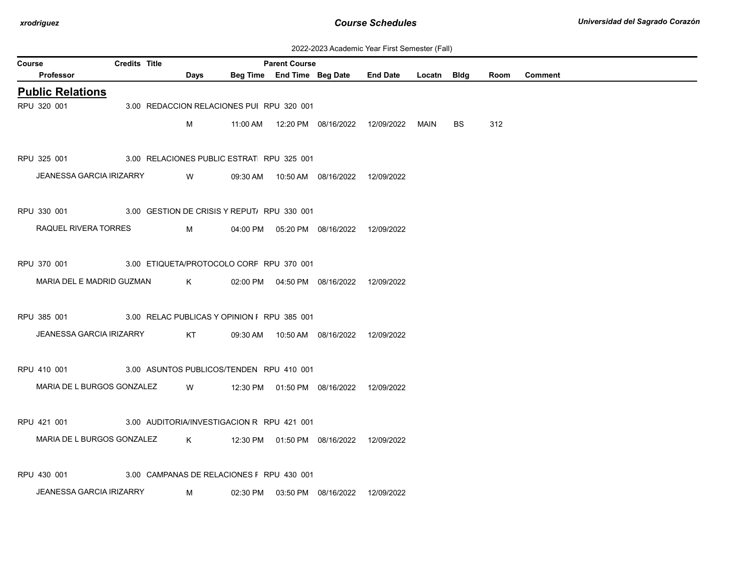| 2022-2023 Academic Year First Semester (Fall) |  |  |  |  |
|-----------------------------------------------|--|--|--|--|
|-----------------------------------------------|--|--|--|--|

|        | ZUZZ-ZUZO ACADEMIIC TEAL FIISLOEMESTEI (FAII)                        |                      |  |      |                                             |                      |                                            |                 |             |           |      |                |
|--------|----------------------------------------------------------------------|----------------------|--|------|---------------------------------------------|----------------------|--------------------------------------------|-----------------|-------------|-----------|------|----------------|
| Course |                                                                      | <b>Credits Title</b> |  |      |                                             | <b>Parent Course</b> |                                            |                 |             |           |      |                |
|        | Professor                                                            |                      |  | Days |                                             |                      | Beg Time End Time Beg Date                 | <b>End Date</b> | Locatn Bldg |           | Room | <b>Comment</b> |
|        | <b>Public Relations</b>                                              |                      |  |      |                                             |                      |                                            |                 |             |           |      |                |
|        | RPU 320 001                                                          |                      |  |      | 3.00 REDACCION RELACIONES PUI RPU 320 001   |                      |                                            |                 |             |           |      |                |
|        |                                                                      |                      |  | м    |                                             |                      |                                            |                 | MAIN        | <b>BS</b> | 312  |                |
|        |                                                                      |                      |  |      |                                             |                      |                                            |                 |             |           |      |                |
|        | RPU 325 001                                                          |                      |  |      | 3.00 RELACIONES PUBLIC ESTRAT RPU 325 001   |                      |                                            |                 |             |           |      |                |
|        | JEANESSA GARCIA IRIZARRY                                             |                      |  | W    |                                             |                      | 09:30 AM  10:50 AM  08/16/2022  12/09/2022 |                 |             |           |      |                |
|        |                                                                      |                      |  |      |                                             |                      |                                            |                 |             |           |      |                |
|        | RPU 330 001 3.00 GESTION DE CRISIS Y REPUT/RPU 330 001               |                      |  |      |                                             |                      |                                            |                 |             |           |      |                |
|        |                                                                      |                      |  |      |                                             |                      |                                            |                 |             |           |      |                |
|        | RAQUEL RIVERA TORRES                                                 |                      |  | M    |                                             |                      | 04:00 PM  05:20 PM  08/16/2022  12/09/2022 |                 |             |           |      |                |
|        |                                                                      |                      |  |      |                                             |                      |                                            |                 |             |           |      |                |
|        | RPU 370 001                                                          |                      |  |      | 3.00 ETIQUETA/PROTOCOLO CORF RPU 370 001    |                      |                                            |                 |             |           |      |                |
|        | MARIA DEL E MADRID GUZMAN                                            |                      |  | K    |                                             |                      | 02:00 PM  04:50 PM  08/16/2022  12/09/2022 |                 |             |           |      |                |
|        |                                                                      |                      |  |      |                                             |                      |                                            |                 |             |           |      |                |
|        | RPU 385 001                                                          |                      |  |      | 3.00 RELAC PUBLICAS Y OPINION F RPU 385 001 |                      |                                            |                 |             |           |      |                |
|        | <b>JEANESSA GARCIA IRIZARRY</b>                                      |                      |  | KT   |                                             |                      | 09:30 AM  10:50 AM  08/16/2022  12/09/2022 |                 |             |           |      |                |
|        |                                                                      |                      |  |      |                                             |                      |                                            |                 |             |           |      |                |
|        | RPU 410 001 3.00 ASUNTOS PUBLICOS/TENDEN RPU 410 001                 |                      |  |      |                                             |                      |                                            |                 |             |           |      |                |
|        |                                                                      |                      |  |      |                                             |                      |                                            |                 |             |           |      |                |
|        | MARIA DE L BURGOS GONZALEZ                                           |                      |  | W    |                                             |                      | 12:30 PM  01:50 PM  08/16/2022  12/09/2022 |                 |             |           |      |                |
|        |                                                                      |                      |  |      |                                             |                      |                                            |                 |             |           |      |                |
|        | RPU 421 001                                                          |                      |  |      | 3.00 AUDITORIA/INVESTIGACION R RPU 421 001  |                      |                                            |                 |             |           |      |                |
|        | MARIA DE L BURGOS GONZALEZ K 12:30 PM 01:50 PM 08/16/2022 12/09/2022 |                      |  |      |                                             |                      |                                            |                 |             |           |      |                |
|        |                                                                      |                      |  |      |                                             |                      |                                            |                 |             |           |      |                |
|        | RPU 430 001                                                          |                      |  |      | 3.00 CAMPANAS DE RELACIONES F RPU 430 001   |                      |                                            |                 |             |           |      |                |
|        | <b>JEANESSA GARCIA IRIZARRY</b>                                      |                      |  | M    |                                             |                      | 02:30 PM  03:50 PM  08/16/2022  12/09/2022 |                 |             |           |      |                |
|        |                                                                      |                      |  |      |                                             |                      |                                            |                 |             |           |      |                |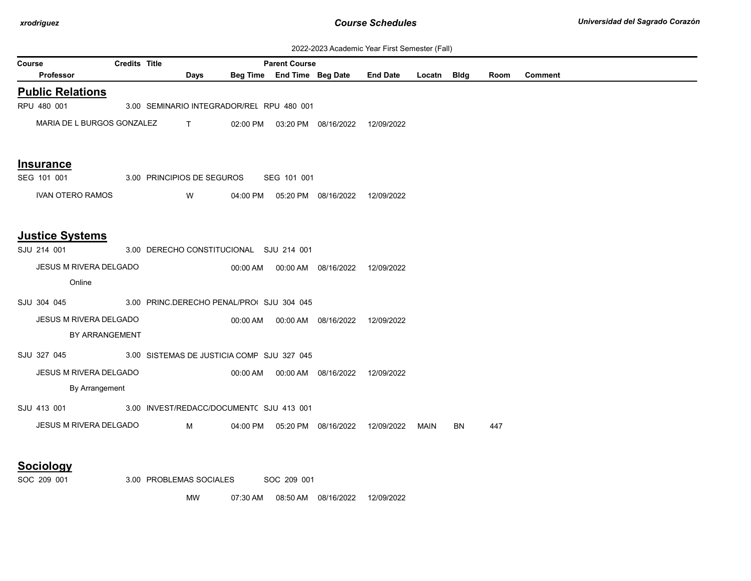| 2022-2023 Academic Year First Semester (Fall) |  |  |  |  |
|-----------------------------------------------|--|--|--|--|
|-----------------------------------------------|--|--|--|--|

| <b>Course</b>                 | <b>Credits Title</b>                       |              |          | <b>Parent Course</b>       |                                            |                 |             | $\overline{\phantom{a}}$ |      |                |
|-------------------------------|--------------------------------------------|--------------|----------|----------------------------|--------------------------------------------|-----------------|-------------|--------------------------|------|----------------|
| <b>Professor</b>              |                                            | Days         |          | Beg Time End Time Beg Date |                                            | <b>End Date</b> | Locatn Bldg |                          | Room | <b>Comment</b> |
| <b>Public Relations</b>       |                                            |              |          |                            |                                            |                 |             |                          |      |                |
| RPU 480 001                   | 3.00 SEMINARIO INTEGRADOR/REL RPU 480 001  |              |          |                            |                                            |                 |             |                          |      |                |
| MARIA DE L BURGOS GONZALEZ    |                                            | $\mathbf{T}$ |          |                            | 02:00 PM  03:20 PM  08/16/2022  12/09/2022 |                 |             |                          |      |                |
| Insurance                     |                                            |              |          |                            |                                            |                 |             |                          |      |                |
| SEG 101 001                   | 3.00 PRINCIPIOS DE SEGUROS                 |              |          | SEG 101 001                |                                            |                 |             |                          |      |                |
| <b>IVAN OTERO RAMOS</b>       |                                            | W            |          |                            | 04:00 PM  05:20 PM  08/16/2022  12/09/2022 |                 |             |                          |      |                |
| <b>Justice Systems</b>        |                                            |              |          |                            |                                            |                 |             |                          |      |                |
| SJU 214 001                   | 3.00 DERECHO CONSTITUCIONAL SJU 214 001    |              |          |                            |                                            |                 |             |                          |      |                |
| JESUS M RIVERA DELGADO        |                                            |              |          |                            | 00:00 AM   00:00 AM   08/16/2022           | 12/09/2022      |             |                          |      |                |
| Online                        |                                            |              |          |                            |                                            |                 |             |                          |      |                |
| SJU 304 045                   | 3.00 PRINC.DERECHO PENAL/PROI SJU 304 045  |              |          |                            |                                            |                 |             |                          |      |                |
| JESUS M RIVERA DELGADO        |                                            |              |          |                            | 00:00 AM  00:00 AM  08/16/2022  12/09/2022 |                 |             |                          |      |                |
|                               | BY ARRANGEMENT                             |              |          |                            |                                            |                 |             |                          |      |                |
| SJU 327 045                   | 3.00 SISTEMAS DE JUSTICIA COMP SJU 327 045 |              |          |                            |                                            |                 |             |                          |      |                |
| <b>JESUS M RIVERA DELGADO</b> |                                            |              |          |                            | 00:00 AM  00:00 AM  08/16/2022  12/09/2022 |                 |             |                          |      |                |
| By Arrangement                |                                            |              |          |                            |                                            |                 |             |                          |      |                |
|                               |                                            |              |          |                            |                                            |                 |             |                          |      |                |
| SJU 413 001                   | 3.00 INVEST/REDACC/DOCUMENT( SJU 413 001   |              |          |                            |                                            |                 |             |                          |      |                |
| JESUS M RIVERA DELGADO        |                                            | M            | 04:00 PM |                            | 05:20 PM 08/16/2022                        | 12/09/2022      | MAIN        | BN                       | 447  |                |
| <b>Sociology</b>              |                                            |              |          |                            |                                            |                 |             |                          |      |                |
| SOC 209 001                   | 3.00 PROBLEMAS SOCIALES                    |              |          | SOC 209 001                |                                            |                 |             |                          |      |                |

MW 07:30 AM 08:50 AM 08/16/2022 12/09/2022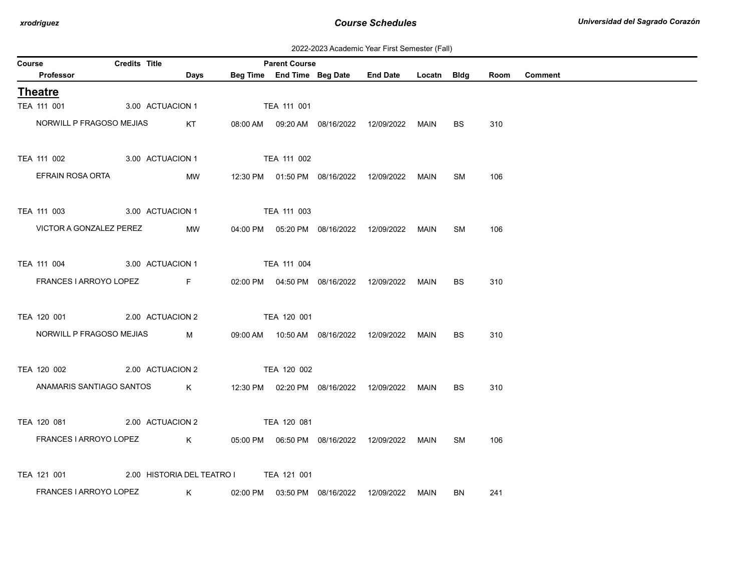2022-2023 Academic Year First Semester (Fall)

| Course |                            | Credits Title                          |             |             | <b>Parent Course</b> |                                            |                                                  |      |           |      |                |
|--------|----------------------------|----------------------------------------|-------------|-------------|----------------------|--------------------------------------------|--------------------------------------------------|------|-----------|------|----------------|
|        | Professor                  |                                        | <b>Days</b> |             |                      |                                            | Beg Time End Time Beg Date End Date Locatn Bldg  |      |           | Room | <b>Comment</b> |
|        | <b>Theatre</b>             |                                        |             |             |                      |                                            |                                                  |      |           |      |                |
|        | TEA 111 001                | 3.00 ACTUACION 1                       |             |             | TEA 111 001          |                                            |                                                  |      |           |      |                |
|        | NORWILL P FRAGOSO MEJIAS   |                                        | KT          |             |                      |                                            | 08:00 AM  09:20 AM  08/16/2022  12/09/2022  MAIN |      | BS.       | 310  |                |
|        | TEA 111 002                | 3.00 ACTUACION 1                       |             |             | TEA 111 002          |                                            |                                                  |      |           |      |                |
|        | EFRAIN ROSA ORTA           |                                        | MW          |             |                      |                                            | 12:30 PM  01:50 PM  08/16/2022  12/09/2022  MAIN |      | SM        | 106  |                |
|        | TEA 111 003                | 3.00 ACTUACION 1 TEA 111 003           |             |             |                      |                                            |                                                  |      |           |      |                |
|        | VICTOR A GONZALEZ PEREZ    |                                        | MW          |             |                      |                                            | 04:00 PM  05:20 PM  08/16/2022  12/09/2022  MAIN |      | SM        | 106  |                |
|        | TEA 111 004                | 3.00 ACTUACION 1                       |             |             | <b>TEA 111 004</b>   |                                            |                                                  |      |           |      |                |
|        | FRANCES I ARROYO LOPEZ     | <b>Example 19</b>                      |             |             |                      | 02:00 PM  04:50 PM  08/16/2022  12/09/2022 |                                                  | MAIN | <b>BS</b> | 310  |                |
|        | TEA 120 001                | 2.00 ACTUACION 2                       |             | TEA 120 001 |                      |                                            |                                                  |      |           |      |                |
|        | NORWILL P FRAGOSO MEJIAS   |                                        | <b>M</b>    |             |                      |                                            |                                                  |      | <b>BS</b> | 310  |                |
|        | TEA 120 002                | 2.00 ACTUACION 2                       |             | TEA 120 002 |                      |                                            |                                                  |      |           |      |                |
|        | ANAMARIS SANTIAGO SANTOS K |                                        |             |             |                      |                                            | 12:30 PM  02:20 PM  08/16/2022  12/09/2022  MAIN |      | <b>BS</b> | 310  |                |
|        | TEA 120 081                | 2.00 ACTUACION 2                       |             | TEA 120 081 |                      |                                            |                                                  |      |           |      |                |
|        | FRANCES I ARROYO LOPEZ     |                                        | $\mathsf K$ |             |                      |                                            |                                                  | MAIN | SM        | 106  |                |
|        | TEA 121 001                | 2.00 HISTORIA DEL TEATRO I TEA 121 001 |             |             |                      |                                            |                                                  |      |           |      |                |
|        | FRANCES I ARROYO LOPEZ     | $\mathsf{K}$                           |             |             |                      |                                            | 02:00 PM  03:50 PM  08/16/2022  12/09/2022  MAIN |      | BN        | 241  |                |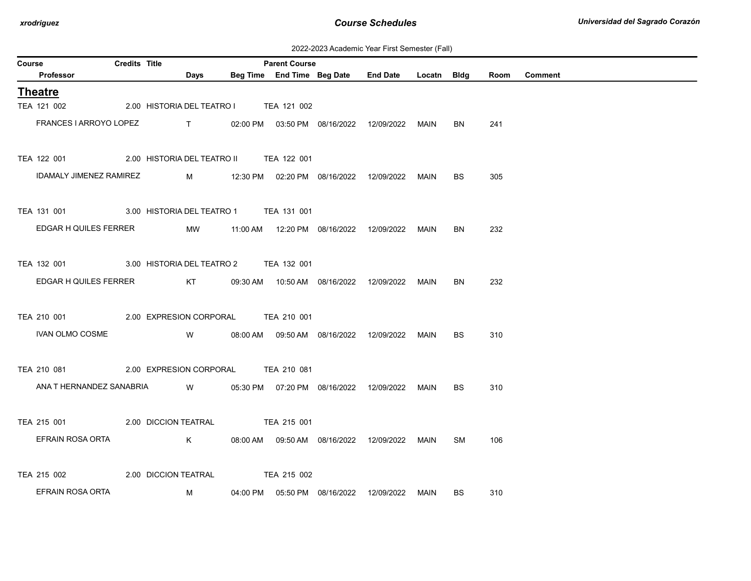| 2022-2023 Academic Year First Semester (Fall) |  |  |  |  |
|-----------------------------------------------|--|--|--|--|
|-----------------------------------------------|--|--|--|--|

| Course |                                | <b>Credits Title</b> |                                        |                                                                                                                                                                                                                                                                                                                               | <b>Parent Course</b> |                                                  |             |           |      |                |
|--------|--------------------------------|----------------------|----------------------------------------|-------------------------------------------------------------------------------------------------------------------------------------------------------------------------------------------------------------------------------------------------------------------------------------------------------------------------------|----------------------|--------------------------------------------------|-------------|-----------|------|----------------|
|        | Professor                      |                      |                                        | <b>Days</b>                                                                                                                                                                                                                                                                                                                   |                      | Beg Time End Time Beg Date End Date              | Locatn Bldg |           | Room | <b>Comment</b> |
|        | <b>Theatre</b>                 |                      |                                        |                                                                                                                                                                                                                                                                                                                               |                      |                                                  |             |           |      |                |
|        | TEA 121 002                    |                      | 2.00 HISTORIA DEL TEATRO I TEA 121 002 |                                                                                                                                                                                                                                                                                                                               |                      |                                                  |             |           |      |                |
|        | FRANCES I ARROYO LOPEZ         |                      |                                        | $\mathbf{T}$ and $\mathbf{T}$ and $\mathbf{T}$ and $\mathbf{T}$ and $\mathbf{T}$ and $\mathbf{T}$ and $\mathbf{T}$ and $\mathbf{T}$ and $\mathbf{T}$ and $\mathbf{T}$ and $\mathbf{T}$ and $\mathbf{T}$ and $\mathbf{T}$ and $\mathbf{T}$ and $\mathbf{T}$ and $\mathbf{T}$ and $\mathbf{T}$ and $\mathbf{T}$ and $\mathbf{T$ |                      | 02:00 PM  03:50 PM  08/16/2022  12/09/2022  MAIN |             | BN        | 241  |                |
|        | TEA 122 001                    |                      | 2.00 HISTORIA DEL TEATRO II            |                                                                                                                                                                                                                                                                                                                               | TEA 122 001          |                                                  |             |           |      |                |
|        | <b>IDAMALY JIMENEZ RAMIREZ</b> |                      |                                        | M                                                                                                                                                                                                                                                                                                                             |                      |                                                  | MAIN        | <b>BS</b> | 305  |                |
|        | TEA 131 001                    |                      | 3.00 HISTORIA DEL TEATRO 1 TEA 131 001 |                                                                                                                                                                                                                                                                                                                               |                      |                                                  |             |           |      |                |
|        | EDGAR H QUILES FERRER          |                      |                                        | MW                                                                                                                                                                                                                                                                                                                            |                      |                                                  | MAIN        | BN        | 232  |                |
|        | TEA 132 001                    |                      | 3.00 HISTORIA DEL TEATRO 2             |                                                                                                                                                                                                                                                                                                                               | TEA 132 001          |                                                  |             |           |      |                |
|        | EDGAR H QUILES FERRER          |                      |                                        | KT                                                                                                                                                                                                                                                                                                                            |                      |                                                  | MAIN        | BN        | 232  |                |
|        | TEA 210 001                    |                      | 2.00 EXPRESION CORPORAL TEA 210 001    |                                                                                                                                                                                                                                                                                                                               |                      |                                                  |             |           |      |                |
|        | <b>IVAN OLMO COSME</b>         |                      |                                        | W                                                                                                                                                                                                                                                                                                                             |                      | 08:00 AM  09:50 AM  08/16/2022  12/09/2022       | MAIN        | BS.       | 310  |                |
|        | TEA 210 081                    |                      | 2.00 EXPRESION CORPORAL                |                                                                                                                                                                                                                                                                                                                               | TEA 210 081          |                                                  |             |           |      |                |
|        | ANA T HERNANDEZ SANABRIA       |                      |                                        | <b>W</b>                                                                                                                                                                                                                                                                                                                      |                      | 05:30 PM  07:20 PM  08/16/2022  12/09/2022  MAIN |             | <b>BS</b> | 310  |                |
|        | TEA 215 001                    |                      | 2.00 DICCION TEATRAL                   |                                                                                                                                                                                                                                                                                                                               | TEA 215 001          |                                                  |             |           |      |                |
|        | EFRAIN ROSA ORTA               |                      |                                        | K                                                                                                                                                                                                                                                                                                                             |                      | 08:00 AM  09:50 AM  08/16/2022  12/09/2022       | MAIN        | <b>SM</b> | 106  |                |
|        | TEA 215 002                    |                      | 2.00 DICCION TEATRAL                   |                                                                                                                                                                                                                                                                                                                               | TEA 215 002          |                                                  |             |           |      |                |
|        | EFRAIN ROSA ORTA               |                      |                                        | M                                                                                                                                                                                                                                                                                                                             |                      | 04:00 PM  05:50 PM  08/16/2022  12/09/2022  MAIN |             | BS        | 310  |                |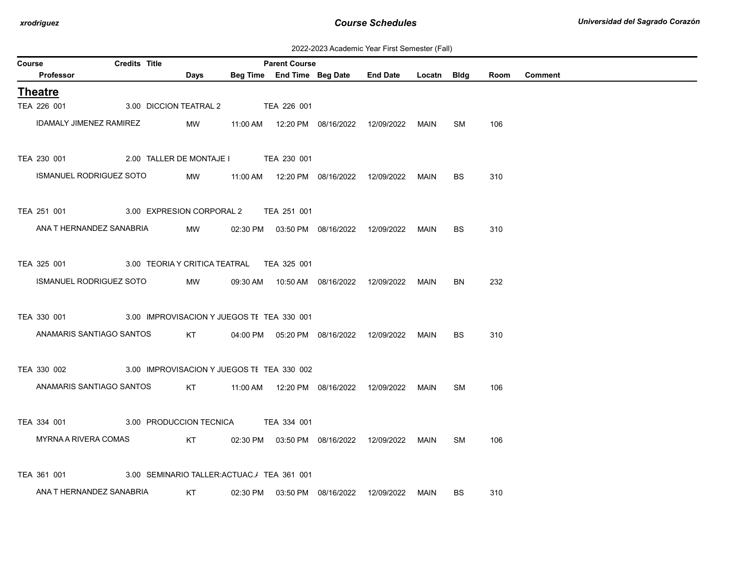2022-2023 Academic Year First Semester (Fall)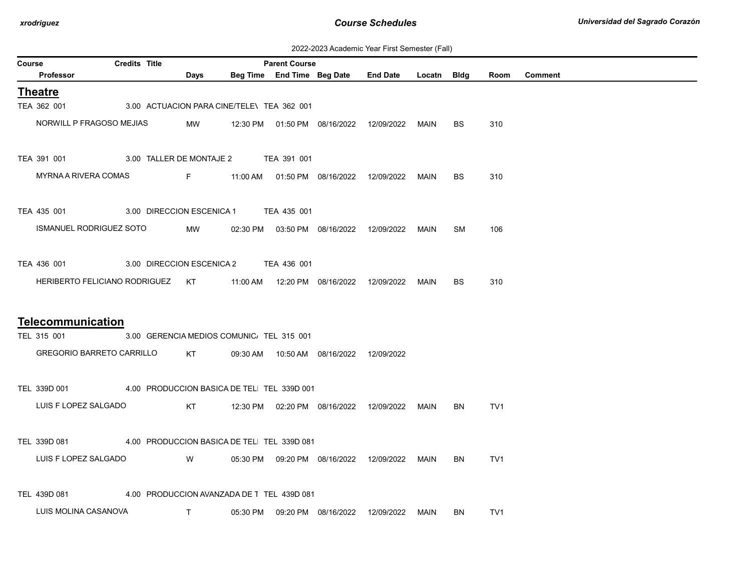| 2022-2023 Academic Year First Semester (Fall) |  |  |  |  |
|-----------------------------------------------|--|--|--|--|
|-----------------------------------------------|--|--|--|--|

| Course |                                  | <b>Credits Title</b> |                                                                                                                                                                                                                                      |                                            | <b>Parent Course</b> |                                            |                                                  |             |           |                 |                |
|--------|----------------------------------|----------------------|--------------------------------------------------------------------------------------------------------------------------------------------------------------------------------------------------------------------------------------|--------------------------------------------|----------------------|--------------------------------------------|--------------------------------------------------|-------------|-----------|-----------------|----------------|
|        | Professor                        |                      | Days                                                                                                                                                                                                                                 |                                            |                      |                                            | Beg Time End Time Beg Date End Date              | Locatn Bldg |           | Room            | <b>Comment</b> |
|        | <b>Theatre</b>                   |                      |                                                                                                                                                                                                                                      |                                            |                      |                                            |                                                  |             |           |                 |                |
|        | TEA 362 001                      |                      |                                                                                                                                                                                                                                      | 3.00 ACTUACION PARA CINE/TELE\ TEA 362 001 |                      |                                            |                                                  |             |           |                 |                |
|        | NORWILL P FRAGOSO MEJIAS         |                      | MW                                                                                                                                                                                                                                   |                                            |                      |                                            | 12:30 PM  01:50 PM  08/16/2022  12/09/2022       | MAIN        | BS        | 310             |                |
|        | TEA 391 001                      |                      |                                                                                                                                                                                                                                      | 3.00 TALLER DE MONTAJE 2 TEA 391 001       |                      |                                            |                                                  |             |           |                 |                |
|        | MYRNA A RIVERA COMAS             |                      | <b>Experience For Contract Contract Contract Contract Contract Contract Contract Contract Contract Contract Contract Contract Contract Contract Contract Contract Contract Contract Contract Contract Contract Contract Contract</b> |                                            |                      |                                            | 11:00 AM  01:50 PM  08/16/2022  12/09/2022  MAIN |             | <b>BS</b> | 310             |                |
|        | TEA 435 001                      |                      |                                                                                                                                                                                                                                      | 3.00 DIRECCION ESCENICA 1 TEA 435 001      |                      |                                            |                                                  |             |           |                 |                |
|        | <b>ISMANUEL RODRIGUEZ SOTO</b>   |                      | MW                                                                                                                                                                                                                                   |                                            |                      | 02:30 PM  03:50 PM  08/16/2022  12/09/2022 |                                                  | MAIN        | <b>SM</b> | 106             |                |
|        | TEA 436 001                      |                      | 3.00 DIRECCION ESCENICA 2                                                                                                                                                                                                            |                                            | TEA 436 001          |                                            |                                                  |             |           |                 |                |
|        | HERIBERTO FELICIANO RODRIGUEZ KT |                      |                                                                                                                                                                                                                                      |                                            |                      | 11:00 AM  12:20 PM  08/16/2022  12/09/2022 |                                                  | MAIN        | <b>BS</b> | 310             |                |
|        | <b>Telecommunication</b>         |                      |                                                                                                                                                                                                                                      |                                            |                      |                                            |                                                  |             |           |                 |                |
|        | TEL 315 001                      |                      |                                                                                                                                                                                                                                      | 3.00 GERENCIA MEDIOS COMUNIC. TEL 315 001  |                      |                                            |                                                  |             |           |                 |                |
|        | <b>GREGORIO BARRETO CARRILLO</b> |                      | KT                                                                                                                                                                                                                                   |                                            |                      | 09:30 AM  10:50 AM  08/16/2022  12/09/2022 |                                                  |             |           |                 |                |
|        | TEL 339D 001                     |                      |                                                                                                                                                                                                                                      | 4.00 PRODUCCION BASICA DE TEL TEL 339D 001 |                      |                                            |                                                  |             |           |                 |                |
|        | LUIS F LOPEZ SALGADO             |                      | KT                                                                                                                                                                                                                                   |                                            |                      |                                            | 12:30 PM  02:20 PM  08/16/2022  12/09/2022  MAIN |             | BN        | TV <sub>1</sub> |                |
|        | TEL 339D 081                     |                      |                                                                                                                                                                                                                                      | 4.00 PRODUCCION BASICA DE TEL TEL 339D 081 |                      |                                            |                                                  |             |           |                 |                |
|        | LUIS F LOPEZ SALGADO             |                      | W                                                                                                                                                                                                                                    |                                            |                      |                                            | 05:30 PM  09:20 PM  08/16/2022  12/09/2022  MAIN |             | BN        | TV <sub>1</sub> |                |
|        | TEL 439D 081                     |                      |                                                                                                                                                                                                                                      | 4.00 PRODUCCION AVANZADA DE T_TEL_439D 081 |                      |                                            |                                                  |             |           |                 |                |
|        | LUIS MOLINA CASANOVA             |                      | T                                                                                                                                                                                                                                    | 05:30 PM                                   |                      | 09:20 PM 08/16/2022                        | 12/09/2022 MAIN                                  |             | BN        | TV <sub>1</sub> |                |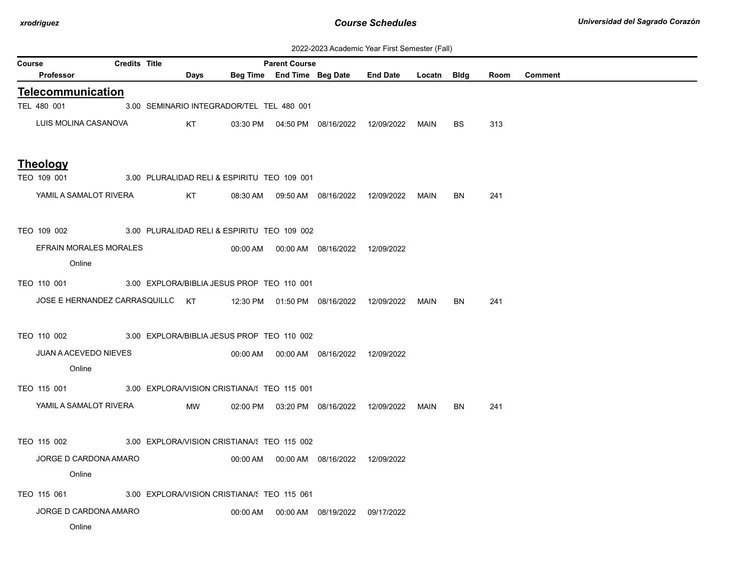| 2022-2023 Academic Year First Semester (Fall) |  |  |  |  |
|-----------------------------------------------|--|--|--|--|
|-----------------------------------------------|--|--|--|--|

|        | <u>ZUZZ-ZUZJ ACAGENIIC TEAL FIISLOENIESIEL (FAIL)</u> |                      |  |      |                                             |                      |                                            |                                                  |             |           |      |                |
|--------|-------------------------------------------------------|----------------------|--|------|---------------------------------------------|----------------------|--------------------------------------------|--------------------------------------------------|-------------|-----------|------|----------------|
| Course | Professor                                             | <b>Credits Title</b> |  | Days |                                             | <b>Parent Course</b> | Beg Time End Time Beg Date End Date        |                                                  | Locatn Bldg |           | Room | <b>Comment</b> |
|        |                                                       |                      |  |      |                                             |                      |                                            |                                                  |             |           |      |                |
|        | <b>Telecommunication</b>                              |                      |  |      |                                             |                      |                                            |                                                  |             |           |      |                |
|        | TEL 480 001                                           |                      |  |      | 3.00 SEMINARIO INTEGRADOR/TEL TEL 480 001   |                      |                                            |                                                  |             |           |      |                |
|        | LUIS MOLINA CASANOVA                                  |                      |  | KT   |                                             |                      | 03:30 PM  04:50 PM  08/16/2022  12/09/2022 |                                                  | MAIN        | <b>BS</b> | 313  |                |
|        |                                                       |                      |  |      |                                             |                      |                                            |                                                  |             |           |      |                |
|        | <b>Theology</b><br>TEO 109 001                        |                      |  |      | 3.00 PLURALIDAD RELI & ESPIRITU TEO 109 001 |                      |                                            |                                                  |             |           |      |                |
|        | YAMIL A SAMALOT RIVERA                                |                      |  |      |                                             |                      |                                            |                                                  |             |           |      |                |
|        |                                                       |                      |  | KT   |                                             |                      | 08:30 AM  09:50 AM  08/16/2022  12/09/2022 |                                                  | MAIN        | <b>BN</b> | 241  |                |
|        | TEO 109 002                                           |                      |  |      | 3.00 PLURALIDAD RELI & ESPIRITU TEO 109 002 |                      |                                            |                                                  |             |           |      |                |
|        | EFRAIN MORALES MORALES                                |                      |  |      |                                             |                      | 00:00 AM  00:00 AM  08/16/2022  12/09/2022 |                                                  |             |           |      |                |
|        | Online                                                |                      |  |      |                                             |                      |                                            |                                                  |             |           |      |                |
|        | TEO 110 001                                           |                      |  |      | 3.00 EXPLORA/BIBLIA JESUS PROF TEO 110 001  |                      |                                            |                                                  |             |           |      |                |
|        | JOSE E HERNANDEZ CARRASQUILLC KT                      |                      |  |      |                                             |                      | 12:30 PM   01:50 PM   08/16/2022           |                                                  |             | BN        | 241  |                |
|        |                                                       |                      |  |      |                                             |                      |                                            | 12/09/2022                                       | MAIN        |           |      |                |
|        | TEO 110 002                                           |                      |  |      | 3.00 EXPLORA/BIBLIA JESUS PROF TEO 110 002  |                      |                                            |                                                  |             |           |      |                |
|        | <b>JUAN A ACEVEDO NIEVES</b>                          |                      |  |      |                                             |                      | 00:00 AM  00:00 AM  08/16/2022  12/09/2022 |                                                  |             |           |      |                |
|        | Online                                                |                      |  |      |                                             |                      |                                            |                                                  |             |           |      |                |
|        | TEO 115 001                                           |                      |  |      | 3.00 EXPLORA/VISION CRISTIANA/: TEO 115 001 |                      |                                            |                                                  |             |           |      |                |
|        | YAMIL A SAMALOT RIVERA                                |                      |  | MW   |                                             |                      |                                            |                                                  |             |           |      |                |
|        |                                                       |                      |  |      |                                             |                      |                                            | 02:00 PM  03:20 PM  08/16/2022  12/09/2022  MAIN |             | BN        | 241  |                |
|        | TEO 115 002                                           |                      |  |      | 3.00 EXPLORA/VISION CRISTIANA/ TEO 115 002  |                      |                                            |                                                  |             |           |      |                |
|        | JORGE D CARDONA AMARO                                 |                      |  |      |                                             |                      | 00:00 AM  00:00 AM  08/16/2022  12/09/2022 |                                                  |             |           |      |                |
|        | Online                                                |                      |  |      |                                             |                      |                                            |                                                  |             |           |      |                |
|        | TEO 115 061                                           |                      |  |      | 3.00 EXPLORA/VISION CRISTIANA/S TEO 115 061 |                      |                                            |                                                  |             |           |      |                |
|        | JORGE D CARDONA AMARO                                 |                      |  |      |                                             |                      | 00:00 AM  00:00 AM  08/19/2022  09/17/2022 |                                                  |             |           |      |                |
|        | Online                                                |                      |  |      |                                             |                      |                                            |                                                  |             |           |      |                |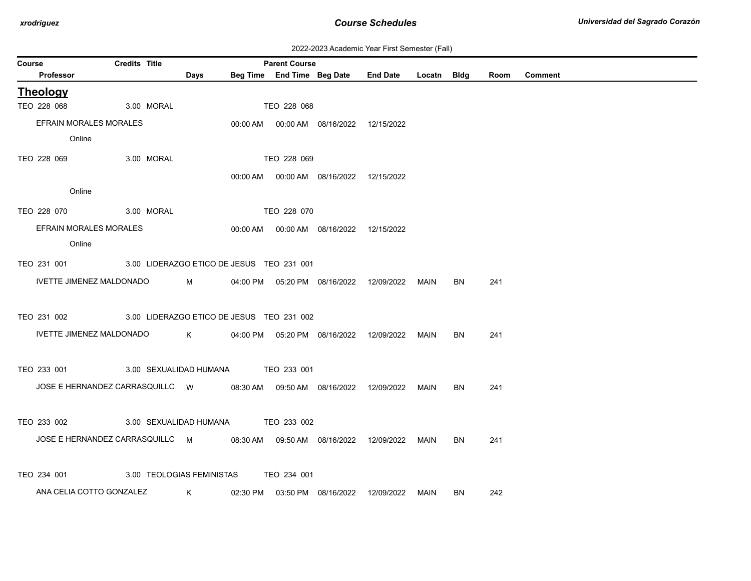| 2022-2023 Academic Year First Semester (Fall) |  |  |  |  |
|-----------------------------------------------|--|--|--|--|
|-----------------------------------------------|--|--|--|--|

| Course |                                                                              | <b>Credits Title</b> |            |                                                                                                                                                                                                                                     | <b>Parent Course</b> |                                            |                                                  |             |           |      |                |
|--------|------------------------------------------------------------------------------|----------------------|------------|-------------------------------------------------------------------------------------------------------------------------------------------------------------------------------------------------------------------------------------|----------------------|--------------------------------------------|--------------------------------------------------|-------------|-----------|------|----------------|
|        | Professor                                                                    |                      |            | Days                                                                                                                                                                                                                                |                      |                                            | Beg Time End Time Beg Date End Date              | Locatn Bldg |           | Room | <b>Comment</b> |
|        | <b>Theology</b>                                                              |                      |            |                                                                                                                                                                                                                                     |                      |                                            |                                                  |             |           |      |                |
|        | TEO 228 068                                                                  |                      | 3.00 MORAL |                                                                                                                                                                                                                                     | TEO 228 068          |                                            |                                                  |             |           |      |                |
|        | EFRAIN MORALES MORALES                                                       |                      |            |                                                                                                                                                                                                                                     |                      | 00:00 AM  00:00 AM  08/16/2022  12/15/2022 |                                                  |             |           |      |                |
|        | Online                                                                       |                      |            |                                                                                                                                                                                                                                     |                      |                                            |                                                  |             |           |      |                |
|        | TEO 228 069                                                                  |                      | 3.00 MORAL |                                                                                                                                                                                                                                     | TEO 228 069          |                                            |                                                  |             |           |      |                |
|        |                                                                              |                      |            |                                                                                                                                                                                                                                     |                      | 00:00 AM  00:00 AM  08/16/2022  12/15/2022 |                                                  |             |           |      |                |
|        | Online                                                                       |                      |            |                                                                                                                                                                                                                                     |                      |                                            |                                                  |             |           |      |                |
|        | TEO 228 070                                                                  |                      | 3.00 MORAL |                                                                                                                                                                                                                                     | TEO 228 070          |                                            |                                                  |             |           |      |                |
|        | EFRAIN MORALES MORALES                                                       |                      |            |                                                                                                                                                                                                                                     |                      | 00:00 AM  00:00 AM  08/16/2022  12/15/2022 |                                                  |             |           |      |                |
|        | Online                                                                       |                      |            |                                                                                                                                                                                                                                     |                      |                                            |                                                  |             |           |      |                |
|        | TEO 231 001 3.00 LIDERAZGO ETICO DE JESUS TEO 231 001                        |                      |            |                                                                                                                                                                                                                                     |                      |                                            |                                                  |             |           |      |                |
|        | <b>IVETTE JIMENEZ MALDONADO</b>                                              |                      |            | <b>M</b> and the state of the state of the state of the state of the state of the state of the state of the state of the state of the state of the state of the state of the state of the state of the state of the state of the st |                      |                                            | 04:00 PM  05:20 PM  08/16/2022  12/09/2022  MAIN |             | BN        | 241  |                |
|        |                                                                              |                      |            |                                                                                                                                                                                                                                     |                      |                                            |                                                  |             |           |      |                |
|        | TEO 231 002                                                                  |                      |            | 3.00 LIDERAZGO ETICO DE JESUS TEO 231 002                                                                                                                                                                                           |                      |                                            |                                                  |             |           |      |                |
|        | IVETTE JIMENEZ MALDONADO                                                     |                      |            | $K$ and $K$                                                                                                                                                                                                                         |                      | 04:00 PM  05:20 PM  08/16/2022  12/09/2022 |                                                  | MAIN        | <b>BN</b> | 241  |                |
|        |                                                                              |                      |            |                                                                                                                                                                                                                                     |                      |                                            |                                                  |             |           |      |                |
|        | TEO 233 001                                                                  |                      |            | 3.00 SEXUALIDAD HUMANA TEO 233 001                                                                                                                                                                                                  |                      |                                            |                                                  |             |           |      |                |
|        | JOSE E HERNANDEZ CARRASQUILLC W 08:30 AM 09:50 AM 08/16/2022 12/09/2022 MAIN |                      |            |                                                                                                                                                                                                                                     |                      |                                            |                                                  |             | BN        | 241  |                |
|        |                                                                              |                      |            |                                                                                                                                                                                                                                     |                      |                                            |                                                  |             |           |      |                |
|        | TEO 233 002                                                                  |                      |            | 3.00 SEXUALIDAD HUMANA TEO 233 002                                                                                                                                                                                                  |                      |                                            |                                                  |             |           |      |                |
|        | JOSE E HERNANDEZ CARRASQUILLC M 08:30 AM 09:50 AM 08/16/2022 12/09/2022 MAIN |                      |            |                                                                                                                                                                                                                                     |                      |                                            |                                                  |             | <b>BN</b> | 241  |                |
|        |                                                                              |                      |            |                                                                                                                                                                                                                                     |                      |                                            |                                                  |             |           |      |                |
|        | TEO 234 001                                                                  |                      |            | 3.00 TEOLOGIAS FEMINISTAS TEO 234 001                                                                                                                                                                                               |                      |                                            |                                                  |             |           |      |                |
|        | ANA CELIA COTTO GONZALEZ                                                     |                      |            | K and the set of the set of the set of the set of the set of the set of the set of the set of the set of the set of the set of the set of the set of the set of the set of the set of the set of the set of the set of the set      |                      | 02:30 PM  03:50 PM  08/16/2022  12/09/2022 |                                                  | MAIN        | BN        | 242  |                |
|        |                                                                              |                      |            |                                                                                                                                                                                                                                     |                      |                                            |                                                  |             |           |      |                |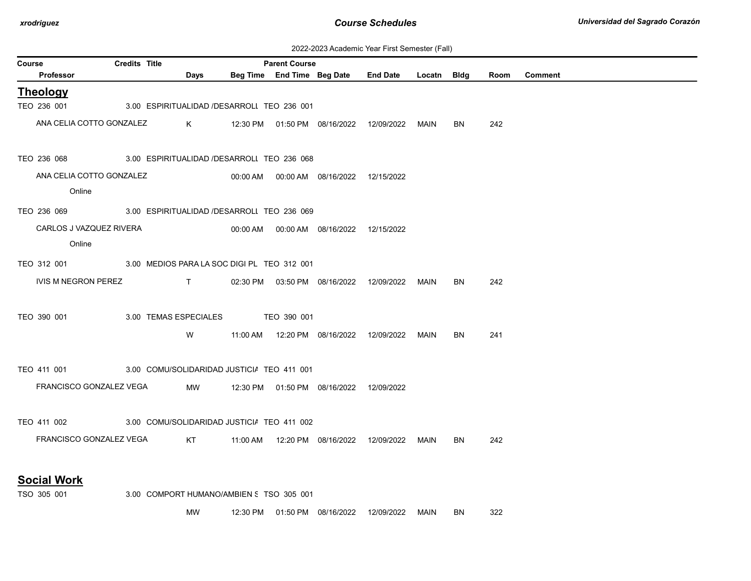| 2022-2023 Academic Year First Semester (Fall) |  |  |  |  |
|-----------------------------------------------|--|--|--|--|
|-----------------------------------------------|--|--|--|--|

| <b>Credits Title</b><br>Course<br><b>Parent Course</b> |                                                                                                                                                                                                                                                                                                                               |             |  |  |                                            |                                                  |      |           |      |                |
|--------------------------------------------------------|-------------------------------------------------------------------------------------------------------------------------------------------------------------------------------------------------------------------------------------------------------------------------------------------------------------------------------|-------------|--|--|--------------------------------------------|--------------------------------------------------|------|-----------|------|----------------|
| Professor                                              |                                                                                                                                                                                                                                                                                                                               | Days        |  |  | Beg Time End Time Beg Date                 | End Date Locatn Bldg                             |      |           | Room | <b>Comment</b> |
| <b>Theology</b>                                        |                                                                                                                                                                                                                                                                                                                               |             |  |  |                                            |                                                  |      |           |      |                |
| TEO 236 001                                            | 3.00 ESPIRITUALIDAD /DESARROLI TEO 236 001                                                                                                                                                                                                                                                                                    |             |  |  |                                            |                                                  |      |           |      |                |
| ANA CELIA COTTO GONZALEZ                               |                                                                                                                                                                                                                                                                                                                               | $\mathsf K$ |  |  |                                            | 12:30 PM  01:50 PM  08/16/2022  12/09/2022  MAIN |      | BN.       | 242  |                |
|                                                        | TEO 236 068 3.00 ESPIRITUALIDAD /DESARROLI TEO 236 068                                                                                                                                                                                                                                                                        |             |  |  |                                            |                                                  |      |           |      |                |
| ANA CELIA COTTO GONZALEZ                               |                                                                                                                                                                                                                                                                                                                               |             |  |  |                                            |                                                  |      |           |      |                |
| Online                                                 |                                                                                                                                                                                                                                                                                                                               |             |  |  |                                            |                                                  |      |           |      |                |
| TEO 236 069 3.00 ESPIRITUALIDAD /DESARROLI TEO 236 069 |                                                                                                                                                                                                                                                                                                                               |             |  |  |                                            |                                                  |      |           |      |                |
| CARLOS J VAZQUEZ RIVERA                                |                                                                                                                                                                                                                                                                                                                               |             |  |  |                                            |                                                  |      |           |      |                |
| Online                                                 |                                                                                                                                                                                                                                                                                                                               |             |  |  |                                            |                                                  |      |           |      |                |
| TEO 312 001                                            | 3.00 MEDIOS PARA LA SOC DIGI PL TEO 312 001                                                                                                                                                                                                                                                                                   |             |  |  |                                            |                                                  |      |           |      |                |
|                                                        |                                                                                                                                                                                                                                                                                                                               |             |  |  |                                            |                                                  |      |           |      |                |
| IVIS M NEGRON PEREZ                                    | $\mathbf{T}$ and $\mathbf{T}$ and $\mathbf{T}$ and $\mathbf{T}$ and $\mathbf{T}$ and $\mathbf{T}$ and $\mathbf{T}$ and $\mathbf{T}$ and $\mathbf{T}$ and $\mathbf{T}$ and $\mathbf{T}$ and $\mathbf{T}$ and $\mathbf{T}$ and $\mathbf{T}$ and $\mathbf{T}$ and $\mathbf{T}$ and $\mathbf{T}$ and $\mathbf{T}$ and $\mathbf{T$ |             |  |  |                                            | 02:30 PM  03:50 PM  08/16/2022  12/09/2022  MAIN |      | BN.       | 242  |                |
|                                                        |                                                                                                                                                                                                                                                                                                                               |             |  |  |                                            |                                                  |      |           |      |                |
| TEO 390 001                                            | 3.00 TEMAS ESPECIALES TEO 390 001                                                                                                                                                                                                                                                                                             |             |  |  |                                            |                                                  |      |           |      |                |
|                                                        |                                                                                                                                                                                                                                                                                                                               | W           |  |  | 11:00 AM  12:20 PM  08/16/2022  12/09/2022 |                                                  | MAIN | <b>BN</b> | 241  |                |
|                                                        |                                                                                                                                                                                                                                                                                                                               |             |  |  |                                            |                                                  |      |           |      |                |
| TEO 411 001                                            | 3.00 COMU/SOLIDARIDAD JUSTICIA TEO 411 001                                                                                                                                                                                                                                                                                    |             |  |  |                                            |                                                  |      |           |      |                |
| FRANCISCO GONZALEZ VEGA                                |                                                                                                                                                                                                                                                                                                                               |             |  |  | MW 12:30 PM 01:50 PM 08/16/2022 12/09/2022 |                                                  |      |           |      |                |
|                                                        |                                                                                                                                                                                                                                                                                                                               |             |  |  |                                            |                                                  |      |           |      |                |
| TEO 411 002                                            | 3.00 COMU/SOLIDARIDAD JUSTICI/ TEO 411 002                                                                                                                                                                                                                                                                                    |             |  |  |                                            |                                                  |      |           |      |                |
| FRANCISCO GONZALEZ VEGA KT                             |                                                                                                                                                                                                                                                                                                                               |             |  |  |                                            |                                                  | MAIN | BN        | 242  |                |
|                                                        |                                                                                                                                                                                                                                                                                                                               |             |  |  |                                            |                                                  |      |           |      |                |
| <b>Social Work</b>                                     |                                                                                                                                                                                                                                                                                                                               |             |  |  |                                            |                                                  |      |           |      |                |

TSO 305 001 3.00 COMPORT HUMANO/AMBIEN S TSO 305 001

MW 12:30 PM 01:50 PM 08/16/2022 12/09/2022 MAIN BN 322